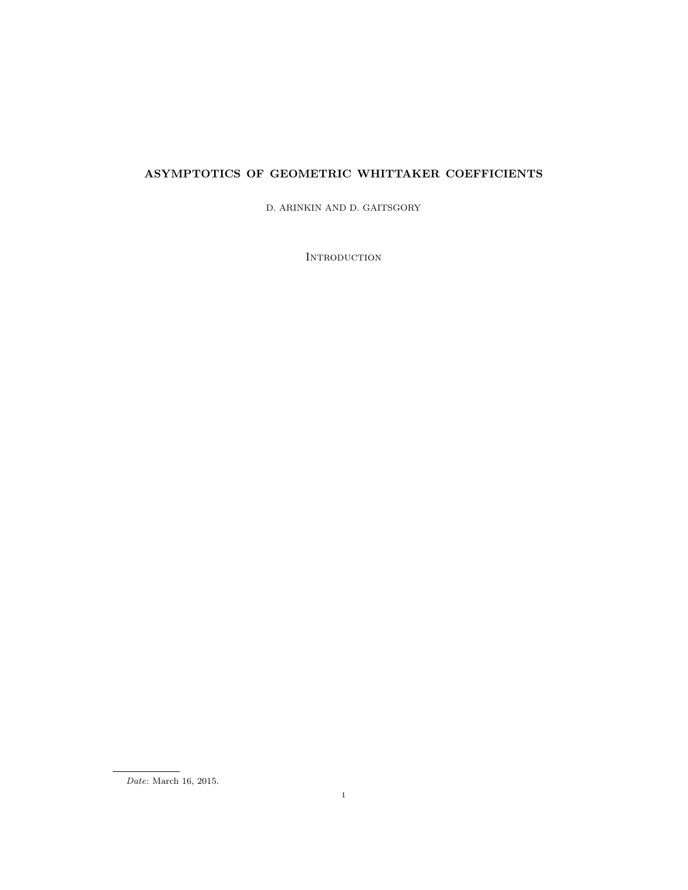# ASYMPTOTICS OF GEOMETRIC WHITTAKER COEFFICIENTS

D. ARINKIN AND D. GAITSGORY

**INTRODUCTION** 

Date: March 16, 2015.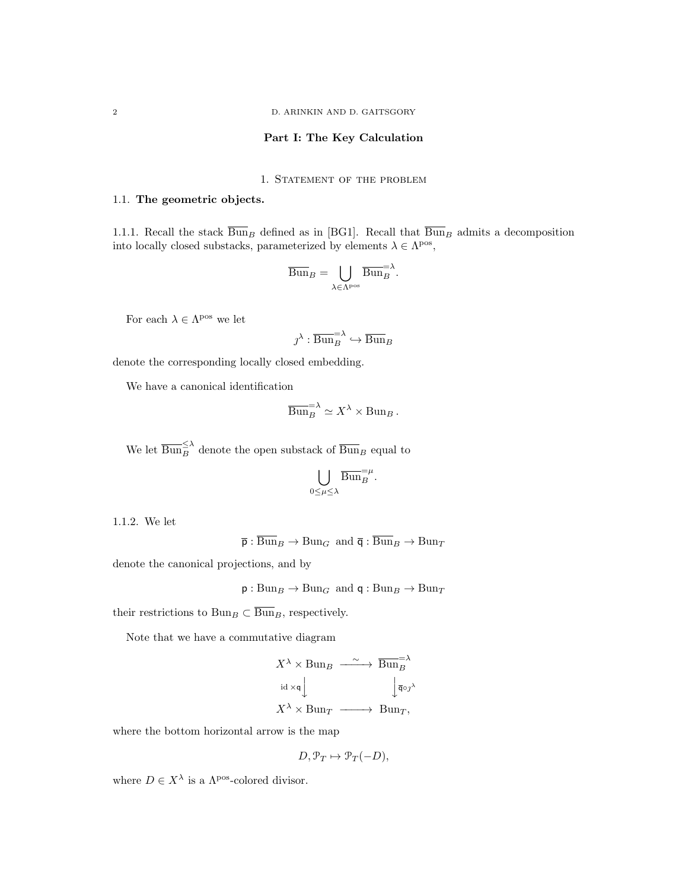# Part I: The Key Calculation

# 1. STATEMENT OF THE PROBLEM

#### 1.1. The geometric objects.

1.1.1. Recall the stack  $\overline{\text{Bun}}_B$  defined as in [BG1]. Recall that  $\overline{\text{Bun}}_B$  admits a decomposition into locally closed substacks, parameterized by elements  $\lambda \in \Lambda^{pos}$ ,

$$
\overline{\mathrm{Bun}}_B = \bigcup_{\lambda \in \Lambda^{\mathrm{pos}}} \overline{\mathrm{Bun}}_B^{\lambda}.
$$

For each  $\lambda \in \Lambda^{\text{pos}}$  we let

$$
\jmath^\lambda:\overline{{\operatorname{Bun}}}_B^{=\lambda}\hookrightarrow\overline{{\operatorname{Bun}}}_B
$$

denote the corresponding locally closed embedding.

We have a canonical identification

$$
\overline{\mathrm{Bun}}_{B}^{\mathrm{=}\lambda} \simeq X^{\lambda} \times \mathrm{Bun}_{B} .
$$

We let  $\overline{\text{Bun}}_{B}^{\leq \lambda}$  denote the open substack of  $\overline{\text{Bun}}_{B}$  equal to

$$
\bigcup_{0\leq\mu\leq\lambda}\overline{\operatorname{Bun}}_{B}^{=\mu}.
$$

1.1.2. We let

 $\overline{\mathsf{p}} : \overline{\mathrm{Bun}}_B \to \mathrm{Bun}_G$  and  $\overline{\mathsf{q}} : \overline{\mathrm{Bun}}_B \to \mathrm{Bun}_T$ 

denote the canonical projections, and by

 $p : Bun_B \to Bun_G$  and  $q : Bun_B \to Bun_T$ 

their restrictions to Bun<sub>B</sub> ⊂  $\overline{\text{Bun}}_B$ , respectively.

Note that we have a commutative diagram

$$
X^{\lambda} \times \text{Bun}_B \xrightarrow{\sim} \overline{\text{Bun}}^{\equiv \lambda}
$$
  

$$
\text{id} \times \mathsf{q} \downarrow \qquad \qquad \downarrow \overline{\mathsf{q}} \circ \jmath^{\lambda}
$$
  

$$
X^{\lambda} \times \text{Bun}_T \xrightarrow{\sim} \text{Bun}_T,
$$

where the bottom horizontal arrow is the map

$$
D, \mathcal{P}_T \mapsto \mathcal{P}_T(-D),
$$

where  $D \in X^{\lambda}$  is a  $\Lambda^{pos}$ -colored divisor.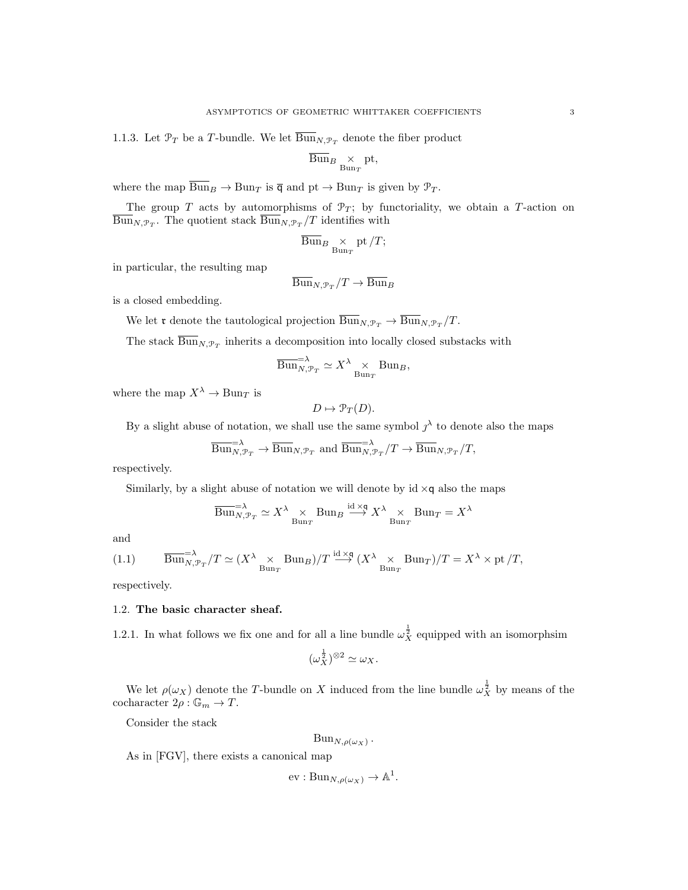1.1.3. Let  $\mathcal{P}_T$  be a T-bundle. We let  $\overline{\mathrm{Bun}}_{N,\mathcal{P}_T}$  denote the fiber product

$$
\overline{\mathrm{Bun}}_{B} \underset{\mathrm{Bun}_T}{\times} \mathrm{pt},
$$

where the map  $\overline{Bun}_B \to Bun_T$  is  $\overline{q}$  and  $pt \to Bun_T$  is given by  $\mathcal{P}_T$ .

The group T acts by automorphisms of  $\mathcal{P}_T$ ; by functoriality, we obtain a T-action on  $\text{Bun}_{N, \mathcal{P}_T}$ . The quotient stack  $\text{Bun}_{N, \mathcal{P}_T}/T$  identifies with

$$
\overline{\mathrm{Bun}}_{B} \underset{\mathrm{Bun}_T}{\times} \mathrm{pt}/T;
$$

in particular, the resulting map

$$
\overline{\mathrm{Bun}}_{N,\mathcal{P}_T}/T \to \overline{\mathrm{Bun}}_B
$$

is a closed embedding.

We let **r** denote the tautological projection  $\overline{\text{Bun}}_{N, \mathcal{P}_T} \to \overline{\text{Bun}}_{N, \mathcal{P}_T}/T$ .

The stack  $\text{Bun}_{N,\mathcal{P}_T}$  inherits a decomposition into locally closed substacks with

$$
\overline{\mathrm{Bun}}_{N,\mathcal{P}_T}^{-\lambda} \simeq X^{\lambda} \underset{\mathrm{Bun}_T}{\times} \mathrm{Bun}_B,
$$

where the map  $X^{\lambda} \to \text{Bun}_T$  is

$$
D \mapsto \mathcal{P}_T(D).
$$

By a slight abuse of notation, we shall use the same symbol  $j^{\lambda}$  to denote also the maps

$$
\overline{\text{Bun}}_{N,\mathcal{P}_T}^{\text{max}} \to \overline{\text{Bun}}_{N,\mathcal{P}_T} \text{ and } \overline{\text{Bun}}_{N,\mathcal{P}_T}^{\text{max}}/T \to \overline{\text{Bun}}_{N,\mathcal{P}_T}/T,
$$

respectively.

Similarly, by a slight abuse of notation we will denote by  $id \times q$  also the maps

$$
\overline{\mathrm{Bun}}_{N,\mathcal{P}_T}^{-\lambda} \simeq X^\lambda \underset{\mathrm{Bun}_T}{\times} \mathrm{Bun}_B \xrightarrow{\mathrm{id} \times \mathfrak{q}} X^\lambda \underset{\mathrm{Bun}_T}{\times} \mathrm{Bun}_T = X^\lambda
$$

and

(1.1) 
$$
\overline{\text{Bun}}_{N,\mathcal{P}_T}^{-\lambda}/T \simeq (X^{\lambda} \underset{\text{Bun}_T}{\times} \text{Bun}_B)/T \xrightarrow{\text{id} \times \text{q}} (X^{\lambda} \underset{\text{Bun}_T}{\times} \text{Bun}_T)/T = X^{\lambda} \times \text{pt}/T,
$$

respectively.

#### 1.2. The basic character sheaf.

1.2.1. In what follows we fix one and for all a line bundle  $\omega_X^{\frac{1}{2}}$  equipped with an isomorphsim

$$
(\omega_X^{\frac{1}{2}})^{\otimes 2} \simeq \omega_X.
$$

We let  $\rho(\omega_X)$  denote the T-bundle on X induced from the line bundle  $\omega_X^{\frac{1}{2}}$  by means of the cocharacter  $2\rho : \mathbb{G}_m \to T$ .

Consider the stack

$$
Bun_{N,\rho(\omega_X)}.
$$

As in [FGV], there exists a canonical map

 $ev: Bun_{N,\rho(\omega_X)}\to \mathbb{A}^1.$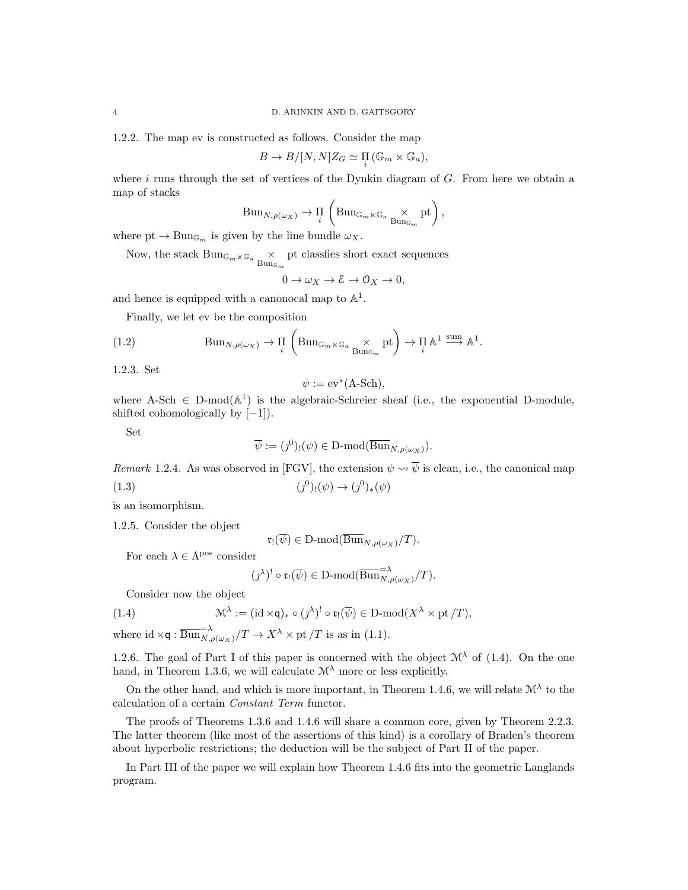1.2.2. The map ev is constructed as follows. Consider the map

$$
B \to B/[N,N]Z_G \simeq \prod_i (\mathbb{G}_m \ltimes \mathbb{G}_a),
$$

where  $i$  runs through the set of vertices of the Dynkin diagram of  $G$ . From here we obtain a map of stacks

$$
\text{Bun}_{N,\rho(\omega_X)} \to \prod_i \left( \text{Bun}_{\mathbb{G}_m \ltimes \mathbb{G}_a} \underset{\text{Bun}_{\mathbb{G}_m}}{\times} \text{pt} \right),
$$

where  $pt \to Bun_{\mathbb{G}_m}$  is given by the line bundle  $\omega_X$ .

Now, the stack  $\mathrm{Bun}_{\mathbb{G}_m \ltimes \mathbb{G}_a} \underset{\mathrm{Bun}_{\mathbb{G}_m}}{\times}$ pt classfies short exact sequences

$$
0 \to \omega_X \to \mathcal{E} \to \mathcal{O}_X \to 0,
$$

and hence is equipped with a canonocal map to  $\mathbb{A}^1$ .

Finally, we let ev be the composition

(1.2) 
$$
\text{Bun}_{N,\rho(\omega_X)} \to \prod_i \left( \text{Bun}_{\mathbb{G}_m \ltimes \mathbb{G}_a} \times \text{Bun}_{\mathbb{G}_m} \text{pt} \right) \to \prod_i \mathbb{A}^1 \xrightarrow{\text{sum}} \mathbb{A}^1.
$$

1.2.3. Set

$$
\psi := \mathrm{ev}^*(A\text{-Sch}),
$$

where A-Sch  $\in$  D-mod( $\mathbb{A}^1$ ) is the algebraic-Schreier sheaf (i.e., the exponential D-module, shifted cohomologically by  $[-1]$ ).

Set

$$
\overline{\psi} := (\jmath^0)_! (\psi) \in \mathcal{D}\text{-mod}(\overline{\operatorname{Bun}}_{N,\rho(\omega_X)}).
$$

Remark 1.2.4. As was observed in [FGV], the extension  $\psi \rightsquigarrow \overline{\psi}$  is clean, i.e., the canonical map

(1.3) 
$$
(j^{0})_{!}(\psi) \to (j^{0})_{*}(\psi)
$$

is an isomorphism.

1.2.5. Consider the object

 $\mathfrak{r}_! (\overline{\psi}) \in D\text{-mod}(\overline{\text{Bun}}_{N,\rho(\omega_X)}/T).$ 

For each  $\lambda \in \Lambda$ <sup>pos</sup> consider

$$
(\jmath^{\lambda})^! \circ \mathfrak{r}_!(\overline{\psi}) \in \mathbf{D}\text{-mod}(\overline{\mathrm{Bun}}_{N,\rho(\omega_X)}^{-1}/T).
$$

Consider now the object

(1.4) 
$$
\mathcal{M}^{\lambda} := (\mathrm{id} \times \mathsf{q})_{*} \circ (\jmath^{\lambda})^! \circ \mathfrak{r}_{!}(\overline{\psi}) \in \mathrm{D}\text{-}\mathrm{mod}(X^{\lambda} \times \mathrm{pt}/T),
$$

where id  $\times \mathsf{q}: \overline{\mathrm{Bun}}_{N,\rho(\omega_X)}^{-\lambda}/T \to X^\lambda \times \mathrm{pt}/T$  is as in (1.1).

1.2.6. The goal of Part I of this paper is concerned with the object  $\mathcal{M}^{\lambda}$  of (1.4). On the one hand, in Theorem 1.3.6, we will calculate  $\mathcal{M}^{\lambda}$  more or less explicitly.

On the other hand, and which is more important, in Theorem 1.4.6, we will relate  $\mathcal{M}^{\lambda}$  to the calculation of a certain Constant Term functor.

The proofs of Theorems 1.3.6 and 1.4.6 will share a common core, given by Theorem 2.2.3. The latter theorem (like most of the assertions of this kind) is a corollary of Braden's theorem about hyperbolic restrictions; the deduction will be the subject of Part II of the paper.

In Part III of the paper we will explain how Theorem 1.4.6 fits into the geometric Langlands program.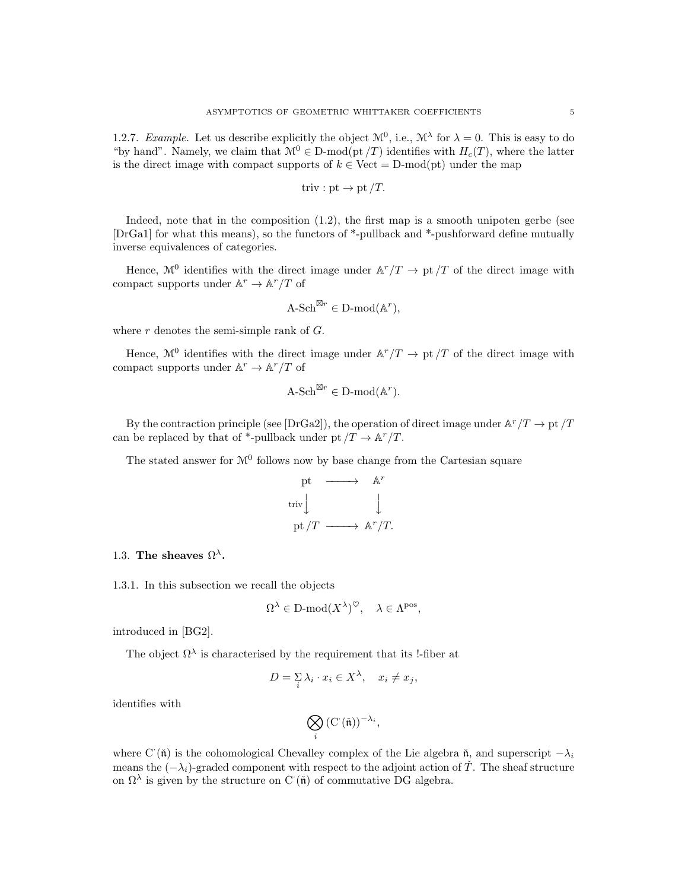1.2.7. Example. Let us describe explicitly the object  $\mathcal{M}^0$ , i.e.,  $\mathcal{M}^{\lambda}$  for  $\lambda = 0$ . This is easy to do "by hand". Namely, we claim that  $\mathcal{M}^0 \in \text{D-mod}(\text{pt}/T)$  identifies with  $H_c(T)$ , where the latter is the direct image with compact supports of  $k \in$  Vect = D-mod(pt) under the map

triv : pt 
$$
\rightarrow
$$
 pt  $/T$ .

Indeed, note that in the composition (1.2), the first map is a smooth unipoten gerbe (see [DrGa1] for what this means), so the functors of \*-pullback and \*-pushforward define mutually inverse equivalences of categories.

Hence,  $\mathcal{M}^0$  identifies with the direct image under  $\mathbb{A}^r/T \to \mathrm{pt}/T$  of the direct image with compact supports under  $\mathbb{A}^r \to \mathbb{A}^r/T$  of

$$
\mathbf{A}\text{-Sch}^{\boxtimes r} \in \mathbf{D}\text{-mod}(\mathbb{A}^r),
$$

where  $r$  denotes the semi-simple rank of  $G$ .

Hence,  $\mathcal{M}^0$  identifies with the direct image under  $\mathbb{A}^r/T \to \mathrm{pt}/T$  of the direct image with compact supports under  $\mathbb{A}^r \to \mathbb{A}^r/T$  of

$$
\mathrm{A}\text{-}\mathrm{Sch}^{\boxtimes r} \in \mathrm{D}\text{-}\mathrm{mod}(\mathbb{A}^r).
$$

By the contraction principle (see [DrGa2]), the operation of direct image under  $\mathbb{A}^r/T \to \mathrm{pt}/T$ can be replaced by that of \*-pullback under pt  $/T \to \mathbb{A}^r/T$ .

The stated answer for  $\mathcal{M}^0$  follows now by base change from the Cartesian square

$$
\begin{array}{ccc}\n\text{pt} & \longrightarrow & \mathbb{A}^r \\
\text{triv} & & \downarrow \\
\text{pt}/T & \longrightarrow & \mathbb{A}^r/T.\n\end{array}
$$

# 1.3. The sheaves  $\Omega^{\lambda}$ .

1.3.1. In this subsection we recall the objects

$$
\Omega^{\lambda} \in \mathcal{D}\text{-mod}(X^{\lambda})^{\heartsuit}, \quad \lambda \in \Lambda^{\text{pos}},
$$

introduced in [BG2].

The object  $\Omega^{\lambda}$  is characterised by the requirement that its !-fiber at

$$
D = \sum_{i} \lambda_i \cdot x_i \in X^{\lambda}, \quad x_i \neq x_j,
$$

identifies with

$$
\bigotimes_i \, (\mathrm{C}^{\cdot}(\check{\mathfrak{n}}))^{-\lambda_i},
$$

where C<sup> $\cdot$ </sup>( $\check{\mathfrak{n}}$ ) is the cohomological Chevalley complex of the Lie algebra  $\check{\mathfrak{n}}$ , and superscript  $-\lambda_i$ means the  $(-\lambda_i)$ -graded component with respect to the adjoint action of  $\tilde{T}$ . The sheaf structure on  $\Omega^{\lambda}$  is given by the structure on C ( $\check{\mathfrak{n}}$ ) of commutative DG algebra.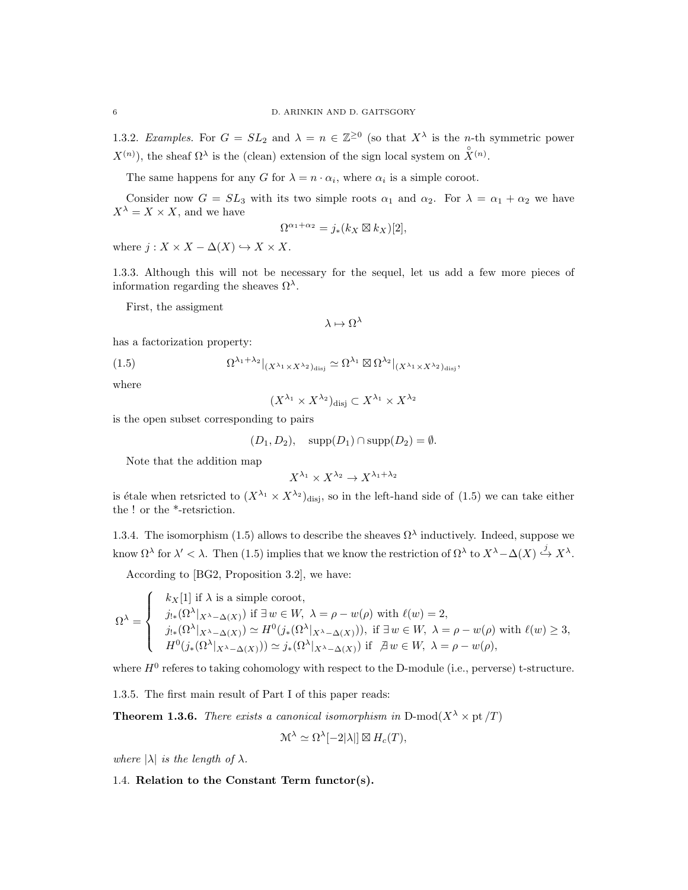1.3.2. Examples. For  $G = SL_2$  and  $\lambda = n \in \mathbb{Z}^{\geq 0}$  (so that  $X^{\lambda}$  is the *n*-th symmetric power  $X^{(n)}$ ), the sheaf  $\Omega^{\lambda}$  is the (clean) extension of the sign local system on  $\mathring{X}^{(n)}$ .

The same happens for any G for  $\lambda = n \cdot \alpha_i$ , where  $\alpha_i$  is a simple coroot.

Consider now  $G = SL_3$  with its two simple roots  $\alpha_1$  and  $\alpha_2$ . For  $\lambda = \alpha_1 + \alpha_2$  we have  $X^{\lambda} = X \times X$ , and we have

$$
\Omega^{\alpha_1+\alpha_2} = j_*(k_X \boxtimes k_X)[2],
$$

where  $j: X \times X - \Delta(X) \hookrightarrow X \times X$ .

1.3.3. Although this will not be necessary for the sequel, let us add a few more pieces of information regarding the sheaves  $\Omega^{\lambda}$ .

First, the assigment

$$
\lambda \mapsto \Omega^{\lambda}
$$

has a factorization property:

(1.5) 
$$
\Omega^{\lambda_1 + \lambda_2}|_{(X^{\lambda_1} \times X^{\lambda_2})_{\text{disj}}} \simeq \Omega^{\lambda_1} \boxtimes \Omega^{\lambda_2}|_{(X^{\lambda_1} \times X^{\lambda_2})_{\text{disj}}},
$$

where

$$
(X^{\lambda_1} \times X^{\lambda_2})_{\text{disj}} \subset X^{\lambda_1} \times X^{\lambda_2}
$$

is the open subset corresponding to pairs

$$
(D_1, D_2), \quad \text{supp}(D_1) \cap \text{supp}(D_2) = \emptyset.
$$

Note that the addition map

$$
X^{\lambda_1} \times X^{\lambda_2} \to X^{\lambda_1 + \lambda_2}
$$

is étale when retsricted to  $(X^{\lambda_1} \times X^{\lambda_2})$ disj, so in the left-hand side of (1.5) we can take either the ! or the \*-retsriction.

1.3.4. The isomorphism (1.5) allows to describe the sheaves  $\Omega^{\lambda}$  inductively. Indeed, suppose we know  $\Omega^{\lambda}$  for  $\lambda' < \lambda$ . Then (1.5) implies that we know the restriction of  $\Omega^{\lambda}$  to  $X^{\lambda} - \Delta(X) \stackrel{j}{\hookrightarrow} X^{\lambda}$ .

According to [BG2, Proposition 3.2], we have:

$$
\Omega^{\lambda} = \begin{cases} & k_X[1] \text{ if } \lambda \text{ is a simple coroot,} \\ & j_{!*}(\Omega^{\lambda}|_{X^{\lambda} - \Delta(X)}) \text{ if } \exists w \in W, \ \lambda = \rho - w(\rho) \text{ with } \ell(w) = 2, \\ & j_{!*}(\Omega^{\lambda}|_{X^{\lambda} - \Delta(X)}) \simeq H^0(j_*(\Omega^{\lambda}|_{X^{\lambda} - \Delta(X)})), \text{ if } \exists w \in W, \ \lambda = \rho - w(\rho) \text{ with } \ell(w) \ge 3, \\ & H^0(j_*(\Omega^{\lambda}|_{X^{\lambda} - \Delta(X)})) \simeq j_*(\Omega^{\lambda}|_{X^{\lambda} - \Delta(X)}) \text{ if } \ \exists w \in W, \ \lambda = \rho - w(\rho), \end{cases}
$$

where  $H^0$  referes to taking cohomology with respect to the D-module (i.e., perverse) t-structure.

1.3.5. The first main result of Part I of this paper reads:

**Theorem 1.3.6.** There exists a canonical isomorphism in D-mod $(X^{\lambda} \times pt/T)$ 

$$
\mathcal{M}^{\lambda} \simeq \Omega^{\lambda}[-2|\lambda|] \boxtimes H_c(T),
$$

where  $|\lambda|$  is the length of  $\lambda$ .

1.4. Relation to the Constant Term functor(s).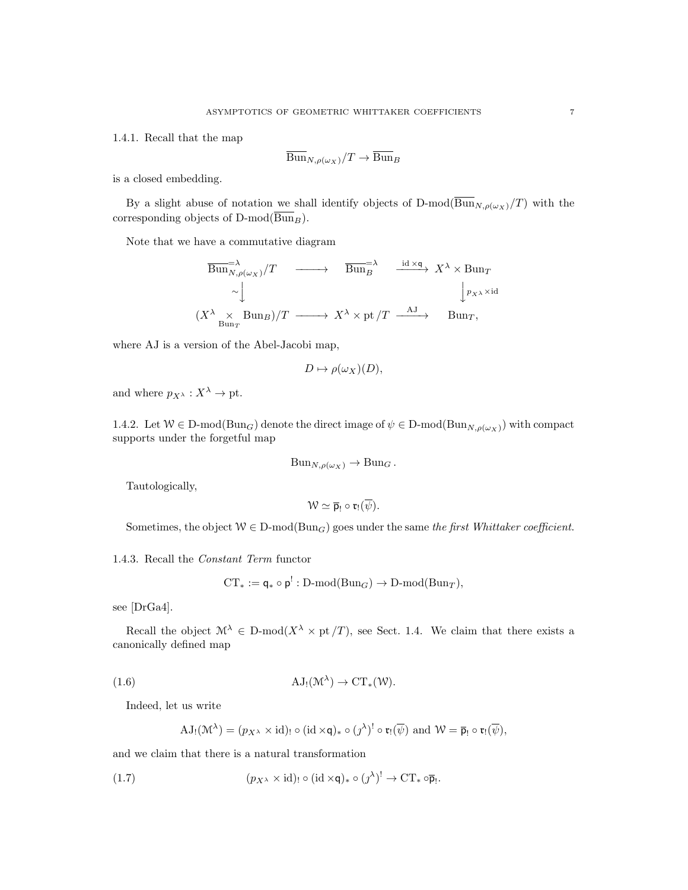1.4.1. Recall that the map

$$
\overline{\mathrm{Bun}}_{N,\rho(\omega_X)}/T \to \overline{\mathrm{Bun}}_B
$$

is a closed embedding.

By a slight abuse of notation we shall identify objects of D-mod( $\overline{\text{Bun}}_{N,\rho(\omega_X)}/T$ ) with the corresponding objects of D-mod $(\overline{\text{Bun}}_B)$ .

Note that we have a commutative diagram

$$
\overline{\text{Bun}}_{N,\rho(\omega_X)}^{-\lambda}/T \longrightarrow \overline{\text{Bun}}_{B}^{\pm \lambda} \xrightarrow{\text{id} \times \mathbf{q}} X^{\lambda} \times \text{Bun}_T
$$
\n
$$
\sim \downarrow \qquad \qquad \downarrow p_{X^{\lambda}} \times \text{id}
$$
\n
$$
(X^{\lambda} \times \text{Bun}_T) / T \longrightarrow X^{\lambda} \times \text{pt} / T \xrightarrow{\text{AJ}} \text{Bun}_T,
$$

where AJ is a version of the Abel-Jacobi map,

$$
D \mapsto \rho(\omega_X)(D),
$$

and where  $p_{X^{\lambda}} : X^{\lambda} \to \text{pt.}$ 

1.4.2. Let  $W \in D\text{-mod}(Bun_G)$  denote the direct image of  $\psi \in D\text{-mod}(Bun_{N,\rho(\omega_X)})$  with compact supports under the forgetful map

$$
Bun_{N,\rho(\omega_X)} \to Bun_G.
$$

Tautologically,

$$
\mathcal{W}\simeq \overline{p}_!\circ \mathfrak{r}_!(\overline{\psi}).
$$

Sometimes, the object  $W \in D\text{-mod}(Bun_G)$  goes under the same the first Whittaker coefficient.

1.4.3. Recall the Constant Term functor

$$
CT_* := \mathsf{q}_* \circ \mathsf{p}^!: D\text{-}\mathrm{mod}(Bun_G) \to D\text{-}\mathrm{mod}(Bun_T),
$$

see [DrGa4].

Recall the object  $\mathcal{M}^{\lambda} \in D\text{-mod}(X^{\lambda} \times pt/T)$ , see Sect. 1.4. We claim that there exists a canonically defined map

(1.6) 
$$
AJ_!(\mathcal{M}^{\lambda}) \to CT_*(\mathcal{W}).
$$

Indeed, let us write

$$
\mathrm{AJ}_{!}(\mathcal{M}^{\lambda}) = (p_{X^{\lambda}} \times \mathrm{id})_{!} \circ (\mathrm{id} \times \mathsf{q})_{*} \circ (\jmath^{\lambda})^{!} \circ \mathfrak{r}_{!}(\overline{\psi}) \text{ and } \mathcal{W} = \overline{\mathsf{p}}_{!} \circ \mathfrak{r}_{!}(\overline{\psi}),
$$

and we claim that there is a natural transformation

(1.7) 
$$
(p_{X^{\lambda}} \times \mathrm{id})_! \circ (\mathrm{id} \times \mathsf{q})_* \circ (j^{\lambda})! \to \mathrm{CT}_* \circ \overline{\mathsf{p}}_!.
$$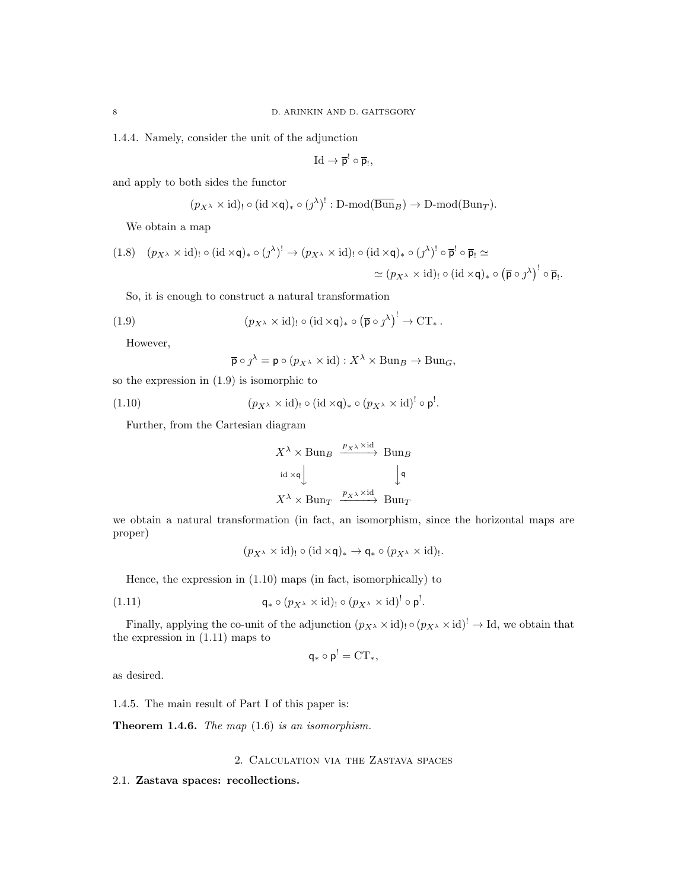1.4.4. Namely, consider the unit of the adjunction

$$
\mathrm{Id}\to\overline{p}^!\circ\overline{p}_!,
$$

and apply to both sides the functor

$$
(p_{X^{\lambda}} \times id)_{!} \circ (id \times \mathsf{q})_{*} \circ (j^{\lambda})^{!}: D\text{-mod}(\overline{\text{Bun}}_{B}) \to D\text{-mod}(\text{Bun}_{T}).
$$

We obtain a map

$$
(1.8) \quad (p_{X^{\lambda}} \times \mathrm{id})_! \circ (\mathrm{id} \times \mathsf{q})_* \circ (j^{\lambda})! \to (p_{X^{\lambda}} \times \mathrm{id})_! \circ (\mathrm{id} \times \mathsf{q})_* \circ (j^{\lambda})! \circ \overline{\mathsf{p}}^! \circ \overline{\mathsf{p}}_! \simeq
$$

$$
\simeq (p_{X^{\lambda}} \times \mathrm{id})_! \circ (\mathrm{id} \times \mathsf{q})_* \circ (\overline{\mathsf{p}} \circ j^{\lambda})! \circ \overline{\mathsf{p}}_!.
$$

So, it is enough to construct a natural transformation

(1.9) 
$$
(p_{X^{\lambda}} \times \mathrm{id})_! \circ (\mathrm{id} \times \mathsf{q})_* \circ (\overline{\mathsf{p}} \circ \jmath^{\lambda})^! \to \mathrm{CT}_*.
$$

However,

$$
\overline{\mathsf{p}} \circ \jmath^{\lambda} = \mathsf{p} \circ (p_{X^{\lambda}} \times \mathrm{id}) : X^{\lambda} \times \mathrm{Bun}_{B} \to \mathrm{Bun}_{G},
$$

so the expression in (1.9) is isomorphic to

(1.10) 
$$
(p_{X^{\lambda}} \times \mathrm{id})_! \circ (\mathrm{id} \times \mathsf{q})_* \circ (p_{X^{\lambda}} \times \mathrm{id})^! \circ \mathsf{p}^!.
$$

Further, from the Cartesian diagram

$$
X^{\lambda} \times \text{Bun}_B \xrightarrow{p_{X^{\lambda}} \times \text{id}} \text{Bun}_B
$$
  

$$
\text{id} \times \text{q} \downarrow \qquad \qquad \downarrow \text{q}
$$
  

$$
X^{\lambda} \times \text{Bun}_T \xrightarrow{p_{X^{\lambda}} \times \text{id}} \text{Bun}_T
$$

we obtain a natural transformation (in fact, an isomorphism, since the horizontal maps are proper)

$$
(p_{X^{\lambda}} \times id)_{!} \circ (id \times \mathsf{q})_{*} \to \mathsf{q}_{*} \circ (p_{X^{\lambda}} \times id)_{!}.
$$

Hence, the expression in (1.10) maps (in fact, isomorphically) to

(1.11) 
$$
\mathsf{q}_{*} \circ (p_{X^{\lambda}} \times \mathrm{id})_{!} \circ (p_{X^{\lambda}} \times \mathrm{id})^{!} \circ \mathsf{p}^{!}.
$$

Finally, applying the co-unit of the adjunction  $(p_{X^{\lambda}} \times id)$   $\circ$   $(p_{X^{\lambda}} \times id)$ <sup>!</sup>  $\rightarrow$  Id, we obtain that the expression in (1.11) maps to

 $\overline{\phantom{a}}$ 

$$
q_*\circ p^!=\mathrm{CT}_*,
$$

as desired.

1.4.5. The main result of Part I of this paper is:

**Theorem 1.4.6.** The map  $(1.6)$  is an isomorphism.

### 2. Calculation via the Zastava spaces

#### 2.1. Zastava spaces: recollections.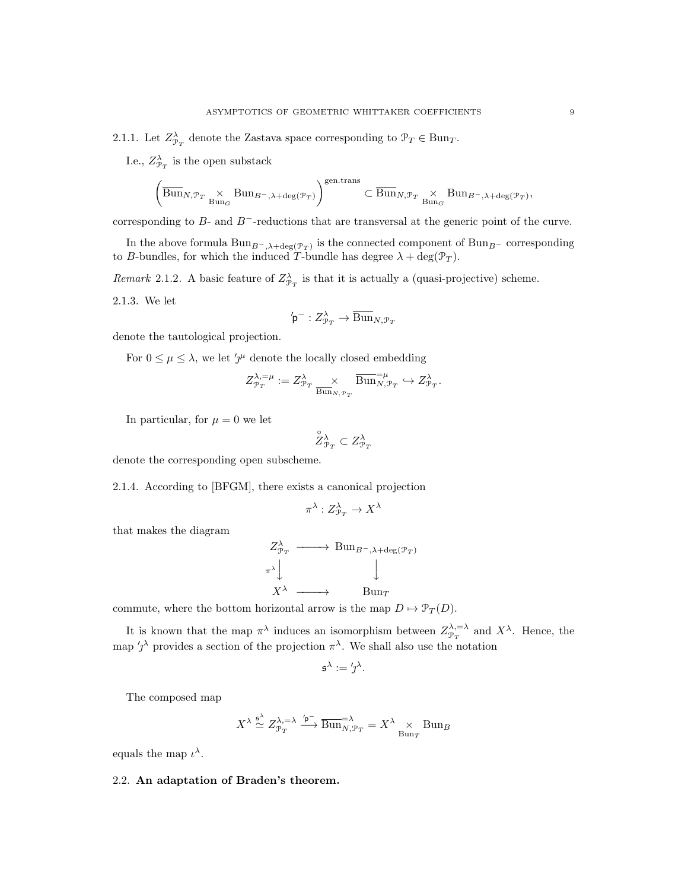2.1.1. Let  $Z_{\mathcal{P}_T}^{\lambda}$  denote the Zastava space corresponding to  $\mathcal{P}_T \in \text{Bun}_T$ .

I.e.,  $Z_{\mathcal{P}_T}^{\lambda}$  is the open substack

$$
\left(\overline{{\operatorname{Bun}}}_{N, \mathcal{P}_T} \underset{{\operatorname{Bun}}_\mathcal{G}}{\times} {\operatorname{Bun}}_{B^-, \lambda + \deg(\mathcal{P}_T)}\right)^{\operatorname{gen. trans}} \subset \overline{{\operatorname{Bun}}}_{N, \mathcal{P}_T} \underset{{\operatorname{Bun}}_\mathcal{G}}{\times} {\operatorname{Bun}}_{B^-, \lambda + \deg(\mathcal{P}_T)},
$$

corresponding to B- and B−-reductions that are transversal at the generic point of the curve.

In the above formula  $\text{Bun}_{B^-,\lambda+\text{deg}(\mathcal{P}_T)}$  is the connected component of  $\text{Bun}_{B^-}$  corresponding to B-bundles, for which the induced T-bundle has degree  $\lambda + \deg(\mathcal{P}_T)$ .

Remark 2.1.2. A basic feature of  $Z_{\mathcal{P}_T}^{\lambda}$  is that it is actually a (quasi-projective) scheme.

2.1.3. We let

$$
\mathrm{`p}^-: Z^\lambda_{\mathcal{P}_T} \to \overline{\mathrm{Bun}}_{N, \mathcal{P}_T}
$$

denote the tautological projection.

For  $0 \leq \mu \leq \lambda$ , we let ' $\jmath^{\mu}$  denote the locally closed embedding

$$
Z^{\lambda,=\mu}_{\mathcal{P}_T}:=Z^{\lambda}_{\mathcal{P}_T}\underset{\overline{{\operatorname{Bun}}}_{N,\mathcal{P}_T}}{\times}\overline{{\operatorname{Bun}}}^{=\mu}_{N,\mathcal{P}_T}\hookrightarrow Z^{\lambda}_{\mathcal{P}_T}.
$$

In particular, for  $\mu = 0$  we let

$$
\overset{\circ}{Z}{}^{\lambda}_{\mathcal{P}_T} \subset Z^{\lambda}_{\mathcal{P}_T}
$$

denote the corresponding open subscheme.

2.1.4. According to [BFGM], there exists a canonical projection

$$
\pi^\lambda:Z^\lambda_{{\mathcal P}_T}\to X^\lambda
$$

that makes the diagram

$$
Z_{\mathcal{P}_T}^{\lambda} \longrightarrow \text{Bun}_{B^-, \lambda + \text{deg}(\mathcal{P}_T)} \longrightarrow \downarrow
$$

$$
X^{\lambda} \longrightarrow \text{Bun}_T
$$

commute, where the bottom horizontal arrow is the map  $D \mapsto \mathcal{P}_T(D)$ .

It is known that the map  $\pi^{\lambda}$  induces an isomorphism between  $Z_{\mathcal{P}_T}^{\lambda,-\lambda}$  and  $X^{\lambda}$ . Hence, the map  $'\gamma^{\lambda}$  provides a section of the projection  $\pi^{\lambda}$ . We shall also use the notation

$$
\mathfrak{s}^{\lambda} := 'j^{\lambda}.
$$

The composed map

$$
X^{\lambda} \stackrel{\mathfrak{s}^{\lambda}}{\simeq} Z^{\lambda,=\lambda}_{\mathcal{P}_T} \stackrel{\mathfrak{b}^-}{\longrightarrow} \overline{\mathrm{Bun}}_{N,\mathcal{P}_T}^{-\lambda} = X^{\lambda} \underset{\mathrm{Bun}_T}{\times} \mathrm{Bun}_B
$$

equals the map  $\iota^{\lambda}$ .

#### 2.2. An adaptation of Braden's theorem.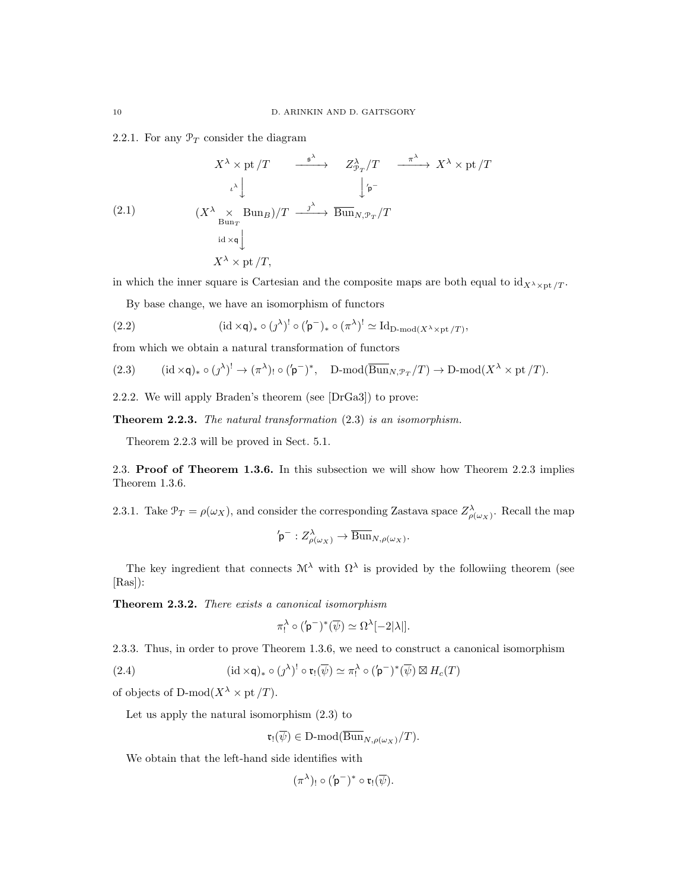2.2.1. For any  $\mathcal{P}_T$  consider the diagram

$$
X^{\lambda} \times \text{pt}/T \xrightarrow{\qquad \text{s}^{\lambda}} Z_{\mathcal{P}_T}^{\lambda}/T \xrightarrow{\qquad \text{\textcircled{A}}} X^{\lambda} \times \text{pt}/T
$$
\n
$$
\downarrow^{\lambda} \qquad \qquad \downarrow^{\prime} \text{p}
$$
\n
$$
(2.1) \qquad (X^{\lambda} \times \text{Bun}_{\mathcal{P}}) / T \xrightarrow{\qquad \text{s}^{\lambda}} \text{Bun}_{N, \mathcal{P}_T} / T
$$
\n
$$
\downarrow^{\text{id} \times \text{q}} \qquad \qquad \downarrow^{\text{id} \times \text{q}} \qquad \qquad \downarrow^{\text{id} \times \text{p}} \qquad \qquad \downarrow^{\text{id} \times \text{p}} \qquad \qquad \downarrow^{\text{id} \times \text{p}} \qquad \qquad \downarrow^{\text{id} \times \text{p}} \qquad \qquad \downarrow^{\text{id} \times \text{p}} \qquad \qquad \downarrow^{\text{id} \times \text{p}} \qquad \qquad \downarrow^{\text{id} \times \text{p}} \qquad \qquad \downarrow^{\text{id} \times \text{p}} \qquad \qquad \downarrow^{\text{id} \times \text{p}} \qquad \qquad \downarrow^{\text{id} \times \text{p}} \qquad \qquad \downarrow^{\text{id} \times \text{p}} \qquad \qquad \downarrow^{\text{id} \times \text{p}} \qquad \qquad \downarrow^{\text{id} \times \text{p}} \qquad \qquad \downarrow^{\text{id} \times \text{p}} \qquad \qquad \downarrow^{\text{id} \times \text{p}} \qquad \qquad \downarrow^{\text{id} \times \text{p}} \qquad \qquad \downarrow^{\text{id} \times \text{p}} \qquad \qquad \downarrow^{\text{id} \times \text{p}} \qquad \qquad \downarrow^{\text{id} \times \text{p}} \qquad \qquad \downarrow^{\text{id} \times \text{p}} \qquad \qquad \downarrow^{\text{id} \times \text{p}} \qquad \qquad \downarrow^{\text{id} \times \text{p}} \qquad \qquad \downarrow^{\text{id} \times \text{p}} \qquad \qquad \downarrow^{\text{id} \times \text{p}} \qquad \qquad \downarrow^{\text{id} \times \text{p}} \qquad \qquad \downarrow^{\text{id}
$$

in which the inner square is Cartesian and the composite maps are both equal to  $\mathrm{id}_{X^{\lambda}\times\mathrm{pt}}/T$ .

By base change, we have an isomorphism of functors

(2.2) 
$$
(\mathrm{id} \times \mathsf{q})_* \circ (\jmath^{\lambda})! \circ (\mathsf{p}^-)_* \circ (\pi^{\lambda})! \simeq \mathrm{Id}_{\mathrm{D-mod}(X^{\lambda} \times \mathrm{pt}/T)},
$$

from which we obtain a natural transformation of functors

(2.3) 
$$
(\mathrm{id} \times \mathsf{q})_* \circ (\jmath^{\lambda})^! \to (\pi^{\lambda})_! \circ (\mathsf{p}^-)^*, \quad \mathrm{D}\text{-mod}(\overline{\mathrm{Bun}}_{N, \mathcal{P}_T}/T) \to \mathrm{D}\text{-mod}(X^{\lambda} \times \mathrm{pt}/T).
$$

2.2.2. We will apply Braden's theorem (see [DrGa3]) to prove:

Theorem 2.2.3. The natural transformation  $(2.3)$  is an isomorphism.

Theorem 2.2.3 will be proved in Sect. 5.1.

2.3. Proof of Theorem 1.3.6. In this subsection we will show how Theorem 2.2.3 implies Theorem 1.3.6.

2.3.1. Take  $\mathcal{P}_T = \rho(\omega_X)$ , and consider the corresponding Zastava space  $Z_{\rho(\omega_X)}^{\lambda}$ . Recall the map

$$
\text{$\flat$}^-: Z_{\rho(\omega_X)}^{\lambda} \to \overline{\operatorname{Bun}}_{N,\rho(\omega_X)}.
$$

The key ingredient that connects  $\mathcal{M}^{\lambda}$  with  $\Omega^{\lambda}$  is provided by the followiing theorem (see [Ras]):

Theorem 2.3.2. There exists a canonical isomorphism

$$
\pi_!^{\lambda} \circ ({\bf p}^-)^* (\overline{\psi}) \simeq \Omega^{\lambda}[-2|\lambda|].
$$

2.3.3. Thus, in order to prove Theorem 1.3.6, we need to construct a canonical isomorphism

(2.4) 
$$
(\mathrm{id} \times \mathsf{q})_* \circ (\jmath^{\lambda})^! \circ \mathfrak{r}_! (\overline{\psi}) \simeq \pi_!^{\lambda} \circ (\mathsf{p}^-)^* (\overline{\psi}) \boxtimes H_c(T)
$$

of objects of D-mod $(X^{\lambda} \times pt/T)$ .

Let us apply the natural isomorphism (2.3) to

$$
\mathfrak{r}_!(\overline{\psi}) \in \mathop{\mathrm{D-mod}}\nolimits(\overline{\mathrm{Bun}}_{N,\rho(\omega_X)}/T).
$$

We obtain that the left-hand side identifies with

$$
(\pi^{\lambda})_! \circ (\mathbf{p}^-)^* \circ \mathfrak{r}_! (\overline{\psi}).
$$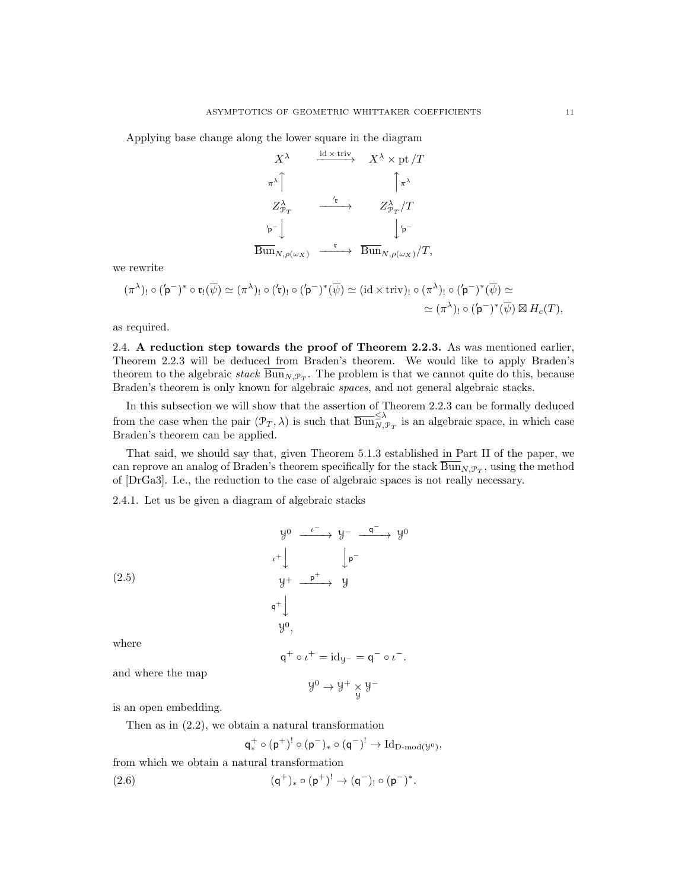Applying base change along the lower square in the diagram

$$
\begin{array}{ccc}\nX^{\lambda} & \xrightarrow{\operatorname{id} \times \operatorname{triv}} & X^{\lambda} \times \operatorname{pt}/T \\
\uparrow^{\lambda} & & \uparrow^{\lambda} \\
Z^{\lambda}_{\mathcal{P}_T} & \xrightarrow{\mathfrak{r}} & Z^{\lambda}_{\mathcal{P}_T}/T \\
\hline\n\text{p}^{-}\n\end{array}
$$
\n
$$
\overrightarrow{\operatorname{Bun}}_{N,\rho(\omega_X)} \xrightarrow{\mathfrak{r}} \overrightarrow{\operatorname{Bun}}_{N,\rho(\omega_X)}/T,
$$

we rewrite

$$
(\pi^{\lambda})_! \circ (\mathbf{p}^-)^* \circ \mathfrak{r}_! (\overline{\psi}) \simeq (\pi^{\lambda})_! \circ (\mathbf{p}^-)^* (\overline{\psi}) \simeq (\mathrm{id} \times \mathrm{triv})_! \circ (\pi^{\lambda})_! \circ (\mathbf{p}^-)^* (\overline{\psi}) \simeq
$$
  

$$
\simeq (\pi^{\lambda})_! \circ (\mathbf{p}^-)^* (\overline{\psi}) \boxtimes H_c(T),
$$

as required.

2.4. A reduction step towards the proof of Theorem 2.2.3. As was mentioned earlier, Theorem 2.2.3 will be deduced from Braden's theorem. We would like to apply Braden's theorem to the algebraic  $stack \text{Bun}_{N, \mathcal{P}_T}$ . The problem is that we cannot quite do this, because Braden's theorem is only known for algebraic spaces, and not general algebraic stacks.

In this subsection we will show that the assertion of Theorem 2.2.3 can be formally deduced from the case when the pair  $(\mathcal{P}_T, \lambda)$  is such that  $\overline{Bun}_{N, \mathcal{P}_T}^{\leq \lambda}$  is an algebraic space, in which case Braden's theorem can be applied.

That said, we should say that, given Theorem 5.1.3 established in Part II of the paper, we can reprove an analog of Braden's theorem specifically for the stack  $\text{Bun}_{N,\mathcal{P}_T}$ , using the method of [DrGa3]. I.e., the reduction to the case of algebraic spaces is not really necessary.

2.4.1. Let us be given a diagram of algebraic stacks

(2.5)  
\n
$$
y^{0} \xrightarrow{\iota^{-}} y^{-} \xrightarrow{q^{-}} y^{0}
$$
\n
$$
\iota^{+} \downarrow \qquad \qquad \downarrow p^{-}
$$
\n
$$
y^{+} \xrightarrow{\mathsf{p}^{+}} y
$$
\n
$$
y^{+} \downarrow \qquad \qquad y^{-}
$$
\n
$$
q^{+} \downarrow \qquad \qquad y^{0},
$$
\nwhere

$$
q^+ \circ \iota^+ = \mathrm{id}_{\mathcal{Y}^-} = q^- \circ \iota^-.
$$

and where the map

$$
\mathcal{Y}^0 \to \mathcal{Y}^+ \underset{\mathcal{Y}}{\times} \mathcal{Y}^-
$$

is an open embedding.

Then as in (2.2), we obtain a natural transformation

$$
q^+_*\circ (p^+)^!\circ (p^-)_*\circ (q^-)^!\to \mathrm{Id}_{\mathrm{D}\text{-}\mathrm{mod}(\mathcal{Y}^0)},
$$

from which we obtain a natural transformation

(2.6) 
$$
(\mathsf{q}^+)_* \circ (\mathsf{p}^+)^! \to (\mathsf{q}^-)_! \circ (\mathsf{p}^-)^*.
$$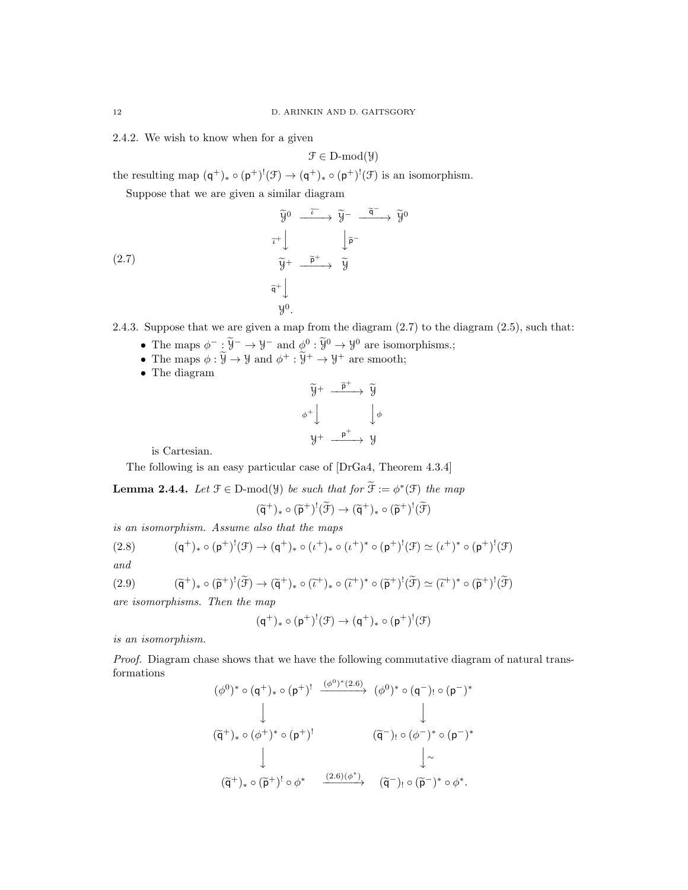2.4.2. We wish to know when for a given

$$
\mathcal{F} \in D\text{-mod}(\mathcal{Y})
$$

the resulting map  $(\mathsf{q}^+)_* \circ (\mathsf{p}^+)^!(\mathcal{F}) \to (\mathsf{q}^+)_* \circ (\mathsf{p}^+)^!(\mathcal{F})$  is an isomorphism.

Suppose that we are given a similar diagram

(2.7)  
\n
$$
\begin{array}{ccc}\n\widetilde{y}^0 & \xrightarrow{\widetilde{t}} & \widetilde{y}^- & \xrightarrow{\widetilde{q}^-} & \widetilde{y}^0 \\
& \widetilde{t}^+ \downarrow & & \downarrow \widetilde{p}^- & \\
& & \widetilde{y}^+ & \xrightarrow{\widetilde{p}^+} & \widetilde{y} \\
& & & \widetilde{q}^+ \downarrow & & \\
& & y^0.\n\end{array}
$$

2.4.3. Suppose that we are given a map from the diagram (2.7) to the diagram (2.5), such that:

- The maps  $\phi^- : \widetilde{\mathcal{Y}}^- \to \mathcal{Y}^-$  and  $\phi^0 : \widetilde{\mathcal{Y}}^0 \to \mathcal{Y}^0$  are isomorphisms.;
- The maps  $\phi : \widetilde{\mathcal{Y}} \to \mathcal{Y}$  and  $\phi^+ : \widetilde{\mathcal{Y}}^+ \to \mathcal{Y}^+$  are smooth;
- The diagram

$$
\widetilde{y}^{+} \xrightarrow{\widetilde{p}^{+}} \widetilde{y}
$$
\n
$$
\phi^{+} \downarrow \qquad \qquad \downarrow \phi
$$
\n
$$
y^{+} \xrightarrow{\mathbf{p}^{+}} y
$$

is Cartesian.

The following is an easy particular case of [DrGa4, Theorem 4.3.4]

**Lemma 2.4.4.** Let  $\mathcal{F} \in \mathcal{D}$ -mod( $\mathcal{Y}$ ) be such that for  $\widetilde{\mathcal{F}} := \phi^*(\mathcal{F})$  the map

$$
(\widetilde{q}^+)_* \circ (\widetilde{p}^+)^!(\widetilde{\mathcal{F}}) \to (\widetilde{q}^+)_* \circ (\widetilde{p}^+)^!(\widetilde{\mathcal{F}})
$$

is an isomorphism. Assume also that the maps

(2.8) 
$$
(\mathsf{q}^+)_* \circ (\mathsf{p}^+)^!(\mathcal{F}) \to (\mathsf{q}^+)_* \circ (\iota^+)_* \circ (\iota^+)^* \circ (\mathsf{p}^+)^!(\mathcal{F}) \simeq (\iota^+)^* \circ (\mathsf{p}^+)^!(\mathcal{F})
$$

and

$$
(2.9) \qquad (\widetilde{\mathsf{q}}^+)_* \circ (\widetilde{\mathsf{p}}^+)^! (\widetilde{\mathcal{F}}) \to (\widetilde{\mathsf{q}}^+)_* \circ (\widetilde{\iota}^+)_* \circ (\widetilde{\iota}^+)^* \circ (\widetilde{\mathsf{p}}^+)^! (\widetilde{\mathcal{F}}) \simeq (\widetilde{\iota}^+)^* \circ (\widetilde{\mathsf{p}}^+)^! (\widetilde{\mathcal{F}})
$$

are isomorphisms. Then the map

$$
(q^+)_*\circ (p^+)^!(\mathfrak{F})\to (q^+)_*\circ (p^+)^!(\mathfrak{F})
$$

is an isomorphism.

Proof. Diagram chase shows that we have the following commutative diagram of natural transformations

$$
(\phi^0)^* \circ (\mathsf{q}^+)_* \circ (\mathsf{p}^+)^! \xrightarrow{(\phi^0)^*(2.6)} (\phi^0)^* \circ (\mathsf{q}^-)_! \circ (\mathsf{p}^-)^*
$$
\n
$$
\downarrow \qquad \qquad \downarrow
$$
\n
$$
(\widetilde{\mathsf{q}}^+)_* \circ (\phi^+)^* \circ (\mathsf{p}^+)^! \qquad (\widetilde{\mathsf{q}}^-)_! \circ (\phi^-)^* \circ (\mathsf{p}^-)^*
$$
\n
$$
\downarrow \qquad \qquad \downarrow \sim
$$
\n
$$
(\widetilde{\mathsf{q}}^+)_* \circ (\widetilde{\mathsf{p}}^+)^! \circ \phi^* \xrightarrow{(2.6)(\phi^*)} (\widetilde{\mathsf{q}}^-)_! \circ (\widetilde{\mathsf{p}}^-)^* \circ \phi^*.
$$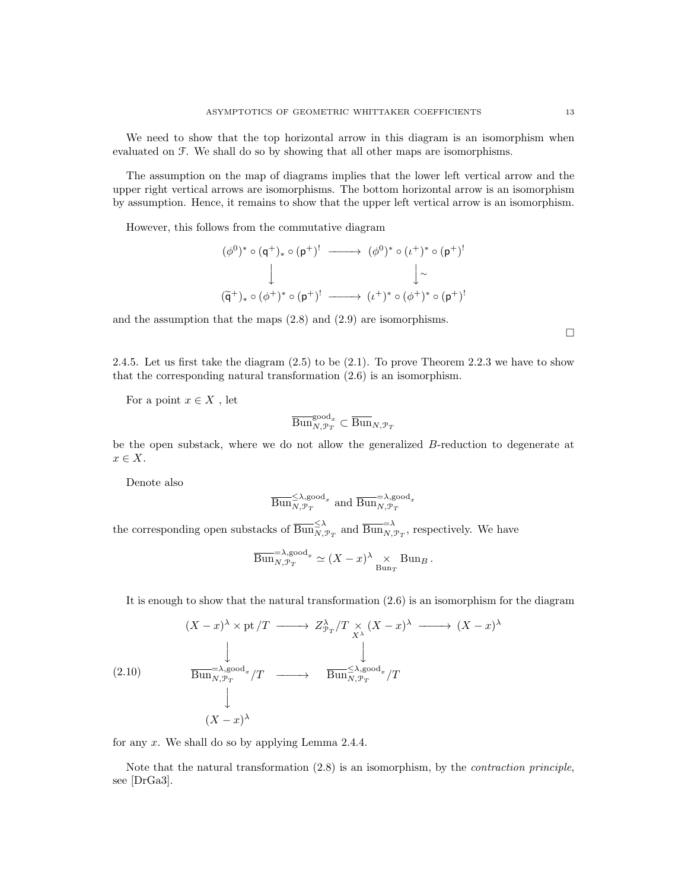We need to show that the top horizontal arrow in this diagram is an isomorphism when evaluated on F. We shall do so by showing that all other maps are isomorphisms.

The assumption on the map of diagrams implies that the lower left vertical arrow and the upper right vertical arrows are isomorphisms. The bottom horizontal arrow is an isomorphism by assumption. Hence, it remains to show that the upper left vertical arrow is an isomorphism.

However, this follows from the commutative diagram

$$
(\phi^0)^* \circ (\mathsf{q}^+)_* \circ (\mathsf{p}^+)^! \longrightarrow (\phi^0)^* \circ (\iota^+)^* \circ (\mathsf{p}^+)^! \\
\downarrow \qquad \qquad \downarrow \sim
$$
  

$$
(\widetilde{\mathsf{q}}^+)_* \circ (\phi^+)^* \circ (\mathsf{p}^+)^! \longrightarrow (\iota^+)^* \circ (\phi^+)^* \circ (\mathsf{p}^+)^!
$$

and the assumption that the maps (2.8) and (2.9) are isomorphisms.

2.4.5. Let us first take the diagram (2.5) to be (2.1). To prove Theorem 2.2.3 we have to show that the corresponding natural transformation (2.6) is an isomorphism.

For a point  $x \in X$ , let

$$
\overline{{\operatorname{Bun}}}_{N, {\mathcal P}_T}^{{\operatorname{good}}_x} \subset \overline{{\operatorname{Bun}}}_{N, {\mathcal P}_T}
$$

be the open substack, where we do not allow the generalized B-reduction to degenerate at  $x \in X$ .

Denote also

$$
\overline{{\operatorname{Bun}}}_{N, \mathcal{P}_T}^{\leq \lambda, \operatorname{good}_x} \text{ and } \overline{{\operatorname{Bun}}}_{N, \mathcal{P}_T}^{\leq \lambda, \operatorname{good}_x}
$$

the corresponding open substacks of  $\overline{Bun}_{N,\mathcal{P}_T}^{\leq \lambda}$  and  $\overline{Bun}_{N,\mathcal{P}_T}^{\geq \lambda}$ , respectively. We have

$$
\overline{\mathrm{Bun}}_{N,\mathcal{P}_T}^{-\lambda,\mathrm{good}_x} \simeq (X-x)^\lambda \underset{\mathrm{Bun}_T}{\times} \mathrm{Bun}_B.
$$

It is enough to show that the natural transformation  $(2.6)$  is an isomorphism for the diagram

$$
(X - x)^{\lambda} \times \text{pt}/T \longrightarrow Z_{\mathcal{P}_T}^{\lambda}/T \underset{X^{\lambda}}{\times} (X - x)^{\lambda} \longrightarrow (X - x)^{\lambda}
$$
\n
$$
\downarrow
$$
\n
$$
(2.10) \qquad \overline{\text{Bun}}_{N, \mathcal{P}_T}^{-\lambda, \text{good}_x}/T \longrightarrow \overline{\text{Bun}}_{N, \mathcal{P}_T}^{\leq \lambda, \text{good}_x}/T
$$
\n
$$
\downarrow
$$
\n
$$
(X - x)^{\lambda}
$$

for any  $x$ . We shall do so by applying Lemma 2.4.4.

Note that the natural transformation (2.8) is an isomorphism, by the contraction principle, see [DrGa3].

 $\Box$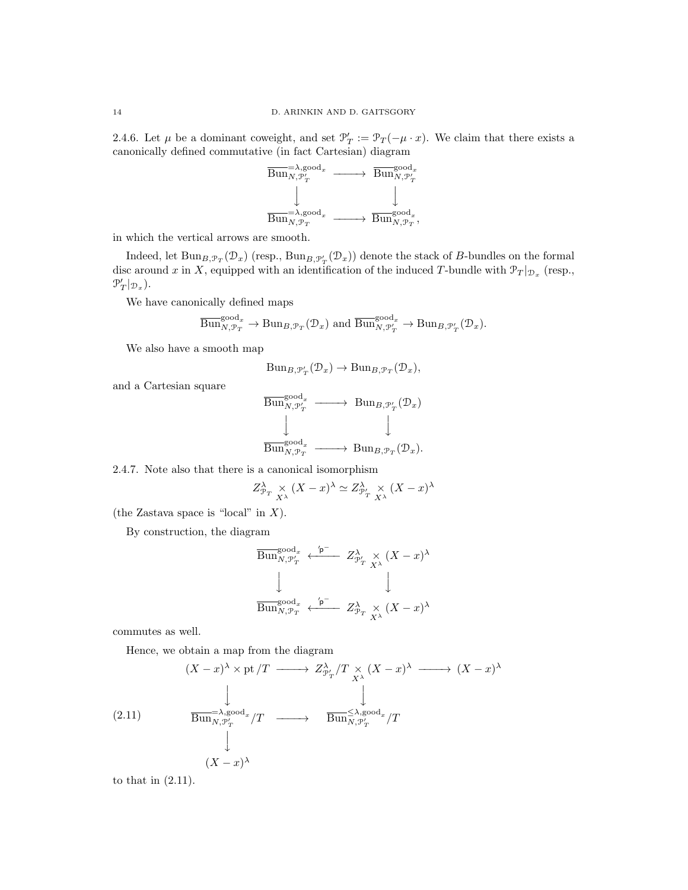2.4.6. Let  $\mu$  be a dominant coweight, and set  $\mathcal{P}'_T := \mathcal{P}_T(-\mu \cdot x)$ . We claim that there exists a canonically defined commutative (in fact Cartesian) diagram



in which the vertical arrows are smooth.

Indeed, let  $\text{Bun}_{B,\mathcal{P}_T}(\mathcal{D}_x)$  (resp.,  $\text{Bun}_{B,\mathcal{P}'_T}(\mathcal{D}_x)$ ) denote the stack of  $B$ -bundles on the formal disc around x in X, equipped with an identification of the induced T-bundle with  $\mathcal{P}_T|_{\mathcal{D}_x}$  (resp.,  $\mathcal{P}'_T|_{\mathcal{D}_x}$ ).

We have canonically defined maps

$$
\overline{\mathrm{Bun}}_{N,\mathcal{P}_T}^{\mathrm{good}_x} \to \mathrm{Bun}_{B,\mathcal{P}_T}(\mathcal{D}_x) \text{ and } \overline{\mathrm{Bun}}_{N,\mathcal{P}_T'}^{\mathrm{good}_x} \to \mathrm{Bun}_{B,\mathcal{P}_T'}(\mathcal{D}_x).
$$

We also have a smooth map

$$
\text{Bun}_{B,\mathcal{P}'_T}(\mathcal{D}_x) \to \text{Bun}_{B,\mathcal{P}_T}(\mathcal{D}_x),
$$

and a Cartesian square

$$
\begin{array}{ccc}\n\overline{\mathrm{Bun}}_{N,\mathcal{P}_T'}^{\mathrm{good}_x} & \longrightarrow & \mathrm{Bun}_{B,\mathcal{P}_T'}(\mathcal{D}_x) \\
\downarrow & & \downarrow \\
\overline{\mathrm{Bun}}_{N,\mathcal{P}_T}^{\mathrm{good}_x} & \longrightarrow & \mathrm{Bun}_{B,\mathcal{P}_T}(\mathcal{D}_x).\n\end{array}
$$

2.4.7. Note also that there is a canonical isomorphism

$$
Z^{\lambda}_{\mathcal{P}_T} \underset{X^{\lambda}}{\times} (X - x)^{\lambda} \simeq Z^{\lambda}_{\mathcal{P}'_T} \underset{X^{\lambda}}{\times} (X - x)^{\lambda}
$$

(the Zastava space is "local" in  $X$ ).

By construction, the diagram

$$
\begin{array}{ccc}\overline{\mathrm{Bun}}_{N, \mathcal{P}'_T}^{\mathrm{good}_x} & \xleftarrow{\prime \mathsf{p}^-} & Z^\lambda_{\mathcal{P}'_T} \underset{X^\lambda}{\times} (X-x)^\lambda\\ \downarrow & & \downarrow\\ \overline{\mathrm{Bun}}_{N, \mathcal{P}_T}^{\mathrm{good}_x} & \xleftarrow{\prime \mathsf{p}^-} & Z^\lambda_{\mathcal{P}_T} \underset{X^\lambda}{\times} (X-x)^\lambda \end{array}
$$

commutes as well.

Hence, we obtain a map from the diagram

$$
(X - x)^{\lambda} \times \text{pt}/T \longrightarrow Z_{\mathcal{P}'_T}^{\lambda}/T \underset{X^{\lambda}}{\times} (X - x)^{\lambda} \longrightarrow (X - x)^{\lambda}
$$
\n
$$
\downarrow
$$
\n
$$
(2.11) \qquad \overline{\text{Bun}}_{N, \mathcal{P}'_T}^{\lambda, \text{good}_x}/T \longrightarrow \overline{\text{Bun}}_{N, \mathcal{P}'_T}^{\lambda, \text{good}_x}/T
$$
\n
$$
\downarrow
$$
\n
$$
(X - x)^{\lambda}
$$

to that in (2.11).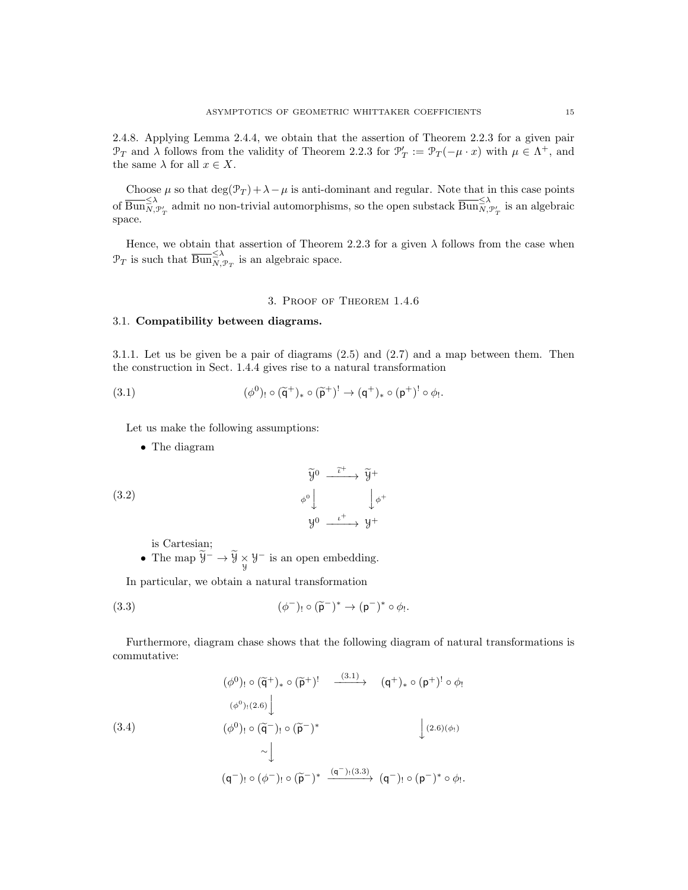2.4.8. Applying Lemma 2.4.4, we obtain that the assertion of Theorem 2.2.3 for a given pair  $\mathcal{P}_T$  and  $\lambda$  follows from the validity of Theorem 2.2.3 for  $\mathcal{P}'_T := \mathcal{P}_T(-\mu \cdot x)$  with  $\mu \in \Lambda^+$ , and the same  $\lambda$  for all  $x \in X$ .

Choose  $\mu$  so that  $\deg(\mathcal{P}_T) + \lambda - \mu$  is anti-dominant and regular. Note that in this case points of  $\overline{\mathrm{Bun}}_{N,\mathcal{P}'_T}^{\leq \lambda}$  admit no non-trivial automorphisms, so the open substack  $\overline{\mathrm{Bun}}_{N,\mathcal{P}'_T}^{\leq \lambda}$  is an algebraic space.

Hence, we obtain that assertion of Theorem 2.2.3 for a given  $\lambda$  follows from the case when  $\mathcal{P}_T$  is such that  $\overline{\mathrm{Bun}}_{N, \mathcal{P}_T}^{\leq \lambda}$  is an algebraic space.

#### 3. Proof of Theorem 1.4.6

### 3.1. Compatibility between diagrams.

3.1.1. Let us be given be a pair of diagrams (2.5) and (2.7) and a map between them. Then the construction in Sect. 1.4.4 gives rise to a natural transformation

(3.1) 
$$
(\phi^0)_! \circ (\widetilde{\mathsf{q}}^+)_* \circ (\widetilde{\mathsf{p}}^+)^! \to (\mathsf{q}^+)_* \circ (\mathsf{p}^+)^! \circ \phi_!.
$$

Let us make the following assumptions:

• The diagram

(3.2) 
$$
\widetilde{y}^{0} \xrightarrow{\widetilde{\iota}^{+}} \widetilde{y}^{+}
$$

$$
\phi^{0} \downarrow \qquad \downarrow \phi^{+}
$$

$$
y^{0} \xrightarrow{\iota^{+}} y^{+}
$$

is Cartesian;

• The map  $\overline{y}^- \to \overline{y} \times \overline{y}^-$  is an open embedding.

In particular, we obtain a natural transformation

(3.3) 
$$
(\phi^-)_! \circ (\widetilde{\mathsf{p}}^-)^* \to (\mathsf{p}^-)^* \circ \phi_!.
$$

Furthermore, diagram chase shows that the following diagram of natural transformations is commutative:

$$
(\phi^{0})_{!} \circ (\widetilde{\mathsf{q}}^{+})_{*} \circ (\widetilde{\mathsf{p}}^{+})^{!} \xrightarrow{\qquad (3.1)} \qquad (\mathsf{q}^{+})_{*} \circ (\mathsf{p}^{+})^{!} \circ \phi_{!}
$$
\n
$$
(\phi^{0})_{!} \circ (\widetilde{\mathsf{q}}^{-})_{!} \circ (\widetilde{\mathsf{p}}^{-})^{*} \qquad \qquad \downarrow (2.6)(\phi_{!})
$$
\n
$$
\sim \downarrow
$$
\n
$$
(\mathsf{q}^{-})_{!} \circ (\phi^{-})_{!} \circ (\widetilde{\mathsf{p}}^{-})^{*} \xrightarrow{\qquad (\mathsf{q}^{-})_{!} (3.3)} (\mathsf{q}^{-})_{!} \circ (\mathsf{p}^{-})^{*} \circ \phi_{!}.
$$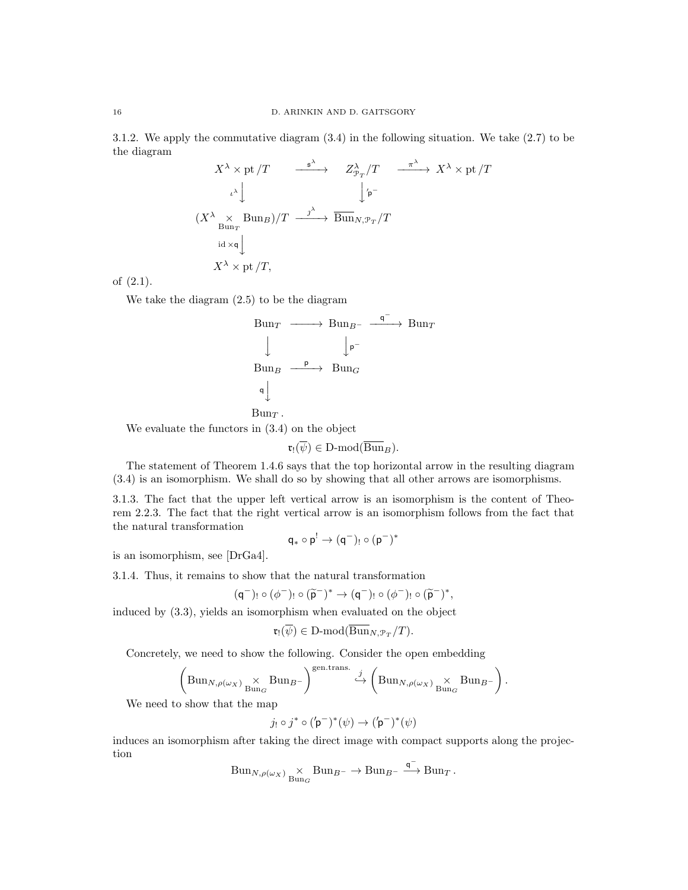3.1.2. We apply the commutative diagram (3.4) in the following situation. We take (2.7) to be the diagram

$$
X^{\lambda} \times \text{pt}/T \xrightarrow{\qquad \qquad \text{s}^{\lambda}} \qquad Z_{\mathcal{P}_T}^{\lambda}/T \xrightarrow{\qquad \qquad \text{\textcircled{A}}} X^{\lambda} \times \text{pt}/T
$$
\n
$$
(X^{\lambda} \times \text{Bun}_{\mathcal{P}}) / T \xrightarrow{\qquad \qquad \text{j}^{\lambda}} \text{Bun}_{N, \mathcal{P}_T} / T
$$
\n
$$
\text{id} \times \text{q} \downarrow
$$
\n
$$
X^{\lambda} \times \text{pt}/T,
$$

of (2.1).

We take the diagram (2.5) to be the diagram

$$
\begin{array}{ccc}\n\text{Bun}_{T} & \longrightarrow & \text{Bun}_{B^{-}} \xrightarrow{\mathsf{q}^{-}} \text{Bun}_{T} \\
\downarrow & & \downarrow_{\mathsf{p}^{-}} \\
\text{Bun}_{B} & \xrightarrow{\mathsf{p}} & \text{Bun}_{G} \\
\downarrow & & \\
\text{Bun}_{B} & \longrightarrow & \text{Bun}_{G} \\
\end{array}
$$

$$
\mathrm{Bun}_T\,.
$$

We evaluate the functors in (3.4) on the object

$$
\mathfrak{r}_!(\overline{\psi}) \in \text{D-mod}(\overline{\operatorname{Bun}}_B).
$$

The statement of Theorem 1.4.6 says that the top horizontal arrow in the resulting diagram (3.4) is an isomorphism. We shall do so by showing that all other arrows are isomorphisms.

3.1.3. The fact that the upper left vertical arrow is an isomorphism is the content of Theorem 2.2.3. The fact that the right vertical arrow is an isomorphism follows from the fact that the natural transformation

$$
q_*\circ p^!\to (q^-)_!\circ (p^-)^*
$$

is an isomorphism, see [DrGa4].

3.1.4. Thus, it remains to show that the natural transformation

$$
(\mathsf{q}^-)_!\circ(\phi^-)_!\circ(\widetilde{\mathsf{p}}^-)^*\to(\mathsf{q}^-)_!\circ(\phi^-)_!\circ(\widetilde{\mathsf{p}}^-)^*,
$$

induced by (3.3), yields an isomorphism when evaluated on the object

$$
\mathfrak{r}_!(\overline{\psi}) \in \text{D-mod}(\overline{\operatorname{Bun}}_{N, \mathcal{P}_T}/T).
$$

Concretely, we need to show the following. Consider the open embedding

$$
\left(\mathrm{Bun}_{N,\rho(\omega_X)}\underset{\mathrm{Bun}_G}{\times}\mathrm{Bun}_{B^-}\right)^{\mathrm{gen. trans.}}\overset{j}{\hookrightarrow} \left(\mathrm{Bun}_{N,\rho(\omega_X)}\underset{\mathrm{Bun}_G}{\times}\mathrm{Bun}_{B^-}\right).
$$

We need to show that the map

$$
j_! \circ j^* \circ ({\rm \mathsf{p}}^-)^* (\psi) \rightarrow ({\rm \mathsf{p}}^-)^* (\psi)
$$

induces an isomorphism after taking the direct image with compact supports along the projection

$$
Bun_{N,\rho(\omega_X)} \underset{Bun_G}{\times} Bun_{B^-} \to Bun_{B^-} \xrightarrow{\mathsf{q}^-} Bun_T.
$$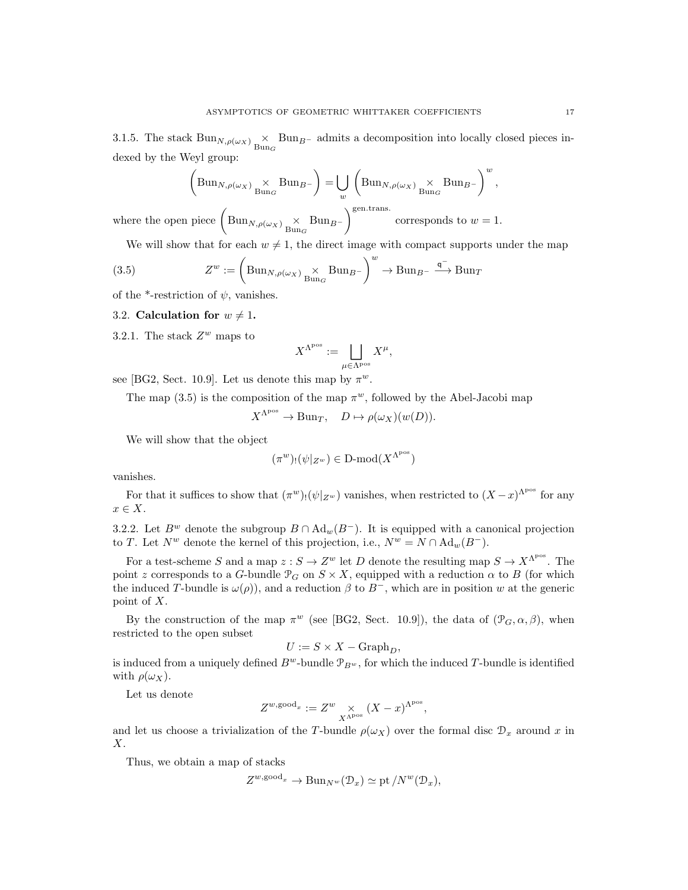3.1.5. The stack  $\text{Bun}_{N,\rho(\omega_X)} \underset{\text{Bun}_G}{\times} \text{Bun}_{B^-}$  admits a decomposition into locally closed pieces indexed by the Weyl group:

 BunN,ρ(ωX) × Bun<sup>G</sup> BunB<sup>−</sup> = [ w BunN,ρ(ωX) × Bun<sup>G</sup> BunB<sup>−</sup> <sup>w</sup> , gen.trans.

where the open piece  $\left( \text{Bun}_{N,\rho(\omega_X)} \underset{\text{Bun}_G}{\times} \text{Bun}_{B^-} \right)$ corresponds to  $w=1$ .

We will show that for each  $w \neq 1$ , the direct image with compact supports under the map

(3.5) 
$$
Z^w := \left(\text{Bun}_{N,\rho(\omega_X)} \underset{\text{Bun}_G}{\times} \text{Bun}_{B^-}\right)^w \to \text{Bun}_{B^-} \xrightarrow{\mathsf{q}^-} \text{Bun}_T
$$

of the \*-restriction of  $\psi$ , vanishes.

#### 3.2. Calculation for  $w \neq 1$ .

3.2.1. The stack  $Z^w$  maps to

$$
X^{\Lambda^{\rm pos}}:=\bigsqcup_{\mu\in \Lambda^{\rm pos}} X^\mu,
$$

see [BG2, Sect. 10.9]. Let us denote this map by  $\pi^w$ .

The map  $(3.5)$  is the composition of the map  $\pi^w$ , followed by the Abel-Jacobi map

$$
X^{\Lambda^{\text{pos}}} \to \text{Bun}_T, \quad D \mapsto \rho(\omega_X)(w(D)).
$$

We will show that the object

$$
(\pi^w)_!(\psi|_{Z^w}) \in \mathbf{D}\text{-mod}(X^{\Lambda^{\text{pos}}})
$$

vanishes.

For that it suffices to show that  $(\pi^w)_! (\psi|_{Z^w})$  vanishes, when restricted to  $(X-x)^{\Lambda^{pos}}$  for any  $x \in X$ .

3.2.2. Let  $B^w$  denote the subgroup  $B \cap \text{Ad}_w(B^-)$ . It is equipped with a canonical projection to T. Let  $N^w$  denote the kernel of this projection, i.e.,  $N^w = N \cap \text{Ad}_w(B^-)$ .

For a test-scheme S and a map  $z : S \to Z^w$  let D denote the resulting map  $S \to X^{\Lambda^{pos}}$ . The point z corresponds to a G-bundle  $\mathcal{P}_G$  on  $S \times X$ , equipped with a reduction  $\alpha$  to B (for which the induced T-bundle is  $\omega(\rho)$ , and a reduction  $\beta$  to  $B^-$ , which are in position w at the generic point of X.

By the construction of the map  $\pi^w$  (see [BG2, Sect. 10.9]), the data of  $(\mathcal{P}_G, \alpha, \beta)$ , when restricted to the open subset

$$
U := S \times X - \mathrm{Graph}_D,
$$

is induced from a uniquely defined  $B^w$ -bundle  $\mathcal{P}_{B^w}$ , for which the induced T-bundle is identified with  $\rho(\omega_X)$ .

Let us denote

$$
Z^{w,\text{good}_x} := Z^w \underset{X^{\Lambda^{\text{pos}}}}{\times} (X - x)^{\Lambda^{\text{pos}}},
$$

and let us choose a trivialization of the T-bundle  $\rho(\omega_X)$  over the formal disc  $\mathcal{D}_x$  around x in  $X$ .

Thus, we obtain a map of stacks

$$
Z^{w, \text{good}_x} \to \text{Bun}_{N^w}(\mathcal{D}_x) \simeq \text{pt}/N^w(\mathcal{D}_x),
$$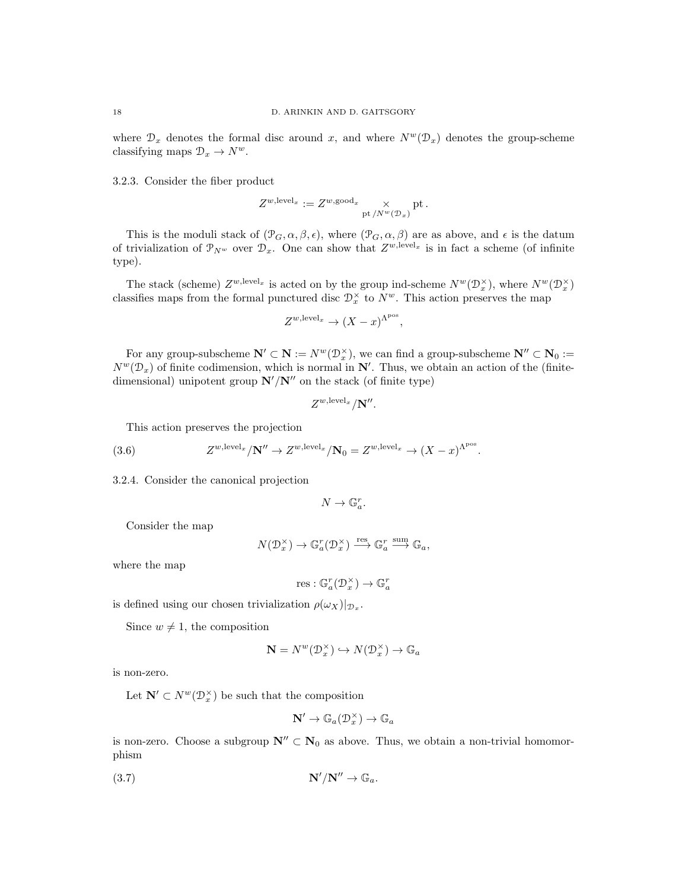where  $\mathcal{D}_x$  denotes the formal disc around x, and where  $N^w(\mathcal{D}_x)$  denotes the group-scheme classifying maps  $\mathcal{D}_x \to N^w$ .

3.2.3. Consider the fiber product

$$
Z^{w,\mathrm{level}_x} := Z^{w,\mathrm{good}_x} \underset{\mathrm{pt}\, / N^w(\mathcal{D}_x)}{\times} \mathrm{pt} \, .
$$

This is the moduli stack of  $(\mathcal{P}_G, \alpha, \beta, \epsilon)$ , where  $(\mathcal{P}_G, \alpha, \beta)$  are as above, and  $\epsilon$  is the datum of trivialization of  $\mathcal{P}_{N^w}$  over  $\mathcal{D}_x$ . One can show that  $Z^{w,\text{level}_x}$  is in fact a scheme (of infinite type).

The stack (scheme)  $Z^{w,\text{level}_x}$  is acted on by the group ind-scheme  $N^w(\mathcal{D}_x^{\times})$ , where  $N^w(\mathcal{D}_x^{\times})$ classifies maps from the formal punctured disc  $\mathcal{D}_x^{\times}$  to  $N^w$ . This action preserves the map

$$
Z^{w,\text{level}_x} \to (X-x)^{\Lambda^{\text{pos}}},
$$

For any group-subscheme  $N' \subset N := N^w(\mathcal{D}_x^{\times})$ , we can find a group-subscheme  $N'' \subset N_0 :=$  $N^{w}(\mathcal{D}_{x})$  of finite codimension, which is normal in  $\mathbb{N}'$ . Thus, we obtain an action of the (finitedimensional) unipotent group  $\mathbb{N}'/\mathbb{N}''$  on the stack (of finite type)

$$
Z^{w,\text{level}_x}/\mathbf{N}''.
$$

This action preserves the projection

(3.6) 
$$
Z^{w,\text{level}_x}/\mathbf{N}'' \to Z^{w,\text{level}_x}/\mathbf{N}_0 = Z^{w,\text{level}_x} \to (X-x)^{\Lambda^{pos}}.
$$

3.2.4. Consider the canonical projection

$$
N \to \mathbb{G}_a^r.
$$

Consider the map

$$
N(\mathcal{D}_x^{\times}) \to \mathbb{G}_a^r(\mathcal{D}_x^{\times}) \xrightarrow{\text{res}} \mathbb{G}_a^r \xrightarrow{\text{sum}} \mathbb{G}_a,
$$

where the map

 $res: \mathbb{G}_a^r(\mathcal{D}_x^{\times}) \to \mathbb{G}_a^r$ 

is defined using our chosen trivialization  $\rho(\omega_X)|_{\mathcal{D}_x}$ .

Since  $w \neq 1$ , the composition

$$
\mathbf{N} = N^w(\mathcal{D}_x^{\times}) \hookrightarrow N(\mathcal{D}_x^{\times}) \to \mathbb{G}_a
$$

is non-zero.

Let  $\mathbb{N}' \subset N^w(\mathcal{D}_x^{\times})$  be such that the composition

$$
\mathbf{N}'\to \mathbb{G}_a(\mathcal{D}_x^\times)\to \mathbb{G}_a
$$

is non-zero. Choose a subgroup  $N'' \subset N_0$  as above. Thus, we obtain a non-trivial homomorphism

$$
\mathbf{N}'/\mathbf{N}'' \to \mathbb{G}_a.
$$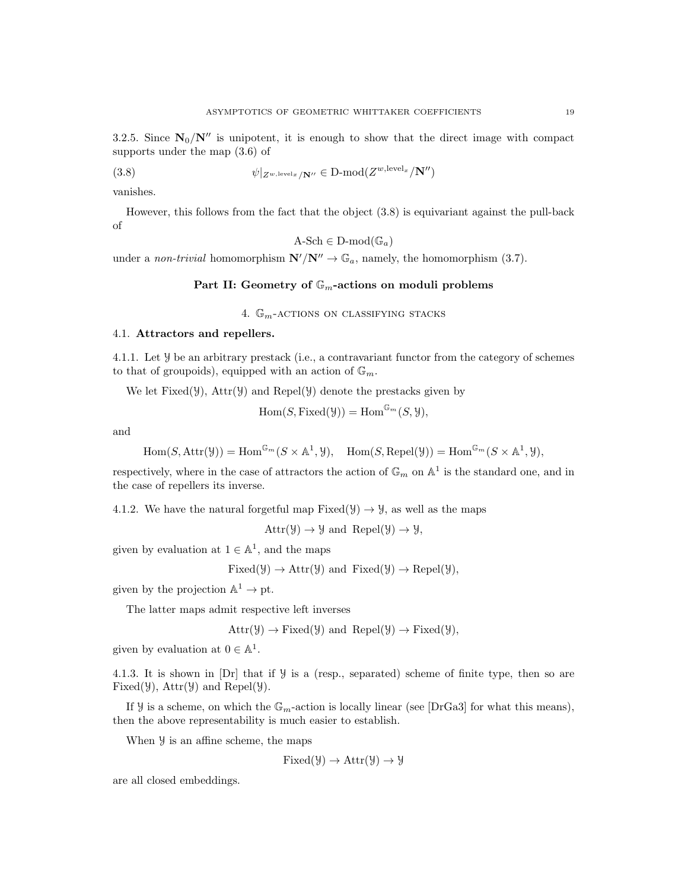3.2.5. Since  $N_0/N''$  is unipotent, it is enough to show that the direct image with compact supports under the map (3.6) of

(3.8) 
$$
\psi|_{Z^{w,\text{level}_x}/\mathbf{N}''} \in \text{D-mod}(Z^{w,\text{level}_x}/\mathbf{N}'')
$$

vanishes.

However, this follows from the fact that the object (3.8) is equivariant against the pull-back of

$$
A\text{-Sch} \in D\text{-mod}(\mathbb{G}_a)
$$

under a non-trivial homomorphism  $\mathbb{N}'/\mathbb{N}'' \to \mathbb{G}_a$ , namely, the homomorphism (3.7).

# Part II: Geometry of  $\mathbb{G}_m$ -actions on moduli problems

4.  $\mathbb{G}_m$ -actions on classifying stacks

#### 4.1. Attractors and repellers.

4.1.1. Let Y be an arbitrary prestack (i.e., a contravariant functor from the category of schemes to that of groupoids), equipped with an action of  $\mathbb{G}_m$ .

We let  $Fixed(\mathcal{Y})$ ,  $Attr(\mathcal{Y})$  and  $Repeat(\mathcal{Y})$  denote the prestacks given by

$$
Hom(S, Fixed(\mathcal{Y})) = Hom^{\mathbb{G}_m}(S, \mathcal{Y}),
$$

and

 $\text{Hom}(S, \text{Attr}(\mathcal{Y})) = \text{Hom}^{\mathbb{G}_m}(S \times \mathbb{A}^1, \mathcal{Y}), \quad \text{Hom}(S, \text{Repel}(\mathcal{Y})) = \text{Hom}^{\mathbb{G}_m}(S \times \mathbb{A}^1, \mathcal{Y}),$ 

respectively, where in the case of attractors the action of  $\mathbb{G}_m$  on  $\mathbb{A}^1$  is the standard one, and in the case of repellers its inverse.

4.1.2. We have the natural forgetful map  $Fixed(\mathcal{Y}) \rightarrow \mathcal{Y}$ , as well as the maps

 $Attr(y) \rightarrow y$  and  $Repel(y) \rightarrow y$ ,

given by evaluation at  $1 \in \mathbb{A}^1$ , and the maps

 $Fixed(\mathcal{Y}) \rightarrow Attr(\mathcal{Y})$  and  $Fixed(\mathcal{Y}) \rightarrow Repel(\mathcal{Y}),$ 

given by the projection  $\mathbb{A}^1 \to \text{pt}$ .

The latter maps admit respective left inverses

$$
Attr(\mathcal{Y}) \rightarrow Fixed(\mathcal{Y})
$$
 and  $Repel(\mathcal{Y}) \rightarrow Fixed(\mathcal{Y}),$ 

given by evaluation at  $0 \in \mathbb{A}^1$ .

4.1.3. It is shown in [Dr] that if Y is a (resp., separated) scheme of finite type, then so are Fixed( $\mathcal{Y}$ ), Attr( $\mathcal{Y}$ ) and Repel( $\mathcal{Y}$ ).

If  $\mathcal Y$  is a scheme, on which the  $\mathbb{G}_m$ -action is locally linear (see [DrGa3] for what this means), then the above representability is much easier to establish.

When  $\mathcal Y$  is an affine scheme, the maps

$$
Fixed(\mathcal{Y}) \to Attr(\mathcal{Y}) \to \mathcal{Y}
$$

are all closed embeddings.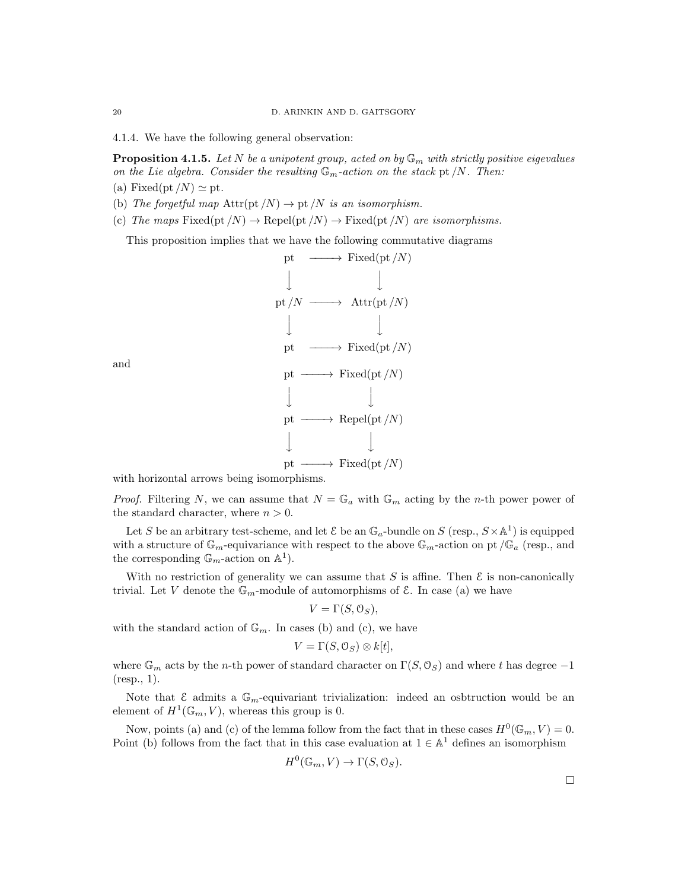4.1.4. We have the following general observation:

**Proposition 4.1.5.** Let N be a unipotent group, acted on by  $\mathbb{G}_m$  with strictly positive eigevalues on the Lie algebra. Consider the resulting  $\mathbb{G}_m$ -action on the stack pt /N. Then:

- (a) Fixed(pt /N)  $\simeq$  pt.
- (b) The forgetful map  $\text{Attr}(\text{pt}/N) \rightarrow \text{pt}/N$  is an isomorphism.
- (c) The maps Fixed(pt  $/N$ )  $\rightarrow$  Repel(pt  $/N$ )  $\rightarrow$  Fixed(pt  $/N$ ) are isomorphisms.

This proposition implies that we have the following commutative diagrams



and

*Proof.* Filtering N, we can assume that  $N = \mathbb{G}_a$  with  $\mathbb{G}_m$  acting by the n-th power power of the standard character, where  $n > 0$ .

Let S be an arbitrary test-scheme, and let  $\mathcal E$  be an  $\mathbb G_a$ -bundle on S (resp.,  $S \times \mathbb A^1$ ) is equipped with a structure of  $\mathbb{G}_m$ -equivariance with respect to the above  $\mathbb{G}_m$ -action on pt / $\mathbb{G}_a$  (resp., and the corresponding  $\mathbb{G}_m$ -action on  $\mathbb{A}^1$ ).

With no restriction of generality we can assume that S is affine. Then  $\mathcal E$  is non-canonically trivial. Let V denote the  $\mathbb{G}_m$ -module of automorphisms of  $\mathcal{E}$ . In case (a) we have

$$
V = \Gamma(S, \mathcal{O}_S),
$$

with the standard action of  $\mathbb{G}_m$ . In cases (b) and (c), we have

$$
V = \Gamma(S, \mathcal{O}_S) \otimes k[t],
$$

where  $\mathbb{G}_m$  acts by the *n*-th power of standard character on  $\Gamma(S, \mathcal{O}_S)$  and where t has degree  $-1$ (resp., 1).

Note that  $\mathcal E$  admits a  $\mathbb G_m$ -equivariant trivialization: indeed an osbtruction would be an element of  $H^1(\mathbb{G}_m, V)$ , whereas this group is 0.

Now, points (a) and (c) of the lemma follow from the fact that in these cases  $H^0(\mathbb{G}_m, V) = 0$ . Point (b) follows from the fact that in this case evaluation at  $1 \in \mathbb{A}^1$  defines an isomorphism

$$
H^0(\mathbb{G}_m, V) \to \Gamma(S, \mathcal{O}_S).
$$

 $\Box$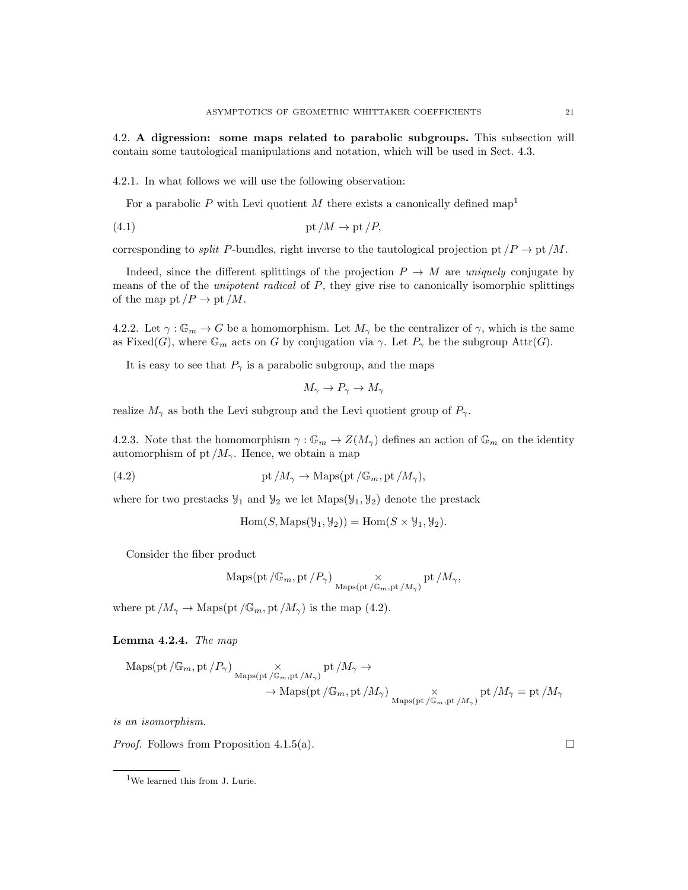4.2. A digression: some maps related to parabolic subgroups. This subsection will contain some tautological manipulations and notation, which will be used in Sect. 4.3.

4.2.1. In what follows we will use the following observation:

For a parabolic P with Levi quotient M there exists a canonically defined map<sup>1</sup>

(4.1) pt /M → pt /P,

corresponding to *split* P-bundles, right inverse to the tautological projection pt  $/P \to pt/M$ .

Indeed, since the different splittings of the projection  $P \to M$  are uniquely conjugate by means of the of the *unipotent radical* of P, they give rise to canonically isomorphic splittings of the map pt  $/P \to \text{pt }/M$ .

4.2.2. Let  $\gamma : \mathbb{G}_m \to G$  be a homomorphism. Let  $M_\gamma$  be the centralizer of  $\gamma$ , which is the same as Fixed(G), where  $\mathbb{G}_m$  acts on G by conjugation via  $\gamma$ . Let  $P_\gamma$  be the subgroup Attr(G).

It is easy to see that  $P_{\gamma}$  is a parabolic subgroup, and the maps

$$
M_{\gamma} \to P_{\gamma} \to M_{\gamma}
$$

realize  $M_{\gamma}$  as both the Levi subgroup and the Levi quotient group of  $P_{\gamma}$ .

4.2.3. Note that the homomorphism  $\gamma : \mathbb{G}_m \to Z(M_\gamma)$  defines an action of  $\mathbb{G}_m$  on the identity automorphism of pt  $/M_{\gamma}$ . Hence, we obtain a map

(4.2)  $\text{pt }/M_{\gamma} \to \text{Maps}(\text{pt }/\mathbb{G}_m, \text{pt }/M_{\gamma}),$ 

where for two prestacks  $\mathcal{Y}_1$  and  $\mathcal{Y}_2$  we let  $\text{Maps}(\mathcal{Y}_1, \mathcal{Y}_2)$  denote the prestack

 $\text{Hom}(S, \text{Maps}(\mathcal{Y}_1, \mathcal{Y}_2)) = \text{Hom}(S \times \mathcal{Y}_1, \mathcal{Y}_2).$ 

Consider the fiber product

$$
\mathrm{Maps}(\mathrm{pt}\,/\mathbb{G}_m, \mathrm{pt}\, / P_\gamma)\underset{\mathrm{Maps}(\mathrm{pt}\,/\mathbb{G}_m, \mathrm{pt}\, / M_\gamma)}{\times}\mathrm{pt}\, / M_\gamma,
$$

where pt  $/M_{\gamma} \to \text{Maps}(\text{pt }/\mathbb{G}_m, \text{pt }/M_{\gamma})$  is the map (4.2).

#### Lemma 4.2.4. The map

$$
\begin{aligned} \operatorname{Maps}(\operatorname{pt}/\mathbb{G}_m, \operatorname{pt}/P_\gamma) & \underset{\operatorname{Maps}(\operatorname{pt}/\mathbb{G}_m, \operatorname{pt}/M_\gamma) }{\times} \operatorname{pt}/M_\gamma \rightarrow \\ & \rightarrow \operatorname{Maps}(\operatorname{pt}/\mathbb{G}_m, \operatorname{pt}/M_\gamma) & \underset{\operatorname{Maps}(\operatorname{pt}/\mathbb{G}_m, \operatorname{pt}/M_\gamma) }{\times} \operatorname{pt}/M_\gamma = \operatorname{pt}/M_\gamma \end{aligned}
$$

is an isomorphism.

*Proof.* Follows from Proposition 4.1.5(a).

<sup>&</sup>lt;sup>1</sup>We learned this from J. Lurie.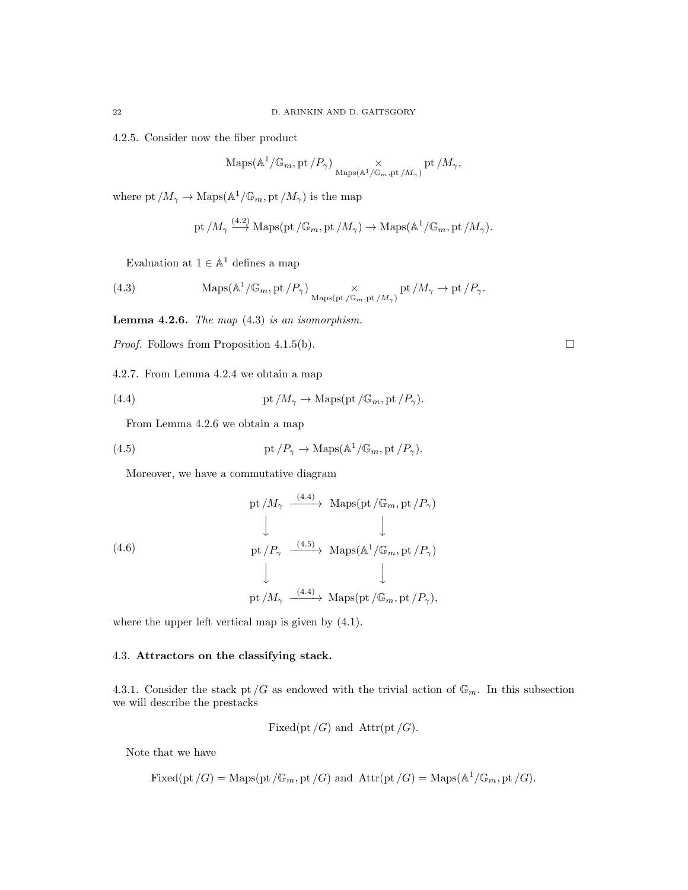4.2.5. Consider now the fiber product

$$
\mathrm{Maps}(\mathbb{A}^1/\mathbb{G}_m, \mathrm{pt}/P_\gamma) \underset{\mathrm{Maps}(\mathbb{A}^1/\mathbb{G}_m, \mathrm{pt}/M_\gamma)}{\times} \mathrm{pt}/M_\gamma,
$$

where pt  $/M_{\gamma} \to \text{Maps}(\mathbb{A}^1/\mathbb{G}_m, \text{pt}/M_{\gamma})$  is the map

pt 
$$
/M_{\gamma} \xrightarrow{(4.2)} \text{Maps}(\text{pt }/\mathbb{G}_m, \text{pt }/M_{\gamma}) \to \text{Maps}(\mathbb{A}^1/\mathbb{G}_m, \text{pt }/M_{\gamma}).
$$

Evaluation at  $1 \in \mathbb{A}^1$  defines a map

(4.3) 
$$
\operatorname{Maps}(\mathbb{A}^1/\mathbb{G}_m, \operatorname{pt}/P_\gamma) \underset{\operatorname{Maps}(\operatorname{pt}/\mathbb{G}_m, \operatorname{pt}/M_\gamma)}{\times} \operatorname{pt}/M_\gamma \to \operatorname{pt}/P_\gamma.
$$

**Lemma 4.2.6.** The map  $(4.3)$  is an isomorphism.

*Proof.* Follows from Proposition 4.1.5(b).  $\square$ 

4.2.7. From Lemma 4.2.4 we obtain a map

(4.4) 
$$
pt/M_{\gamma} \to \text{Maps}(pt/\mathbb{G}_m,pt/P_{\gamma}).
$$

From Lemma 4.2.6 we obtain a map

(4.5) 
$$
pt/P_{\gamma} \to \text{Maps}(\mathbb{A}^1/\mathbb{G}_m, pt/P_{\gamma}).
$$

Moreover, we have a commutative diagram

(4.6)  
\n
$$
\begin{array}{ccc}\n\text{pt } /M_{\gamma} & \xrightarrow{(4.4)} & \text{Maps}(\text{pt } / \mathbb{G}_m, \text{pt } / P_{\gamma}) \\
\downarrow & & \downarrow \\
\text{pt } /P_{\gamma} & \xrightarrow{(4.5)} & \text{Maps}(\mathbb{A}^1/\mathbb{G}_m, \text{pt } / P_{\gamma}) \\
\downarrow & & \downarrow \\
\text{pt } /M_{\gamma} & \xrightarrow{(4.4)} & \text{Maps}(\text{pt } / \mathbb{G}_m, \text{pt } / P_{\gamma}),\n\end{array}
$$

where the upper left vertical map is given by (4.1).

# 4.3. Attractors on the classifying stack.

4.3.1. Consider the stack pt  $/G$  as endowed with the trivial action of  $\mathbb{G}_m$ . In this subsection we will describe the prestacks

Fixed(pt /G) and 
$$
Attr(pt /G)
$$
.

Note that we have

Fixed(pt /G) = Maps(pt /G<sub>m</sub>, pt /G) and 
$$
Attr(pt /G) = Maps(A^1/G_m, pt/G)
$$
.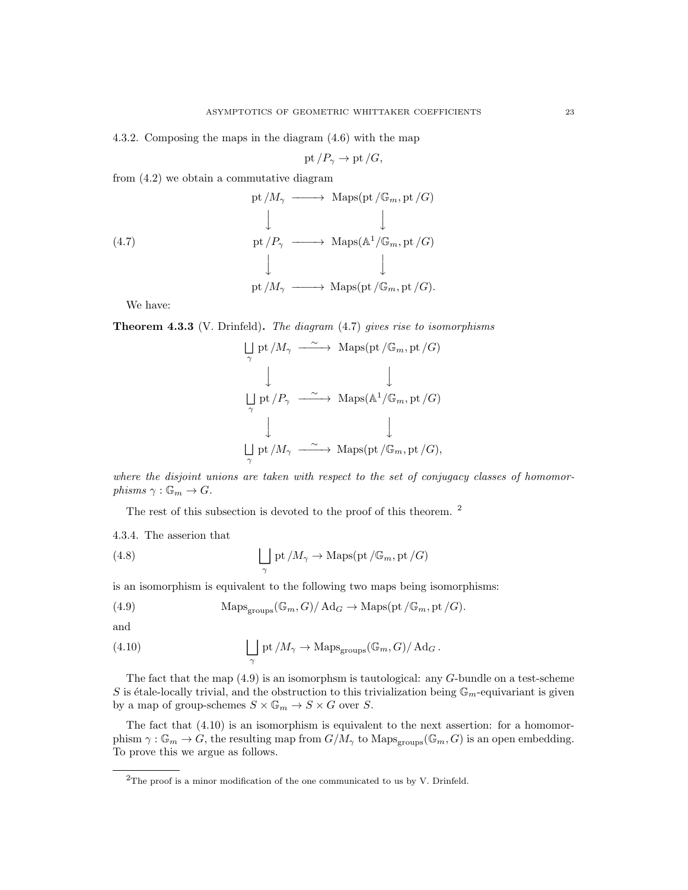4.3.2. Composing the maps in the diagram (4.6) with the map

$$
pt/P_{\gamma} \to pt/G,
$$

from (4.2) we obtain a commutative diagram

(4.7)  
\n
$$
\begin{array}{ccc}\n& \text{pt } /M_{\gamma} \longrightarrow \text{Maps}(\text{pt } / \mathbb{G}_m, \text{pt } / G) \\
& \downarrow & \downarrow \\
& \text{pt } /P_{\gamma} \longrightarrow \text{Maps}(\mathbb{A}^1/\mathbb{G}_m, \text{pt } / G) \\
& \downarrow & \downarrow \\
& \text{pt } /M_{\gamma} \longrightarrow \text{Maps}(\text{pt } / \mathbb{G}_m, \text{pt } / G).\n\end{array}
$$

We have:

Theorem 4.3.3 (V. Drinfeld). The diagram (4.7) gives rise to isomorphisms

$$
\begin{array}{ccc}\n\bigcup_{\gamma} \text{pt}/M_{\gamma} & \xrightarrow{\sim} & \text{Maps}(\text{pt}/\mathbb{G}_{m}, \text{pt}/G) \\
\downarrow & & \downarrow \\
\bigcup_{\gamma} \text{pt}/P_{\gamma} & \xrightarrow{\sim} & \text{Maps}(\mathbb{A}^{1}/\mathbb{G}_{m}, \text{pt}/G) \\
\downarrow & & \downarrow \\
\bigcup_{\gamma} \text{pt}/M_{\gamma} & \xrightarrow{\sim} & \text{Maps}(\text{pt}/\mathbb{G}_{m}, \text{pt}/G),\n\end{array}
$$

where the disjoint unions are taken with respect to the set of conjugacy classes of homomorphisms  $\gamma : \mathbb{G}_m \to G$ .

The rest of this subsection is devoted to the proof of this theorem. <sup>2</sup>

4.3.4. The asserion that

(4.8) 
$$
\bigcup_{\gamma} \mathrm{pt}/M_{\gamma} \to \mathrm{Maps}(\mathrm{pt}/\mathbb{G}_m, \mathrm{pt}/G)
$$

is an isomorphism is equivalent to the following two maps being isomorphisms:

(4.9) 
$$
\operatorname{Maps}_{\text{groups}}(\mathbb{G}_m, G) / \operatorname{Ad}_G \to \operatorname{Maps}(\text{pt}/\mathbb{G}_m, \text{pt}/G).
$$

and

(4.10) 
$$
\bigcup_{\gamma} \mathrm{pt}/M_{\gamma} \to \mathrm{Maps}_{\mathrm{groups}}(\mathbb{G}_m, G)/\mathrm{Ad}_G.
$$

The fact that the map (4.9) is an isomorphsm is tautological: any G-bundle on a test-scheme S is étale-locally trivial, and the obstruction to this trivialization being  $\mathbb{G}_m$ -equivariant is given by a map of group-schemes  $S \times \mathbb{G}_m \to S \times G$  over S.

The fact that (4.10) is an isomorphism is equivalent to the next assertion: for a homomorphism  $\gamma : \mathbb{G}_m \to G$ , the resulting map from  $G/M_\gamma$  to  $\text{Maps}_{\text{groups}}(\mathbb{G}_m, G)$  is an open embedding. To prove this we argue as follows.

 $2$ The proof is a minor modification of the one communicated to us by V. Drinfeld.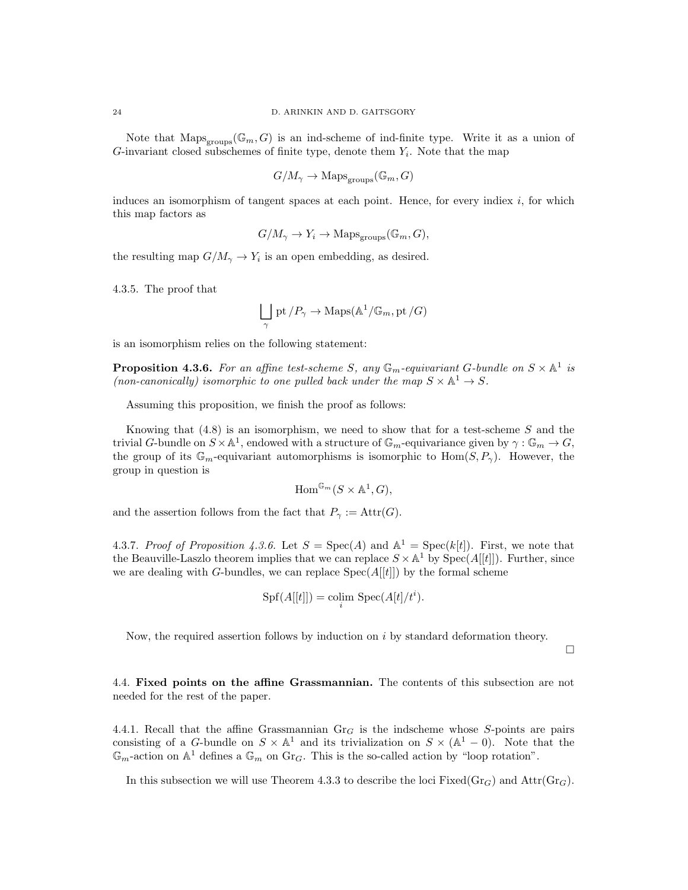Note that  $Maps_{groups}(\mathbb{G}_m, G)$  is an ind-scheme of ind-finite type. Write it as a union of G-invariant closed subschemes of finite type, denote them  $Y_i$ . Note that the map

$$
G/M_\gamma\to\mathsf{Maps}_{\text{groups}}(\mathbb{G}_m,G)
$$

induces an isomorphism of tangent spaces at each point. Hence, for every indiex  $i$ , for which this map factors as

$$
G/M_{\gamma} \to Y_i \to \text{Maps}_{\text{groups}}(\mathbb{G}_m, G),
$$

the resulting map  $G/M_{\gamma} \to Y_i$  is an open embedding, as desired.

4.3.5. The proof that

$$
\bigsqcup_{\gamma} \textrm{pt} / P_{\gamma} \to \mathrm{Maps}(\mathbb{A}^1/\mathbb{G}_m, \textrm{pt} / G)
$$

is an isomorphism relies on the following statement:

**Proposition 4.3.6.** For an affine test-scheme S, any  $\mathbb{G}_m$ -equivariant G-bundle on  $S \times \mathbb{A}^1$  is (non-canonically) isomorphic to one pulled back under the map  $S \times \mathbb{A}^1 \to S$ .

Assuming this proposition, we finish the proof as follows:

Knowing that  $(4.8)$  is an isomorphism, we need to show that for a test-scheme S and the trivial G-bundle on  $S \times \mathbb{A}^1$ , endowed with a structure of  $\mathbb{G}_m$ -equivariance given by  $\gamma : \mathbb{G}_m \to G$ , the group of its  $\mathbb{G}_m$ -equivariant automorphisms is isomorphic to  $\text{Hom}(S, P_\gamma)$ . However, the group in question is

$$
\mathrm{Hom}^{\mathbb{G}_m}(S \times \mathbb{A}^1, G),
$$

and the assertion follows from the fact that  $P_{\gamma} := \text{Attr}(G)$ .

4.3.7. Proof of Proposition 4.3.6. Let  $S = \text{Spec}(A)$  and  $\mathbb{A}^1 = \text{Spec}(k[t])$ . First, we note that the Beauville-Laszlo theorem implies that we can replace  $S \times \mathbb{A}^1$  by  $\text{Spec}(A[[t]])$ . Further, since we are dealing with G-bundles, we can replace  $Spec(A[[t]])$  by the formal scheme

$$
Spf(A[[t]]) = \operatorname{colim}_{i} \operatorname{Spec}(A[t]/t^{i}).
$$

Now, the required assertion follows by induction on  $i$  by standard deformation theory.

 $\Box$ 

4.4. Fixed points on the affine Grassmannian. The contents of this subsection are not needed for the rest of the paper.

4.4.1. Recall that the affine Grassmannian  $\text{Gr}_G$  is the indscheme whose S-points are pairs consisting of a G-bundle on  $S \times \mathbb{A}^1$  and its trivialization on  $S \times (\mathbb{A}^1 - 0)$ . Note that the  $\mathbb{G}_m$ -action on  $\mathbb{A}^1$  defines a  $\mathbb{G}_m$  on  $\text{Gr}_G$ . This is the so-called action by "loop rotation".

In this subsection we will use Theorem 4.3.3 to describe the loci Fixed( $Gr_G$ ) and  $Attr(Gr_G)$ .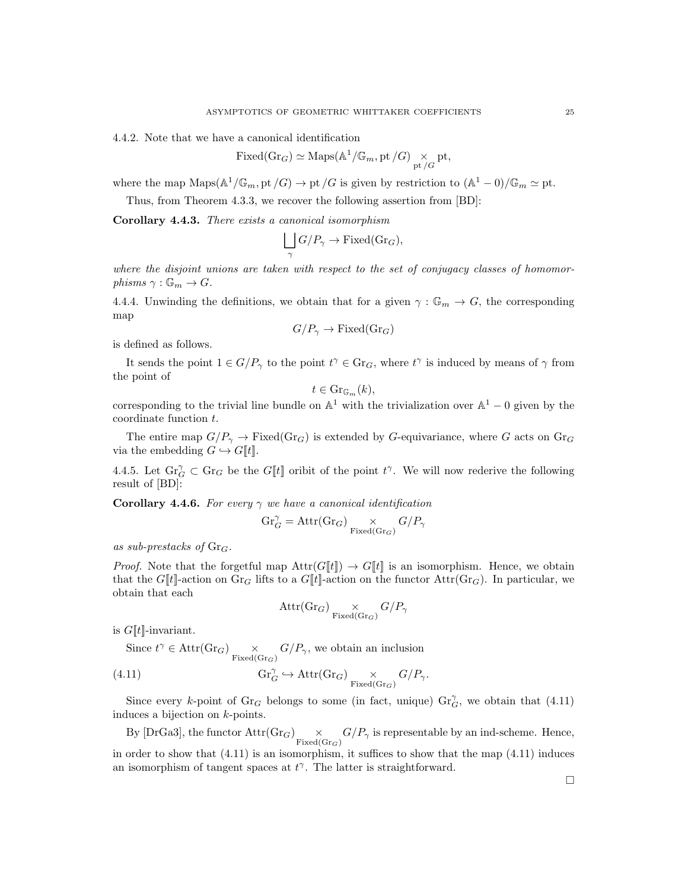4.4.2. Note that we have a canonical identification

$$
Fixed(\mathrm{Gr}_G) \simeq \mathrm{Maps}(\mathbb{A}^1/\mathbb{G}_m, \mathrm{pt}/G) \underset{\mathrm{pt}/G}{\times} \mathrm{pt},
$$

where the map  $\text{Maps}(\mathbb{A}^1/\mathbb{G}_m, \text{pt}/G) \to \text{pt}/G$  is given by restriction to  $(\mathbb{A}^1 - 0)/\mathbb{G}_m \simeq \text{pt}$ .

Thus, from Theorem 4.3.3, we recover the following assertion from [BD]:

Corollary 4.4.3. There exists a canonical isomorphism

$$
\bigsqcup_{\gamma} G/P_{\gamma} \to \text{Fixed}(Gr_G),
$$

where the disjoint unions are taken with respect to the set of conjugacy classes of homomorphisms  $\gamma : \mathbb{G}_m \to G$ .

4.4.4. Unwinding the definitions, we obtain that for a given  $\gamma : \mathbb{G}_m \to G$ , the corresponding map

$$
G/P_{\gamma} \to \text{Fixed}(Gr_G)
$$

is defined as follows.

It sends the point  $1 \in G/P_\gamma$  to the point  $t^\gamma \in \text{Gr}_G$ , where  $t^\gamma$  is induced by means of  $\gamma$  from the point of

$$
t \in \mathrm{Gr}_{\mathbb{G}_m}(k),
$$

corresponding to the trivial line bundle on  $\mathbb{A}^1$  with the trivialization over  $\mathbb{A}^1 - 0$  given by the coordinate function t.

The entire map  $G/P_{\gamma} \to \text{Fixed}(Gr_G)$  is extended by G-equivariance, where G acts on  $Gr_G$ via the embedding  $G \hookrightarrow G[[t]]$ .

4.4.5. Let  $\text{Gr}_G^{\gamma} \subset \text{Gr}_G$  be the  $G[[t]]$  oribit of the point  $t^{\gamma}$ . We will now rederive the following result of [BD]:

**Corollary 4.4.6.** For every  $\gamma$  we have a canonical identification

$$
\mathrm{Gr}_G^{\gamma}=\mathrm{Attr}(\mathrm{Gr}_G)\underset{\mathrm{Fixed}(\mathrm{Gr}_G)}{\times}G/P_{\gamma}
$$

as sub-prestacks of  $\text{Gr}_G$ .

*Proof.* Note that the forgetful map  $\text{Attr}(G[t]) \rightarrow G[t]$  is an isomorphism. Hence, we obtain that the  $G[[t]]$ -action on  $\text{Gr}_G$  lifts to a  $G[[t]]$ -action on the functor  $\text{Attr}(\text{Gr}_G)$ . In particular, we obtain that each

$$
\mathrm{Attr}(\mathrm{Gr}_G) \underset{\mathrm{Fixed}(\mathrm{Gr}_G)}{\times} G/P_{\gamma}
$$

is  $G[\![t]\!]$ -invariant.

Since  $t^{\gamma} \in \text{Attr}(\text{Gr}_G) \underset{\text{Fixed}(Gr_G)}{\times} G/P_{\gamma}$ , we obtain an inclusion

(4.11) 
$$
\mathrm{Gr}_G^{\gamma} \hookrightarrow \mathrm{Attr}(\mathrm{Gr}_G) \underset{\mathrm{Fixed}(\mathrm{Gr}_G)}{\times} G/P_{\gamma}.
$$

Since every k-point of  $\text{Gr}_G$  belongs to some (in fact, unique)  $\text{Gr}_G^{\gamma}$ , we obtain that (4.11) induces a bijection on k-points.

By [DrGa3], the functor  $Attr(Gr_G) \times \frac{G}{P\gamma}$  is representable by an ind-scheme. Hence,

in order to show that (4.11) is an isomorphism, it suffices to show that the map (4.11) induces an isomorphism of tangent spaces at  $t^{\gamma}$ . The latter is straightforward.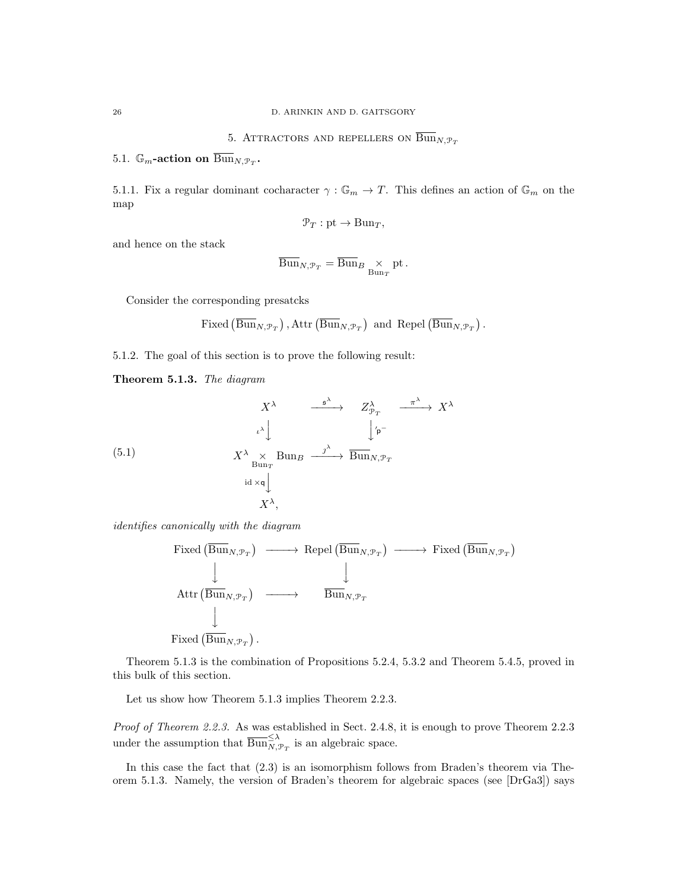5. ATTRACTORS AND REPELLERS ON  $\overline{\text{Bun}}_{N,\mathcal{P}_T}$ 

5.1.  $\mathbb{G}_m$ -action on  $\overline{\mathrm{Bun}}_{N, \mathcal{P}_T}$ .

5.1.1. Fix a regular dominant cocharacter  $\gamma : \mathbb{G}_m \to T$ . This defines an action of  $\mathbb{G}_m$  on the map

$$
\mathcal{P}_T: \mathrm{pt} \to \mathrm{Bun}_T,
$$

and hence on the stack

$$
\overline{\mathrm{Bun}}_{N,\mathcal{P}_T} = \overline{\mathrm{Bun}}_{B} \underset{\mathrm{Bun}_T}{\times} \mathrm{pt}.
$$

Consider the corresponding presatcks

Fixed 
$$
(\overline{\text{Bun}}_{N,\mathcal{P}_T})
$$
, Attr $(\overline{\text{Bun}}_{N,\mathcal{P}_T})$  and Repel $(\overline{\text{Bun}}_{N,\mathcal{P}_T})$ .

5.1.2. The goal of this section is to prove the following result:

Theorem 5.1.3. The diagram

(5.1)  
\n
$$
\begin{array}{ccc}\n & X^{\lambda} & \xrightarrow{\mathfrak{s}^{\lambda}} & Z_{\mathfrak{P}_{T}}^{\lambda} & \xrightarrow{\pi^{\lambda}} & X^{\lambda} \\
 & & \downarrow^{\lambda} & & \downarrow^{\mathfrak{p}^{-}} \\
 & & X^{\lambda} & \times & \text{Bun}_{B} & \xrightarrow{\jmath^{\lambda}} & \text{Bun}_{N, \mathfrak{P}_{T}} \\
 & & \downarrow^{\lambda} & & \\
 & & \downarrow^{\lambda} & & \\
 & & & X^{\lambda}, & & \\
 & & & & X^{\lambda}, & & \\
\end{array}
$$

identifies canonically with the diagram

Fixed 
$$
(\overline{\text{Bun}}_{N,\mathcal{P}_T}) \longrightarrow \text{Repel }(\overline{\text{Bun}}_{N,\mathcal{P}_T}) \longrightarrow \text{Fixed }(\overline{\text{Bun}}_{N,\mathcal{P}_T})
$$
  
\n
$$
\downarrow \qquad \qquad \downarrow
$$
\n
$$
\text{Attr }(\overline{\text{Bun}}_{N,\mathcal{P}_T}) \longrightarrow \overline{\text{Bun}}_{N,\mathcal{P}_T}
$$
\n
$$
\downarrow
$$
\nFixed  $(\overline{\text{Bun}}_{N,\mathcal{P}_T})$ .

Theorem 5.1.3 is the combination of Propositions 5.2.4, 5.3.2 and Theorem 5.4.5, proved in this bulk of this section.

Let us show how Theorem 5.1.3 implies Theorem 2.2.3.

Proof of Theorem 2.2.3. As was established in Sect. 2.4.8, it is enough to prove Theorem 2.2.3 under the assumption that  $\overline{\mathrm{Bun}}_{N,\mathcal{P}_T}^{\leq \lambda}$  is an algebraic space.

In this case the fact that (2.3) is an isomorphism follows from Braden's theorem via Theorem 5.1.3. Namely, the version of Braden's theorem for algebraic spaces (see [DrGa3]) says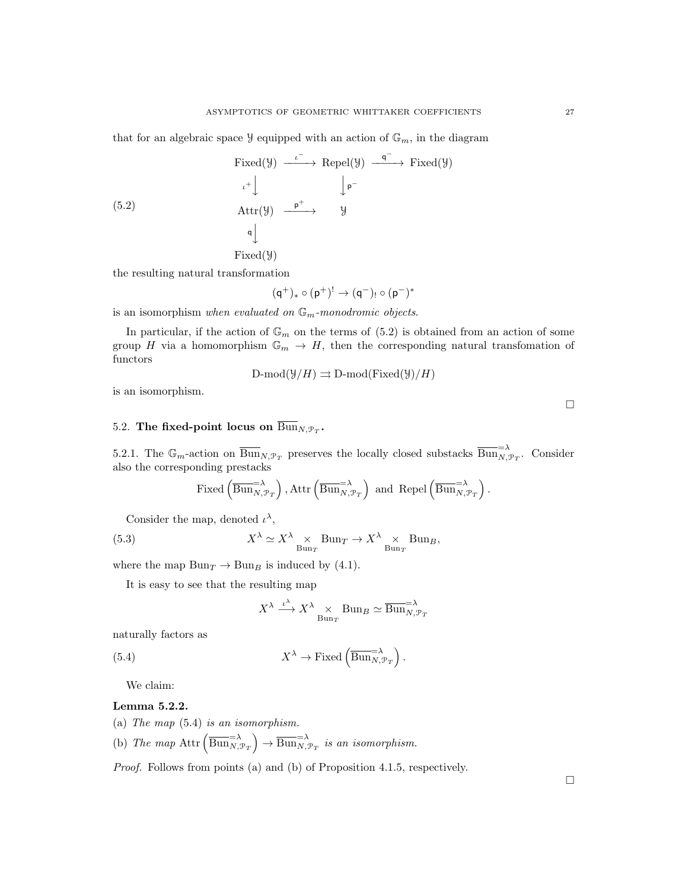that for an algebraic space  $\mathcal{Y}$  equipped with an action of  $\mathbb{G}_m$ , in the diagram

$$
\begin{array}{ccc}\n\text{Fixed}(\mathcal{Y}) & \xrightarrow{\iota^{-}} & \text{Repel}(\mathcal{Y}) & \xrightarrow{\mathsf{q}^{-}} & \text{Fixed}(\mathcal{Y}) \\
\downarrow^+ & & \downarrow^+ & & \downarrow^+ \\
\text{Attr}(\mathcal{Y}) & \xrightarrow{\mathsf{p}^+} & \mathcal{Y} \\
\downarrow^+ & & \downarrow^+ & \\
\text{Rired}(\mathcal{Y}) & \xrightarrow{\mathsf{p}^+} & \mathcal{Y}\n\end{array}
$$

Fixed(Y)

the resulting natural transformation

$$
(q^+)_*\circ (p^+)^!\to (q^-)_!\circ (p^-)^*
$$

is an isomorphism when evaluated on  $\mathbb{G}_m$ -monodromic objects.

In particular, if the action of  $\mathbb{G}_m$  on the terms of (5.2) is obtained from an action of some group H via a homomorphism  $\mathbb{G}_m \to H$ , then the corresponding natural transfomation of functors

$$
D\text{-mod}(\mathcal{Y}/H) \rightrightarrows D\text{-mod}(Fixed(\mathcal{Y})/H)
$$

is an isomorphism.

# 5.2. The fixed-point locus on  $\overline{{\operatorname{Bun}}}_{N, {\mathcal P}_T}.$

5.2.1. The  $\mathbb{G}_m$ -action on  $\overline{\text{Bun}}_{N,\mathcal{P}_T}$  preserves the locally closed substacks  $\overline{\text{Bun}}_{N,\mathcal{P}_T}^{-\lambda}$ . Consider also the corresponding prestacks

$$
\text{Fixed}\left(\overline{\mathrm{Bun}}_{N, \mathcal{P}_T}^{\text{=}\lambda}\right), \text{Attr}\left(\overline{\mathrm{Bun}}_{N, \mathcal{P}_T}^{\text{=}\lambda}\right) \text{ and } \text{Repel}\left(\overline{\mathrm{Bun}}_{N, \mathcal{P}_T}^{\text{=}\lambda}\right).
$$

Consider the map, denoted  $\iota^{\lambda}$ ,

(5.3) 
$$
X^{\lambda} \simeq X^{\lambda} \underset{\text{Bun}_T}{\times} \text{Bun}_T \to X^{\lambda} \underset{\text{Bun}_T}{\times} \text{Bun}_B,
$$

where the map  $Bun_T \to Bun_B$  is induced by (4.1).

It is easy to see that the resulting map

$$
X^{\lambda} \xrightarrow{\iota^{\lambda}} X^{\lambda} \underset{\text{Bun}_T}{\times} \text{Bun}_B \simeq \overline{\text{Bun}}_{N, \mathcal{P}_T}^{-\lambda}
$$

naturally factors as

(5.4) 
$$
X^{\lambda} \to \text{Fixed}\left(\overline{\text{Bun}}_{N, \mathcal{P}_T}^{-\lambda}\right).
$$

We claim:

#### Lemma 5.2.2.

- (a) The map (5.4) is an isomorphism.
- (b) The map  $\text{Attr}\left(\overline{\text{Bun}}_{N,\mathcal{P}_T}^{-\lambda}\right) \to \overline{\text{Bun}}_{N,\mathcal{P}_T}^{-\lambda}$  is an isomorphism.

Proof. Follows from points (a) and (b) of Proposition 4.1.5, respectively.

 $\Box$ 

 $\Box$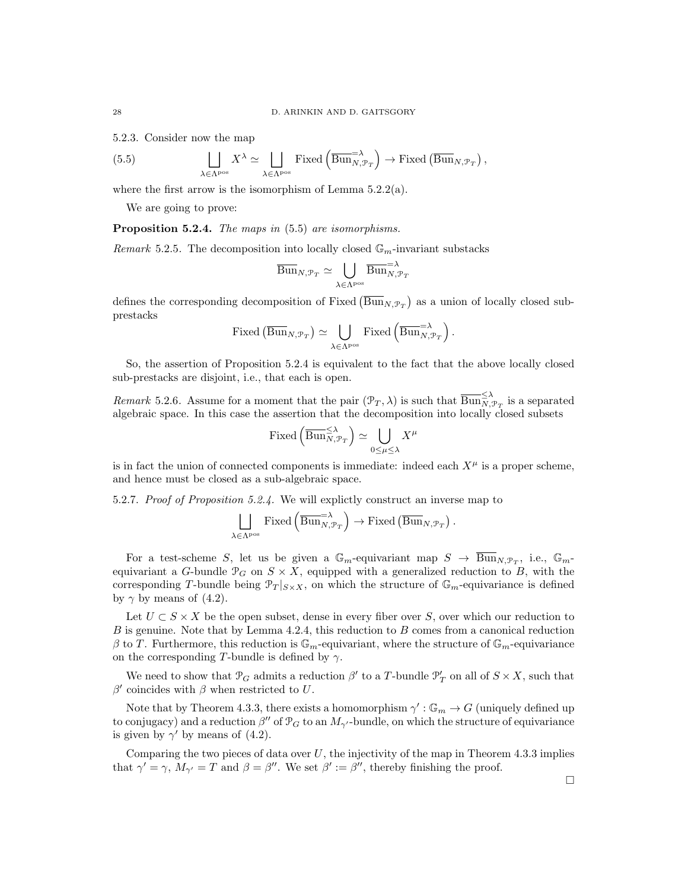5.2.3. Consider now the map

(5.5) 
$$
\bigsqcup_{\lambda \in \Lambda^{\text{pos}}} X^{\lambda} \simeq \bigsqcup_{\lambda \in \Lambda^{\text{pos}}} \text{Fixed}\left(\overline{\text{Bun}}_{N,\mathcal{P}_T}^{\lambda}\right) \to \text{Fixed}\left(\overline{\text{Bun}}_{N,\mathcal{P}_T}\right),
$$

where the first arrow is the isomorphism of Lemma 5.2.2(a).

We are going to prove:

Proposition 5.2.4. The maps in  $(5.5)$  are isomorphisms.

Remark 5.2.5. The decomposition into locally closed  $\mathbb{G}_m$ -invariant substacks

$$
\overline{\mathrm{Bun}}_{N,\mathcal{P}_T} \simeq \bigcup_{\lambda \in \Lambda^\mathrm{pos}} \overline{\mathrm{Bun}}_{N,\mathcal{P}_T}^{-\lambda}
$$

defines the corresponding decomposition of Fixed  $(\overline{\text{Bun}}_{N,\mathcal{P}_T})$  as a union of locally closed subprestacks

Fixed 
$$
(\overline{\text{Bun}}_{N,\mathcal{P}_T}) \simeq \bigcup_{\lambda \in \Lambda^{\text{pos}}} \text{Fixed } (\overline{\text{Bun}}_{N,\mathcal{P}_T}^{-\lambda})
$$
.

So, the assertion of Proposition 5.2.4 is equivalent to the fact that the above locally closed sub-prestacks are disjoint, i.e., that each is open.

Remark 5.2.6. Assume for a moment that the pair  $(\mathcal{P}_T, \lambda)$  is such that  $\overline{\text{Bun}}_{N, \mathcal{P}_T}^{\leq \lambda}$  is a separated algebraic space. In this case the assertion that the decomposition into locally closed subsets

$$
\text{Fixed}\left(\overline{\text{Bun}}_{N,\mathcal{P}_T}^{\leq \lambda}\right) \simeq \bigcup_{0 \leq \mu \leq \lambda} X^{\mu}
$$

is in fact the union of connected components is immediate: indeed each  $X^{\mu}$  is a proper scheme, and hence must be closed as a sub-algebraic space.

5.2.7. Proof of Proposition 5.2.4. We will explictly construct an inverse map to

$$
\bigsqcup_{\lambda \in \Lambda^{\text{pos}}} \text{Fixed}\left(\overline{\text{Bun}}_{N, \mathcal{P}_T}^{-\lambda}\right) \to \text{Fixed}\left(\overline{\text{Bun}}_{N, \mathcal{P}_T}\right).
$$

For a test-scheme S, let us be given a  $\mathbb{G}_m$ -equivariant map  $S \to \overline{\text{Bun}}_{N,\mathcal{P}_T}$ , i.e.,  $\mathbb{G}_m$ equivariant a G-bundle  $\mathcal{P}_G$  on  $S \times X$ , equipped with a generalized reduction to B, with the corresponding T-bundle being  $\mathcal{P}_T|_{S\times X}$ , on which the structure of  $\mathbb{G}_m$ -equivariance is defined by  $\gamma$  by means of (4.2).

Let  $U \subset S \times X$  be the open subset, dense in every fiber over S, over which our reduction to  $B$  is genuine. Note that by Lemma 4.2.4, this reduction to  $B$  comes from a canonical reduction  $\beta$  to T. Furthermore, this reduction is  $\mathbb{G}_m$ -equivariant, where the structure of  $\mathbb{G}_m$ -equivariance on the corresponding T-bundle is defined by  $\gamma$ .

We need to show that  $\mathcal{P}_G$  admits a reduction  $\beta'$  to a T-bundle  $\mathcal{P}'_T$  on all of  $S \times X$ , such that  $β'$  coincides with  $β$  when restricted to U.

Note that by Theorem 4.3.3, there exists a homomorphism  $\gamma': \mathbb{G}_m \to G$  (uniquely defined up to conjugacy) and a reduction  $\beta''$  of  $\mathcal{P}_G$  to an  $M_{\gamma'}$ -bundle, on which the structure of equivariance is given by  $\gamma'$  by means of (4.2).

Comparing the two pieces of data over  $U$ , the injectivity of the map in Theorem 4.3.3 implies that  $\gamma' = \gamma$ ,  $M_{\gamma'} = T$  and  $\beta = \beta''$ . We set  $\beta' := \beta''$ , thereby finishing the proof.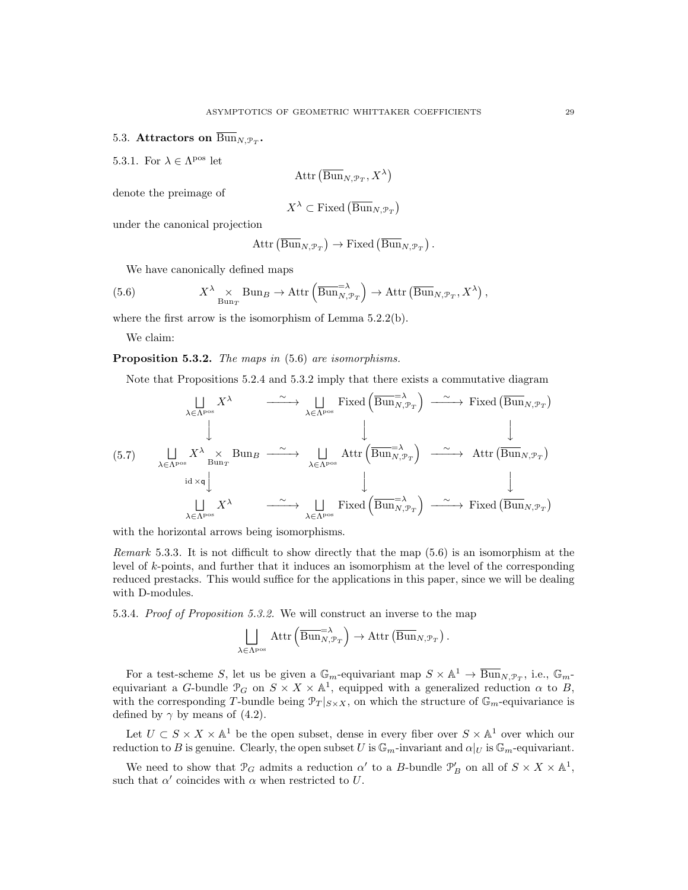# 5.3. Attractors on  $\text{Bun}_{N, \mathcal{P}_T}$ .

5.3.1. For  $\lambda \in \Lambda^{\text{pos}}$  let

$$
\mathrm{Attr}\left(\overline{\mathrm{Bun}}_{N, \mathcal{P}_T}, X^\lambda\right)
$$

denote the preimage of

$$
X^{\lambda} \subset \text{Fixed}(\overline{\text{Bun}}_{N, \mathcal{P}_T})
$$

under the canonical projection

$$
Attr\left(\overline{\mathrm{Bun}}_{N,\mathcal{P}_T}\right) \to \mathrm{Fixed}\left(\overline{\mathrm{Bun}}_{N,\mathcal{P}_T}\right).
$$

We have canonically defined maps

(5.6) 
$$
X^{\lambda} \underset{\text{Bun}_{T}}{\times} \text{Bun}_{B} \to \text{Attr}\left(\overline{\text{Bun}}_{N,\mathcal{P}_{T}}^{-\lambda}\right) \to \text{Attr}\left(\overline{\text{Bun}}_{N,\mathcal{P}_{T}}, X^{\lambda}\right),
$$

where the first arrow is the isomorphism of Lemma 5.2.2(b).

We claim:

Proposition 5.3.2. The maps in  $(5.6)$  are isomorphisms.

Note that Propositions 5.2.4 and 5.3.2 imply that there exists a commutative diagram

(5.7) F λ∈Λpos X<sup>λ</sup> <sup>∼</sup> −−−−→ F λ∈Λpos Fixed Bun=<sup>λ</sup> N,P<sup>T</sup> <sup>∼</sup> −−−−→ Fixed BunN,P<sup>T</sup> y y y F λ∈Λpos X<sup>λ</sup> × Bun<sup>T</sup> Bun<sup>B</sup> <sup>∼</sup> −−−−→ F λ∈Λpos Attr Bun=<sup>λ</sup> N,P<sup>T</sup> <sup>∼</sup> −−−−→ Attr BunN,P<sup>T</sup> id ×q y y y F λ∈Λpos X<sup>λ</sup> <sup>∼</sup> −−−−→ F λ∈Λpos Fixed Bun=<sup>λ</sup> N,P<sup>T</sup> <sup>∼</sup> −−−−→ Fixed BunN,P<sup>T</sup> 

with the horizontal arrows being isomorphisms.

Remark 5.3.3. It is not difficult to show directly that the map (5.6) is an isomorphism at the level of k-points, and further that it induces an isomorphism at the level of the corresponding reduced prestacks. This would suffice for the applications in this paper, since we will be dealing with D-modules.

5.3.4. Proof of Proposition 5.3.2. We will construct an inverse to the map

$$
\bigsqcup_{\lambda \in \Lambda^{\text{pos}}} \text{Attr}\left(\overline{\text{Bun}}_{N,\mathcal{P}_T}^{\text{max}}\right) \to \text{Attr}\left(\overline{\text{Bun}}_{N,\mathcal{P}_T}\right).
$$

For a test-scheme S, let us be given a  $\mathbb{G}_m$ -equivariant map  $S \times \mathbb{A}^1 \to \overline{\text{Bun}}_{N,\mathcal{P}_T}$ , i.e.,  $\mathbb{G}_m$ equivariant a G-bundle  $\mathcal{P}_G$  on  $S \times X \times \mathbb{A}^1$ , equipped with a generalized reduction  $\alpha$  to B, with the corresponding T-bundle being  $\mathcal{P}_T |_{S \times X}$ , on which the structure of  $\mathbb{G}_m$ -equivariance is defined by  $\gamma$  by means of (4.2).

Let  $U \subset S \times X \times \mathbb{A}^1$  be the open subset, dense in every fiber over  $S \times \mathbb{A}^1$  over which our reduction to B is genuine. Clearly, the open subset U is  $\mathbb{G}_m$ -invariant and  $\alpha|_U$  is  $\mathbb{G}_m$ -equivariant.

We need to show that  $\mathcal{P}_G$  admits a reduction  $\alpha'$  to a B-bundle  $\mathcal{P}'_B$  on all of  $S \times X \times \mathbb{A}^1$ , such that  $\alpha'$  coincides with  $\alpha$  when restricted to U.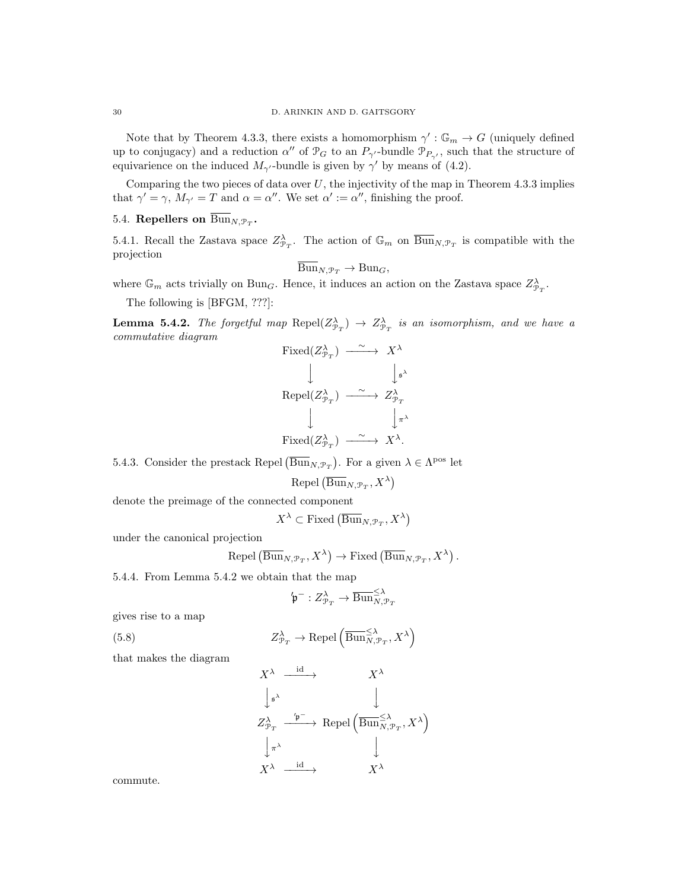Note that by Theorem 4.3.3, there exists a homomorphism  $\gamma': \mathbb{G}_m \to G$  (uniquely defined up to conjugacy) and a reduction  $\alpha''$  of  $\mathcal{P}_G$  to an  $P_{\gamma'}$ -bundle  $\mathcal{P}_{P_{\gamma'}}$ , such that the structure of equivarience on the induced  $M_{\gamma}$ -bundle is given by  $\gamma'$  by means of (4.2).

Comparing the two pieces of data over  $U$ , the injectivity of the map in Theorem 4.3.3 implies that  $\gamma' = \gamma$ ,  $M_{\gamma'} = T$  and  $\alpha = \alpha''$ . We set  $\alpha' := \alpha''$ , finishing the proof.

# 5.4. Repellers on  $\mathrm{Bun}_{N, \mathcal{P}_T}$ .

5.4.1. Recall the Zastava space  $Z_{\mathcal{P}_T}^{\lambda}$ . The action of  $\mathbb{G}_m$  on  $\overline{\text{Bun}}_{N,\mathcal{P}_T}$  is compatible with the projection

$$
\overline{\mathrm{Bun}}_{N, \mathcal{P}_T} \to \mathrm{Bun}_G,
$$

where  $\mathbb{G}_m$  acts trivially on Bun<sub>G</sub>. Hence, it induces an action on the Zastava space  $Z_{\mathcal{P}_T}^{\lambda}$ .

The following is [BFGM, ???]:

**Lemma 5.4.2.** The forgetful map  $\text{Repel}(Z_{\mathcal{P}_T}^{\lambda}) \to Z_{\mathcal{P}_T}^{\lambda}$  is an isomorphism, and we have a commutative diagram

$$
\begin{array}{ccc}\n\text{Fixed}(Z_{\mathcal{P}_T}^{\lambda}) & \xrightarrow{\sim} & X^{\lambda} \\
& \downarrow & & \downarrow_{\mathfrak{s}^{\lambda}} \\
\text{Repel}(Z_{\mathcal{P}_T}^{\lambda}) & \xrightarrow{\sim} & Z_{\mathcal{P}_T}^{\lambda} \\
& \downarrow & & \downarrow_{\pi^{\lambda}} \\
\text{Fixed}(Z_{\mathcal{P}_T}^{\lambda}) & \xrightarrow{\sim} & X^{\lambda}.\n\end{array}
$$

5.4.3. Consider the prestack Repel  $(\overline{\text{Bun}}_{N,\mathcal{P}_T})$ . For a given  $\lambda \in \Lambda^{\text{pos}}$  let

$$
\text{Repel}\left(\overline{\operatorname{Bun}}_{N, \mathcal{P}_T}, X^\lambda\right)
$$

denote the preimage of the connected component

$$
X^{\lambda} \subset \text{Fixed}(\overline{\text{Bun}}_{N, \mathcal{P}_T}, X^{\lambda})
$$

under the canonical projection

$$
Repel\left(\overline{\mathrm{Bun}}_{N, \mathcal{P}_T}, X^\lambda\right) \to \mathrm{Fixed}\left(\overline{\mathrm{Bun}}_{N, \mathcal{P}_T}, X^\lambda\right).
$$

5.4.4. From Lemma 5.4.2 we obtain that the map

$$
\mathfrak{p}^- : Z^{\lambda}_{\mathcal{P}_T} \to \overline{\mathrm{Bun}}^{\leq \lambda}_{N, \mathcal{P}_T}
$$

gives rise to a map

(5.8) 
$$
Z_{\mathcal{P}_T}^{\lambda} \to \text{Repel}\left(\overline{\text{Bun}}_{N,\mathcal{P}_T}^{\leq \lambda}, X^{\lambda}\right)
$$

that makes the diagram

$$
X^{\lambda} \xrightarrow{\operatorname{id}} X^{\lambda}
$$
\n
$$
\downarrow_{\mathfrak{s}^{\lambda}} \qquad \qquad X^{\lambda}
$$
\n
$$
Z^{\lambda}_{\mathfrak{P}_T} \xrightarrow{\phantom{\lambda} \mathfrak{P}^-} \operatorname{Repel} \left( \overline{\operatorname{Bun}}^{\leq \lambda}_{N, \mathfrak{P}_T}, X^{\lambda} \right)
$$
\n
$$
\downarrow_{\pi^{\lambda}} \qquad \qquad \downarrow
$$
\n
$$
X^{\lambda} \xrightarrow{\operatorname{id}} X^{\lambda}
$$

commute.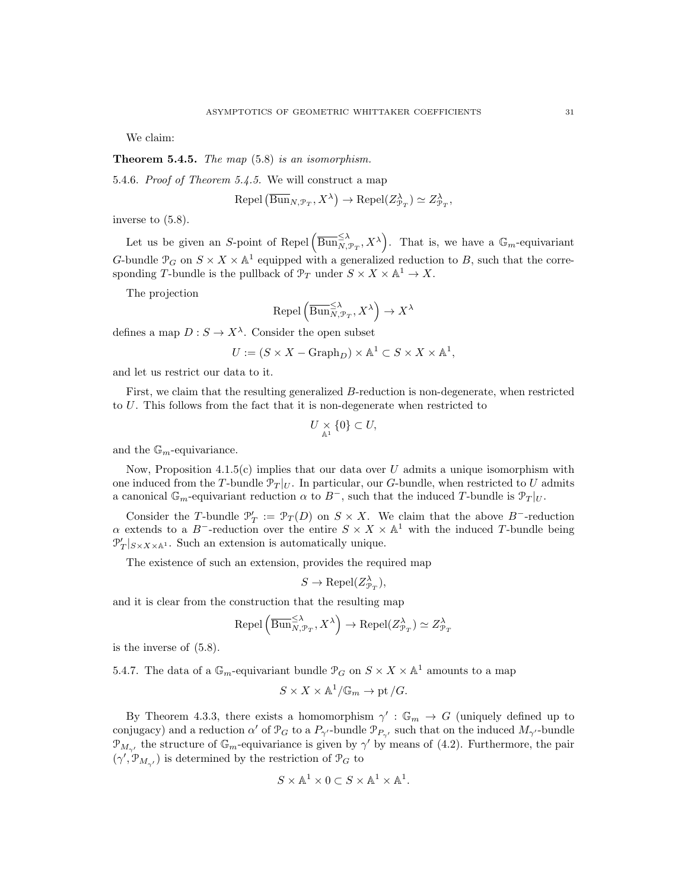We claim:

**Theorem 5.4.5.** The map  $(5.8)$  is an isomorphism.

5.4.6. Proof of Theorem 5.4.5. We will construct a map

$$
Repel\left(\overline{\mathrm{Bun}}_{N, \mathcal{P}_T}, X^\lambda\right) \to Repel(Z_{\mathcal{P}_T}^\lambda) \simeq Z_{\mathcal{P}_T}^\lambda,
$$

inverse to (5.8).

Let us be given an S-point of Repel  $(\overline{\text{Bun}}_{N, \mathcal{P}_T}^{\leq \lambda}, X^{\lambda})$ . That is, we have a  $\mathbb{G}_m$ -equivariant G-bundle  $\mathcal{P}_G$  on  $S \times X \times \mathbb{A}^1$  equipped with a generalized reduction to B, such that the corresponding T-bundle is the pullback of  $\mathcal{P}_T$  under  $S \times X \times \mathbb{A}^1 \to X$ .

The projection

$$
Repel\left(\overline{\mathrm{Bun}}_{N,\mathcal{P}_T}^{\leq \lambda}, X^{\lambda}\right) \to X^{\lambda}
$$

defines a map  $D: S \to X^{\lambda}$ . Consider the open subset

$$
U:=(S\times X-\mathrm{Graph}_D)\times \mathbb{A}^1\subset S\times X\times \mathbb{A}^1,
$$

and let us restrict our data to it.

First, we claim that the resulting generalized B-reduction is non-degenerate, when restricted to U. This follows from the fact that it is non-degenerate when restricted to

$$
U \underset{\mathbb{A}^1}{\times} \{0\} \subset U,
$$

and the  $\mathbb{G}_m$ -equivariance.

Now, Proposition  $4.1.5(c)$  implies that our data over U admits a unique isomorphism with one induced from the T-bundle  $\mathcal{P}_T|_U$ . In particular, our G-bundle, when restricted to U admits a canonical  $\mathbb{G}_m$ -equivariant reduction  $\alpha$  to  $B^-$ , such that the induced T-bundle is  $\mathcal{P}_T|_U$ .

Consider the T-bundle  $\mathcal{P}'_T := \mathcal{P}_T(D)$  on  $S \times X$ . We claim that the above B<sup>-</sup>-reduction  $\alpha$  extends to a B<sup>-</sup>-reduction over the entire  $S \times X \times \mathbb{A}^1$  with the induced T-bundle being  $\mathcal{P}'_T|_{S \times X \times \mathbb{A}^1}$ . Such an extension is automatically unique.

The existence of such an extension, provides the required map

$$
S \to \text{Repel}(Z_{\mathcal{P}_T}^{\lambda}),
$$

and it is clear from the construction that the resulting map

$$
\text{Repel}\left(\overline{\text{Bun}}_{N,\mathcal{P}_T}^{\leq \lambda}, X^{\lambda}\right) \to \text{Repel}(Z_{\mathcal{P}_T}^{\lambda}) \simeq Z_{\mathcal{P}_T}^{\lambda}
$$

is the inverse of (5.8).

5.4.7. The data of a  $\mathbb{G}_m$ -equivariant bundle  $\mathcal{P}_G$  on  $S \times X \times \mathbb{A}^1$  amounts to a map

$$
S \times X \times \mathbb{A}^1/\mathbb{G}_m \to \text{pt } /G.
$$

By Theorem 4.3.3, there exists a homomorphism  $\gamma': \mathbb{G}_m \to G$  (uniquely defined up to conjugacy) and a reduction  $\alpha'$  of  $\mathcal{P}_G$  to a  $P_{\gamma'}$ -bundle  $\mathcal{P}_{P_{\gamma'}}$  such that on the induced  $M_{\gamma'}$ -bundle  $\mathcal{P}_{M_{\gamma'}}$  the structure of  $\mathbb{G}_m$ -equivariance is given by  $\gamma'$  by means of (4.2). Furthermore, the pair  $(\gamma', \mathcal{P}_{M_{\gamma'}})$  is determined by the restriction of  $\mathcal{P}_G$  to

$$
S \times \mathbb{A}^1 \times 0 \subset S \times \mathbb{A}^1 \times \mathbb{A}^1.
$$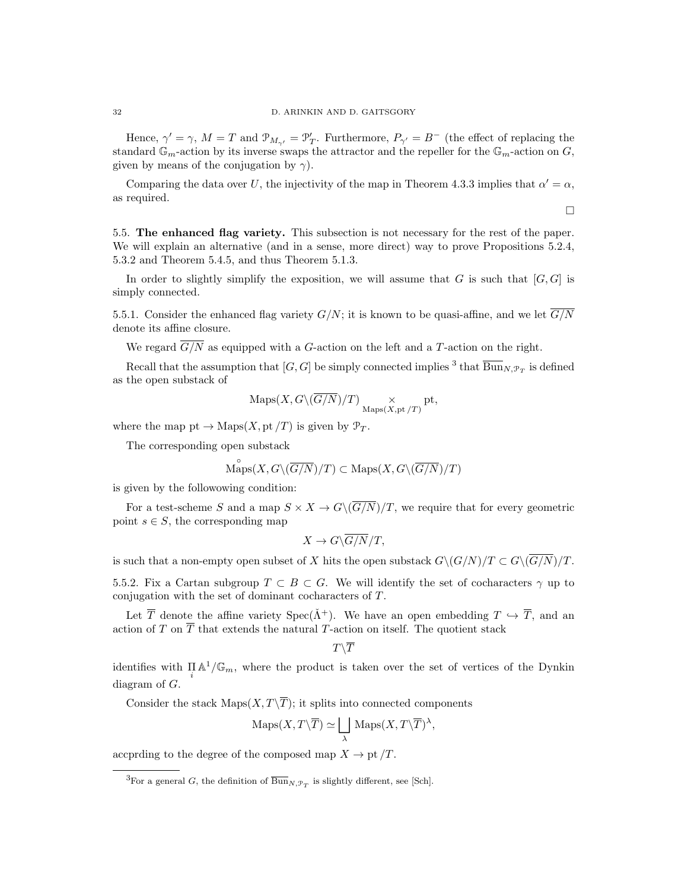Hence,  $\gamma' = \gamma$ ,  $M = T$  and  $\mathcal{P}_{M_{\gamma'}} = \mathcal{P}'_T$ . Furthermore,  $P_{\gamma'} = B^-$  (the effect of replacing the standard  $\mathbb{G}_m$ -action by its inverse swaps the attractor and the repeller for the  $\mathbb{G}_m$ -action on G, given by means of the conjugation by  $\gamma$ ).

Comparing the data over U, the injectivity of the map in Theorem 4.3.3 implies that  $\alpha' = \alpha$ , as required.

 $\Box$ 

5.5. The enhanced flag variety. This subsection is not necessary for the rest of the paper. We will explain an alternative (and in a sense, more direct) way to prove Propositions 5.2.4, 5.3.2 and Theorem 5.4.5, and thus Theorem 5.1.3.

In order to slightly simplify the exposition, we will assume that  $G$  is such that  $[G, G]$  is simply connected.

5.5.1. Consider the enhanced flag variety  $G/N$ ; it is known to be quasi-affine, and we let  $\overline{G/N}$ denote its affine closure.

We regard  $\overline{G/N}$  as equipped with a G-action on the left and a T-action on the right.

Recall that the assumption that  $[G, G]$  be simply connected implies <sup>3</sup> that  $\overline{\mathrm{Bun}}_{N, \mathcal{P}_T}$  is defined as the open substack of

$$
\operatorname{Maps}(X, G\backslash (\overline{G/N})/T) \underset{\operatorname{Maps}(X, \operatorname{pt}/T)}{\times} \operatorname{pt},
$$

where the map pt  $\rightarrow$  Maps $(X, pt/T)$  is given by  $\mathcal{P}_T$ .

The corresponding open substack

$$
\overset{\circ}{\mathrm{Maps}}(X, G\backslash (\overline{G/N})/T) \subset \mathrm{Maps}(X, G\backslash (\overline{G/N})/T)
$$

is given by the followowing condition:

For a test-scheme S and a map  $S \times X \to G \setminus (\overline{G/N})/T$ , we require that for every geometric point  $s \in S$ , the corresponding map

$$
X \to G\backslash \overline{G/N}/T,
$$

is such that a non-empty open subset of X hits the open substack  $G\backslash (G/N)/T \subset G\backslash (\overline{G/N})/T$ .

5.5.2. Fix a Cartan subgroup  $T \subset B \subset G$ . We will identify the set of cocharacters  $\gamma$  up to conjugation with the set of dominant cocharacters of T.

Let  $\overline{T}$  denote the affine variety  $Spec(\tilde{\Lambda}^+)$ . We have an open embedding  $T \hookrightarrow \overline{T}$ , and an action of T on  $\overline{T}$  that extends the natural T-action on itself. The quotient stack

$$
T\backslash \overline{T}
$$

identifies with  $\prod_i A^1/\mathbb{G}_m$ , where the product is taken over the set of vertices of the Dynkin diagram of G.

Consider the stack  $\text{Maps}(X, T\backslash\overline{T});$  it splits into connected components

$$
\mathrm{Maps}(X,T\backslash\overline{T})\simeq\bigsqcup_{\lambda}\,\mathrm{Maps}(X,T\backslash\overline{T})^{\lambda},
$$

accprding to the degree of the composed map  $X \to \text{pt } /T$ .

<sup>&</sup>lt;sup>3</sup>For a general *G*, the definition of  $\overline{\text{Bun}}_{N,\mathcal{P}_T}$  is slightly different, see [Sch].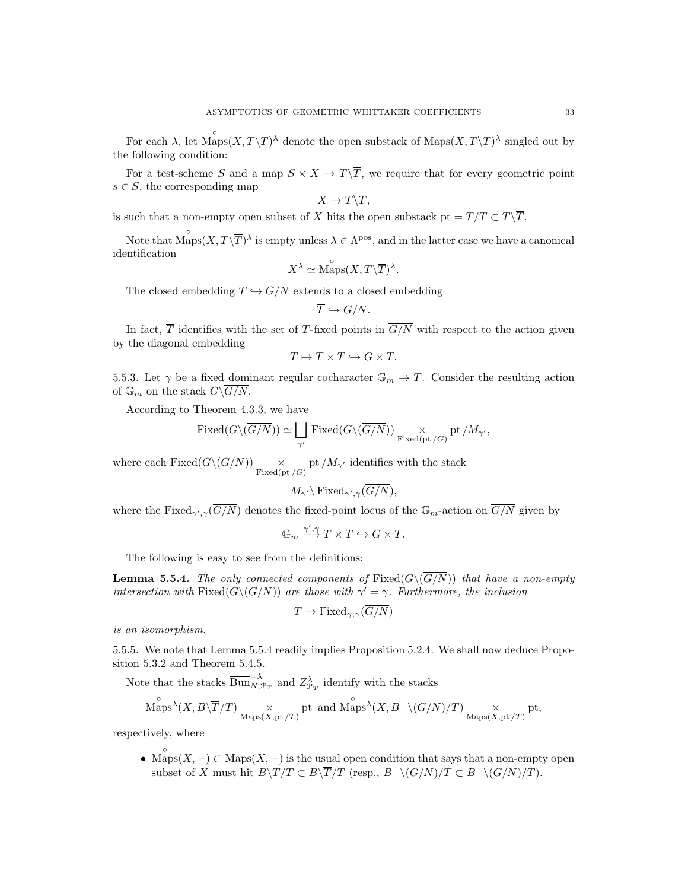For each  $\lambda$ , let  $\overset{\circ}{\text{Maps}}(X,T\backslash\overline{T})^{\lambda}$  denote the open substack of  $\text{Maps}(X,T\backslash\overline{T})^{\lambda}$  singled out by the following condition:

For a test-scheme S and a map  $S \times X \to T\backslash\overline{T}$ , we require that for every geometric point  $s \in S$ , the corresponding map

$$
X\to T\backslash\overline{T},
$$

is such that a non-empty open subset of  $X$  hits the open substack  $\mathrm{pt} = T/T \subset T\backslash \overline{T}.$ 

Note that  $\stackrel{\circ}{\text{Maps}}(X,T\backslash\overline{T})^{\lambda}$  is empty unless  $\lambda \in \Lambda^{pos}$ , and in the latter case we have a canonical identification

$$
X^{\lambda} \simeq \overset{\circ}{\text{Maps}}(X, T\backslash\overline{T})^{\lambda}.
$$

The closed embedding  $T \hookrightarrow G/N$  extends to a closed embedding

$$
\overline{T}\hookrightarrow \overline{G/N}.
$$

In fact,  $\overline{T}$  identifies with the set of T-fixed points in  $\overline{G/N}$  with respect to the action given by the diagonal embedding

$$
T \mapsto T \times T \hookrightarrow G \times T.
$$

5.5.3. Let  $\gamma$  be a fixed dominant regular cocharacter  $\mathbb{G}_m \to T$ . Consider the resulting action of  $\mathbb{G}_m$  on the stack  $G\backslash \overline{G/N}$ .

According to Theorem 4.3.3, we have

$$
\text{Fixed}(G\backslash(\overline{G/N}))\simeq\bigsqcup_{\gamma'}\text{Fixed}(G\backslash(\overline{G/N}))\underset{\text{Fixed(pt}/G)}{\times} \text{pt}/M_{\gamma'},
$$

where each Fixed( $G\setminus (G/N)$ )  $\times$  pt  $/M_{\gamma'}$  identifies with the stack

$$
M_{\gamma'}\backslash\operatorname{Fixed}_{\gamma',\gamma}(\overline{G/N}),
$$

where the Fixed<sub> $\gamma',\gamma(\overline{G/N})$ </sub> denotes the fixed-point locus of the  $\mathbb{G}_m$ -action on  $\overline{G/N}$  given by

$$
\mathbb{G}_m \xrightarrow{\gamma', \gamma} T \times T \hookrightarrow G \times T.
$$

The following is easy to see from the definitions:

**Lemma 5.5.4.** The only connected components of  $Fixed(G\setminus(\overline{G/N}))$  that have a non-empty intersection with Fixed( $G\setminus (G/N)$ ) are those with  $\gamma' = \gamma$ . Furthermore, the inclusion

$$
\overline{T} \to \text{Fixed}_{\gamma,\gamma}(\overline{G/N})
$$

is an isomorphism.

5.5.5. We note that Lemma 5.5.4 readily implies Proposition 5.2.4. We shall now deduce Proposition 5.3.2 and Theorem 5.4.5.

Note that the stacks  $\overline{\mathrm{Bun}}_{N,\mathcal{P}_T}^{-\lambda}$  and  $Z_{\mathcal{P}_T}^{\lambda}$  identify with the stacks

$$
\overset{\circ}{\mathrm{Maps}}^{\lambda}(X, B\backslash\overline{T}/T) \underset{\mathrm{Maps}(X, \mathrm{pt}/T)}{\times} \mathrm{pt} \ \text{ and } \overset{\circ}{\mathrm{Maps}}^{\lambda}(X, B^{-}\backslash(\overline{G/N})/T) \underset{\mathrm{Maps}(X, \mathrm{pt}/T)}{\times} \mathrm{pt},
$$

respectively, where

• Maps $(X, -) \subset \text{Maps}(X, -)$  is the usual open condition that says that a non-empty open subset of X must hit  $B\setminus T/T \subset B\setminus \overline{T}/T$  (resp.,  $B^{-}\setminus (G/N)/T \subset B^{-}\setminus (\overline{G/N})/T$ ).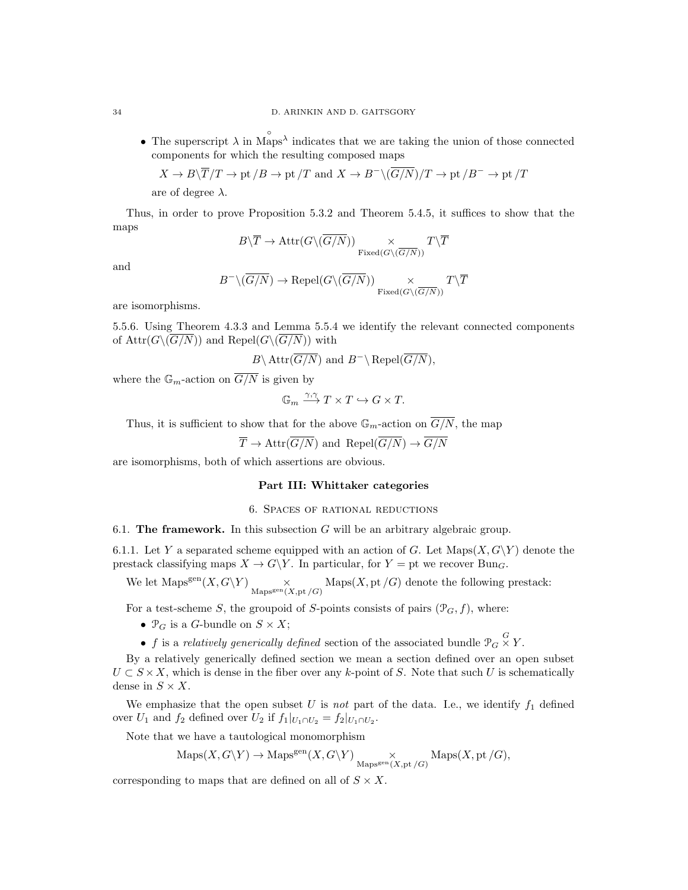• The superscript  $\lambda$  in Maps<sup> $\lambda$ </sup> indicates that we are taking the union of those connected components for which the resulting composed maps

$$
X \to B \setminus \overline{T}/T \to \text{pt } /B \to \text{pt } /T
$$
 and  $X \to B^{-} \setminus (\overline{G/N})/T \to \text{pt } /B^{-} \to \text{pt } /T$ 

are of degree  $\lambda$ .

Thus, in order to prove Proposition 5.3.2 and Theorem 5.4.5, it suffices to show that the maps

$$
B \backslash \overline{T} \rightarrow \mathrm{Attr}(G \backslash (\overline{G/N})) \underset{\mathrm{Fixed}(G \backslash (\overline{G/N}))}{\times} T \backslash \overline{T}
$$

and

$$
B^-\backslash(\overline{G/N})\to\mathrm{Repel}(G\backslash(\overline{G/N}))\underset{\mathrm{Fixed}(G\backslash(\overline{G/N}))}{\times}T\backslash\overline{T}
$$

are isomorphisms.

5.5.6. Using Theorem 4.3.3 and Lemma 5.5.4 we identify the relevant connected components of  $\text{Attr}(G\backslash(\overline{G/N}))$  and  $\text{Repel}(G\backslash(\overline{G/N}))$  with

$$
B \setminus \text{Attr}(\overline{G/N})
$$
 and  $B^{-} \setminus \text{Repel}(\overline{G/N}),$ 

where the  $\mathbb{G}_m$ -action on  $\overline{G/N}$  is given by

$$
\mathbb{G}_m \xrightarrow{\gamma,\gamma} T \times T \hookrightarrow G \times T.
$$

Thus, it is sufficient to show that for the above  $\mathbb{G}_m$ -action on  $\overline{G/N}$ , the map

$$
\overline{T} \to \text{Attr}(\overline{G/N})
$$
 and  $\text{Repel}(\overline{G/N}) \to \overline{G/N}$ 

are isomorphisms, both of which assertions are obvious.

#### Part III: Whittaker categories

# 6. Spaces of rational reductions

6.1. The framework. In this subsection  $G$  will be an arbitrary algebraic group.

6.1.1. Let Y a separated scheme equipped with an action of G. Let  $\text{Maps}(X, G\ Y)$  denote the prestack classifying maps  $X \to G\Y$ . In particular, for  $Y = pt$  we recover Bung.

We let  $\text{Maps}^{\text{gen}}(X, G\backslash Y) \underset{\text{Maps}^{\text{gen}}(X, \text{pt}/G)}{\times} \text{Maps}(X, \text{pt}/G)$  denote the following prestack:

For a test-scheme S, the groupoid of S-points consists of pairs  $(\mathcal{P}_G, f)$ , where:

- $\mathcal{P}_G$  is a G-bundle on  $S \times X$ ;
- f is a relatively generically defined section of the associated bundle  $\mathcal{P}_G \times Y$ .

By a relatively generically defined section we mean a section defined over an open subset  $U \subset S \times X$ , which is dense in the fiber over any k-point of S. Note that such U is schematically dense in  $S \times X$ .

We emphasize that the open subset  $U$  is not part of the data. I.e., we identify  $f_1$  defined over  $U_1$  and  $f_2$  defined over  $U_2$  if  $f_1|_{U_1 \cap U_2} = f_2|_{U_1 \cap U_2}$ .

Note that we have a tautological monomorphism

$$
\mathrm{Maps}(X, G\backslash Y)\to\mathrm{Maps}^\mathrm{gen}(X, G\backslash Y)\underset{\mathrm{Maps}^\mathrm{gen}(X, \mathrm{pt}\, /G)}{\times}\mathrm{Maps}(X, \mathrm{pt}\, /G),
$$

corresponding to maps that are defined on all of  $S \times X$ .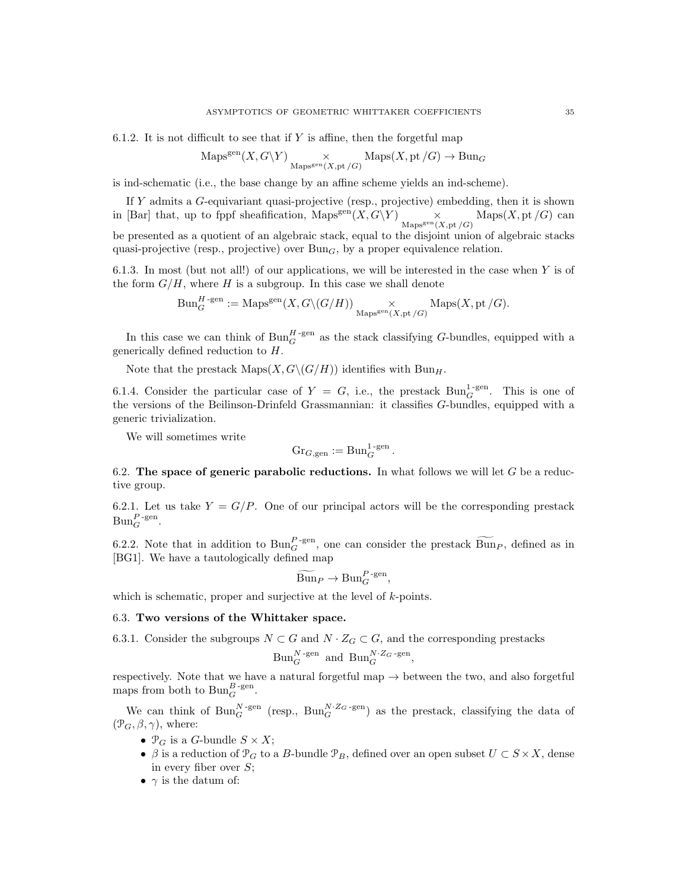6.1.2. It is not difficult to see that if  $Y$  is affine, then the forgetful map

$$
\mathrm{Maps}^{\mathrm{gen}}(X, G\backslash Y) \underset{\mathrm{Maps}^{\mathrm{gen}}(X, \mathrm{pt}/G)}{\times} \mathrm{Maps}(X, \mathrm{pt}/G) \to \mathrm{Bun}_G
$$

is ind-schematic (i.e., the base change by an affine scheme yields an ind-scheme).

If Y admits a G-equivariant quasi-projective (resp., projective) embedding, then it is shown in [Bar] that, up to fppf sheafification, Maps<sup>gen</sup> $(X, G\Y)$  $\underset{\text{Mapsgen}(X, \text{pt }/G)}{\times} \text{Maps}(X, \text{pt }/G)$  can be presented as a quotient of an algebraic stack, equal to the disjoint union of algebraic stacks quasi-projective (resp., projective) over  $Bun<sub>G</sub>$ , by a proper equivalence relation.

6.1.3. In most (but not all!) of our applications, we will be interested in the case when  $Y$  is of the form  $G/H$ , where H is a subgroup. In this case we shall denote

$$
\mathrm{Bun}_G^{H\text{-gen}}:=\mathrm{Maps}^{\mathrm{gen}}(X,G\backslash (G/H))\underset{\mathrm{Maps}^{\mathrm{gen}}(X,\mathrm{pt}/G)}{\times}\mathrm{Maps}(X,\mathrm{pt}/G).
$$

In this case we can think of  $Bun_G^{H\text{-gen}}$  as the stack classifying G-bundles, equipped with a generically defined reduction to H.

Note that the prestack  $\text{Maps}(X, G\backslash (G/H))$  identifies with  $\text{Bun}_H$ .

6.1.4. Consider the particular case of  $Y = G$ , i.e., the prestack  $Bun_G^{1-gen}$ . This is one of the versions of the Beilinson-Drinfeld Grassmannian: it classifies G-bundles, equipped with a generic trivialization.

We will sometimes write

$$
\mathrm{Gr}_{G,\mathrm{gen}}:=\mathrm{Bun}_G^{1\text{-gen}}.
$$

6.2. The space of generic parabolic reductions. In what follows we will let  $G$  be a reductive group.

6.2.1. Let us take  $Y = G/P$ . One of our principal actors will be the corresponding prestack  $\text{Bun}_G^{P\text{-gen}}$ .

6.2.2. Note that in addition to  $\text{Bun}_F^P$ -gen, one can consider the prestack  $\widetilde{\text{Bun}}_P$ , defined as in [BG1]. We have a tautologically defined map

$$
\widetilde{\mathrm{Bun}}_P \to \mathrm{Bun}_G^{P\text{-gen}},
$$

which is schematic, proper and surjective at the level of k-points.

#### 6.3. Two versions of the Whittaker space.

6.3.1. Consider the subgroups  $N \subset G$  and  $N \cdot Z_G \subset G$ , and the corresponding prestacks

$$
Bun_G^{N-gen} \text{ and } Bun_G^{N\cdot Z_G-gen},
$$

respectively. Note that we have a natural forgetful map  $\rightarrow$  between the two, and also forgetful maps from both to  $\text{Bun}_G^{B\text{-gen}}$ .

We can think of  $\text{Bun}_G^{N\text{-gen}}$  (resp.,  $\text{Bun}_G^{N\text{-}Z_G\text{-gen}}$ ) as the prestack, classifying the data of  $(\mathcal{P}_G, \beta, \gamma)$ , where:

- $\mathcal{P}_G$  is a G-bundle  $S \times X$ ;
- $\beta$  is a reduction of  $\mathcal{P}_G$  to a B-bundle  $\mathcal{P}_B$ , defined over an open subset  $U \subset S \times X$ , dense in every fiber over  $S$ ;
- $\gamma$  is the datum of: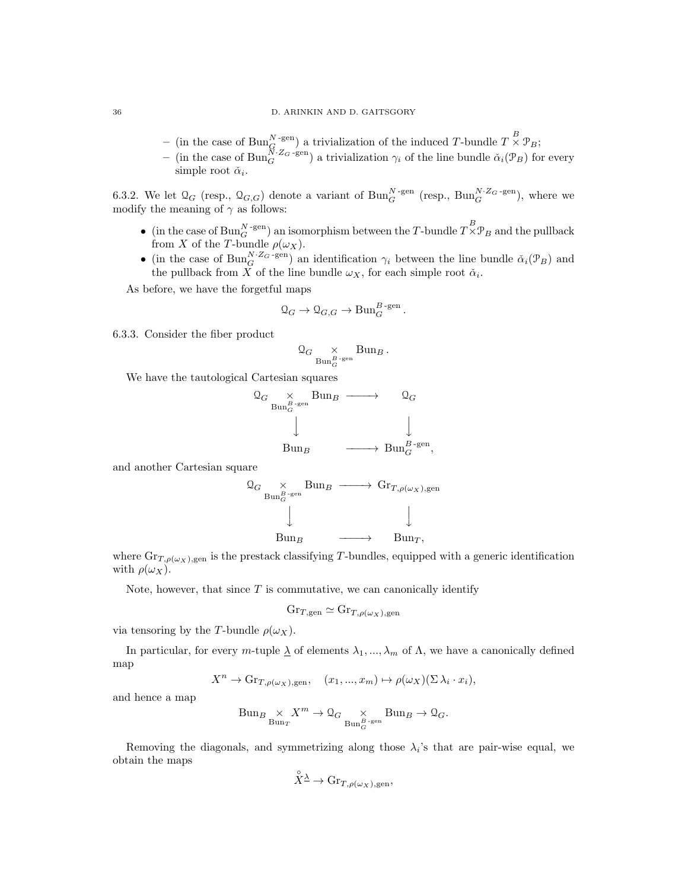- (in the case of  $\text{Bun}_G^{N-\text{gen}}$ ) a trivialization of the induced T-bundle  $T \times \mathcal{P}_B$ ;
- (in the case of  $\text{Bun}_G^{N\cdot Z_G\text{-gen}}$ ) a trivialization  $\gamma_i$  of the line bundle  $\check{\alpha}_i(\mathcal{P}_B)$  for every simple root  $\check{\alpha}_i$ .

6.3.2. We let  $\mathcal{Q}_G$  (resp.,  $\mathcal{Q}_{G,G}$ ) denote a variant of  $\text{Bun}_G^{N-\text{gen}}$  (resp.,  $\text{Bun}_G^{N\cdot Z_G-\text{gen}}$ ), where we modify the meaning of  $\gamma$  as follows:

- (in the case of  $Bun_G^{N-gen}$ ) an isomorphism between the T-bundle  $T \times \mathcal{P}_B$  and the pullback from X of the T-bundle  $\rho(\omega_X)$ .
- (in the case of  $\text{Bun}_G^{N\cdot Z_G\text{-gen}}$ ) an identification  $\gamma_i$  between the line bundle  $\check{\alpha}_i(\mathcal{P}_B)$  and the pullback from X of the line bundle  $\omega_X$ , for each simple root  $\check{\alpha}_i$ .

As before, we have the forgetful maps

$$
\mathcal{Q}_G \to \mathcal{Q}_{G,G} \to \text{Bun}_G^{B\text{-gen}}.
$$

6.3.3. Consider the fiber product

$$
\mathcal{Q}_G \underset{\mathrm{Bun}_G^{B\text{-}\mathrm{gen}}} \times \mathrm{Bun}_B \, .
$$

We have the tautological Cartesian squares

$$
\begin{array}{ccc}\n\mathcal{Q}_{G} & \times & \text{Bun}_{B} \longrightarrow & \mathcal{Q}_{G} \\
& \downarrow & & \downarrow \\
& \downarrow & & \downarrow \\
& \text{Bun}_{B} & \longrightarrow & \text{Bun}_{G}^{B-\text{gen}},\n\end{array}
$$

and another Cartesian square



where  $\text{Gr}_{T,\rho(\omega_X),\text{gen}}$  is the prestack classifying T-bundles, equipped with a generic identification with  $\rho(\omega_X)$ .

Note, however, that since  $T$  is commutative, we can canonically identify

$$
\mathrm{Gr}_{T, \mathrm{gen}} \simeq \mathrm{Gr}_{T, \rho(\omega_X), \mathrm{gen}}
$$

via tensoring by the T-bundle  $\rho(\omega_X)$ .

In particular, for every m-tuple  $\Delta$  of elements  $\lambda_1, ..., \lambda_m$  of  $\Lambda$ , we have a canonically defined map

$$
X^{n} \to \mathrm{Gr}_{T,\rho(\omega_{X}),\mathrm{gen}}, \quad (x_{1},...,x_{m}) \mapsto \rho(\omega_{X})(\Sigma \lambda_{i} \cdot x_{i}),
$$

and hence a map

$$
\text{Bun}_{B} \underset{\text{Bun}_{T}}{\times} X^{m} \to \mathcal{Q}_{G} \underset{\text{Bun}_{G}^{B-\text{gen}}}{\times} \text{Bun}_{B} \to \mathcal{Q}_{G}.
$$

Removing the diagonals, and symmetrizing along those  $\lambda_i$ 's that are pair-wise equal, we obtain the maps

$$
\overset{\circ}{X}^{\underline{\lambda}} \to \mathrm{Gr}_{T,\rho(\omega_X), \mathrm{gen}},
$$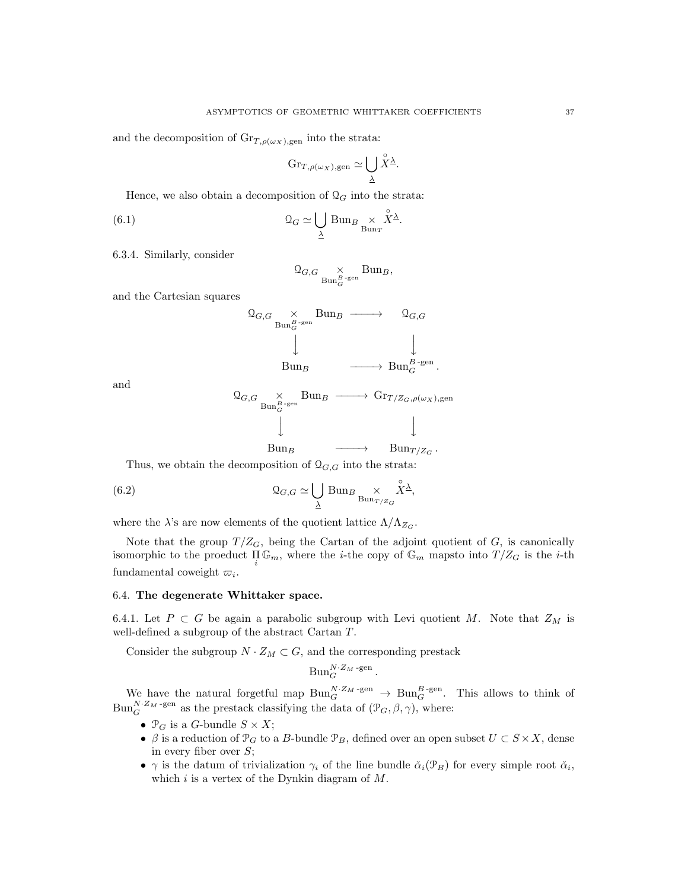and the decomposition of  $\text{Gr}_{T,\rho(\omega_X),\text{gen}}$  into the strata:

$$
\mathrm{Gr}_{T,\rho(\omega_X),\mathrm{gen}}\simeq\bigcup_{\underline{\lambda}}\overset{\circ}{X}{}^{\underline{\lambda}}.
$$

Hence, we also obtain a decomposition of  $\mathcal{Q}_G$  into the strata:

(6.1) 
$$
\mathcal{Q}_G \simeq \bigcup_{\underline{\lambda}} \text{Bun}_B \underset{\text{Bun}_T}{\times} \overset{\circ}{X}^{\underline{\lambda}}.
$$

6.3.4. Similarly, consider

$$
\mathcal{Q}_{G,G} \underset{\text{Bun}_G^{B-\text{gen}}} \times \text{Bun}_B,
$$

and the Cartesian squares

$$
\begin{array}{ccc}\n\mathfrak{Q}_{G,G} & \times & \text{Bun}_B \longrightarrow & \mathfrak{Q}_{G,G} \\
& \downarrow & & \downarrow \\
& \downarrow & & \downarrow \\
& \text{Bun}_B & \longrightarrow & \text{Bun}_G^{B-\text{gen}}.\n\end{array}
$$

and

$$
\begin{array}{ccc}\n\mathfrak{Q}_{G,G} & \times & \text{Bun}_B \longrightarrow & \text{Gr}_{T/Z_G,\rho(\omega_X),\text{gen}} \\
 & \downarrow & & \downarrow \\
 & \text{Bun}_B & \longrightarrow & \text{Bun}_{T/Z_G} \,.\n\end{array}
$$

Thus, we obtain the decomposition of  $\mathcal{Q}_{G,G}$  into the strata:

(6.2) 
$$
\mathcal{Q}_{G,G} \simeq \bigcup_{\underline{\lambda}} \text{Bun}_{B} \underset{\text{Bun}_{T/Z_G}}{\times} \hat{X}^{\underline{\lambda}},
$$

where the  $\lambda$ 's are now elements of the quotient lattice  $\Lambda/\Lambda_{Z_G}$ .

Note that the group  $T/Z_G$ , being the Cartan of the adjoint quotient of G, is canonically isomorphic to the proeduct  $\prod_i \mathbb{G}_m$ , where the *i*-the copy of  $\mathbb{G}_m$  mapsto into  $T/Z_G$  is the *i*-th fundamental coweight  $\varpi_i$ .

#### 6.4. The degenerate Whittaker space.

6.4.1. Let  $P \subset G$  be again a parabolic subgroup with Levi quotient M. Note that  $Z_M$  is well-defined a subgroup of the abstract Cartan T.

Consider the subgroup  $N \cdot Z_M \subset G$ , and the corresponding prestack

$$
\mathrm{Bun}_G^{N\cdot Z_M\,\text{-gen}}\,.
$$

We have the natural forgetful map  $\text{Bun}_G^{N\cdot Z_M\text{-gen}} \to \text{Bun}_G^{B\text{-gen}}$ . This allows to think of  $\text{Bun}_{G}^{N\cdot Z_M\text{-gen}}$  as the prestack classifying the data of  $(\mathcal{P}_G, \beta, \gamma)$ , where:

- $\mathcal{P}_G$  is a G-bundle  $S \times X$ ;
- $\beta$  is a reduction of  $\mathcal{P}_G$  to a B-bundle  $\mathcal{P}_B$ , defined over an open subset  $U \subset S \times X$ , dense in every fiber over  $S$ ;
- $\gamma$  is the datum of trivialization  $\gamma_i$  of the line bundle  $\tilde{\alpha}_i(\mathcal{P}_B)$  for every simple root  $\tilde{\alpha}_i$ , which  $i$  is a vertex of the Dynkin diagram of  $M$ .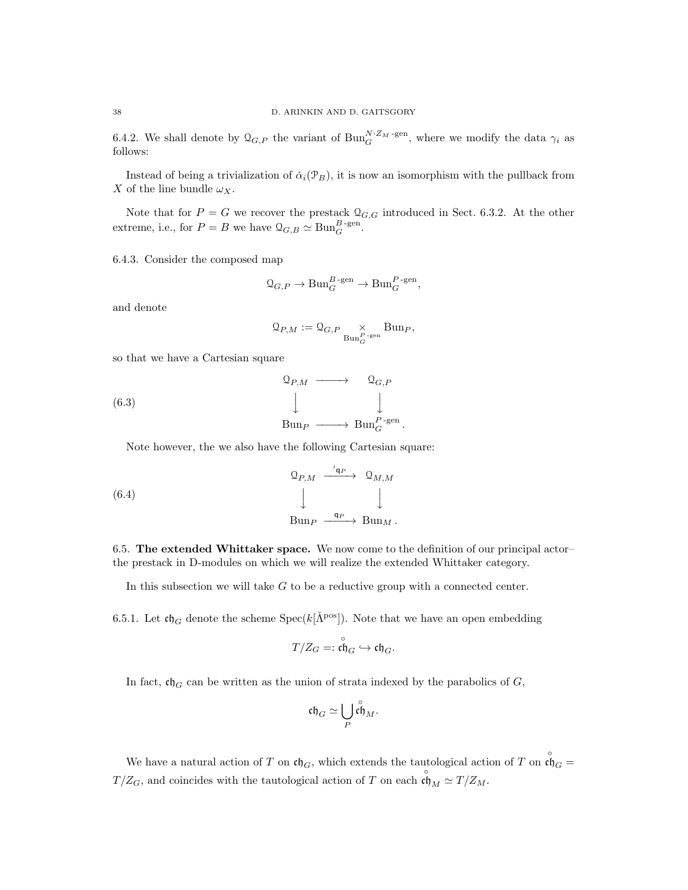6.4.2. We shall denote by  $\mathcal{Q}_{G,P}$  the variant of  $\text{Bun}_G^{N\cdot Z_M\text{-gen}}$ , where we modify the data  $\gamma_i$  as follows:

Instead of being a trivialization of  $\check{\alpha}_i(\mathcal{P}_B)$ , it is now an isomorphism with the pullback from X of the line bundle  $\omega_X$ .

Note that for  $P = G$  we recover the prestack  $\mathcal{Q}_{G,G}$  introduced in Sect. 6.3.2. At the other extreme, i.e., for  $P = B$  we have  $\mathcal{Q}_{G,B} \simeq \text{Bun}_G^{B\text{-gen}}$ .

6.4.3. Consider the composed map

$$
\mathfrak{Q}_{G,P} \to \mathrm{Bun}_G^{B\text{-gen}} \to \mathrm{Bun}_G^{P\text{-gen}},
$$

and denote

$$
\mathcal{Q}_{P,M} := \mathcal{Q}_{G,P} \underset{\text{Bun}_G^{P-\text{gen}}} \times \text{Bun}_P,
$$

so that we have a Cartesian square

(6.3) 
$$
\begin{array}{cccc}\n\mathbb{Q}_{P,M} & \longrightarrow & \mathbb{Q}_{G,P} \\
& \downarrow & & \downarrow \\
& \text{Bun}_P & \longrightarrow & \text{Bun}_G^{P-\text{gen}}.\n\end{array}
$$

Note however, the we also have the following Cartesian square:

(6.4) 
$$
\begin{array}{ccccc}\n & \mathcal{Q}_{P,M} & \xrightarrow{\cdot' \mathfrak{q}_P} & \mathcal{Q}_{M,M} \\
 & \downarrow & & \downarrow \\
 & \mathcal{B}\text{un}_P & \xrightarrow{\mathfrak{q}_P} & \mathcal{B}\text{un}_M.\n\end{array}
$$

6.5. The extended Whittaker space. We now come to the definition of our principal actor– the prestack in D-modules on which we will realize the extended Whittaker category.

In this subsection we will take G to be a reductive group with a connected center.

6.5.1. Let  $\mathfrak{ch}_G$  denote the scheme Spec( $k[\check{\Lambda}^{\text{pos}}]$ ). Note that we have an open embedding

$$
T/Z_G =: \overset{\circ}{\mathfrak{ch}}_G \hookrightarrow \mathfrak{ch}_G.
$$

In fact,  $\mathfrak{ch}_G$  can be written as the union of strata indexed by the parabolics of G,

$$
\mathfrak{ch}_G\simeq \bigcup_P \overset{\circ}{\mathfrak{ch}}_M.
$$

We have a natural action of T on  $\mathfrak{ch}_G$ , which extends the tautological action of T on  $\mathfrak{ch}_G =$  $T/Z_G$ , and coincides with the tautological action of T on each  $\mathfrak{c}_{M}$ <sup>o</sup>  $\simeq T/Z_M$ .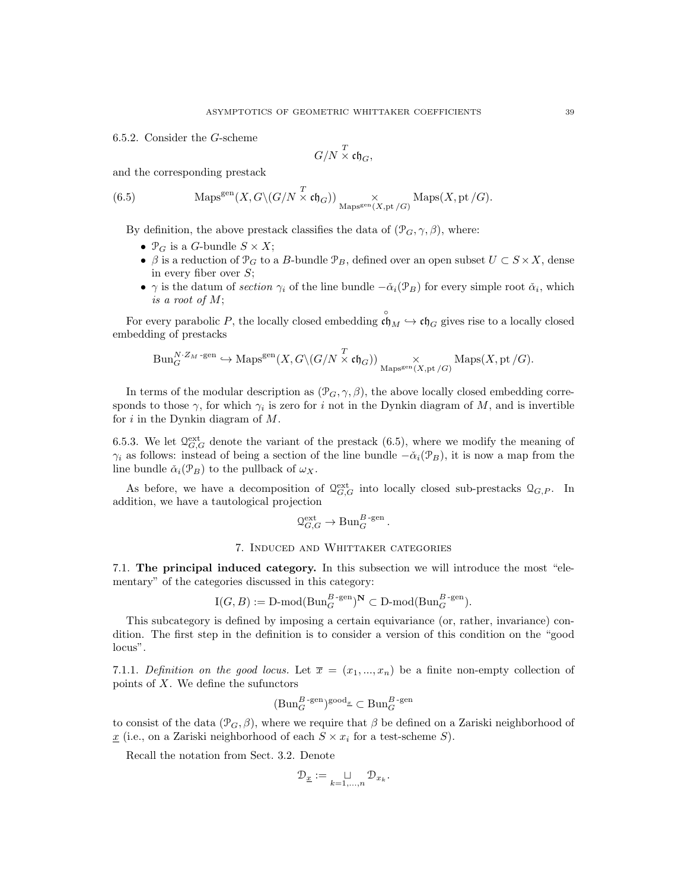6.5.2. Consider the G-scheme

$$
G/N \stackrel{T}{\times} \mathfrak{ch}_G,
$$

and the corresponding prestack

(6.5) 
$$
\operatorname{Maps}^{\text{gen}}(X, G\backslash (G/N \times \mathfrak{ch}_G)) \underset{\text{Maps}^{\text{gen}}(X, \text{pt}/G)}{\times} \operatorname{Maps}(X, \text{pt}/G).
$$

By definition, the above prestack classifies the data of  $(\mathcal{P}_G, \gamma, \beta)$ , where:

- $\mathcal{P}_G$  is a G-bundle  $S \times X$ ;
- $\beta$  is a reduction of  $\mathcal{P}_G$  to a B-bundle  $\mathcal{P}_B$ , defined over an open subset  $U \subset S \times X$ , dense in every fiber over  $S$ ;
- $\gamma$  is the datum of section  $\gamma_i$  of the line bundle  $-\check{\alpha}_i(\mathcal{P}_B)$  for every simple root  $\check{\alpha}_i$ , which is a root of M;

For every parabolic P, the locally closed embedding  $\mathfrak{c} \overset{\circ}{\mathfrak{h}}_M \hookrightarrow \mathfrak{ch}_G$  gives rise to a locally closed embedding of prestacks

$$
\mathrm{Bun}_G^{N\cdot Z_M\text{-gen}}\hookrightarrow\mathrm{Maps}^{\mathrm{gen}}(X,G\backslash(G/N\overset{T}{\times}\mathfrak{ch}_G))\underset{\mathrm{Maps}^{\mathrm{gen}}(X,\mathrm{pt}/G)}{\times}\mathrm{Maps}(X,\mathrm{pt}/G).
$$

In terms of the modular description as  $(\mathcal{P}_G, \gamma, \beta)$ , the above locally closed embedding corresponds to those  $\gamma$ , for which  $\gamma_i$  is zero for i not in the Dynkin diagram of M, and is invertible for  $i$  in the Dynkin diagram of  $M$ .

6.5.3. We let  $\mathcal{Q}_{G,G}^{\text{ext}}$  denote the variant of the prestack (6.5), where we modify the meaning of  $\gamma_i$  as follows: instead of being a section of the line bundle  $-\check{\alpha}_i(\mathcal{P}_B)$ , it is now a map from the line bundle  $\check{\alpha}_i(\mathcal{P}_B)$  to the pullback of  $\omega_X$ .

As before, we have a decomposition of  $\mathcal{Q}_{G,G}^{\text{ext}}$  into locally closed sub-prestacks  $\mathcal{Q}_{G,P}$ . In addition, we have a tautological projection

$$
\mathcal{Q}_{G,G}^{\text{ext}} \to \text{Bun}_{G}^{B\text{-gen}}.
$$

## 7. Induced and Whittaker categories

7.1. The principal induced category. In this subsection we will introduce the most "elementary" of the categories discussed in this category:

$$
\mathrm{I}(G, B) := \mathrm{D\text{-}mod}(\mathrm{Bun}_G^{B\text{-}\mathrm{gen}})^{\mathbf{N}} \subset \mathrm{D\text{-}mod}(\mathrm{Bun}_G^{B\text{-}\mathrm{gen}}).
$$

This subcategory is defined by imposing a certain equivariance (or, rather, invariance) condition. The first step in the definition is to consider a version of this condition on the "good locus".

7.1.1. Definition on the good locus. Let  $\bar{x} = (x_1, ..., x_n)$  be a finite non-empty collection of points of  $X$ . We define the sufunctors

$$
(\mathrm{Bun}_G^{B\text{-gen}})^{\mathrm{good}_x} \subset \mathrm{Bun}_G^{B\text{-gen}}
$$

to consist of the data  $(\mathcal{P}_G, \beta)$ , where we require that  $\beta$  be defined on a Zariski neighborhood of  $\underline{x}$  (i.e., on a Zariski neighborhood of each  $S \times x_i$  for a test-scheme S).

Recall the notation from Sect. 3.2. Denote

$$
\mathcal{D}_{\underline{x}} := \underset{k=1,\ldots,n}{\sqcup} \mathcal{D}_{x_k}.
$$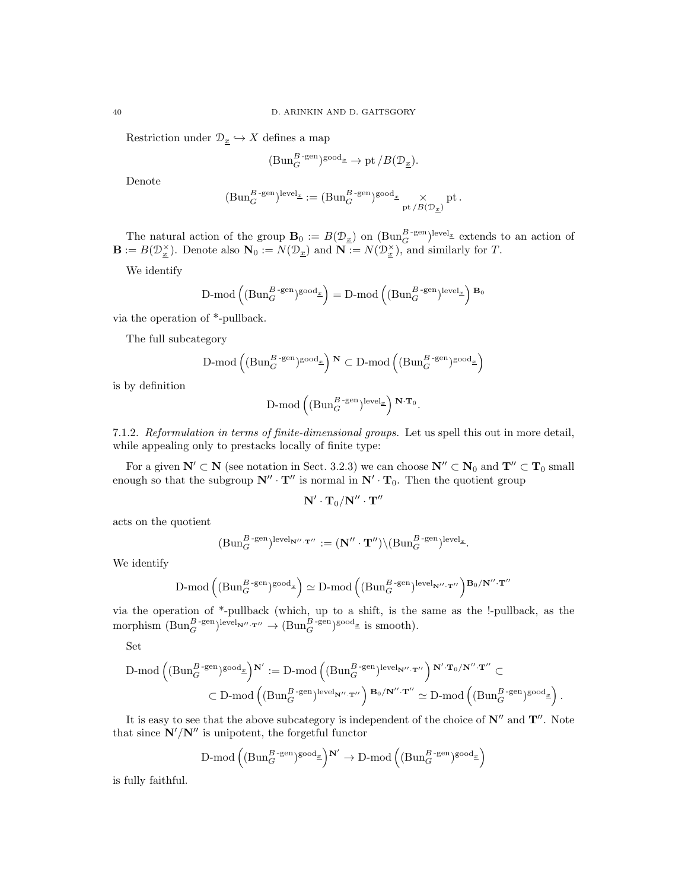Restriction under  $\mathcal{D}_{\underline{x}} \hookrightarrow X$  defines a map

$$
(\mathrm{Bun}_G^{B\operatorname{-gen}})^{\mathrm{good}_{\underline{x}}}\to \mathrm{pt}\, / B(\mathcal{D}_{\underline{x}}).
$$

Denote

$$
(\mathrm{Bun}_G^{B\operatorname{-gen}})^{\mathrm{level}_\underline{x}} := (\mathrm{Bun}_G^{B\operatorname{-gen}})^{\mathrm{good}_\underline{x}} \underset{\mathrm{pt}\, / B(\mathcal{D}_\underline{x})}{\times} \mathrm{pt} \, .
$$

The natural action of the group  $\mathbf{B}_0 := B(\mathcal{D}_{\underline{x}})$  on  $(\text{Bun}_G^{B-\text{gen}})^{\text{level}_{\underline{x}}}$  extends to an action of  $\mathbf{B} := B(\mathcal{D}_{\underline{x}}^{\times})$ . Denote also  $\mathbf{N}_0 := N(\mathcal{D}_{\underline{x}})$  and  $\mathbf{N} := N(\mathcal{D}_{\underline{x}}^{\times})$ , and similarly for T.

We identify

$$
\text{D-mod}\left((\text{Bun}_G^{B\text{-}\mathrm{gen}})^{\text{good}_x}\right)=\text{D-mod}\left((\text{Bun}_G^{B\text{-}\mathrm{gen}})^{\text{level}_x}\right){}^{\mathbf{B_0}}
$$

via the operation of \*-pullback.

The full subcategory

$$
\text{D-mod}\left((\text{Bun}_G^{B\text{-}\mathrm{gen}})^{\text{good}_x}\right)^\mathbf{N}\subset \text{D-mod}\left((\text{Bun}_G^{B\text{-}\mathrm{gen}})^{\text{good}_x}\right)
$$

is by definition

$$
\text{D-mod}\left((\text{Bun}_G^{B\text{-gen}})^{\text{level}_x}\right)^{\mathbf{N}\cdot\mathbf{T}_0}.
$$

7.1.2. Reformulation in terms of finite-dimensional groups. Let us spell this out in more detail, while appealing only to prestacks locally of finite type:

For a given  $N' \subset N$  (see notation in Sect. 3.2.3) we can choose  $N'' \subset N_0$  and  $T'' \subset T_0$  small enough so that the subgroup  $N'' \cdot T''$  is normal in  $N' \cdot T_0$ . Then the quotient group

$$
\mathbf{N}' \cdot \mathbf{T}_0/\mathbf{N}'' \cdot \mathbf{T}''
$$

acts on the quotient

$$
(\mathrm{Bun}_G^{B\text{-gen}})^{\mathrm{level}_{\mathbf{N}''\cdot\mathbf{T}''}}:= (\mathbf{N}''\cdot\mathbf{T}'')\backslash(\mathrm{Bun}_G^{B\text{-gen}})^{\mathrm{level}_x}.
$$

We identify

$$
\text{D-mod}\left((\text{Bun}_G^{B\text{-gen}})^{\text{good}_x}\right) \simeq \text{D-mod}\left((\text{Bun}_G^{B\text{-gen}})^{\text{level}_{\mathbf{N''\cdot T''}}}\right)^{\mathbf{B}_0/\mathbf{N''\cdot T''}}
$$

via the operation of \*-pullback (which, up to a shift, is the same as the !-pullback, as the morphism  $(\text{Bun}_G^{B\text{-gen}})$ <sup>level</sup><sub>N''</sub> $\cdot$ <sup>T'</sup> $\rightarrow$   $(\text{Bun}_G^{B\text{-gen}})$ <sup>good<sub>*x*</sub></sub> is smooth).</sup>

Set

$$
\begin{aligned} D\text{-mod}\left( (\text{Bun}_G^{B\text{-gen}})^{\text{good}_\underline{x}}\right)^{\textbf{N}'} := D\text{-mod}\left( (\text{Bun}_G^{B\text{-gen}})^{\text{level}_{\textbf{N}''\cdot\textbf{T}''}}\right)^{\textbf{N}'\cdot\textbf{T}_0/\textbf{N}''\cdot\textbf{T}''} \subset \\ \subset D\text{-mod}\left( (\text{Bun}_G^{B\text{-gen}})^{\text{level}_{\textbf{N}''\cdot\textbf{T}''}}\right)^{\textbf{B}_0/\textbf{N}''\cdot\textbf{T}''} \simeq D\text{-mod}\left( (\text{Bun}_G^{B\text{-gen}})^{\text{good}_\underline{x}}\right). \end{aligned}
$$

It is easy to see that the above subcategory is independent of the choice of  $\mathbb{N}''$  and  $\mathbb{T}''$ . Note that since  $N'/N''$  is unipotent, the forgetful functor

$$
\text{D-mod}\left((\text{Bun}_G^{B\text{-}\mathrm{gen}})^{\text{good}_x}\right)^{\textbf{N}'} \to \text{D-mod}\left((\text{Bun}_G^{B\text{-}\mathrm{gen}})^{\text{good}_x}\right)
$$

is fully faithful.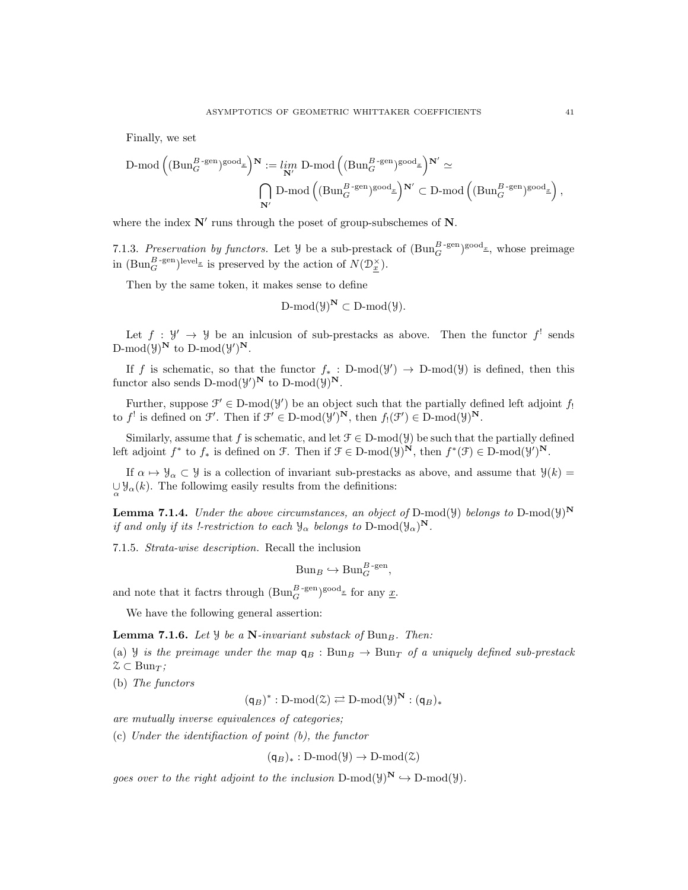Finally, we set

$$
\begin{aligned} \text{D-mod}\left((\text{Bun}_G^{B\text{-}\mathrm{gen}})^{\text{good}_\underline{x}}\right)^{\textbf{N}}&:=\lim_{\textbf{N}^\prime}\text{D-mod}\left((\text{Bun}_G^{B\text{-}\mathrm{gen}})^{\text{good}_\underline{x}}\right)^{\textbf{N}^\prime}\simeq\\ &\bigcap_{\textbf{N}^\prime}\text{D-mod}\left((\text{Bun}_G^{B\text{-}\mathrm{gen}})^{\text{good}_\underline{x}}\right)^{\textbf{N}^\prime}\subset \text{D-mod}\left((\text{Bun}_G^{B\text{-}\mathrm{gen}})^{\text{good}_\underline{x}}\right), \end{aligned}
$$

where the index  $N'$  runs through the poset of group-subschemes of  $N$ .

7.1.3. Preservation by functors. Let  $\mathcal{Y}$  be a sub-prestack of  $(\text{Bun}_G^{B\text{-gen}})^{\text{good}_x}$ , whose preimage in  $(\text{Bun}_G^{B\text{-gen}})^{\text{level}_{\underline{x}}}$  is preserved by the action of  $N(\mathcal{D}_{\underline{x}}^{\times})$ .

Then by the same token, it makes sense to define

$$
\operatorname{D-mod}(\mathcal{Y})^{\mathbf{N}}\subset \operatorname{D-mod}(\mathcal{Y}).
$$

Let  $f : \mathcal{Y}' \to \mathcal{Y}$  be an inclusion of sub-prestacks as above. Then the functor  $f'$  sends  $\text{D-mod}(\mathcal{Y})^{\mathbf{N}}$  to  $\text{D-mod}(\mathcal{Y}')^{\mathbf{N}}$ .

If f is schematic, so that the functor  $f_* : D-mod(y') \to D-mod(y)$  is defined, then this functor also sends  $D\text{-mod}(\mathcal{Y})^N$  to  $D\text{-mod}(\mathcal{Y})^N$ .

Further, suppose  $\mathcal{F}' \in \mathcal{D}\text{-mod}(\mathcal{Y}')$  be an object such that the partially defined left adjoint  $f_!$ to  $f^!$  is defined on  $\mathcal{F}'$ . Then if  $\mathcal{F}' \in D\text{-mod}(\mathcal{Y}')^N$ , then  $f_!(\mathcal{F}') \in D\text{-mod}(\mathcal{Y})^N$ .

Similarly, assume that f is schematic, and let  $\mathcal{F} \in \mathcal{D}\text{-mod}(\mathcal{Y})$  be such that the partially defined left adjoint  $f^*$  to  $f_*$  is defined on  $\mathcal{F}$ . Then if  $\mathcal{F} \in \mathcal{D}\text{-mod}(\mathcal{Y})^N$ , then  $f^*(\mathcal{F}) \in \mathcal{D}\text{-mod}(\mathcal{Y})^N$ .

If  $\alpha \mapsto \mathcal{Y}_\alpha \subset \mathcal{Y}$  is a collection of invariant sub-prestacks as above, and assume that  $\mathcal{Y}(k) =$  $\bigcup_{\alpha} \mathcal{Y}_{\alpha}(k)$ . The following easily results from the definitions:

**Lemma 7.1.4.** Under the above circumstances, an object of D-mod( $\mathcal{Y}$ ) belongs to D-mod( $\mathcal{Y}$ )<sup>N</sup> if and only if its !-restriction to each  $\mathcal{Y}_{\alpha}$  belongs to  $D\text{-mod}(\mathcal{Y}_{\alpha})^{\mathbf{N}}$ .

7.1.5. Strata-wise description. Recall the inclusion

$$
Bun_B \hookrightarrow Bun_G^{B\text{-gen}},
$$

and note that it factrs through  $(\text{Bun}_G^{B\text{-gen}})^{\text{good}_x}$  for any  $\underline{x}$ .

We have the following general assertion:

**Lemma 7.1.6.** Let  $\mathcal{Y}$  be a N-invariant substack of Bun<sub>B</sub>. Then:

(a) Y is the preimage under the map  $q_B : Bun_B \to Bun_T$  of a uniquely defined sub-prestack  $\mathcal{Z} \subset \text{Bun}_{\mathcal{T}}$ ;

(b) The functors

 $(\mathsf{q}_B)^* : D\text{-mod}(\mathcal{Z}) \rightleftarrows D\text{-mod}(\mathcal{Y})^{\mathbf{N}} : (\mathsf{q}_B)_*$ 

are mutually inverse equivalences of categories;

(c) Under the identifiaction of point (b), the functor

$$
(\mathsf{q}_B)_*: D\text{-mod}(\mathcal{Y}) \to D\text{-mod}(\mathcal{Z})
$$

goes over to the right adjoint to the inclusion  $D\text{-mod}(\mathcal{Y})^N \hookrightarrow D\text{-mod}(\mathcal{Y})$ .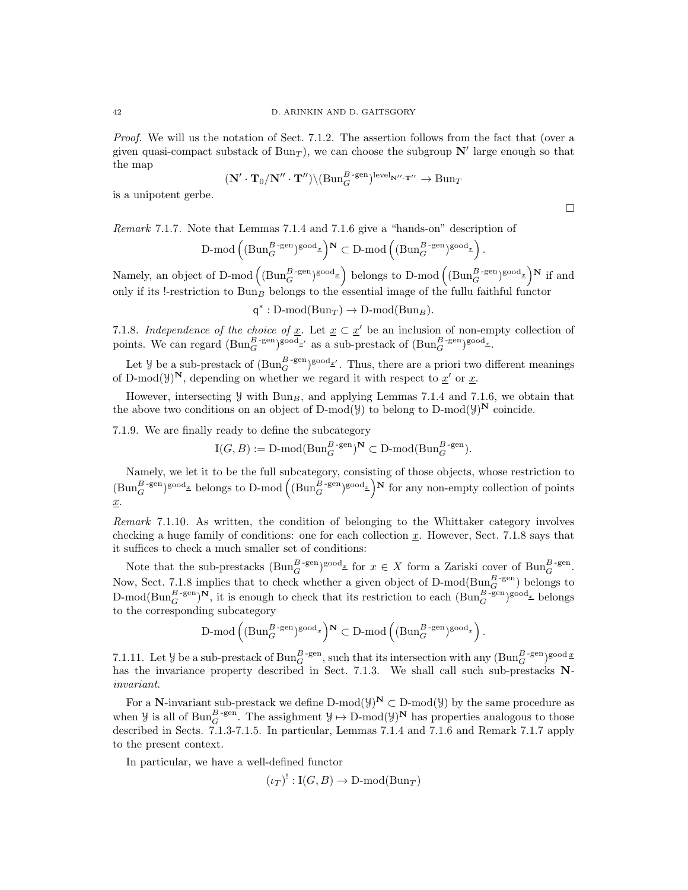Proof. We will us the notation of Sect. 7.1.2. The assertion follows from the fact that (over a given quasi-compact substack of  $Bun<sub>T</sub>$ ), we can choose the subgroup  $N'$  large enough so that the map

$$
(\mathbf{N}' \cdot \mathbf{T}_0/\mathbf{N}'' \cdot \mathbf{T}'') \setminus (\mathrm{Bun}_G^{B\text{-gen}})^{\mathrm{level}_{\mathbf{N}'' \cdot \mathbf{T}''}} \to \mathrm{Bun}_T
$$

is a unipotent gerbe.

Remark 7.1.7. Note that Lemmas 7.1.4 and 7.1.6 give a "hands-on" description of

$$
\text{D-mod}\left((\text{Bun}_G^{B\text{-}\mathrm{gen}})^{\text{good}_x}\right)^\mathbf{N}\subset \text{D-mod}\left((\text{Bun}_G^{B\text{-}\mathrm{gen}})^{\text{good}_x}\right)
$$

Namely, an object of D-mod  $((Bun_{G}^{B-\text{gen}})^{\text{good}_{\underline{x}}})$  belongs to D-mod  $((Bun_{G}^{B-\text{gen}})^{\text{good}_{\underline{x}}})^{\mathbf{N}}$  if and only if its !-restriction to  $Bun_B$  belongs to the essential image of the fullu faithful functor

$$
q^*: D\text{-mod}(Bun_T) \to D\text{-mod}(Bun_B).
$$

7.1.8. Independence of the choice of  $\underline{x}$ . Let  $\underline{x} \subset \underline{x}'$  be an inclusion of non-empty collection of points. We can regard  $(\text{Bun}_G^{B\text{-gen}})^{\text{good}_{\underline{x}'}}$  as a sub-prestack of  $(\text{Bun}_G^{B\text{-gen}})^{\text{good}_{\underline{x}}}$ .

Let *y* be a sub-prestack of  $(\text{Bun}_G^{B\text{-gen}})^{\text{good}_{\underline{x}'}}$ . Thus, there are a priori two different meanings of D-mod( $\mathcal{Y}^N$ , depending on whether we regard it with respect to  $\underline{x}'$  or  $\underline{x}$ .

However, intersecting  $\mathcal{Y}$  with Bun<sub>B</sub>, and applying Lemmas 7.1.4 and 7.1.6, we obtain that the above two conditions on an object of D-mod( $\mathcal{Y}$ ) to belong to D-mod( $\mathcal{Y}$ )<sup>N</sup> coincide.

7.1.9. We are finally ready to define the subcategory

$$
I(G, B) := \text{D-mod}(\text{Bun}_{G}^{B\text{-gen}})^{\mathbf{N}} \subset \text{D-mod}(\text{Bun}_{G}^{B\text{-gen}}).
$$

Namely, we let it to be the full subcategory, consisting of those objects, whose restriction to  $(\text{Bun}_G^{B\text{-gen}})^{\text{good}_x}$  belongs to D-mod  $((\text{Bun}_G^{B\text{-gen}})^{\text{good}_x})^N$  for any non-empty collection of points x.

Remark 7.1.10. As written, the condition of belonging to the Whittaker category involves checking a huge family of conditions: one for each collection  $x$ . However, Sect. 7.1.8 says that it suffices to check a much smaller set of conditions:

Note that the sub-prestacks  $(\text{Bun}_G^{B\text{-gen}})^{\text{good}_x}$  for  $x \in X$  form a Zariski cover of  $\text{Bun}_G^{B\text{-gen}}$ . Now, Sect. 7.1.8 implies that to check whether a given object of D-mod( $\text{Bun}_G^{B\text{-gen}}$ ) belongs to D-mod( $\text{Bun}_G^{B\text{-gen}}$ )<sup>N</sup>, it is enough to check that its restriction to each  $(\text{Bun}_G^{B\text{-gen}})^\text{good_x}$  belongs to the corresponding subcategory

$$
\text{D-mod}\left((\text{Bun}_G^{B\text{-}\mathrm{gen}})^{\text{good}_x}\right)^\mathbf{N}\subset \text{D-mod}\left((\text{Bun}_G^{B\text{-}\mathrm{gen}})^{\text{good}_x}\right)
$$

7.1.11. Let *Y* be a sub-prestack of  $Bun_G^{B-\text{gen}}$ , such that its intersection with any  $(Bun_G^{B-\text{gen}})$ <sup>good</sup>  $\underline{x}$ has the invariance property described in Sect. 7.1.3. We shall call such sub-prestacks Ninvariant.

For a N-invariant sub-prestack we define D-mod $(y)^{\mathbf{N}} \subset D\text{-mod}(y)$  by the same procedure as when  $\mathcal{Y}$  is all of  $Bun_G^{B\text{-gen}}$ . The assighment  $\mathcal{Y} \mapsto D\text{-mod}(\mathcal{Y})^N$  has properties analogous to those described in Sects. 7.1.3-7.1.5. In particular, Lemmas 7.1.4 and 7.1.6 and Remark 7.1.7 apply to the present context.

In particular, we have a well-defined functor

$$
(\iota_T)^!: \mathrm{I}(G, B) \to \mathrm{D}\text{-mod}(\mathrm{Bun}_T)
$$

 $\Box$ 

.

.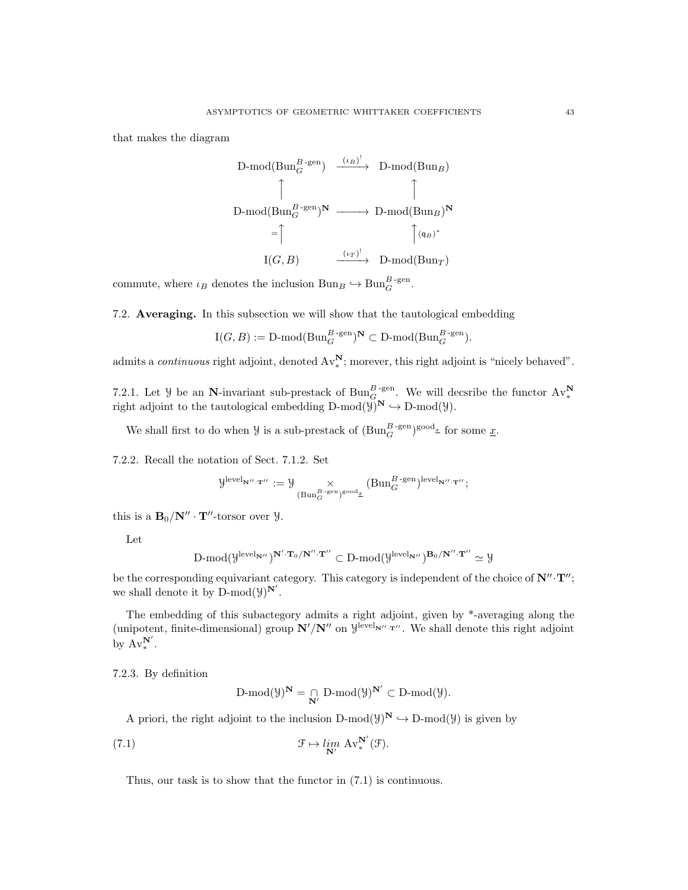that makes the diagram

D-mod(Bun<sub>G</sub><sup>B-gen</sup>) 
$$
\xrightarrow{(\iota_B)^!}
$$
 D-mod(Bun<sub>B</sub>)  
D-mod(Bun<sub>G</sub><sup>B-gen</sup>)<sup>N</sup>  $\longrightarrow$  D-mod(Bun<sub>B</sub>)<sup>N</sup>  
= $\uparrow$   $\uparrow$   $\uparrow$   $\uparrow$   $\uparrow$   $\uparrow$   $\uparrow$   $\uparrow$   $\uparrow$   $\uparrow$   $\uparrow$   $\uparrow$   $\uparrow$   $\uparrow$   $\uparrow$   $\uparrow$   $\uparrow$   $\uparrow$   $\uparrow$   $\uparrow$   $\uparrow$   $\uparrow$   $\uparrow$   $\uparrow$   $\uparrow$   $\uparrow$   $\uparrow$   $\uparrow$   $\uparrow$   $\uparrow$   $\uparrow$   $\uparrow$   $\uparrow$   $\uparrow$   $\uparrow$   $\uparrow$   $\uparrow$   $\uparrow$   $\uparrow$   $\uparrow$   $\uparrow$   $\uparrow$   $\uparrow$   $\uparrow$   $\uparrow$   $\uparrow$   $\uparrow$   $\uparrow$   $\uparrow$   $\uparrow$   $\uparrow$   $\uparrow$   $\uparrow$   $\uparrow$   $\uparrow$   $\uparrow$   $\uparrow$   $\uparrow$   $\uparrow$   $\uparrow$   $\uparrow$   $\uparrow$   $\uparrow$   $\uparrow$   $\uparrow$   $\uparrow$   $\uparrow$   $\uparrow$   $\uparrow$   $\uparrow$   $\uparrow$   $\uparrow$   $\uparrow$   $\uparrow$   $\uparrow$   $\uparrow$   $\uparrow$   $\uparrow$   $\uparrow$   $\uparrow$   $\uparrow$   $\uparrow$   $\uparrow$   $\uparrow$  <

commute, where  $\iota_B$  denotes the inclusion  $Bun_B \hookrightarrow Bun_G^{B\text{-gen}}$ .

7.2. Averaging. In this subsection we will show that the tautological embedding

$$
\mathrm{I}(G, B) := \mathrm{D\text{-}mod}(\mathrm{Bun}_G^{B\text{-}\mathrm{gen}})^{\mathbf{N}} \subset \mathrm{D\text{-}mod}(\mathrm{Bun}_G^{B\text{-}\mathrm{gen}}).
$$

admits a *continuous* right adjoint, denoted  $Av^N_*$ ; morever, this right adjoint is "nicely behaved".

7.2.1. Let *Y* be an N-invariant sub-prestack of  $\text{Bun}_G^{B\text{-gen}}$ . We will decsribe the functor  $\text{Av}_*^N$  right adjoint to the tautological embedding  $D\text{-mod}(y)^N \hookrightarrow D\text{-mod}(y)$ .

We shall first to do when  $\mathcal Y$  is a sub-prestack of  $(\text{Bun}_G^{B\text{-gen}})^{\text{good}_x}$  for some  $\underline{x}$ .

7.2.2. Recall the notation of Sect. 7.1.2. Set

$$
\mathcal{Y}^{\text{level}_{\mathbf{N}''\cdot\mathbf{T}''}}:=\mathcal{Y}\underset{(\text{Bun}_G^{B\text{-gen}})^{\text{good}_x}}{\times}( \text{Bun}_G^{B\text{-gen}})^{\text{level}_{\mathbf{N}''\cdot\mathbf{T}''}};
$$

this is a  $\mathbf{B}_0/\mathbf{N}'' \cdot \mathbf{T}''$ -torsor over  $\mathcal{Y}$ .

Let

$$
\mathrm{D\text{-}mod}(\mathcal{Y}^{\mathrm{level}_{\mathbf{N}''}})^{\mathbf{N}'\cdot \mathbf{T}_0/\mathbf{N}''\cdot \mathbf{T}''}\subset \mathrm{D\text{-}mod}(\mathcal{Y}^{\mathrm{level}_{\mathbf{N}''}})^{\mathbf{B}_0/\mathbf{N}''\cdot \mathbf{T}''}\simeq \mathcal{Y}
$$

be the corresponding equivariant category. This category is independent of the choice of  $N''\cdot T''$ ; we shall denote it by  $D\text{-mod}(\mathcal{Y})^{\mathbf{N}'}$ .

The embedding of this subactegory admits a right adjoint, given by \*-averaging along the (unipotent, finite-dimensional) group  $N/N''$  on  $\mathcal{Y}^{\text{level}_{N''T''}}$ . We shall denote this right adjoint by  $Av^{\mathbf{N}'}_*$ .

7.2.3. By definition

$$
\operatorname{D-mod}(\mathcal{Y})^{\mathbf{N}}=\underset{\mathbf{N}'}{\cap}\operatorname{D-mod}(\mathcal{Y})^{\mathbf{N}'}\subset \operatorname{D-mod}(\mathcal{Y}).
$$

A priori, the right adjoint to the inclusion D-mod( $\mathcal{Y}^N \hookrightarrow D\text{-mod}(\mathcal{Y})$  is given by

(7.1) 
$$
\mathcal{F} \mapsto \lim_{\mathbf{N}'} \mathbf{A} \mathbf{v}_{*}^{\mathbf{N}'}(\mathcal{F}).
$$

Thus, our task is to show that the functor in (7.1) is continuous.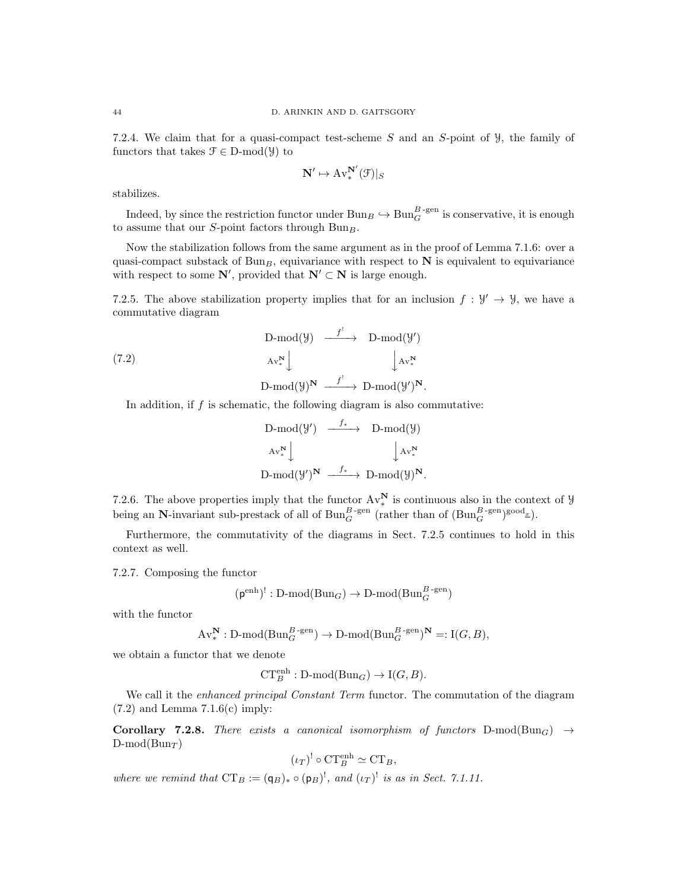7.2.4. We claim that for a quasi-compact test-scheme  $S$  and an  $S$ -point of  $\mathcal{Y}$ , the family of functors that takes  $\mathcal{F} \in D\text{-mod}(\mathcal{Y})$  to

$$
\mathbf{N}' \mapsto \mathrm{Av}^{\mathbf{N}'}_*(\mathfrak{F})|_S
$$

stabilizes.

Indeed, by since the restriction functor under  $Bun_B \hookrightarrow Bun_G^{B\text{-gen}}$  is conservative, it is enough to assume that our S-point factors through  $Bun_B$ .

Now the stabilization follows from the same argument as in the proof of Lemma 7.1.6: over a quasi-compact substack of  $Bun_B$ , equivariance with respect to  $N$  is equivalent to equivariance with respect to some  $\mathbb{N}'$ , provided that  $\mathbb{N}' \subset \mathbb{N}$  is large enough.

7.2.5. The above stabilization property implies that for an inclusion  $f: \mathcal{Y}' \to \mathcal{Y}$ , we have a commutative diagram

$$
\begin{array}{ccc}\n\text{D-mod}(\mathcal{Y}) & \xrightarrow{f^!} & \text{D-mod}(\mathcal{Y}') \\
\text{(7.2)} & & \text{Av}^{\mathbf{N}}_{*} \downarrow & \downarrow \text{Av}^{\mathbf{N}}_{*} \\
\text{D-mod}(\mathcal{Y})^{\mathbf{N}} & \xrightarrow{f^!} & \text{D-mod}(\mathcal{Y}')^{\mathbf{N}}.\n\end{array}
$$

In addition, if  $f$  is schematic, the following diagram is also commutative:

$$
\begin{array}{ccc}\n\text{D-mod}(\mathcal{Y}') & \xrightarrow{f_*} & \text{D-mod}(\mathcal{Y}) \\
\text{Av}_*^{\mathbf{N}} & \downarrow & \downarrow \\
\text{D-mod}(\mathcal{Y}')^{\mathbf{N}} & \xrightarrow{f_*} & \text{D-mod}(\mathcal{Y})^{\mathbf{N}}.\n\end{array}
$$

7.2.6. The above properties imply that the functor  $Av^{\mathbf{N}}_*$  is continuous also in the context of  $\mathcal{Y}$ being an N-invariant sub-prestack of all of  $\text{Bun}_G^{B\text{-gen}}$  (rather than of  $(\text{Bun}_G^{B\text{-gen}})^{\text{good}_x}$ ).

Furthermore, the commutativity of the diagrams in Sect. 7.2.5 continues to hold in this context as well.

7.2.7. Composing the functor

$$
(p^{\text{enh}})^! : D\text{-mod}(Bun_G) \to D\text{-mod}(Bun_G^{B\text{-gen}})
$$

with the functor

$$
\mathrm{Av}^{\mathbf{N}}_*: \mathbf{D}\text{-}\mathrm{mod}(\mathrm{Bun}_G^{B\text{-}\mathrm{gen}}) \to \mathbf{D}\text{-}\mathrm{mod}(\mathrm{Bun}_G^{B\text{-}\mathrm{gen}})^{\mathbf{N}} =: \mathrm{I}(G, B),
$$

we obtain a functor that we denote

$$
\mathbf{CT}^{\text{enh}}_B:\mathbf{D}\text{-}\mathrm{mod}(\mathbf{Bun}_G)\rightarrow \mathbf{I}(G,B).
$$

We call it the *enhanced principal Constant Term* functor. The commutation of the diagram  $(7.2)$  and Lemma  $7.1.6(c)$  imply:

Corollary 7.2.8. There exists a canonical isomorphism of functors  $D\text{-mod}(Bun_G) \rightarrow$  $D\text{-mod}(Bun)$ 

$$
(\iota_T)^! \circ \mathrm{CT}_B^{\mathrm{enh}} \simeq \mathrm{CT}_B,
$$

where we remind that  $CT_B := (q_B)_* \circ (p_B)^!$ , and  $(\iota_T)^!$  is as in Sect. 7.1.11.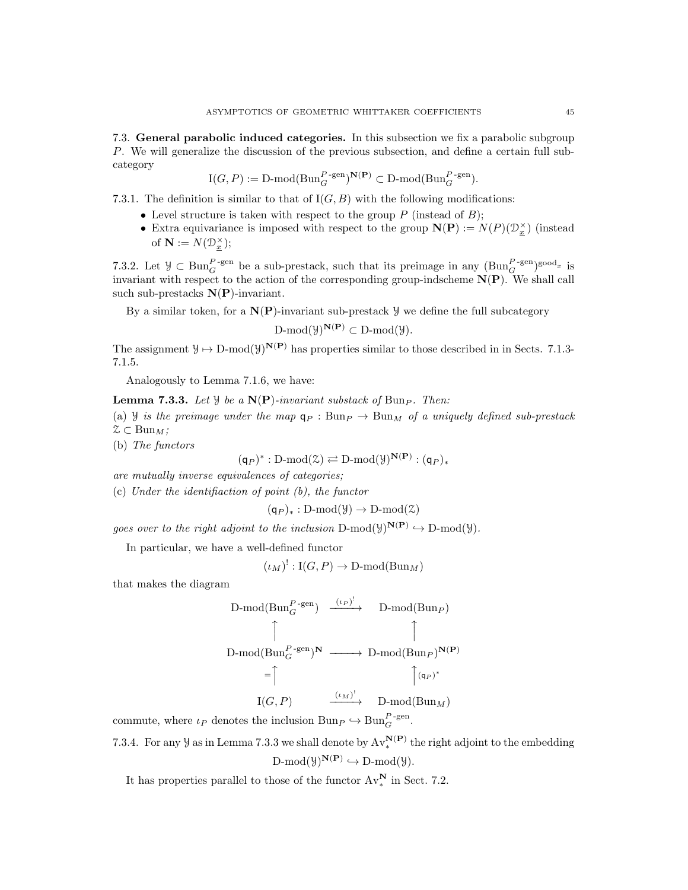7.3. General parabolic induced categories. In this subsection we fix a parabolic subgroup P. We will generalize the discussion of the previous subsection, and define a certain full subcategory

$$
\mathrm{I}(G, P) := \mathrm{D\text{-}mod}(\mathrm{Bun}_G^{P\text{-}\mathrm{gen}})^{\mathbf{N}(\mathbf{P})} \subset \mathrm{D\text{-}mod}(\mathrm{Bun}_G^{P\text{-}\mathrm{gen}}).
$$

- 7.3.1. The definition is similar to that of  $I(G, B)$  with the following modifications:
	- Level structure is taken with respect to the group  $P$  (instead of  $B$ );
	- Extra equivariance is imposed with respect to the group  $N(P) := N(P)(\mathcal{D}_{\underline{x}}^{\times})$  (instead of  $\mathbf{N} := N(\mathcal{D}_{\underline{x}}^{\times});$

7.3.2. Let  $\mathcal{Y} \subset \text{Bun}_G^{P\text{-gen}}$  be a sub-prestack, such that its preimage in any  $(\text{Bun}_G^{P\text{-gen}})^{\text{good}_x}$  is invariant with respect to the action of the corresponding group-indscheme  $N(P)$ . We shall call such sub-prestacks  $N(P)$ -invariant.

By a similar token, for a  $N(P)$ -invariant sub-prestack  $\mathcal{Y}$  we define the full subcategory

$$
\text{D-mod}(\mathcal{Y})^{\mathbf{N}(\mathbf{P})} \subset \text{D-mod}(\mathcal{Y}).
$$

The assignment  $\mathcal{Y} \mapsto D\text{-mod}(\mathcal{Y})^{\mathbf{N}(\mathbf{P})}$  has properties similar to those described in in Sects. 7.1.3-7.1.5.

Analogously to Lemma 7.1.6, we have:

**Lemma 7.3.3.** Let  $\mathcal{Y}$  be a  $N(P)$ -invariant substack of Bun<sub>P</sub>. Then:

(a) *Y* is the preimage under the map  $q_P : Bun_P \to Bun_M$  of a uniquely defined sub-prestack  $\mathfrak{Z} \subset \text{Bun}_M;$ 

(b) The functors

$$
(\mathsf{q}_P)^* : D\text{-mod}(\mathcal{Z}) \rightleftarrows D\text{-mod}(\mathcal{Y})^{\mathbf{N}(\mathbf{P})} : (\mathsf{q}_P)_*
$$

are mutually inverse equivalences of categories;

(c) Under the identifiaction of point (b), the functor

$$
(\mathsf{q}_P)_*: \mathrm{D\text{-}mod}(\mathcal{Y}) \to \mathrm{D\text{-}mod}(\mathcal{Z})
$$

goes over to the right adjoint to the inclusion  $D\text{-mod}(\mathcal{Y})^{\mathbf{N}(\mathbf{P})} \hookrightarrow D\text{-mod}(\mathcal{Y})$ .

In particular, we have a well-defined functor

$$
(\iota_M)^!: \mathcal{I}(G, P) \to \mathcal{D}\text{-mod}(\mathcal{B}\mathfrak{u}\mathfrak{n}_M)
$$

that makes the diagram

D-mod(Bun<sub>G</sub><sup>P-gen</sup>) 
$$
\xrightarrow{(\iota_P)^!}
$$
 D-mod(Bun<sub>P</sub>)  
D-mod(Bun<sub>G</sub><sup>P-gen</sup>)<sup>N</sup>  $\longrightarrow$  D-mod(Bun<sub>P</sub>)<sup>N(P)</sup>  
= $\uparrow$   $\uparrow$   $\uparrow$   $\uparrow$   $\uparrow$   $\uparrow$   $\uparrow$   $\uparrow$   $\uparrow$   $\uparrow$   $\uparrow$   $\uparrow$   $\uparrow$   $\uparrow$   $\uparrow$   $\uparrow$   $\uparrow$   $\uparrow$   $\uparrow$   $\uparrow$   $\uparrow$   $\uparrow$   $\uparrow$   $\uparrow$   $\uparrow$   $\uparrow$   $\uparrow$   $\uparrow$   $\uparrow$   $\uparrow$   $\uparrow$   $\uparrow$   $\uparrow$   $\uparrow$   $\uparrow$   $\uparrow$   $\uparrow$   $\uparrow$   $\uparrow$   $\uparrow$   $\uparrow$   $\uparrow$   $\uparrow$   $\uparrow$   $\uparrow$   $\uparrow$   $\uparrow$   $\uparrow$   $\uparrow$   $\uparrow$   $\uparrow$   $\uparrow$   $\uparrow$   $\uparrow$   $\uparrow$   $\uparrow$   $\uparrow$   $\uparrow$   $\uparrow$   $\uparrow$   $\uparrow$   $\uparrow$   $\uparrow$   $\uparrow$   $\uparrow$   $\uparrow$   $\uparrow$   $\uparrow$   $\uparrow$   $\uparrow$   $\uparrow$   $\uparrow$   $\uparrow$   $\uparrow$   $\uparrow$   $\uparrow$   $\uparrow$   $\uparrow$   $\uparrow$   $\uparrow$   $\uparrow$   $\uparrow$   $\uparrow$   $\uparrow$  

commute, where  $\iota_P$  denotes the inclusion  $Bun_P \hookrightarrow Bun_Q^{P\text{-gen}}$ .

7.3.4. For any  $\mathcal Y$  as in Lemma 7.3.3 we shall denote by  $Av_*^{\mathbf{N}(\mathbf{P})}$  the right adjoint to the embedding  $D\text{-mod}(\mathcal{Y})^{\mathbf{N}(\mathbf{P})} \hookrightarrow D\text{-mod}(\mathcal{Y}).$ 

It has properties parallel to those of the functor  $Av^{\mathbf{N}}_*$  in Sect. 7.2.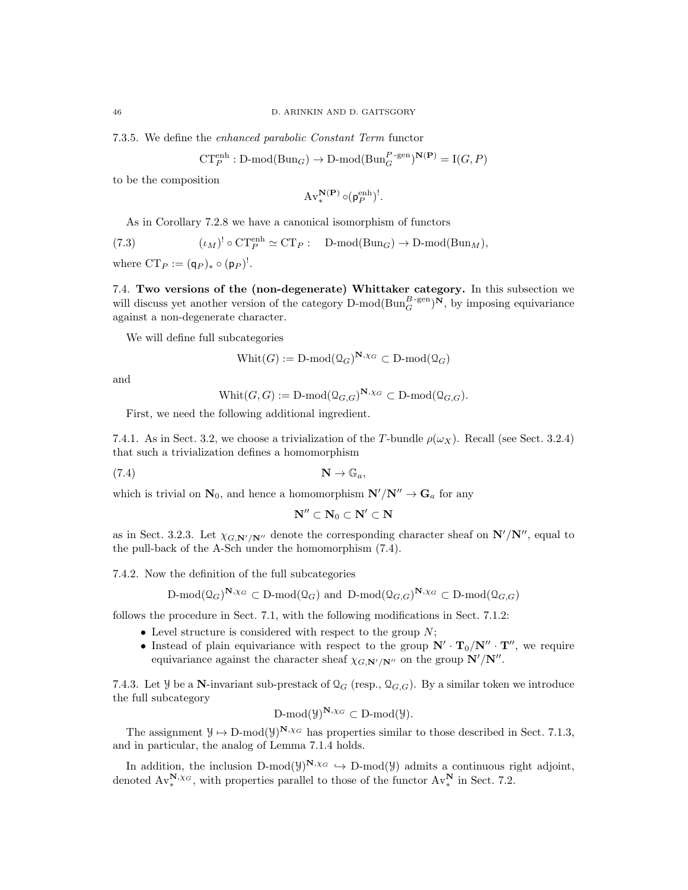7.3.5. We define the enhanced parabolic Constant Term functor

$$
\mathbf{CT}_P^{\text{enh}} : \mathbf{D}\text{-mod}(\mathbf{Bun}_G) \to \mathbf{D}\text{-mod}(\mathbf{Bun}_G^{P\text{-gen}})^{\mathbf{N}(\mathbf{P})} = \mathbf{I}(G, P)
$$

to be the composition

$$
\mathrm{Av}^{\mathbf{N}(\mathbf{P})}_* \circ (\mathsf{p}_P^{\mathrm{enh}})^!.
$$

As in Corollary 7.2.8 we have a canonical isomorphism of functors

(7.3) 
$$
(\iota_M)^! \circ \mathrm{CT}_P^{\mathrm{enh}} \simeq \mathrm{CT}_P: \quad \mathrm{D}\text{-mod}(\mathrm{Bun}_G) \to \mathrm{D}\text{-mod}(\mathrm{Bun}_M),
$$

where  $CT_P := (q_P)_* \circ (p_P)^!$ .

7.4. Two versions of the (non-degenerate) Whittaker category. In this subsection we will discuss yet another version of the category  $D\text{-mod}(Bun_G^{B\text{-gen}})^N$ , by imposing equivariance against a non-degenerate character.

We will define full subcategories

$$
\text{Whit}(G) := \text{D-mod}(\mathcal{Q}_G)^{\mathbf{N}, \chi_G} \subset \text{D-mod}(\mathcal{Q}_G)
$$

and

$$
Whit(G, G) := \text{D-mod}(\mathcal{Q}_{G, G})^{\mathbf{N}, \chi_G} \subset \text{D-mod}(\mathcal{Q}_{G, G}).
$$

First, we need the following additional ingredient.

7.4.1. As in Sect. 3.2, we choose a trivialization of the T-bundle  $\rho(\omega_X)$ . Recall (see Sect. 3.2.4) that such a trivialization defines a homomorphism

$$
\mathbf{N} \to \mathbb{G}_a, \quad \mathbf{N} \to \mathbb{G}_a
$$

which is trivial on  $N_0$ , and hence a homomorphism  $N'/N'' \to G_a$  for any

$$
\mathbf{N}''\subset\mathbf{N}_0\subset\mathbf{N}'\subset\mathbf{N}
$$

as in Sect. 3.2.3. Let  $\chi_{G,\mathbf{N}'/\mathbf{N}''}$  denote the corresponding character sheaf on  $\mathbf{N}'/\mathbf{N}''$ , equal to the pull-back of the A-Sch under the homomorphism (7.4).

7.4.2. Now the definition of the full subcategories

$$
\text{D-mod}(\mathcal{Q}_G)^{\mathbf{N},\chi_G} \subset \text{D-mod}(\mathcal{Q}_G) \text{ and } \text{D-mod}(\mathcal{Q}_{G,G})^{\mathbf{N},\chi_G} \subset \text{D-mod}(\mathcal{Q}_{G,G})
$$

follows the procedure in Sect. 7.1, with the following modifications in Sect. 7.1.2:

- Level structure is considered with respect to the group  $N$ ;
- Instead of plain equivariance with respect to the group  $N' \cdot T_0/N'' \cdot T''$ , we require equivariance against the character sheaf  $\chi_{G,\mathbf{N}'/\mathbf{N}''}$  on the group  $\mathbf{N}'/\mathbf{N}''$ .

7.4.3. Let Y be a N-invariant sub-prestack of  $\mathcal{Q}_G$  (resp.,  $\mathcal{Q}_{G,G}$ ). By a similar token we introduce the full subcategory

$$
D\text{-mod}(\mathcal{Y})^{\mathbf{N},\chi_G} \subset D\text{-mod}(\mathcal{Y}).
$$

The assignment  $\mathcal{Y} \mapsto D\text{-mod}(\mathcal{Y})^{\mathbf{N},\chi_G}$  has properties similar to those described in Sect. 7.1.3, and in particular, the analog of Lemma 7.1.4 holds.

In addition, the inclusion D-mod( $\mathcal{Y}^{N,\chi_G} \hookrightarrow D\text{-mod}(\mathcal{Y})$  admits a continuous right adjoint, denoted  $Av_{*}^{\mathbf{N},\chi_{G}}$ , with properties parallel to those of the functor  $Av_{*}^{\mathbf{N}}$  in Sect. 7.2.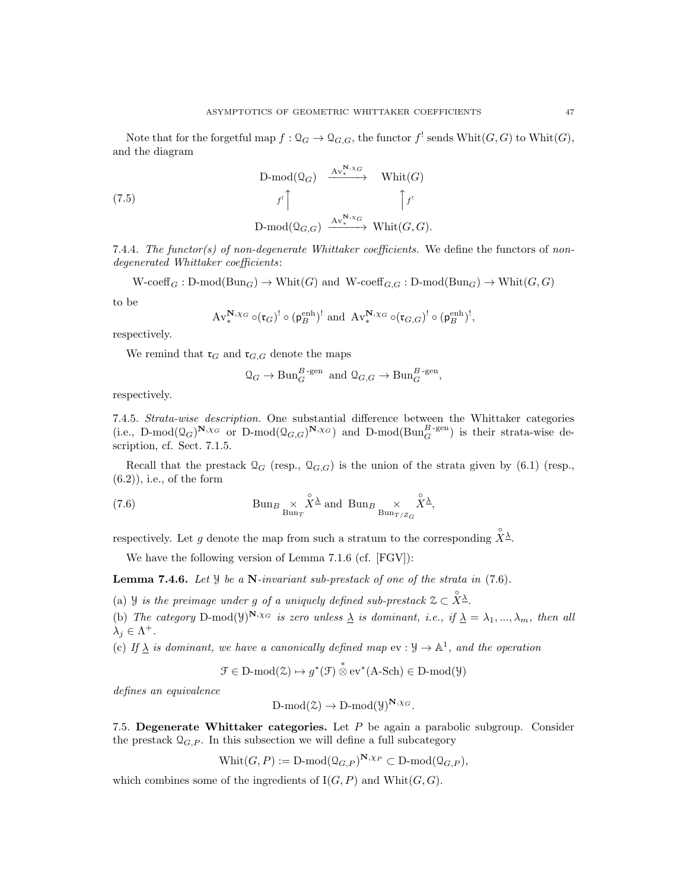Note that for the forgetful map  $f: \mathcal{Q}_G \to \mathcal{Q}_{G,G}$ , the functor  $f^!$  sends  $\text{Whit}(G,G)$  to  $\text{Whit}(G)$ , and the diagram

$$
\begin{array}{ccc}\n\text{D-mod}(\mathcal{Q}_G) & \xrightarrow{\text{Av}_*^{\mathbf{N}, \chi_G}} & \text{Whit}(G) \\
\downarrow f^! \uparrow & \uparrow f^! \\
\text{D-mod}(\mathcal{Q}_{G, G}) & \xrightarrow{\text{Av}_*^{\mathbf{N}, \chi_G}} & \text{Whit}(G, G).\n\end{array}
$$

7.4.4. The functor(s) of non-degenerate Whittaker coefficients. We define the functors of nondegenerated Whittaker coefficients:

 $W\text{-coeff}_G: \text{D-mod}(\text{Bun}_G) \to \text{Whit}(G)$  and  $W\text{-coeff}_{G,G}: \text{D-mod}(\text{Bun}_G) \to \text{Whit}(G,G)$ 

to be

(7.5)

$$
\mathrm{Av}^{\mathbf{N},\chi_G}_{*} \circ (\mathfrak{r}_G)^! \circ (\mathfrak{p}_B^{\text{enh}})^! \text{ and } \mathrm{Av}^{\mathbf{N},\chi_G}_{*} \circ (\mathfrak{r}_{G,G})^! \circ (\mathfrak{p}_B^{\text{enh}})^!,
$$

respectively.

We remind that  $\mathfrak{r}_G$  and  $\mathfrak{r}_{G,G}$  denote the maps

$$
\mathcal{Q}_G \to \text{Bun}_G^{B\text{-gen}}
$$
 and  $\mathcal{Q}_{G,G} \to \text{Bun}_G^{B\text{-gen}},$ 

respectively.

7.4.5. Strata-wise description. One substantial difference between the Whittaker categories (i.e., D-mod $(\mathcal{Q}_G)^{\mathbf{N},\chi_G}$  or D-mod $(\mathcal{Q}_{G,G})^{\mathbf{N},\chi_G}$ ) and D-mod( $\text{Bun}_G^{B\text{-gen}}$ ) is their strata-wise description, cf. Sect. 7.1.5.

Recall that the prestack  $\mathcal{Q}_G$  (resp.,  $\mathcal{Q}_{G,G}$ ) is the union of the strata given by (6.1) (resp.,  $(6.2)$ , i.e., of the form

(7.6) 
$$
\text{Bun}_{B} \underset{\text{Bun}_{T}}{\times} \overset{\circ}{X} \overset{\Delta}{\Delta} \text{ and } \text{Bun}_{B} \underset{\text{Bun}_{T/Z_G}}{\times} \overset{\circ}{X} \overset{\Delta}{\Delta},
$$

respectively. Let g denote the map from such a stratum to the corresponding  $\hat{X}^{\underline{\lambda}}$ .

We have the following version of Lemma 7.1.6 (cf. [FGV]):

**Lemma 7.4.6.** Let  $\mathcal{Y}$  be a N-invariant sub-prestack of one of the strata in (7.6).

(a) *Y* is the preimage under g of a uniquely defined sub-prestack  $\mathcal{Z} \subset \overset{\circ}{X} \overset{\circ}{\triangle}$ .

(b) The category D-mod( $\mathcal{Y}^{N,\chi_G}$  is zero unless  $\underline{\lambda}$  is dominant, i.e., if  $\underline{\lambda} = \lambda_1, ..., \lambda_m$ , then all  $\lambda_j \in \Lambda^+$ .

(c) If  $\Delta$  is dominant, we have a canonically defined map ev :  $\mathcal{Y} \to \mathbb{A}^1$ , and the operation

 $\mathcal{F} \in \mathcal{D} \text{-mod}(\mathcal{Z}) \mapsto g^*(\mathcal{F}) \overset{*}{\otimes} \text{ev}^*(\mathcal{A}\text{-Sch}) \in \mathcal{D} \text{-mod}(\mathcal{Y})$ 

defines an equivalence

$$
\text{D-mod}(\mathcal{Z}) \to \text{D-mod}(\mathcal{Y})^{\mathbf{N}, \chi_G}.
$$

7.5. Degenerate Whittaker categories. Let  $P$  be again a parabolic subgroup. Consider the prestack  $\mathcal{Q}_{G,P}$ . In this subsection we will define a full subcategory

 $\text{Whit}(G, P) := \text{D-mod}(\mathcal{Q}_{G, P})^{\mathbf{N}, \chi_P} \subset \text{D-mod}(\mathcal{Q}_{G, P}),$ 

which combines some of the ingredients of  $I(G, P)$  and  $Whit(G, G)$ .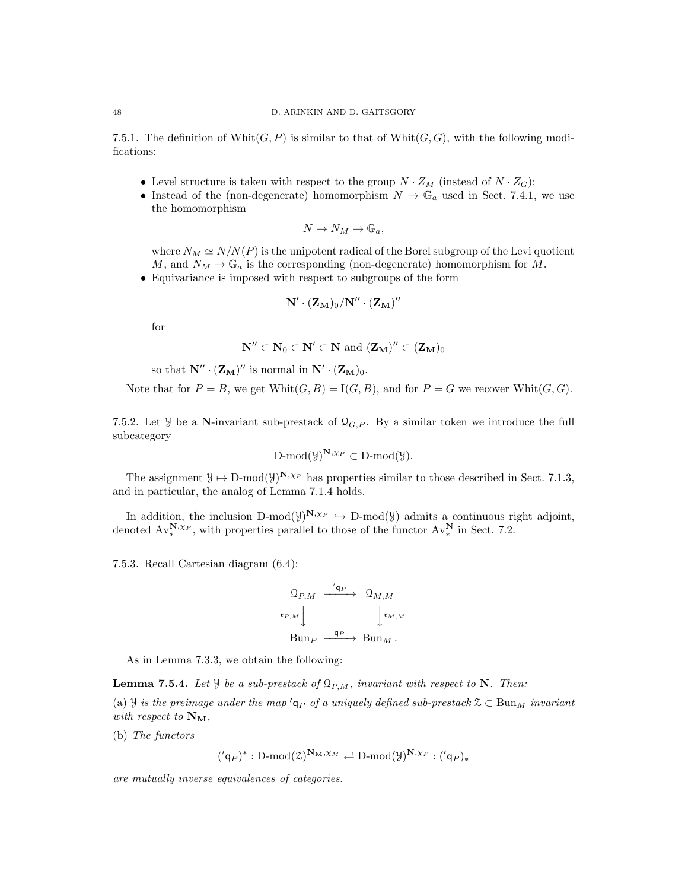7.5.1. The definition of Whit $(G, P)$  is similar to that of Whit $(G, G)$ , with the following modifications:

- Level structure is taken with respect to the group  $N \cdot Z_M$  (instead of  $N \cdot Z_G$ );
- Instead of the (non-degenerate) homomorphism  $N \to \mathbb{G}_a$  used in Sect. 7.4.1, we use the homomorphism

$$
N \to N_M \to \mathbb{G}_a,
$$

where  $N_M \simeq N/N(P)$  is the unipotent radical of the Borel subgroup of the Levi quotient M, and  $N_M \to \mathbb{G}_a$  is the corresponding (non-degenerate) homomorphism for M.

• Equivariance is imposed with respect to subgroups of the form

$$
\mathbf{N}'\cdot(\mathbf{Z_{M}})_0/\mathbf{N}''\cdot(\mathbf{Z_{M}})''
$$

for

$$
\mathbf{N}''\subset\mathbf{N}_0\subset\mathbf{N}'\subset\mathbf{N} \text{ and } (\mathbf{Z_M})''\subset(\mathbf{Z_M})_0
$$

so that  $N'' \cdot (\mathbf{Z_M})''$  is normal in  $N' \cdot (\mathbf{Z_M})_0$ .

Note that for  $P = B$ , we get  $\text{Whit}(G, B) = I(G, B)$ , and for  $P = G$  we recover  $\text{Whit}(G, G)$ .

7.5.2. Let  $\mathcal{Y}$  be a N-invariant sub-prestack of  $\mathcal{Q}_{G,P}$ . By a similar token we introduce the full subcategory

$$
D\text{-mod}(\mathcal{Y})^{\mathbf{N},\chi_P} \subset D\text{-mod}(\mathcal{Y}).
$$

The assignment  $\mathcal{Y} \mapsto D\text{-mod}(\mathcal{Y})^{\mathbf{N},\chi_P}$  has properties similar to those described in Sect. 7.1.3, and in particular, the analog of Lemma 7.1.4 holds.

In addition, the inclusion D-mod( $\mathcal{Y}^{\mathbf{N},\chi_P} \hookrightarrow D\text{-mod}(\mathcal{Y})$  admits a continuous right adjoint, denoted  $Av^{\mathbf{N},\chi_P}_{*}$ , with properties parallel to those of the functor  $Av^{\mathbf{N}}_{*}$  in Sect. 7.2.

7.5.3. Recall Cartesian diagram (6.4):

$$
\begin{array}{ccc}\n\mathbb{Q}_{P,M} & \xrightarrow{\prime_{\mathbf{q}_P}} & \mathbb{Q}_{M,M} \\
\downarrow^{\mathfrak{r}_{P,M}} & & \downarrow^{\mathfrak{r}_{M,M}} \\
\text{Bun}_{P} & \xrightarrow{\mathbf{q}_P} & \text{Bun}_{M} \,.\n\end{array}
$$

As in Lemma 7.3.3, we obtain the following:

**Lemma 7.5.4.** Let  $\mathcal{Y}$  be a sub-prestack of  $\mathcal{Q}_{P,M}$ , invariant with respect to N. Then:

(a) Y is the preimage under the map ' $q_P$  of a uniquely defined sub-prestack  $\mathcal{Z} \subset \text{Bun}_M$  invariant with respect to  $\mathbf{N}_{\mathbf{M}}$ ,

(b) The functors

 $({\langle q_P \rangle}^* : D\text{-mod}(\mathcal{Z})^{\mathbf{N}_{\mathbf{M}},\chi_M} \rightleftarrows D\text{-mod}(\mathcal{Y})^{\mathbf{N},\chi_P} : ({\langle q_P \rangle_*}$ 

are mutually inverse equivalences of categories.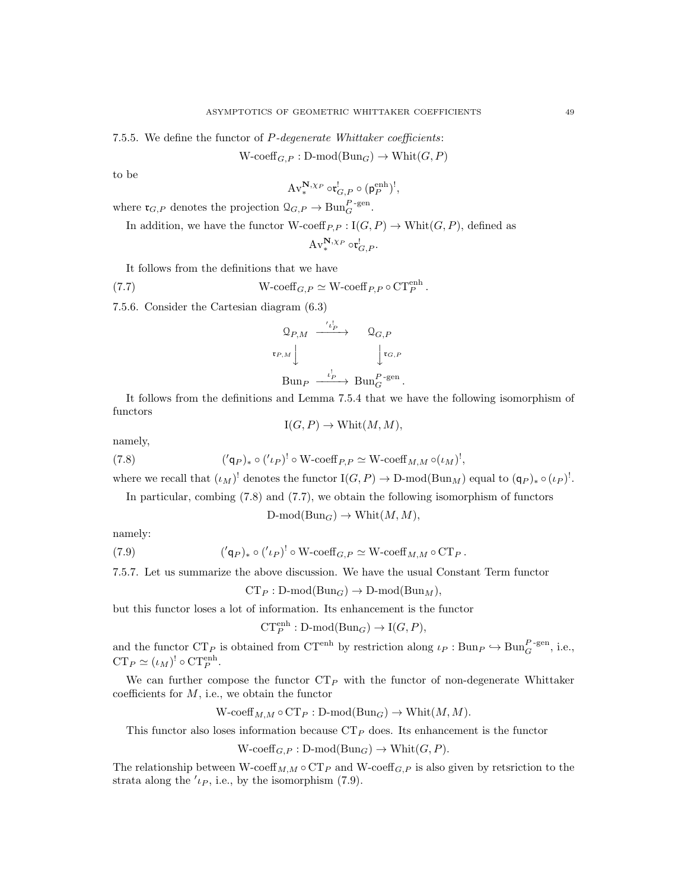7.5.5. We define the functor of P-degenerate Whittaker coefficients:

 $W\text{-coeff}_{G,P}: \text{D-mod}(\text{Bun}_G) \to \text{Whit}(G,P)$ 

to be

$$
\mathrm{Av}^{\mathbf{N},\chi_P}_{*} \circ \mathfrak{r}^!_{G,P} \circ (\mathsf{p}_P^{\mathrm{enh}})^!,
$$

where  $\mathfrak{r}_{G,P}$  denotes the projection  $\mathcal{Q}_{G,P} \to \text{Bun}_G^{P\text{-gen}}$ .

In addition, we have the functor W-coeff<sub>P,P</sub> :  $I(G, P) \to \text{Whit}(G, P)$ , defined as

$$
\operatorname{Av}^{\mathbf{N},\chi_P}_{*} \circ \mathfrak{r}_{G,P}^!.
$$

It follows from the definitions that we have

(7.7) 
$$
W\text{-coeff}_{G,P} \simeq W\text{-coeff}_{P,P} \circ \text{CT}_P^{\text{enh}}.
$$

7.5.6. Consider the Cartesian diagram (6.3)

$$
\begin{array}{ccc}\n\mathbb{Q}_{P,M} & \xrightarrow{\prime l_P^!} & \mathbb{Q}_{G,P} \\
\downarrow^{\mathfrak{r}_{P,M}} & & \downarrow^{\mathfrak{r}_{G,P}} \\
\downarrow^{\mathfrak{r}_{G,P}} & & \downarrow^{\mathfrak{r}_{G,P}} \\
\downarrow^{\mathfrak{r}_{G,P}} & \downarrow^{\mathfrak{r}_{P}} & \downarrow^{\mathfrak{r}_{G,P}} \\
\downarrow^{\mathfrak{r}_{G,P}} & \downarrow^{\mathfrak{r}_{P}} & \downarrow^{\mathfrak{r}_{G,P}} \\
\downarrow^{\mathfrak{r}_{G,P}} & & \downarrow^{\mathfrak{r}_{G,P}} & \downarrow^{\mathfrak{r}_{G,P}} \\
\downarrow^{\mathfrak{r}_{G,P}} & & \downarrow^{\mathfrak{r}_{G,P}} & \downarrow^{\mathfrak{r}_{G,P}} & \downarrow^{\mathfrak{r}_{G,P}} \\
\downarrow^{\mathfrak{r}_{G,P}} & & \downarrow^{\mathfrak{r}_{G,P}} & \downarrow^{\mathfrak{r}_{G,P}} & \downarrow^{\mathfrak{r}_{G,P}} & \downarrow^{\mathfrak{r}_{G,P}} \\
\downarrow^{\mathfrak{r}_{G,P}} & & \downarrow^{\mathfrak{r}_{G,P}} & & \downarrow^{\mathfrak{r}_{G,P}} & \downarrow^{\mathfrak{r}_{G,P}} & \downarrow^{\mathfrak{r}_{G,P}} \\
\downarrow^{\mathfrak{r}_{G,P}} & & \downarrow^{\mathfrak{r}_{G,P}} & & \downarrow^{\mathfrak{r}_{G,P}} & & \downarrow^{\mathfrak{r}_{G,P}} & & \downarrow^{\mathfrak{r}_{G,P}} \\
\downarrow^{\mathfrak{r}_{G,P}} & & \downarrow^{\mathfrak{r}_{G,P}} & & \downarrow^{\mathfrak{r}_{G,P}} & & \downarrow^{\mathfrak{r}_{G,P}} & & \downarrow^{\mathfrak{r}_{G,P}} \\
\downarrow^{\mathfrak{r}_{G,P}} & & \downarrow^{\mathfrak{r}_{G,P}} & & \downarrow^{\mathfrak{r}_{G,P}} & & \downarrow^{\mathfrak{r}_{G,P}} & & \downarrow^{\mathfrak{r}_{G,P}} \\
\downarrow^{\mathfrak{r}_{G,P}} & & \downarrow^{\mathfrak{r}_{G,P}} & & \downarrow^{\mathfrak{r}_{G,P}} & & \downarrow^{\mathfrak{r}_{G,P}} & & \downarrow^{\mathfrak{r
$$

It follows from the definitions and Lemma 7.5.4 that we have the following isomorphism of functors

$$
I(G, P) \to \text{Whit}(M, M),
$$

namely,

(7.8) 
$$
('q_P)_* \circ ('l_P)^! \circ W \text{-coeff}_{P,P} \simeq W \text{-coeff}_{M,M} \circ (l_M)^!,
$$

where we recall that  $(\iota_M)^!$  denotes the functor  $I(G, P) \to D\text{-mod}(Bun_M)$  equal to  $(q_P)_* \circ (\iota_P)^!$ .

In particular, combing (7.8) and (7.7), we obtain the following isomorphism of functors

 $D\text{-mod}(Bun_G) \to \text{Whit}(M, M),$ 

namely:

(7.9) 
$$
({q}_{\mathcal{P}})_* \circ ({}'_{\mathcal{P}})^! \circ W \text{-coeff}_{G,P} \simeq W \text{-coeff}_{M,M} \circ \text{CT}_{P}.
$$

7.5.7. Let us summarize the above discussion. We have the usual Constant Term functor

 $CT_P : D\text{-mod}(Bun_G) \to D\text{-mod}(Bun_M),$ 

but this functor loses a lot of information. Its enhancement is the functor

 $CT_P^{\text{enh}}: \text{D-mod}(\text{Bun}_G) \to \text{I}(G, P),$ 

and the functor  $CT_P$  is obtained from  $CT^{enh}$  by restriction along  $\iota_P : Bun_P \hookrightarrow Bun_G^{P\text{-gen}}$ , i.e.,  $CT_P \simeq (\iota_M)^! \circ CT_P^{\text{enh}}.$ 

We can further compose the functor  $CT_P$  with the functor of non-degenerate Whittaker coefficients for  $M$ , i.e., we obtain the functor

 $W\text{-coeff}_{M,M}\circ \text{CT}_P : D\text{-mod}(\text{Bun}_G)\to \text{Whit}(M,M).$ 

This functor also loses information because  $CT_P$  does. Its enhancement is the functor

 $W\text{-coeff}_{G,P}: \text{D-mod}(\text{Bun}_G)\to \text{Whit}(G,P).$ 

The relationship between W-coeff<sub>M,M</sub>  $\circ$  CT<sub>P</sub> and W-coeff<sub>G,P</sub> is also given by retsriction to the strata along the  $'l_P$ , i.e., by the isomorphism (7.9).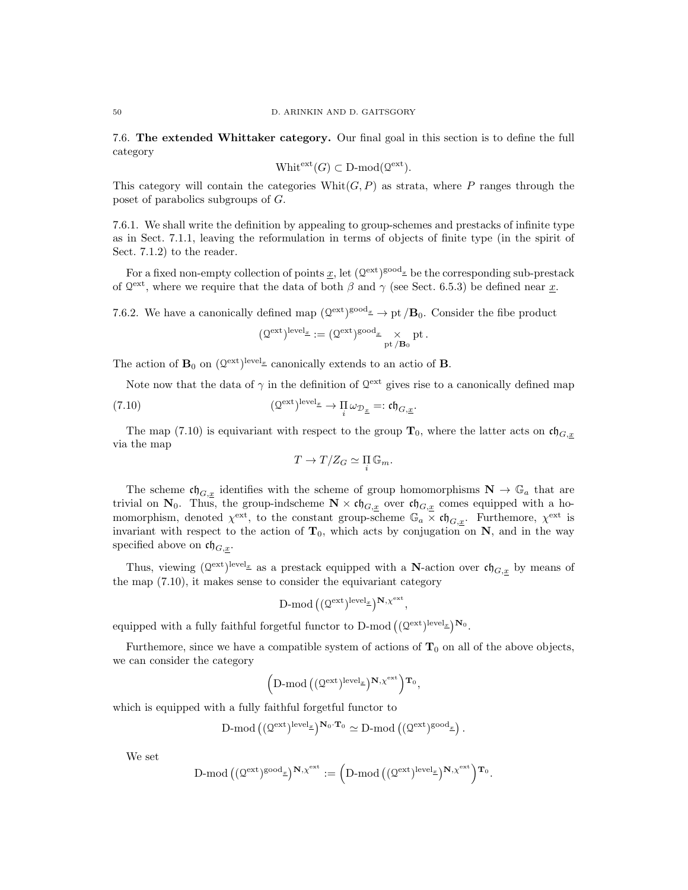7.6. The extended Whittaker category. Our final goal in this section is to define the full category

$$
Whit^{ext}(G) \subset D\text{-mod}(\mathcal{Q}^{\text{ext}}).
$$

This category will contain the categories  $\text{White}(G, P)$  as strata, where P ranges through the poset of parabolics subgroups of G.

7.6.1. We shall write the definition by appealing to group-schemes and prestacks of infinite type as in Sect. 7.1.1, leaving the reformulation in terms of objects of finite type (in the spirit of Sect. 7.1.2) to the reader.

For a fixed non-empty collection of points  $\underline{x}$ , let  $(\mathbb{Q}^{\text{ext}})^{\text{good}_{\underline{x}}}$  be the corresponding sub-prestack of  $Q^{\text{ext}}$ , where we require that the data of both  $\beta$  and  $\gamma$  (see Sect. 6.5.3) be defined near  $\underline{x}$ .

7.6.2. We have a canonically defined map  $(\mathbb{Q}^{ext})^{\text{good}_{\underline{x}}} \to \text{pt }/\mathbf{B}_0$ . Consider the fibe product

$$
(\mathfrak Q^{\mathrm{ext}})^{\mathrm{level}_\underline{\pi}} := (\mathfrak Q^{\mathrm{ext}})^{\mathrm{good}_\underline{\pi}} \underset{\mathrm{pt}\,/\mathbf B_0}{\times} \mathrm{pt}\,.
$$

The action of  $\mathbf{B}_0$  on  $(\mathbb{Q}^{\text{ext}})^{\text{level}_{\underline{x}}}$  canonically extends to an actio of **B**.

Note now that the data of  $\gamma$  in the definition of  $\mathcal{Q}^{\text{ext}}$  gives rise to a canonically defined map

(7.10) 
$$
(\mathcal{Q}^{\text{ext}})^{\text{level}_{\underline{x}}} \to \Pi_{i} \omega_{\mathcal{D}_{\underline{x}}} =: \mathfrak{ch}_{G, \underline{x}}.
$$

The map (7.10) is equivariant with respect to the group  $\mathbf{T}_0$ , where the latter acts on  $\mathfrak{ch}_{G,x}$ via the map

$$
T \to T/Z_G \simeq \prod_i \mathbb{G}_m.
$$

The scheme  $\mathfrak{ch}_{G,\underline{x}}$  identifies with the scheme of group homomorphisms  $\mathbf{N} \to \mathbb{G}_a$  that are trivial on  $\mathbf{N}_0$ . Thus, the group-indscheme  $\mathbf{N} \times \mathfrak{ch}_{G,\underline{x}}$  over  $\mathfrak{ch}_{G,\underline{x}}$  comes equipped with a homomorphism, denoted  $\chi^{\text{ext}}$ , to the constant group-scheme  $\mathbb{G}_a \times \mathfrak{ch}_{G,x}$ . Furthemore,  $\chi^{\text{ext}}$  is invariant with respect to the action of  $T_0$ , which acts by conjugation on N, and in the way specified above on  $\mathfrak{ch}_{G,x}$ .

Thus, viewing  $(Q<sup>ext</sup>)<sup>level<sub>x</sub></sup>$  as a prestack equipped with a **N**-action over  $\mathfrak{ch}_{G,\underline{x}}$  by means of the map (7.10), it makes sense to consider the equivariant category

$$
\text{D-mod}\left((\mathbb{Q}^{\text{ext}})^{\text{level}_{\underline{x}}}\right)^{\mathbf{N},\chi^{\text{ext}}},
$$

equipped with a fully faithful forgetful functor to D-mod  $((\mathbb{Q}^{\text{ext}})^{\text{level}_x})^{\mathbb{N}_0}$ .

Furthemore, since we have a compatible system of actions of  $T_0$  on all of the above objects, we can consider the category

$$
\left(\operatorname{D-mod}\left((\mathfrak{Q}^{\operatorname{ext}})^{\operatorname{level}_\underline{x}}\right)^{\mathbf{N},\chi^{\operatorname{ext}}}\right)\mathbf{T}_0,
$$

which is equipped with a fully faithful forgetful functor to

$$
\text{$D$-mod} \left( (\mathfrak Q^\mathrm{ext})^\mathrm{level_\pm} \right)^{\mathbf N_0 \cdot \mathbf T_0} \simeq \text{$D$-mod} \left( (\mathfrak Q^\mathrm{ext})^\mathrm{good_\pm} \right).
$$

We set

$$
\text{$D$-mod} \, \big( (\mathfrak Q^\mathrm{ext})^\mathrm{good}_\mathbb{Z} \big)^{\mathbf{N}, \chi^\mathrm{ext}} := \Big( \text{$D$-mod} \, \big( (\mathfrak Q^\mathrm{ext})^\mathrm{level}_\mathbb{Z} \big)^{\mathbf{N}, \chi^\mathrm{ext}} \Big)^\mathbf{T_0}.
$$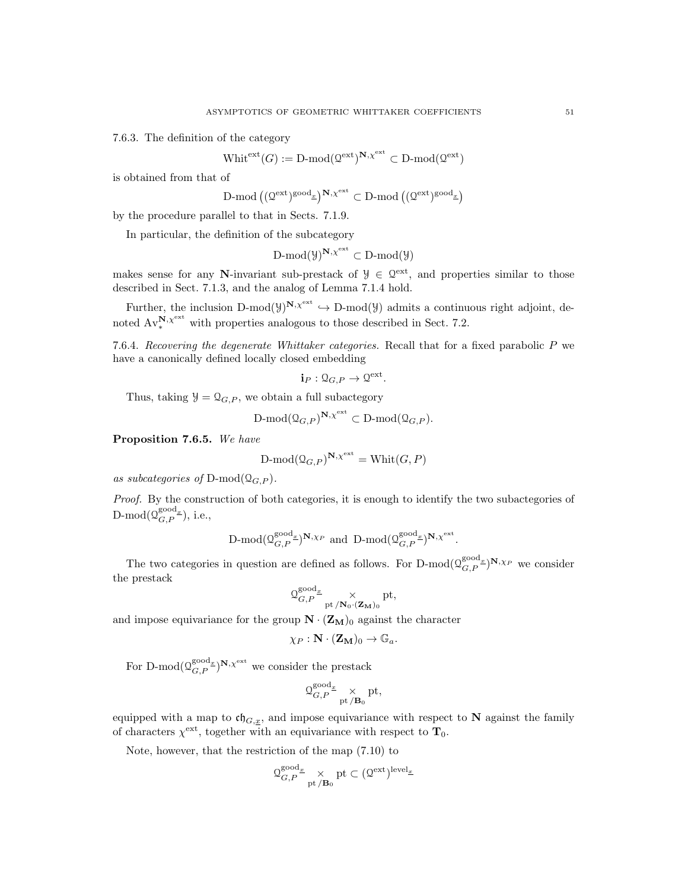7.6.3. The definition of the category

$$
\text{Whit}^{\text{ext}}(G) := \text{D-mod}(\mathcal{Q}^{\text{ext}})^{\mathbf{N}, \chi^{\text{ext}}} \subset \text{D-mod}(\mathcal{Q}^{\text{ext}})
$$

is obtained from that of

$$
\text{D-mod}\left((\mathcal{Q}^\mathrm{ext})^\mathrm{good}_\textbf{x}\right)^{\mathbf{N},\chi^\mathrm{ext}}\subset \text{D-mod}\left((\mathcal{Q}^\mathrm{ext})^\mathrm{good}_\textbf{x}\right)
$$

by the procedure parallel to that in Sects. 7.1.9.

In particular, the definition of the subcategory

$$
\operatorname{D-mod}(\mathcal{Y})^{\mathbf{N},\chi^{\operatorname{ext}}}\subset \operatorname{D-mod}(\mathcal{Y})
$$

makes sense for any N-invariant sub-prestack of  $\mathcal{Y} \in \mathbb{Q}^{ext}$ , and properties similar to those described in Sect. 7.1.3, and the analog of Lemma 7.1.4 hold.

Further, the inclusion  $D\text{-mod}(y)^{N,\chi^{ext}} \hookrightarrow D\text{-mod}(y)$  admits a continuous right adjoint, denoted  $Av_{*}^{\mathbf{N}, \chi^{\text{ext}}}$  with properties analogous to those described in Sect. 7.2.

7.6.4. Recovering the degenerate Whittaker categories. Recall that for a fixed parabolic  $P$  we have a canonically defined locally closed embedding

$$
\mathbf{i}_P: \mathcal{Q}_{G,P} \to \mathcal{Q}^{\text{ext}}.
$$

Thus, taking  $\mathcal{Y} = \mathcal{Q}_{G,P}$ , we obtain a full subactegory

$$
\text{D-mod}(\mathbf{Q}_{G,P})^{\mathbf{N},\chi^{\text{ext}}}\subset \text{D-mod}(\mathbf{Q}_{G,P}).
$$

Proposition 7.6.5. We have

$$
\mathrm{D\text{-}mod}(\mathbf{Q}_{G,P})^{\mathbf{N},\chi^{\text{ext}}} = \mathrm{Whit}(G,P)
$$

as subcategories of  $D\text{-mod}(\mathcal{Q}_{G,P})$ .

Proof. By the construction of both categories, it is enough to identify the two subactegories of D-mod $(\mathbb{Q}_{G,P}^{\text{good}_x}),$  i.e.,

$$
\text{$\mathbf{D}$-mod}(\mathbf{Q}_{G,P}^{\text{good}_{\underline{x}}})^{\mathbf{N},\chi_P}$ and $\mathbf{D}$-mod}(\mathbf{Q}_{G,P}^{\text{good}_{\underline{x}}})^{\mathbf{N},\chi^{\text{ext}}}.
$$

The two categories in question are defined as follows. For D-mod $(\mathcal{Q}_{G,P}^{\text{good}_x})^{\mathbf{N},\chi_P}$  we consider the prestack

$$
\mathcal{Q}_{G,P}^{\text{good}_{\underline{x}}} \underset{\text{pt } / \mathbf{N}_0 \cdot (\mathbf{Z_M})_0}{\times} \text{pt},
$$

and impose equivariance for the group  $\mathbf{N} \cdot (\mathbf{Z}_{\mathbf{M}})$  against the character

$$
\chi_P : \mathbf{N} \cdot (\mathbf{Z_M})_0 \to \mathbb{G}_a.
$$

For D-mod $(\mathcal{Q}_{G,P}^{\text{good}_x})^{\mathbf{N},\chi^{\text{ext}}}$  we consider the prestack

$$
\mathfrak{Q}_{G,P}^{\text{good}_{\underline{x}}} \underset{\text{pt }/\mathbf{B}_0}{\times} \text{pt},
$$

equipped with a map to  $\mathfrak{ch}_{G,\underline{x}}$ , and impose equivariance with respect to N against the family of characters  $\chi^{\text{ext}}$ , together with an equivariance with respect to  $\mathbf{T}_0$ .

Note, however, that the restriction of the map (7.10) to

$$
\mathfrak{Q}_{G,P}^{\text{good}_x} \underset{\text{pt }/\mathbf{B}_0}{\times} \text{pt } \subset (\mathfrak{Q}^{\text{ext}})^{\text{level}_x}
$$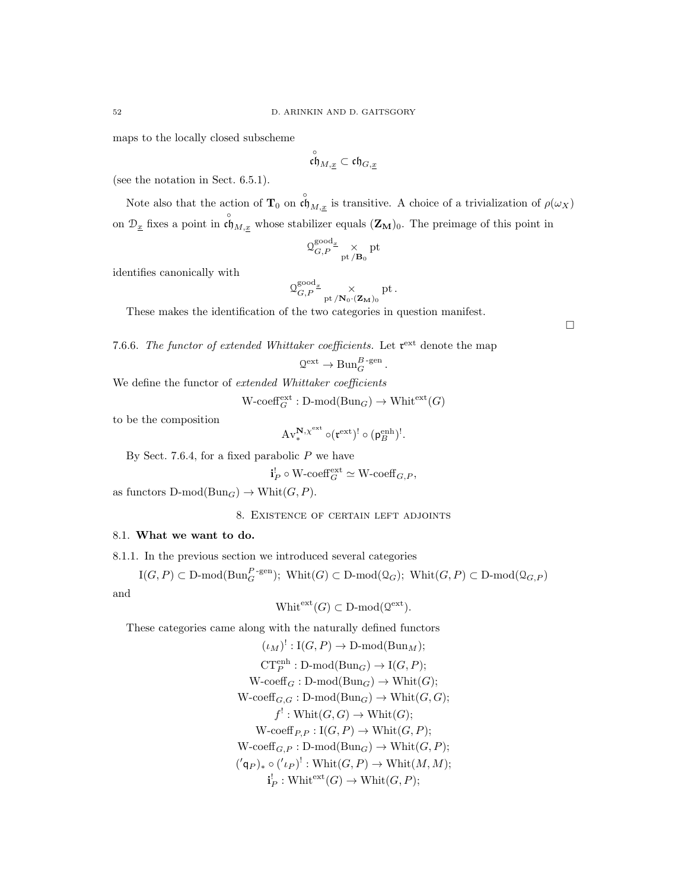maps to the locally closed subscheme

$$
\overset{\circ}{\mathfrak{ch}}_{M,\underline{x}}\subset \mathfrak{ch}_{G,\underline{x}}
$$

(see the notation in Sect. 6.5.1).

Note also that the action of  $T_0$  on  $\det^{\circ} M_{M,x}$  is transitive. A choice of a trivialization of  $\rho(\omega_X)$ on  $\mathcal{D}_{\underline{x}}$  fixes a point in  $\overset{\circ}{\mathfrak{ch}}_{M,\underline{x}}$  whose stabilizer equals  $(\mathbf{Z}_{\mathbf{M}})_0$ . The preimage of this point in

$$
\mathfrak{Q}_{G,P}^{\mathrm{good}_x} \underset{\mathrm{pt}\,/\mathbf{B}_0}{\times} \mathrm{pt}
$$

identifies canonically with

$$
\Omega_{G,P}^{\text{good}_{\underline{x}}} \underset{\text{pt } / \mathbf{N}_0 \cdot (\mathbf{Z_M})_0}{\times} \text{pt }.
$$

These makes the identification of the two categories in question manifest.

7.6.6. The functor of extended Whittaker coefficients. Let  $\mathfrak{r}^{\text{ext}}$  denote the map

$$
Q^{\text{ext}} \to \text{Bun}_{G}^{B\text{-gen}}.
$$

We define the functor of extended Whittaker coefficients

 $\text{W-coeff}_{G}^{\text{ext}} : \text{D-mod}(\text{Bun}_G) \to \text{Whit}^{\text{ext}}(G)$ 

to be the composition

$$
\mathrm{Av}^{\mathbf{N},\chi^{\rm ext}}_*\circ(\mathfrak r^{\rm ext})^!\circ(\mathfrak p^{\rm enh}_B)^!.
$$

By Sect. 7.6.4, for a fixed parabolic  $P$  we have

$$
\mathbf{i}_P^! \circ \text{W-coeff}_G^{\text{ext}} \simeq \text{W-coeff}_{G,P},
$$

as functors  $D\text{-mod}(Bun_G) \to \text{Whit}(G, P)$ .

8. Existence of certain left adjoints

# 8.1. What we want to do.

8.1.1. In the previous section we introduced several categories

 $\mathrm{I}(G, P) \subset \mathrm{D\text{-}mod}(\mathrm{Bun}_G^{P\text{-}\mathrm{gen}}); \ \mathrm{Whit}(G) \subset \mathrm{D\text{-}mod}(\mathcal{Q}_G); \ \mathrm{Whit}(G, P) \subset \mathrm{D\text{-}mod}(\mathcal{Q}_{G, P})$ and

$$
Whit^{ext}(G) \subset D\text{-mod}(\mathcal{Q}^{\text{ext}}).
$$

These categories came along with the naturally defined functors

$$
(\iota_M)^!: \text{I}(G, P) \to \text{D-mod}(\text{Bun}_M);
$$
  
\n
$$
\text{CT}_P^{\text{enh}} : \text{D-mod}(\text{Bun}_G) \to \text{I}(G, P);
$$
  
\n
$$
\text{W-coeff}_G : \text{D-mod}(\text{Bun}_G) \to \text{Whit}(G);
$$
  
\n
$$
\text{W-coeff}_{G,G} : \text{D-mod}(\text{Bun}_G) \to \text{Whit}(G, G);
$$
  
\n
$$
f^!: \text{Whit}(G, G) \to \text{Whit}(G);
$$
  
\n
$$
\text{W-coeff}_{P,P} : \text{I}(G, P) \to \text{Whit}(G, P);
$$
  
\n
$$
\text{W-coeff}_{G,P} : \text{D-mod}(\text{Bun}_G) \to \text{Whit}(G, P);
$$
  
\n
$$
(\langle \mathbf{q}_P \rangle_* \circ (\langle \iota_P \rangle^!: \text{Whit}(G, P) \to \text{Whit}(M, M);
$$
  
\n
$$
\mathbf{i}_P^!: \text{Whit}^{\text{ext}}(G) \to \text{Whit}(G, P);
$$

 $\Box$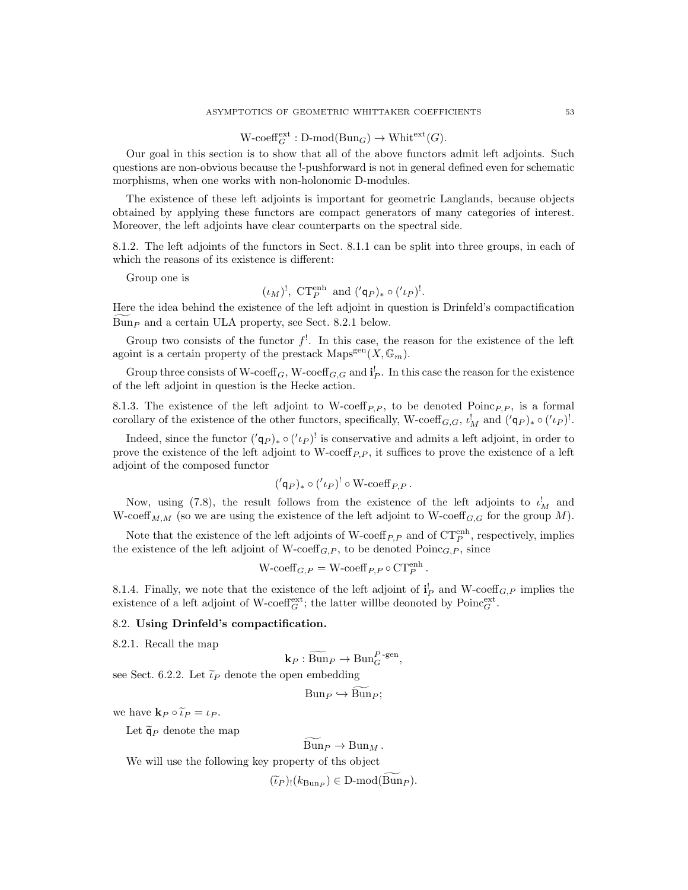# $\text{W-coeff}_{G}^{\text{ext}} : \text{D-mod}(\text{Bun}_G) \to \text{Whit}^{\text{ext}}(G).$

Our goal in this section is to show that all of the above functors admit left adjoints. Such questions are non-obvious because the !-pushforward is not in general defined even for schematic morphisms, when one works with non-holonomic D-modules.

The existence of these left adjoints is important for geometric Langlands, because objects obtained by applying these functors are compact generators of many categories of interest. Moreover, the left adjoints have clear counterparts on the spectral side.

8.1.2. The left adjoints of the functors in Sect. 8.1.1 can be split into three groups, in each of which the reasons of its existence is different:

Group one is

$$
(\iota_M)^!, \ \mathrm{CT}_P^{\mathrm{enh}} \ \mathrm{and} \ (\mathbf{q}_P)_* \circ (\mathbf{q}_P)^!.
$$

Here the idea behind the existence of the left adjoint in question is Drinfeld's compactification  $Bun<sub>P</sub>$  and a certain ULA property, see Sect. 8.2.1 below.

Group two consists of the functor  $f^!$ . In this case, the reason for the existence of the left agoint is a certain property of the prestack  $\text{Maps}^{\text{gen}}(X, \mathbb{G}_m)$ .

Group three consists of W-coeff<sub>G</sub>, W-coeff<sub>G,G</sub> and  $\mathbf{i}_P^!$ . In this case the reason for the existence of the left adjoint in question is the Hecke action.

8.1.3. The existence of the left adjoint to W-coeff<sub>P,P</sub>, to be denoted Poinc<sub>P,P</sub>, is a formal corollary of the existence of the other functors, specifically, W-coeff  $_{G,G}$ ,  $\iota_M^!$  and  $({\prime\varphi})_* \circ ({\prime\iota_P})^!$ .

Indeed, since the functor  $({q_P})_* \circ ({l_P})^!$  is conservative and admits a left adjoint, in order to prove the existence of the left adjoint to W-coeff<sub>P,P</sub>, it suffices to prove the existence of a left adjoint of the composed functor

$$
({ $\mathsf{q}_P})_* \circ ({ $\iota_P})^! \circ \mathsf{W}\text{-coeff}_{P,P}.$$
$$

Now, using (7.8), the result follows from the existence of the left adjoints to  $\iota_M^!$  and W-coeff<sub>M,M</sub> (so we are using the existence of the left adjoint to W-coeff<sub>G,G</sub> for the group M).

Note that the existence of the left adjoints of W-coeff<sub>P,P</sub> and of  $CT_P^{\text{enh}}$ , respectively, implies the existence of the left adjoint of W-coeff<sub>G,P</sub>, to be denoted  $Poinc<sub>G,P</sub>$ , since

$$
W\text{-coeff}_{G,P} = W\text{-coeff}_{P,P} \circ \text{CT}_P^{\text{enh}}.
$$

8.1.4. Finally, we note that the existence of the left adjoint of  $\mathbf{i}_P^!$  and W-coeff<sub>G,P</sub> implies the existence of a left adjoint of W-coeff $_G^{\text{ext}}$ ; the latter will<br>be deonoted by Poinc $_G^{\text{ext}}$ .

#### 8.2. Using Drinfeld's compactification.

8.2.1. Recall the map

$$
\mathbf{k}_P : \widetilde{\operatorname{Bun}}_P \to \operatorname{Bun}_G^{P\text{-gen}},
$$

see Sect. 6.2.2. Let  $\tilde{\iota}_P$  denote the open embedding

$$
Bun_P \hookrightarrow Bun_P;
$$

we have  $\mathbf{k}_P \circ \widetilde{\iota}_P = \iota_P$ .

Let  $\tilde{\mathsf{q}}_P$  denote the map

 $\widetilde{\mathrm{Bun}}_P \to \mathrm{Bun}_M$ .

We will use the following key property of ths object

 $(\widetilde{\iota}_P)_!(k_{\text{Bun}_P}) \in \text{D-mod}(\text{Bun}_P).$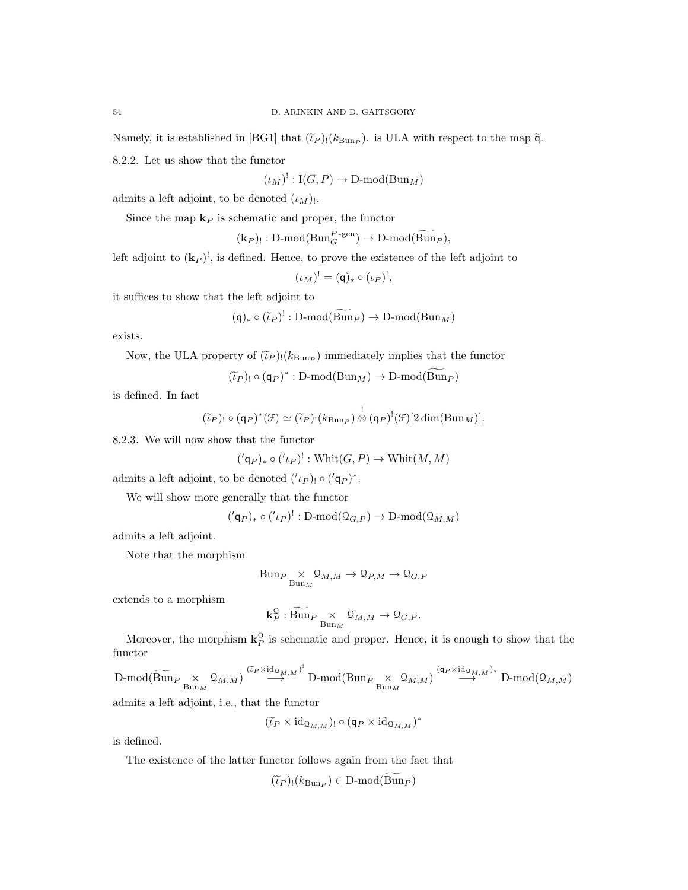Namely, it is established in [BG1] that  $(\tilde{\iota}_P)_! (k_{\text{Bun}_P})$ . is ULA with respect to the map  $\tilde{q}$ . 8.2.2. Let us show that the functor

 $(\iota_M)^!: \mathrm{I}(G, P) \to \mathrm{D\text{-}mod}(\mathrm{Bun}_M)$ 

admits a left adjoint, to be denoted  $(\iota_M)$ .

Since the map  $\mathbf{k}_P$  is schematic and proper, the functor

 $(\mathbf{k}_P)_{!}: \mathrm{D-mod}(\mathrm{Bun}_G^{P\text{-gen}}) \to \mathrm{D-mod}(\widetilde{\mathrm{Bun}}_P),$ 

left adjoint to  $(\mathbf{k}_P)^!$ , is defined. Hence, to prove the existence of the left adjoint to

$$
(\iota_M)^! = (\mathsf{q})_* \circ (\iota_P)^!,
$$

it suffices to show that the left adjoint to

$$
(\mathsf{q})_* \circ (\widetilde{\iota}_P)^!: \mathrm{D}\text{-}\mathrm{mod}(\widetilde{\mathrm{Bun}}_P) \to \mathrm{D}\text{-}\mathrm{mod}(\mathrm{Bun}_M)
$$

exists.

Now, the ULA property of  $(\tilde{\iota}_P)(k_{\text{Bun}_P})$  immediately implies that the functor

 $(\widetilde{\iota}_P)_{!} \circ (\mathsf{q}_P)^* : \mathbf{D}\text{-mod}(\mathbf{Bun}_M) \to \mathbf{D}\text{-mod}(\mathbf{Bun}_P)$ 

is defined. In fact

$$
(\widetilde{\iota}_P)_! \circ (\mathsf{q}_P)^*(\mathcal{F}) \simeq (\widetilde{\iota}_P)_! (k_{\mathrm{Bun}_P}) \overset{!}{\otimes} (\mathsf{q}_P)^!(\mathcal{F})[2\dim(\mathrm{Bun}_M)].
$$

8.2.3. We will now show that the functor

$$
({q_P})_* \circ ({l_P})^!: \text{Whit}(G, P) \to \text{Whit}(M, M)
$$

admits a left adjoint, to be denoted  $(1_P)$ !  $\circ (q_P)^*$ .

We will show more generally that the functor

$$
({qP})_* \circ ({'P})': D-mod(QG,P) \to D-mod(QM,M)
$$

admits a left adjoint.

Note that the morphism

$$
\text{Bun}_{P} \underset{\text{Bun}_{M}}{\times} \mathcal{Q}_{M,M} \to \mathcal{Q}_{P,M} \to \mathcal{Q}_{G,P}
$$

extends to a morphism

$$
\mathbf{k}_P^{\mathbb{Q}} : \widetilde{\operatorname{Bun}}_{P} \underset{\operatorname{Bun}_M}{\times} \mathcal{Q}_{M,M} \to \mathcal{Q}_{G,P}.
$$

Moreover, the morphism  $\mathbf{k}_P^{\mathcal{Q}}$  is schematic and proper. Hence, it is enough to show that the functor

 $\mathrm{D\text{-}mod}(\widetilde{\mathrm{Bun}}_{P}\underset{\mathrm{Bun}_M}{\times}\mathbb{Q}_{M,M})\overset{(\widetilde{\iota}_{P}\times\mathrm{id}_{\mathbb{Q}_{M,M}})}{\longrightarrow}\mathrm{D\text{-}mod}(\mathrm{Bun}_{P}\underset{\mathrm{Bun}_M}{\times}\mathbb{Q}_{M,M})\overset{(\mathsf{q}_{P}\times\mathrm{id}_{\mathbb{Q}_{M,M}})_{*}}{\longrightarrow}\mathrm{D\text{-}mod}(\mathbb{Q}_{M,M})$ 

admits a left adjoint, i.e., that the functor

$$
(\widetilde{\iota}_P\times \mathrm{id}_{\mathfrak{Q}_{M,M}})_!\circ (\mathsf{q}_P\times \mathrm{id}_{\mathfrak{Q}_{M,M}})^*
$$

is defined.

The existence of the latter functor follows again from the fact that

$$
(\widetilde{\iota}_P)_!(k_{\operatorname{Bun}_P}) \in \operatorname{D-mod}(\operatorname{Bun}_P)
$$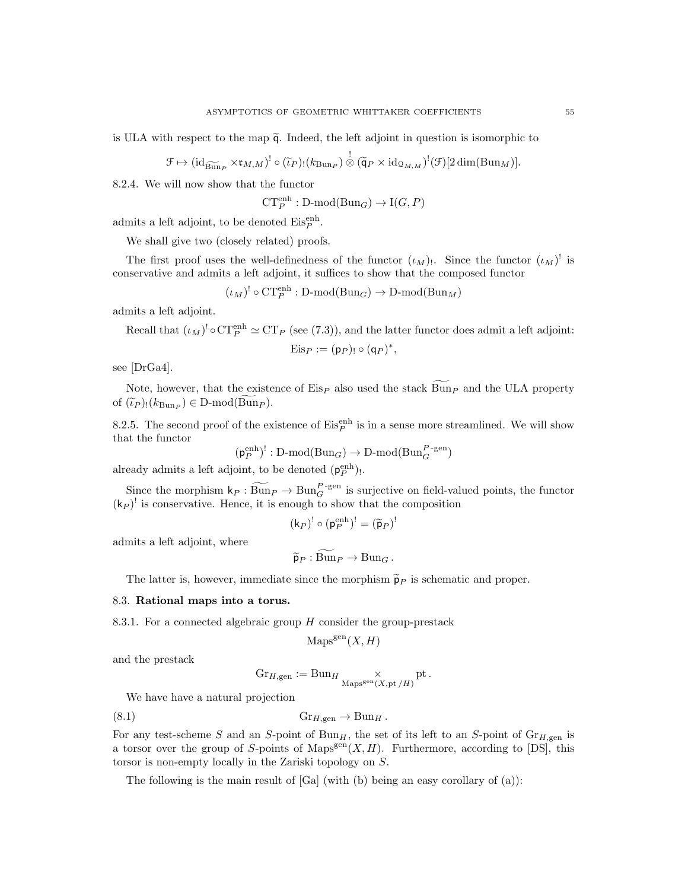is ULA with respect to the map  $\tilde{q}$ . Indeed, the left adjoint in question is isomorphic to

$$
\mathcal{F} \mapsto (\mathrm{id}_{\widetilde{\mathrm{Bun}}_P} \times \mathfrak{r}_{M,M})^! \circ (\widetilde{\iota}_P)_! (k_{\mathrm{Bun}}) \overset{!}{\otimes} (\widetilde{\mathsf{q}}_P \times \mathrm{id}_{\mathfrak{Q}_{M,M}})^! (\mathcal{F})[2 \dim(\mathrm{Bun}_M)].
$$

8.2.4. We will now show that the functor

$$
\mathbf{CT}_P^{\text{enh}} : \mathbf{D}\text{-mod}(\mathbf{Bun}_G) \to \mathbf{I}(G,P)
$$

admits a left adjoint, to be denoted  $\mathrm{Eis}^{\mathrm{enh}}_P$ .

We shall give two (closely related) proofs.

The first proof uses the well-definedness of the functor  $(\iota_M)$ . Since the functor  $(\iota_M)$ <sup>!</sup> is conservative and admits a left adjoint, it suffices to show that the composed functor

$$
(\iota_M)^! \circ \mathrm{CT}_P^{\mathrm{enh}} : \mathrm{D}\text{-}\mathrm{mod}(\mathrm{Bun}_G) \to \mathrm{D}\text{-}\mathrm{mod}(\mathrm{Bun}_M)
$$

admits a left adjoint.

Recall that 
$$
(\iota_M)^! \circ \text{CT}_P^{\text{enh}} \simeq \text{CT}_P
$$
 (see (7.3)), and the latter functor does admit a left adjoint:  

$$
\text{Eis}_P := (\mathsf{p}_P)_! \circ (\mathsf{q}_P)^*,
$$

see [DrGa4].

Note, however, that the existence of  $Eis_P$  also used the stack  $Bun_P$  and the ULA property of  $(\tilde{\iota}_P)(k_{\text{Bun}_P}) \in \mathcal{D}\text{-mod}(\text{Bun}_P).$ 

8.2.5. The second proof of the existence of  $\mathrm{Eis}^{\mathrm{enh}}_{P}$  is in a sense more streamlined. We will show that the functor

$$
(\mathsf{p}_P^{\text{enh}})^!: \mathbf{D}\text{-}\mathrm{mod}(\mathbf{Bun}_G) \to \mathbf{D}\text{-}\mathrm{mod}(\mathbf{Bun}_G^{P\text{-}\mathrm{gen}})
$$

already admits a left adjoint, to be denoted  $(\mathsf{p}_P^{\text{enh}})$ .

Since the morphism  $k_P : \widetilde{Bun}_P \to \text{Bun}_G^{P-\text{gen}}$  is surjective on field-valued points, the functor  $(k_P)^!$  is conservative. Hence, it is enough to show that the composition

$$
(\mathsf{k}_P)^! \circ (\mathsf{p}_P^{\text{enh}})^! = (\widetilde{\mathsf{p}}_P)^!
$$

admits a left adjoint, where

$$
\widetilde{\mathsf{p}}_P : \widetilde{\mathrm{Bun}}_P \to \mathrm{Bun}_G.
$$

The latter is, however, immediate since the morphism  $\tilde{p}_P$  is schematic and proper.

#### 8.3. Rational maps into a torus.

8.3.1. For a connected algebraic group  $H$  consider the group-prestack

$$
Mapsgen(X, H)
$$

and the prestack

$$
\mathrm{Gr}_{H, \mathrm{gen}} := \mathrm{Bun}_H \underset{\mathrm{Maps}^{\mathrm{gen}}(X, \mathrm{pt}/H)}{\times} \mathrm{pt} \, .
$$

We have have a natural projection

$$
(8.1) \t\t\t GrH,gen \to BunH.
$$

For any test-scheme S and an S-point of  $Bun<sub>H</sub>$ , the set of its left to an S-point of  $Gr<sub>H,gen</sub>$  is a torsor over the group of S-points of Maps<sup>gen</sup> $(X, H)$ . Furthermore, according to [DS], this torsor is non-empty locally in the Zariski topology on S.

The following is the main result of  $[Ga]$  (with (b) being an easy corollary of  $(a)$ ):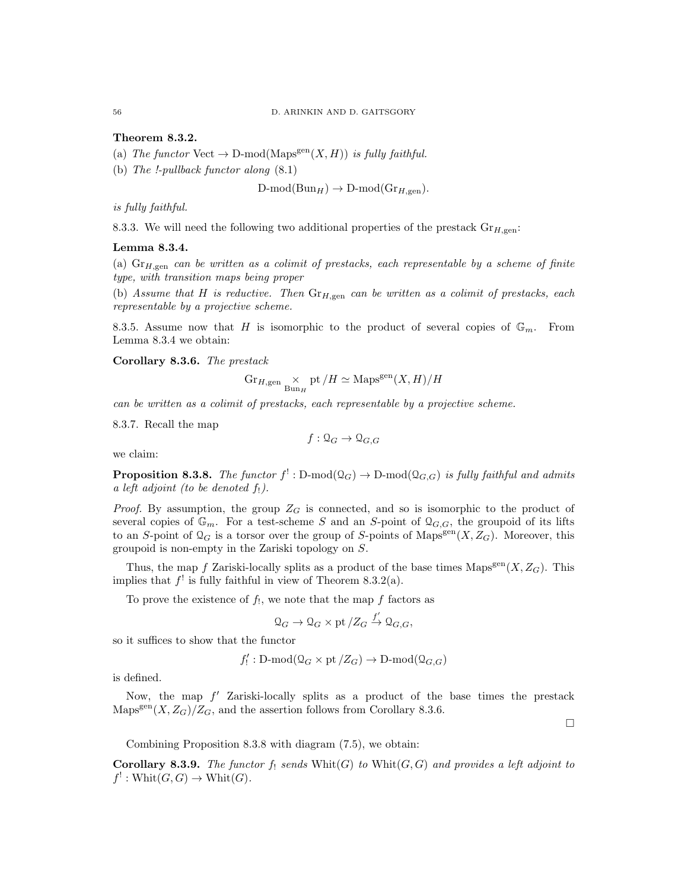#### Theorem 8.3.2.

- (a) The functor Vect  $\rightarrow$  D-mod(Maps<sup>gen</sup> $(X, H)$ ) is fully faithful.
- (b) The !-pullback functor along (8.1)

 $D\text{-mod}(Bun_H) \to D\text{-mod}(Gr_{H,\text{gen}}).$ 

is fully faithful.

8.3.3. We will need the following two additional properties of the prestack  $\text{Gr}_{H,\text{gen}}$ :

#### Lemma 8.3.4.

(a)  $\text{Gr}_{H,\text{gen}}$  can be written as a colimit of prestacks, each representable by a scheme of finite type, with transition maps being proper

(b) Assume that H is reductive. Then  $\text{Gr}_{H,gen}$  can be written as a colimit of prestacks, each representable by a projective scheme.

8.3.5. Assume now that H is isomorphic to the product of several copies of  $\mathbb{G}_m$ . From Lemma 8.3.4 we obtain:

Corollary 8.3.6. The prestack

$$
\operatorname{Gr}_{H, \operatorname{gen}} \times \inf_{\operatorname{Bun}_H} \operatorname{pt}/H \simeq \operatorname{Maps}^{\operatorname{gen}}(X, H)/H
$$

can be written as a colimit of prestacks, each representable by a projective scheme.

8.3.7. Recall the map

$$
f: \mathcal{Q}_G \to \mathcal{Q}_{G,G}
$$

we claim:

**Proposition 8.3.8.** The functor  $f^!: \text{D-mod}(\mathcal{Q}_G) \to \text{D-mod}(\mathcal{Q}_{G,G})$  is fully faithful and admits a left adjoint (to be denoted  $f_!$ ).

*Proof.* By assumption, the group  $Z_G$  is connected, and so is isomorphic to the product of several copies of  $\mathbb{G}_m$ . For a test-scheme S and an S-point of  $\mathcal{Q}_{G,G}$ , the groupoid of its lifts to an S-point of  $\mathcal{Q}_G$  is a torsor over the group of S-points of Maps<sup>gen</sup> $(X, Z_G)$ . Moreover, this groupoid is non-empty in the Zariski topology on S.

Thus, the map f Zariski-locally splits as a product of the base times  $\text{Maps}^{\text{gen}}(X, Z_G)$ . This implies that  $f'$  is fully faithful in view of Theorem 8.3.2(a).

To prove the existence of  $f_!,$  we note that the map  $f$  factors as

$$
\mathcal{Q}_G \to \mathcal{Q}_G \times \text{pt}/Z_G \xrightarrow{f'} \mathcal{Q}_{G,G},
$$

so it suffices to show that the functor

$$
f'_!: \mathbf{D}\text{-}\mathrm{mod}(\mathbf{Q}_G \times \mathrm{pt}/Z_G) \to \mathbf{D}\text{-}\mathrm{mod}(\mathbf{Q}_{G,G})
$$

is defined.

Now, the map  $f'$  Zariski-locally splits as a product of the base times the prestack  $\text{Maps}^{\text{gen}}(X, Z_G)/Z_G$ , and the assertion follows from Corollary 8.3.6.

 $\Box$ 

Combining Proposition 8.3.8 with diagram (7.5), we obtain:

**Corollary 8.3.9.** The functor  $f_!$  sends  $Whit(G)$  to  $Whit(G, G)$  and provides a left adjoint to  $f' : \text{Whit}(G, G) \to \text{Whit}(G).$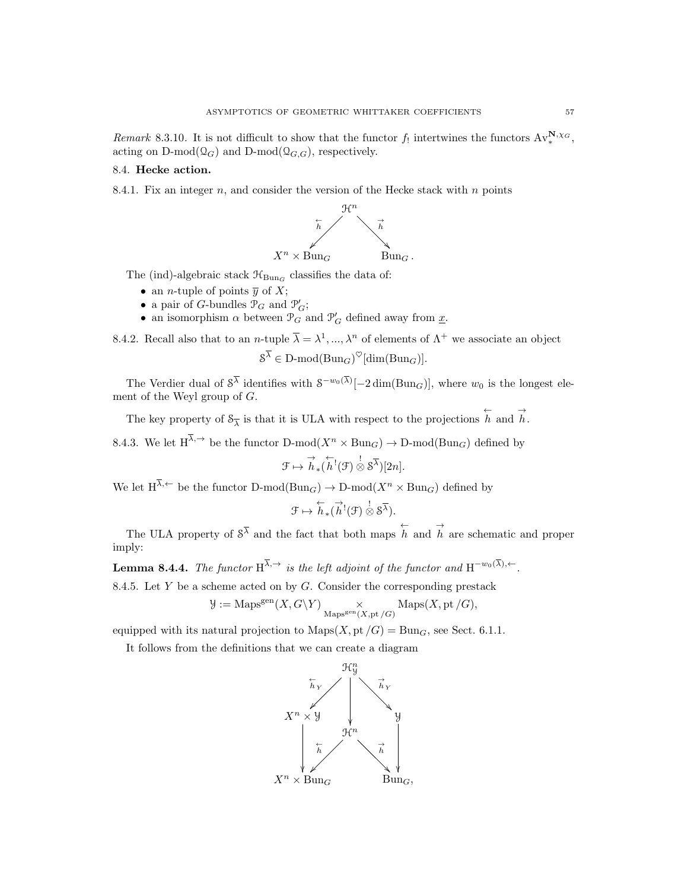Remark 8.3.10. It is not difficult to show that the functor  $f_!$  intertwines the functors  $Av_*^{\mathbf{N},\chi_G}$ , acting on D-mod $(\mathcal{Q}_G)$  and D-mod $(\mathcal{Q}_{G,G})$ , respectively.

#### 8.4. Hecke action.

8.4.1. Fix an integer  $n$ , and consider the version of the Hecke stack with  $n$  points



The (ind)-algebraic stack  $\mathcal{H}_{\text{Bun}_G}$  classifies the data of:

- an *n*-tuple of points  $\overline{y}$  of X;
- a pair of G-bundles  $\mathcal{P}_G$  and  $\mathcal{P}'_G$ ;
- $\bullet\,$  an isomorphism  $\alpha$  between  $\mathcal{P}_G$  and  $\mathcal{P}'_G$  defined away from  $\underline{x}.$

8.4.2. Recall also that to an *n*-tuple  $\overline{\lambda} = \lambda^1, ..., \lambda^n$  of elements of  $\Lambda^+$  we associate an object  $S^{\lambda} \in D\text{-mod}(Bun_G)^{\heartsuit}[\dim(Bun_G)].$ 

The Verdier dual of  $S^{\lambda}$  identifies with  $S^{-w_0(\lambda)}[-2 \dim(\text{Bun}_G)],$  where  $w_0$  is the longest element of the Weyl group of  $G$ .

The key property of  $S_{\overline{\lambda}}$  is that it is ULA with respect to the projections  $\overleftarrow{h}$  and  $\overrightarrow{h}$ .

8.4.3. We let  $H^{\overline{\lambda}, \rightarrow}$  be the functor D-mod $(X^n \times \text{Bun}_G) \rightarrow \text{D-mod}(\text{Bun}_G)$  defined by

$$
\mathcal{F}\mapsto \overset{\rightarrow}{h}_*(\overset{\leftarrow}{h}^!(\mathcal{F})\overset{!}{\otimes} \mathcal{S}^{\overline{\lambda}})[2n].
$$

We let  $H^{\overline{\lambda}, \leftarrow}$  be the functor  $D\text{-mod}(Bun_G) \rightarrow D\text{-mod}(X^n \times Bun_G)$  defined by

$$
\mathcal{F} \mapsto \overleftarrow{h}_{*}(\overrightarrow{h}^{!}(\mathcal{F}) \overset{!}{\otimes} \mathcal{S}^{\overline{\lambda}}).
$$

The ULA property of  $S^{\overline{\lambda}}$  and the fact that both maps  $\overleftrightarrow{h}$  and  $\overrightarrow{h}$  are schematic and proper imply:

**Lemma 8.4.4.** The functor  $H^{\lambda, \rightarrow}$  is the left adjoint of the functor and  $H^{-w_0(\lambda), \leftarrow}$ .

8.4.5. Let  $Y$  be a scheme acted on by  $G$ . Consider the corresponding prestack

$$
\mathcal{Y}:=\mathrm{Maps}^\mathrm{gen}(X,G\backslash Y)\underset{\mathrm{Maps}^\mathrm{gen}(X,\mathrm{pt}\slash G)}{\times}\mathrm{Maps}(X,\mathrm{pt}\slash G),
$$

equipped with its natural projection to  $\text{Maps}(X, \text{pt }/G) = \text{Bun}_G$ , see Sect. 6.1.1.

It follows from the definitions that we can create a diagram

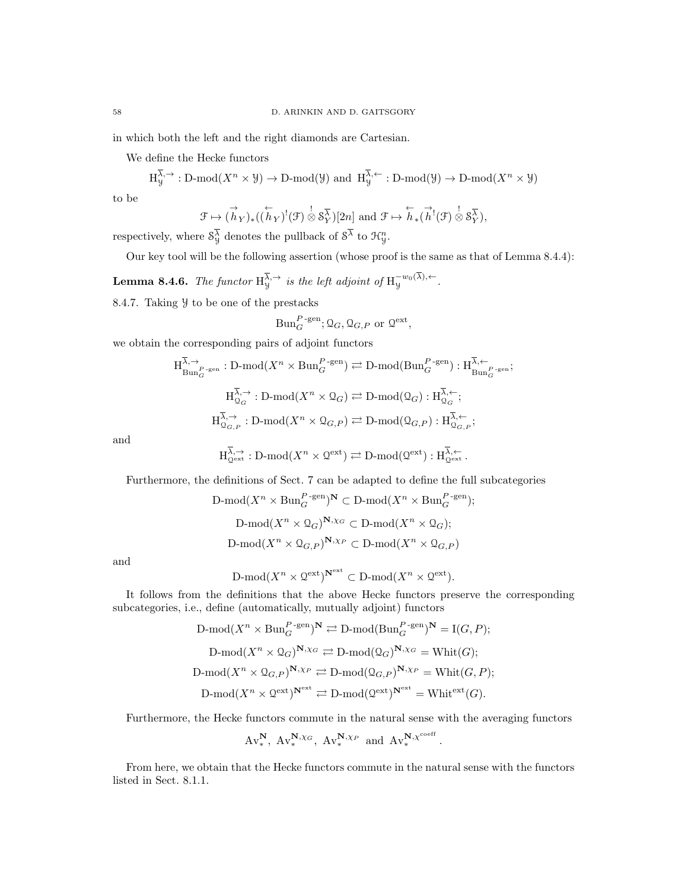in which both the left and the right diamonds are Cartesian.

We define the Hecke functors

 $H_y^{\lambda, \rightarrow} : D\text{-mod}(X^n \times \mathcal{Y}) \to D\text{-mod}(\mathcal{Y})$  and  $H_y^{\lambda, \leftarrow} : D\text{-mod}(\mathcal{Y}) \to D\text{-mod}(X^n \times \mathcal{Y})$ 

to be

$$
\mathcal{F} \mapsto (\stackrel{\rightarrow}{h}_Y)_*((\stackrel{\leftarrow}{h}_Y)^!(\mathcal{F}) \stackrel{\rightarrow}{\otimes} \mathcal{S}_Y^{\overline{\lambda}})[2n] \text{ and } \mathcal{F} \mapsto \stackrel{\leftarrow}{h}_*(\stackrel{\rightarrow}{h}^!(\mathcal{F}) \stackrel{\rightarrow}{\otimes} \mathcal{S}_Y^{\overline{\lambda}}),
$$

respectively, where  $\mathcal{S}_{\mathcal{Y}}^{\lambda}$  denotes the pullback of  $\mathcal{S}^{\lambda}$  to  $\mathcal{H}_{\mathcal{Y}}^{n}$ .

Our key tool will be the following assertion (whose proof is the same as that of Lemma 8.4.4):

**Lemma 8.4.6.** The functor  $H_y^{\overline{\lambda}, \rightarrow}$  is the left adjoint of  $H_y^{-w_0(\lambda), \leftarrow}$ . 8.4.7. Taking Y to be one of the prestacks

$$
\mathrm{Bun}_G^{P\text{-gen}}; \mathbf{Q}_G, \mathbf{Q}_{G,P} \text{ or } \mathbf{Q}^{\text{ext}},
$$

we obtain the corresponding pairs of adjoint functors

$$
\begin{aligned} \mathcal{H}_{\text{Bun}_G^{\overline{\lambda},\rightarrow}}^{\overline{\lambda},\rightarrow} : \mathcal{D}\text{-mod}(X^n \times \text{Bun}_G^{P\text{-gen}}) &\rightleftarrows \mathcal{D}\text{-mod}(\text{Bun}_G^{P\text{-gen}}) : \mathcal{H}_{\text{Bun}_G^{\overline{\lambda},\leftarrow}}^{\overline{\lambda},\leftarrow} \\ \mathcal{H}_{\mathcal{Q}_G}^{\overline{\lambda},\rightarrow} : \mathcal{D}\text{-mod}(X^n \times \mathcal{Q}_G) &\rightleftarrows \mathcal{D}\text{-mod}(\mathcal{Q}_G) : \mathcal{H}_{\mathcal{Q}_G}^{\overline{\lambda},\leftarrow}; \\ \mathcal{H}_{\mathcal{Q}_{G,P}}^{\overline{\lambda},\rightarrow} : \mathcal{D}\text{-mod}(X^n \times \mathcal{Q}_{G,P}) &\rightleftarrows \mathcal{D}\text{-mod}(\mathcal{Q}_{G,P}) : \mathcal{H}_{\mathcal{Q}_{G,P}}^{\overline{\lambda},\leftarrow}; \end{aligned}
$$

and

$$
H_{\mathcal{Q}^{\mathrm{ext}}}^{\overline{\lambda},\rightarrow}: \mathbf{D}\text{-}\mathrm{mod}(X^n \times \mathcal{Q}^{\mathrm{ext}}) \rightleftarrows \mathbf{D}\text{-}\mathrm{mod}(\mathcal{Q}^{\mathrm{ext}}): H_{\mathcal{Q}^{\mathrm{ext}}}^{\overline{\lambda},\leftarrow}.
$$

Furthermore, the definitions of Sect. 7 can be adapted to define the full subcategories

$$
\text{D-mod}(X^n \times \text{Bun}_G^{P\text{-gen}})^{\mathbf{N}} \subset \text{D-mod}(X^n \times \text{Bun}_G^{P\text{-gen}});
$$
\n
$$
\text{D-mod}(X^n \times \text{Q}_G)^{\mathbf{N}, \chi_G} \subset \text{D-mod}(X^n \times \text{Q}_G);
$$
\n
$$
\text{D-mod}(X^n \times \text{Q}_{G,P})^{\mathbf{N}, \chi_P} \subset \text{D-mod}(X^n \times \text{Q}_{G,P})
$$

and

$$
\mathrm{D\text{-}mod}(X^n\times \mathcal Q^\mathrm{ext})^{\mathbf N^\mathrm{ext}}\subset \mathrm{D\text{-}mod}(X^n\times \mathcal Q^\mathrm{ext}).
$$

It follows from the definitions that the above Hecke functors preserve the corresponding subcategories, i.e., define (automatically, mutually adjoint) functors

$$
\text{D-mod}(X^n \times \text{Bun}_G^{P-\text{gen}})^{\mathbf{N}} \rightleftarrows \text{D-mod}(\text{Bun}_G^{P-\text{gen}})^{\mathbf{N}} = \text{I}(G, P);
$$
\n
$$
\text{D-mod}(X^n \times \mathcal{Q}_G)^{\mathbf{N}, \chi_G} \rightleftarrows \text{D-mod}(\mathcal{Q}_G)^{\mathbf{N}, \chi_G} = \text{Whit}(G);
$$
\n
$$
\text{D-mod}(X^n \times \mathcal{Q}_{G, P})^{\mathbf{N}, \chi_P} \rightleftarrows \text{D-mod}(\mathcal{Q}_{G, P})^{\mathbf{N}, \chi_P} = \text{Whit}(G, P);
$$
\n
$$
\text{D-mod}(X^n \times \mathcal{Q}^{\text{ext}})^{\mathbf{N}^{\text{ext}}} \rightleftarrows \text{D-mod}(\mathcal{Q}^{\text{ext}})^{\mathbf{N}^{\text{ext}}} = \text{Whit}^{\text{ext}}(G).
$$

Furthermore, the Hecke functors commute in the natural sense with the averaging functors

.

$$
\mathrm{Av}^{\mathbf{N}}_*,\ \mathrm{Av}^{\mathbf{N},\chi_G}_*,\ \mathrm{Av}^{\mathbf{N},\chi_P}_*\ \text{ and }\ \mathrm{Av}^{\mathbf{N},\chi^{\mathrm{coeff}}}_*
$$

From here, we obtain that the Hecke functors commute in the natural sense with the functors listed in Sect. 8.1.1.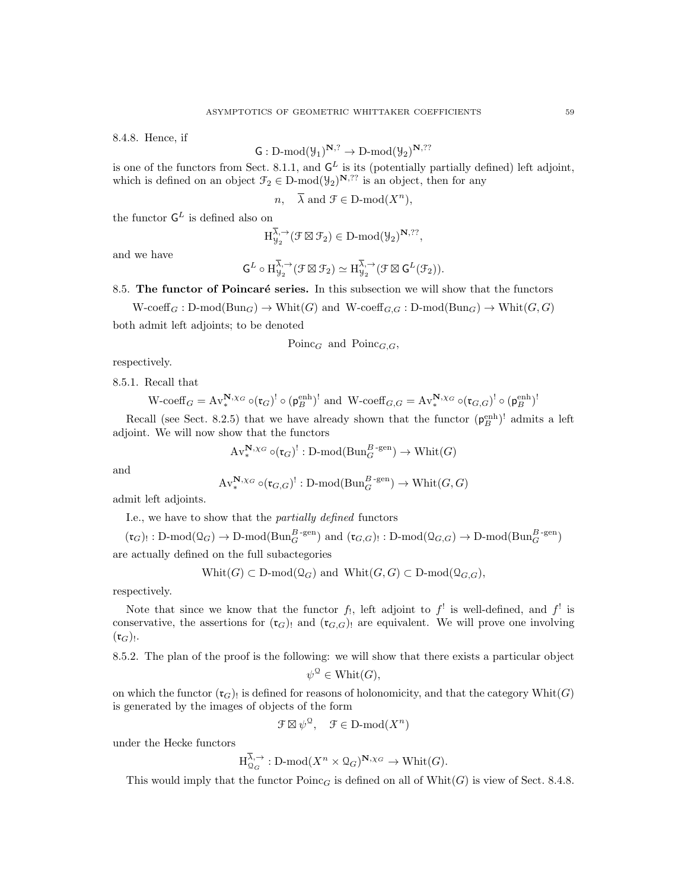8.4.8. Hence, if

$$
\mathsf{G}: \mathrm{D\text{-}mod}(\mathcal{Y}_1)^{\mathbf{N},?} \to \mathrm{D\text{-}mod}(\mathcal{Y}_2)^{\mathbf{N},??}
$$

is one of the functors from Sect. 8.1.1, and  $G<sup>L</sup>$  is its (potentially partially defined) left adjoint, which is defined on an object  $\mathcal{F}_2 \in \mathcal{D}\text{-mod}(\mathcal{Y}_2)^{\mathbf{N},??}$  is an object, then for any

 $n, \quad \overline{\lambda} \text{ and } \mathcal{F} \in \mathcal{D} \text{-mod}(X^n),$ 

the functor  $\mathsf{G}^L$  is defined also on

$$
H_{\mathcal{Y}_2}^{\overline{\lambda},\rightarrow}(\mathcal{F}\boxtimes\mathcal{F}_2)\in D\text{-}\mathrm{mod}(\mathcal{Y}_2)^{\mathbf{N},??},
$$

and we have

$$
\mathsf{G}^L\circ \mathrm{H}^{\overline{\lambda},\rightarrow}_{\mathcal{Y}_2}(\mathcal{F}\boxtimes \mathcal{F}_2)\simeq \mathrm{H}^{\overline{\lambda},\rightarrow}_{\mathcal{Y}_2}(\mathcal{F}\boxtimes \mathsf{G}^L(\mathcal{F}_2)).
$$

8.5. The functor of Poincaré series. In this subsection we will show that the functors

 $W\text{-coeff}_G: \text{D-mod}(\text{Bun}_G) \to \text{Whit}(G)$  and  $W\text{-coeff}_{G,G}: \text{D-mod}(\text{Bun}_G) \to \text{Whit}(G,G)$ 

both admit left adjoints; to be denoted

Poinc<sub>G</sub> and Poinc<sub>G,G</sub>,

respectively.

8.5.1. Recall that

$$
\mathrm{W\text{-}coeff}_G = \mathrm{Av}^{\mathbf{N},\chi_G}_{*} \circ (\mathfrak{r}_G)^! \circ (\mathfrak{p}_B^{\text{enh}})^! \text{ and } \mathrm{W\text{-}coeff}_{G,G} = \mathrm{Av}^{\mathbf{N},\chi_G}_{*} \circ (\mathfrak{r}_{G,G})^! \circ (\mathfrak{p}_B^{\text{enh}})^!
$$

Recall (see Sect. 8.2.5) that we have already shown that the functor  $(\rho_B^{\text{enh}})^!$  admits a left adjoint. We will now show that the functors

$$
\mathrm{Av}^{\mathbf{N},\chi_G}_\ast\circ (\mathfrak{r}_G)^!: \mathbf{D}\text{-}\mathrm{mod}(\mathbf{Bun}_G^{B\text{-}\mathrm{gen}})\to \mathbf{Whit}(G)
$$

and

$$
\mathrm{Av}^{\mathbf{N},\chi_G}_{*} \circ (\mathfrak{r}_{G,G})^! : \mathbf{D}\text{-mod}(\mathbf{Bun}_G^{B\text{-gen}}) \to \mathbf{Whit}(G,G)
$$

admit left adjoints.

I.e., we have to show that the partially defined functors

 $(\mathfrak{r}_G)_{!}: \text{D-mod}(\text{Q}_G) \to \text{D-mod}(\text{Bun}_G^{B-\text{gen}})$  and  $(\mathfrak{r}_{G,G})_{!}: \text{D-mod}(\text{Q}_{G,G}) \to \text{D-mod}(\text{Bun}_G^{B-\text{gen}})$ are actually defined on the full subactegories

 $\text{Whit}(G) \subset \text{D-mod}(\mathfrak{Q}_G)$  and  $\text{Whit}(G, G) \subset \text{D-mod}(\mathfrak{Q}_{G, G}),$ 

respectively.

Note that since we know that the functor  $f_1$ , left adjoint to  $f^!$  is well-defined, and  $f^!$  is conservative, the assertions for  $(\mathfrak{r}_G)$  and  $(\mathfrak{r}_{G,G})$  are equivalent. We will prove one involving  $(\mathfrak{r}_{G})_{!}.$ 

8.5.2. The plan of the proof is the following: we will show that there exists a particular object

$$
\psi^{\mathcal{Q}} \in \text{Whit}(G),
$$

on which the functor  $(\mathfrak{r}_G)$  is defined for reasons of holonomicity, and that the category  $\text{Whit}(G)$ is generated by the images of objects of the form

$$
\mathcal{F} \boxtimes \psi^{\mathfrak{Q}}, \quad \mathcal{F} \in \mathcal{D}\text{-mod}(X^n)
$$

under the Hecke functors

$$
H_{\mathcal{Q}_G}^{\lambda, \rightarrow}
$$
: D-mod $(X^n \times \mathcal{Q}_G)^{\mathbf{N}, \chi_G} \rightarrow \text{Whit}(G)$ .

This would imply that the functor  $Poinc_G$  is defined on all of Whit $(G)$  is view of Sect. 8.4.8.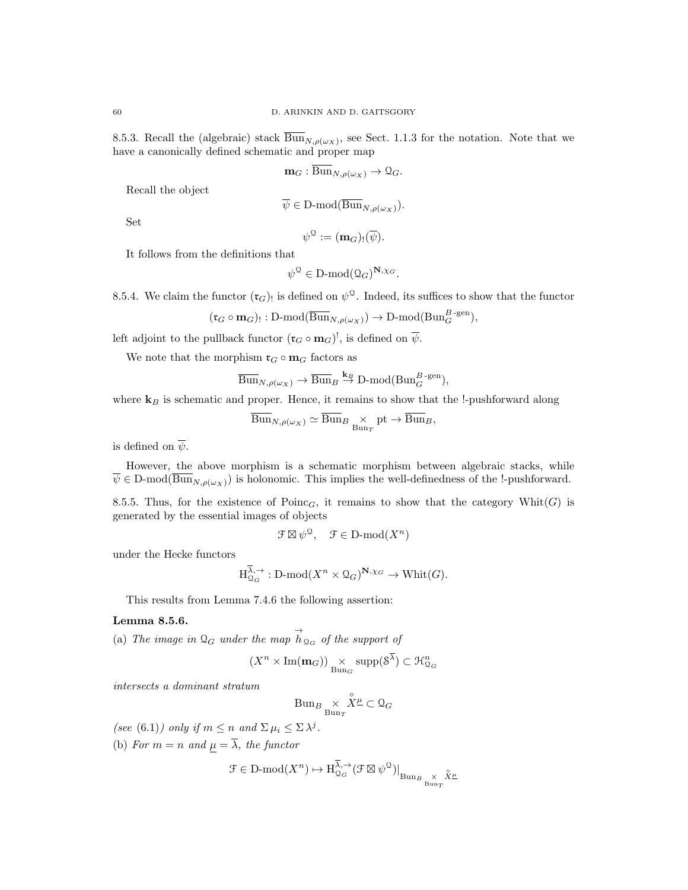8.5.3. Recall the (algebraic) stack  $\text{Bun}_{N,\rho(\omega_X)}$ , see Sect. 1.1.3 for the notation. Note that we have a canonically defined schematic and proper map

$$
\mathbf{m}_G : \overline{\mathrm{Bun}}_{N,\rho(\omega_X)} \to \mathcal{Q}_G.
$$

Recall the object

$$
\psi \in \mathcal{D}\text{-mod}(\mathrm{Bun}_{N,\rho(\omega_X)}).
$$

Set

$$
\psi^{\mathfrak{Q}} := (\mathbf{m}_G)_! (\overline{\psi}).
$$

It follows from the definitions that

$$
\psi^{\mathcal{Q}} \in \mathbf{D}\text{-mod}(\mathcal{Q}_G)^{\mathbf{N}, \chi_G}.
$$

8.5.4. We claim the functor  $(\mathfrak{r}_G)$  is defined on  $\psi^{\mathcal{Q}}$ . Indeed, its suffices to show that the functor

$$
(\mathfrak{r}_G \circ \mathbf{m}_G)_!: \mathrm{D\text{-}mod}(\overline{\mathrm{Bun}}_{N,\rho(\omega_X)}) \to \mathrm{D\text{-}mod}(\mathrm{Bun}_G^{B\text{-}\mathrm{gen}}),
$$

left adjoint to the pullback functor  $(\mathfrak{r}_G \circ \mathbf{m}_G)^!$ , is defined on  $\overline{\psi}$ .

We note that the morphism  $\mathfrak{r}_G\circ \mathbf{m}_G$  factors as

$$
\overline{\mathrm{Bun}}_{N,\rho(\omega_X)} \to \overline{\mathrm{Bun}}_B \overset{\mathbf{k}_B}{\to} \mathrm{D-mod}(\mathrm{Bun}_G^{B\text{-gen}}),
$$

where  $\mathbf{k}_B$  is schematic and proper. Hence, it remains to show that the !-pushforward along

$$
\overline{\mathrm{Bun}}_{N,\rho(\omega_X)} \simeq \overline{\mathrm{Bun}}_{B} \underset{\mathrm{Bun}_T}{\times} \mathrm{pt} \to \overline{\mathrm{Bun}}_{B},
$$

is defined on  $\overline{\psi}$ .

However, the above morphism is a schematic morphism between algebraic stacks, while  $\overline{\psi} \in D\text{-mod}(\overline{\text{Bun}}_{N,\rho(\omega_X)})$  is holonomic. This implies the well-definedness of the !-pushforward.

8.5.5. Thus, for the existence of  $Poinc_G$ , it remains to show that the category Whit $(G)$  is generated by the essential images of objects

 $\mathcal{F} \boxtimes \psi^{\mathcal{Q}}, \quad \mathcal{F} \in \mathcal{D}\text{-mod}(X^n)$ 

under the Hecke functors

$$
\text{H}_{\mathcal{Q}_G}^{\overline{\lambda},\rightarrow}:\text{D-mod}(X^n\times \mathcal{Q}_G)^{\mathbf{N},\chi_G}\rightarrow \text{Whit}(G).
$$

This results from Lemma 7.4.6 the following assertion:

## Lemma 8.5.6.

(a) The image in  $\mathcal{Q}_G$  under the map  $\overrightarrow{h}_{\mathcal{Q}_G}$  of the support of

$$
(X^n\times \operatorname{Im}(\mathbf{m}_G))\underset{\operatorname{Bun}_G}{\times}\operatorname{supp}(8^{\overline{\lambda}})\subset \mathcal{H}_{\mathfrak{Q}_G}^n
$$

intersects a dominant stratum

$$
\operatorname{Bun}_B \underset{\operatorname{Bun}_T}{\times} \overset{\circ}{X}{}^\underline{\mu} \subset \mathcal{Q}_G
$$

(see (6.1)) only if  $m \le n$  and  $\Sigma \mu_i \le \Sigma \lambda^j$ . (b) For  $m = n$  and  $\mu = \overline{\lambda}$ , the functor

$$
\mathcal{F}\in \text{D-mod}(X^n)\mapsto \text{H}^{\overline{\lambda},\rightarrow}_{\mathcal{Q}_G}(\mathcal{F}\boxtimes\psi^\mathcal{Q})\big|_{\text{Bun}_B}\underset{\text{Bun}_T}{\times}\overset{\circ}{X}{}^{\underline{\mu}}
$$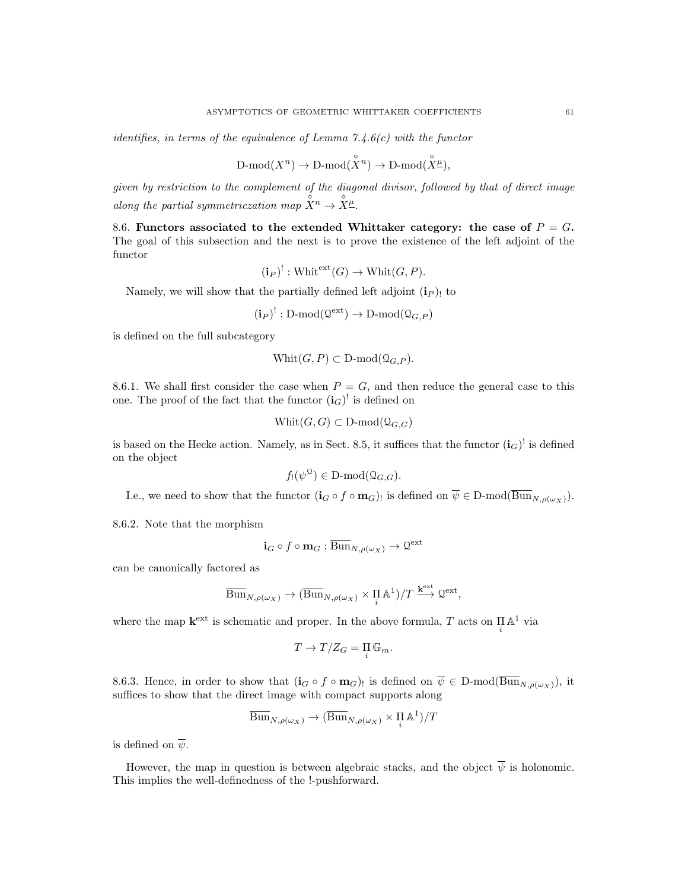identifies, in terms of the equivalence of Lemma  $7.4.6(c)$  with the functor

$$
\mathrm{D\text{-}mod}(X^n)\to\mathrm{D\text{-}mod}(\overset{\circ}{X}{}^n)\to\mathrm{D\text{-}mod}(\overset{\circ}{X}\overset{\circ}{\mathcal{H}}),
$$

given by restriction to the complement of the diagonal divisor, followed by that of direct image along the partial symmetriczation map  $X^n \to \overset{\circ}{X}^n_{\pm}$ .

8.6. Functors associated to the extended Whittaker category: the case of  $P = G$ . The goal of this subsection and the next is to prove the existence of the left adjoint of the functor

$$
(i_P)^!
$$
:  $Whitext(G) \rightarrow Whit(G, P)$ .

Namely, we will show that the partially defined left adjoint  $(i_P)$  to

$$
(\mathbf{i}_P)^!: \mathrm{D}\text{-}\mathrm{mod}(\mathcal{Q}^{\mathrm{ext}}) \to \mathrm{D}\text{-}\mathrm{mod}(\mathcal{Q}_{G,P})
$$

is defined on the full subcategory

$$
Whit(G, P) \subset D\text{-mod}(\Omega_{G,P}).
$$

8.6.1. We shall first consider the case when  $P = G$ , and then reduce the general case to this one. The proof of the fact that the functor  $(i_G)^!$  is defined on

$$
Whit(G, G) \subset D\text{-mod}(\Omega_{G, G})
$$

is based on the Hecke action. Namely, as in Sect. 8.5, it suffices that the functor  $(i_G)^!$  is defined on the object

$$
f_!(\psi^{\mathfrak{Q}}) \in \mathbf{D}\text{-}\mathrm{mod}(\mathfrak{Q}_{G,G}).
$$

I.e., we need to show that the functor  $(i_G \circ f \circ m_G)$  is defined on  $\psi \in D\text{-mod}(Bun_{N,\rho(\omega_X)})$ .

8.6.2. Note that the morphism

$$
\mathbf{i}_G \circ f \circ \mathbf{m}_G : \overline{\mathrm{Bun}}_{N, \rho(\omega_X)} \to \mathcal{Q}^{\text{ext}}
$$

can be canonically factored as

$$
\overline{\mathrm{Bun}}_{N,\rho(\omega_X)} \to (\overline{\mathrm{Bun}}_{N,\rho(\omega_X)} \times \Pi_{i} \mathbb{A}^1)/T \xrightarrow{\mathbf{k}^{\mathrm{ext}}} \mathbb{Q}^{\mathrm{ext}},
$$

where the map  $\mathbf{k}^{\text{ext}}$  is schematic and proper. In the above formula, T acts on  $\prod_i \mathbb{A}^1$  via

$$
T \to T/Z_G = \prod_i \mathbb{G}_m.
$$

8.6.3. Hence, in order to show that  $(i_G \circ f \circ m_G)$  is defined on  $\overline{\psi} \in D\text{-mod}(\overline{Bun}_{N,\rho(\omega_X)})$ , it suffices to show that the direct image with compact supports along

$$
\overline{\mathrm{Bun}}_{N,\rho(\omega_X)} \to (\overline{\mathrm{Bun}}_{N,\rho(\omega_X)} \times \Pi_{i}^{\mathbb{I}} \mathbb{A}^1)/T
$$

is defined on  $\overline{\psi}$ .

However, the map in question is between algebraic stacks, and the object  $\overline{\psi}$  is holonomic. This implies the well-definedness of the !-pushforward.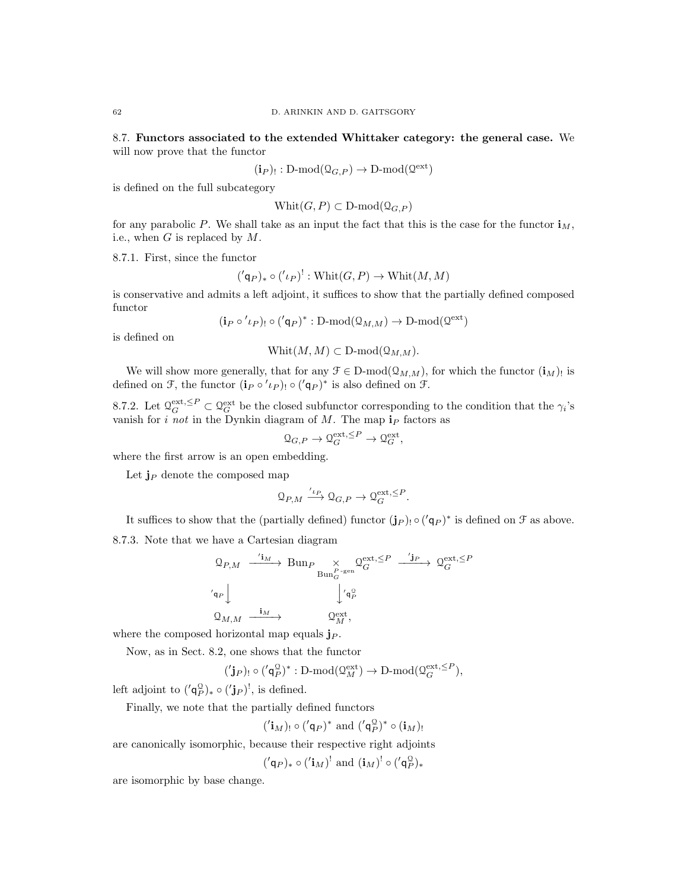8.7. Functors associated to the extended Whittaker category: the general case. We will now prove that the functor

$$
(\mathbf{i}_P)_!: \mathrm{D\text{-}mod}(\mathbb{Q}_{G,P}) \to \mathrm{D\text{-}mod}(\mathbb{Q}^{\mathrm{ext}})
$$

is defined on the full subcategory

$$
Whit(G, P) \subset D\text{-mod}(\Omega_{G,P})
$$

for any parabolic P. We shall take as an input the fact that this is the case for the functor  $\mathbf{i}_M$ , i.e., when  $G$  is replaced by  $M$ .

8.7.1. First, since the functor

$$
({q_P})_* \circ ({l_P})': \text{Whit}(G, P) \to \text{Whit}(M, M)
$$

is conservative and admits a left adjoint, it suffices to show that the partially defined composed functor

$$
(\mathbf{i}_P \circ' \iota_P)_{!} \circ (\mathbf{i}_P)^* : D\text{-mod}(\Omega_{M,M}) \to D\text{-mod}(\Omega^{\text{ext}})
$$

is defined on

$$
Whit(M, M) \subset D\text{-mod}(\Omega_{M, M}).
$$

We will show more generally, that for any  $\mathcal{F} \in \mathcal{D}\text{-mod}(\mathcal{Q}_{M,M})$ , for which the functor  $(i_M)$  is defined on F, the functor  $(\mathbf{i}_P \circ' \iota_P)$  o  $({\prime \mathsf{q}}_P)^*$  is also defined on F.

8.7.2. Let  $\mathcal{Q}_G^{\text{ext}} \subseteq \mathcal{Q}_G^{\text{ext}}$  be the closed subfunctor corresponding to the condition that the  $\gamma_i$ 's vanish for *i not* in the Dynkin diagram of M. The map  $i<sub>P</sub>$  factors as

$$
\mathcal{Q}_{G,P} \to \mathcal{Q}_G^{\text{ext},\leq P} \to \mathcal{Q}_G^{\text{ext}},
$$

where the first arrow is an open embedding.

Let  $\mathbf{j}_P$  denote the composed map

$$
\mathcal{Q}_{P,M} \xrightarrow{\prime_{t_P}} \mathcal{Q}_{G,P} \to \mathcal{Q}_G^{\text{ext},\leq P}.
$$

It suffices to show that the (partially defined) functor  $(j_P)$   $\circ$   $(q_P)^*$  is defined on  $\mathcal F$  as above.

8.7.3. Note that we have a Cartesian diagram

$$
Q_{P,M} \xrightarrow{\prime i_M} \text{Bun}_{P} \underset{\text{Bun}_{G}^{P-\text{gen}}} \times Q_{G}^{\text{ext}, \leq P} \xrightarrow{\prime j_P} Q_{G}^{\text{ext}, \leq P}
$$

$$
\prime_{q_P}
$$

$$
\downarrow \prime_{q_P}^{\text{Q}}
$$

$$
Q_{M,M} \xrightarrow{\mathbf{i}_M} Q_{M}^{\text{ext}},
$$

where the composed horizontal map equals  $j_P$ .

Now, as in Sect. 8.2, one shows that the functor

$$
('\mathbf{j}_P)_! \circ ('\mathsf{q}_P^{\mathsf{Q}})^* : \mathsf{D}\text{-}\mathrm{mod}(\mathsf{Q}_M^{\mathrm{ext}}) \to \mathsf{D}\text{-}\mathrm{mod}(\mathsf{Q}_G^{\mathrm{ext},\leq P}),
$$

left adjoint to  $({q}_P^{\mathcal{Q}})_* \circ ({'}\mathbf{j}_P)^!,$  is defined.

Finally, we note that the partially defined functors

$$
('iM)! \circ ('qP)* and ('qPQ)* \circ (iM)!
$$

are canonically isomorphic, because their respective right adjoints

 $({\bf q}_P)_* \circ ({\bf i}_M)^!$  and  $({\bf i}_M)^! \circ ({\bf q}_P^{\mathbb{Q}})_*$ 

are isomorphic by base change.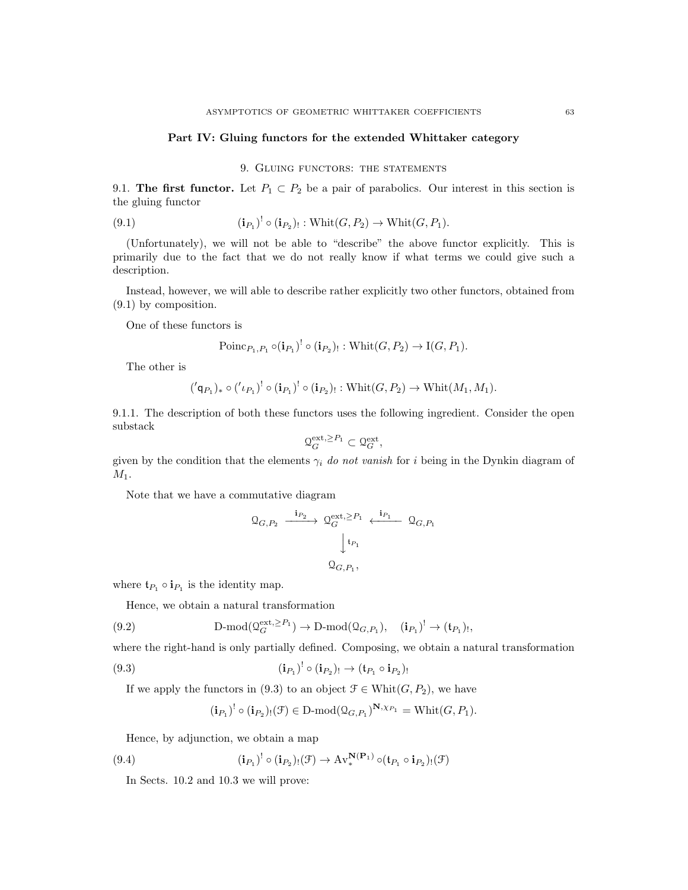#### Part IV: Gluing functors for the extended Whittaker category

9. GLUING FUNCTORS: THE STATEMENTS

9.1. The first functor. Let  $P_1 \subset P_2$  be a pair of parabolics. Our interest in this section is the gluing functor

(9.1) 
$$
(\mathbf{i}_{P_1})^! \circ (\mathbf{i}_{P_2})_! : \text{Whit}(G, P_2) \to \text{Whit}(G, P_1).
$$

(Unfortunately), we will not be able to "describe" the above functor explicitly. This is primarily due to the fact that we do not really know if what terms we could give such a description.

Instead, however, we will able to describe rather explicitly two other functors, obtained from (9.1) by composition.

One of these functors is

$$
\mathrm{Poinc}_{P_1,P_1} \circ (\mathbf{i}_{P_1})^! \circ (\mathbf{i}_{P_2})_! : \mathrm{Whit}(G,P_2) \to \mathrm{I}(G,P_1).
$$

The other is

$$
({ $\mathsf{q}}_{P_1})_* \circ ({ $\iota_{P_1}$ )}^! \circ (\mathbf{i}_{P_1})^! \circ (\mathbf{i}_{P_2})_! : \text{Whit}(G, P_2) \to \text{Whit}(M_1, M_1).$
$$

9.1.1. The description of both these functors uses the following ingredient. Consider the open substack

$$
\mathbf{Q}_G^{\text{ext},\geq P_1}\subset\mathbf{Q}_G^{\text{ext}},
$$

given by the condition that the elements  $\gamma_i$  do not vanish for i being in the Dynkin diagram of  $M_1$ .

Note that we have a commutative diagram

$$
Q_{G,P_2} \xrightarrow{\mathbf{i}_{P_2}} Q_G^{\text{ext}, \geq P_1} \xleftarrow{\mathbf{i}_{P_1}} Q_{G,P_1}
$$

$$
\downarrow^{\mathbf{t}_{P_1}}
$$

$$
Q_{G,P_1},
$$

where  $\mathfrak{t}_{P_1} \circ \mathfrak{i}_{P_1}$  is the identity map.

Hence, we obtain a natural transformation

(9.2) 
$$
\qquad \qquad \mathcal{D}\text{-mod}(\mathcal{Q}_G^{\text{ext},\geq P_1}) \to \mathcal{D}\text{-mod}(\mathcal{Q}_{G,P_1}), \quad (\mathbf{i}_{P_1})^! \to (\mathbf{t}_{P_1})_!,
$$

where the right-hand is only partially defined. Composing, we obtain a natural transformation

(9.3) 
$$
(\mathbf{i}_{P_1})^! \circ (\mathbf{i}_{P_2})_! \to (\mathbf{t}_{P_1} \circ \mathbf{i}_{P_2})_!
$$

If we apply the functors in (9.3) to an object  $\mathcal{F} \in \text{Whit}(G, P_2)$ , we have

$$
(\mathbf{i}_{P_1})^! \circ (\mathbf{i}_{P_2})_!(\mathfrak{F}) \in D\text{-mod}(\mathfrak{Q}_{G,P_1})^{\mathbf{N},\chi_{P_1}} = \text{Whit}(G,P_1).
$$

Hence, by adjunction, we obtain a map

(9.4) 
$$
(\mathbf{i}_{P_1})^! \circ (\mathbf{i}_{P_2})_! (\mathcal{F}) \to \mathrm{Av}^{\mathbf{N}(\mathbf{P}_1)}_*(\mathbf{t}_{P_1} \circ \mathbf{i}_{P_2})_! (\mathcal{F})
$$

In Sects. 10.2 and 10.3 we will prove: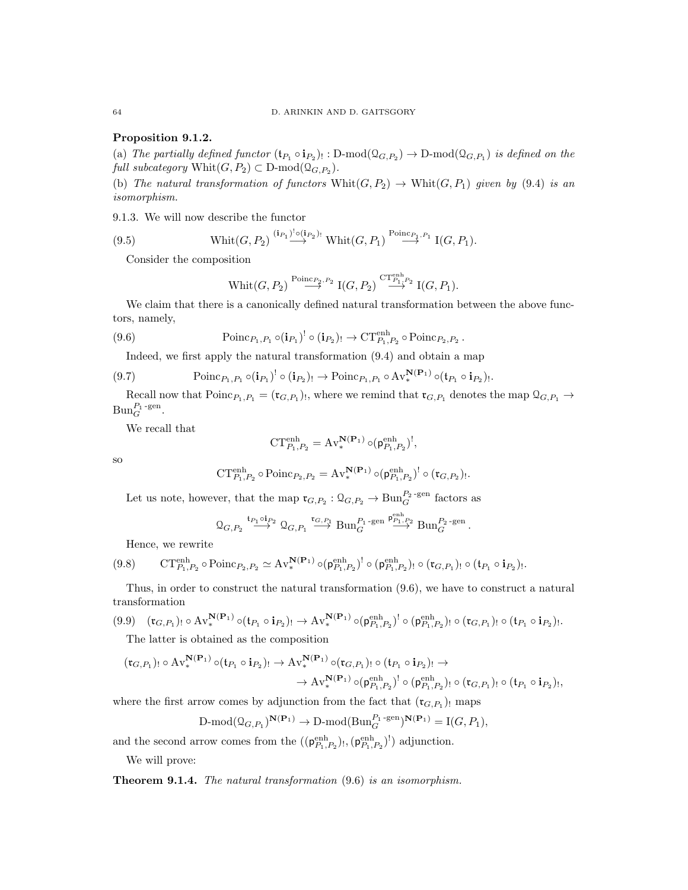## Proposition 9.1.2.

(a) The partially defined functor  $(\mathfrak{t}_{P_1} \circ \mathfrak{i}_{P_2})_! : D\text{-mod}(\mathfrak{Q}_{G,P_2}) \to D\text{-mod}(\mathfrak{Q}_{G,P_1})$  is defined on the full subcategory  $\text{Whit}(G, P_2) \subset \text{D-mod}(\mathcal{Q}_{G, P_2})$ .

(b) The natural transformation of functors  $Whit(G, P_2) \rightarrow Whit(G, P_1)$  given by (9.4) is an isomorphism.

9.1.3. We will now describe the functor

(9.5) 
$$
\text{Whit}(G, P_2) \stackrel{(\mathbf{i}_{P_1})^! \circ (\mathbf{i}_{P_2})_!}{\longrightarrow} \text{Whit}(G, P_1) \stackrel{\text{Poinc}_{P_1, P_1}}{\longrightarrow} \text{I}(G, P_1).
$$

Consider the composition

$$
\operatorname{Whit}(G,P_2) \stackrel{\text{Poinc}_{P_2,P_2}}{\longrightarrow} \operatorname{I}(G,P_2) \stackrel{\text{CT}_{P_1,P_2}^{\text{enh}}}{\longrightarrow} \operatorname{I}(G,P_1).
$$

We claim that there is a canonically defined natural transformation between the above functors, namely,

(9.6) 
$$
\text{Poinc}_{P_1,P_1} \circ (\mathbf{i}_{P_1})^! \circ (\mathbf{i}_{P_2})_! \to \text{CT}_{P_1,P_2}^{\text{enh}} \circ \text{Poinc}_{P_2,P_2}.
$$

Indeed, we first apply the natural transformation (9.4) and obtain a map

$$
(9.7) \qquad \qquad \text{Poinc}_{P_1,P_1} \circ (\mathbf{i}_{P_1})^! \circ (\mathbf{i}_{P_2})_! \to \text{Poinc}_{P_1,P_1} \circ \text{Av}_*^{\mathbf{N}(\mathbf{P}_1)} \circ (\mathbf{t}_{P_1} \circ \mathbf{i}_{P_2})_!.
$$

Recall now that  $\text{Poinr}_{P_1,P_1} = (\mathfrak{r}_{G,P_1})_!$ , where we remind that  $\mathfrak{r}_{G,P_1}$  denotes the map  $\mathfrak{Q}_{G,P_1} \to$  $\text{Bun}_G^{P_1\text{-gen}}$ .

We recall that

$$
\mathrm{CT}_{P_1,P_2}^{\mathrm{enh}} = \mathrm{Av}^{\mathbf{N}(\mathbf{P}_1)} \circ (\mathsf{p}_{P_1,P_2}^{\mathrm{enh}})^!,
$$

so

$$
\mathbf{CT}^{\text{enh}}_{P_1,P_2} \circ \text{Poinc}_{P_2,P_2} = \mathbf{A} \mathbf{v}_*^{\mathbf{N}(\mathbf{P}_1)} \circ (\mathbf{p}_{P_1,P_2}^{\text{enh}})^! \circ (\mathbf{t}_{G,P_2})!
$$

.

Let us note, however, that the map  $\mathfrak{r}_{G,P_2} : \mathcal{Q}_{G,P_2} \to \text{Bun}_G^{P_2\text{-gen}}$  factors as

$$
\mathsf{Q}_{G,P_2}\stackrel{\mathfrak{t}_{P_1}\circ\mathfrak{i}_{P_2}}{\longrightarrow}\mathsf{Q}_{G,P_1}\stackrel{\mathfrak{r}_{G,P_1}}{\longrightarrow}\text{Bun}_G^{P_1\text{-}\mathrm{gen}}\stackrel{\mathfrak{p}_{{P_1,P_2}}^{\mathrm{enh}}}{\longrightarrow}\text{Bun}_G^{P_2\text{-}\mathrm{gen}}\,.
$$

Hence, we rewrite

$$
(9.8) \qquad \text{CT}_{P_1,P_2}^{\text{enh}} \circ \text{Poinr}_{P_2,P_2} \simeq \text{Av}_*^{\mathbf{N}(\mathbf{P}_1)} \circ (\mathfrak{p}_{P_1,P_2}^{\text{enh}})^! \circ (\mathfrak{p}_{P_1,P_2}^{\text{enh}})_{!} \circ (\mathfrak{r}_{G,P_1})_{!} \circ (\mathfrak{t}_{P_1} \circ \mathbf{i}_{P_2})_{!}.
$$

Thus, in order to construct the natural transformation (9.6), we have to construct a natural transformation

$$
(9.9) \quad (\mathfrak{r}_{G,P_1})_! \circ \mathrm{Av}^{\mathbf{N}(\mathbf{P}_1)}_* \circ (\mathfrak{t}_{P_1} \circ \mathfrak{i}_{P_2})_! \to \mathrm{Av}^{\mathbf{N}(\mathbf{P}_1)}_* \circ (\mathfrak{p}_{P_1,P_2}^{\text{enh}})^! \circ (\mathfrak{p}_{P_1,P_2}^{\text{enh}})_! \circ (\mathfrak{r}_{G,P_1})_! \circ (\mathfrak{t}_{P_1} \circ \mathfrak{i}_{P_2})_!.
$$

The latter is obtained as the composition

$$
(\mathfrak{r}_{G,P_1})_! \circ \mathrm{Av}^{\mathbf{N}(\mathbf{P}_1)}_* \circ (\mathfrak{t}_{P_1} \circ \mathfrak{i}_{P_2})_! \to \mathrm{Av}^{\mathbf{N}(\mathbf{P}_1)}_* \circ (\mathfrak{r}_{G,P_1})_! \circ (\mathfrak{t}_{P_1} \circ \mathfrak{i}_{P_2})_! \to \\
 \to \mathrm{Av}^{\mathbf{N}(\mathbf{P}_1)}_* \circ (\mathfrak{p}_{P_1,P_2}^{\text{enh}})^! \circ (\mathfrak{p}_{P_1,P_2}^{\text{enh}})_! \circ (\mathfrak{r}_{G,P_1})_! \circ (\mathfrak{t}_{P_1} \circ \mathfrak{i}_{P_2})_!,
$$

where the first arrow comes by adjunction from the fact that  $(\mathfrak{r}_{G,P_1})_!$  maps

$$
\text{D-mod}(\mathfrak{Q}_{G,P_1})^{\mathbf{N}(\mathbf{P}_1)} \to \text{D-mod}(\text{Bun}_G^{P_1\text{-gen}})^{\mathbf{N}(\mathbf{P}_1)} = \text{I}(G,P_1),
$$

and the second arrow comes from the  $((\mathsf{p}_{P_1,P_2}^{\text{enh}})_!, (\mathsf{p}_{P_1,P_2}^{\text{enh}})^!)$  adjunction.

We will prove:

Theorem 9.1.4. The natural transformation (9.6) is an isomorphism.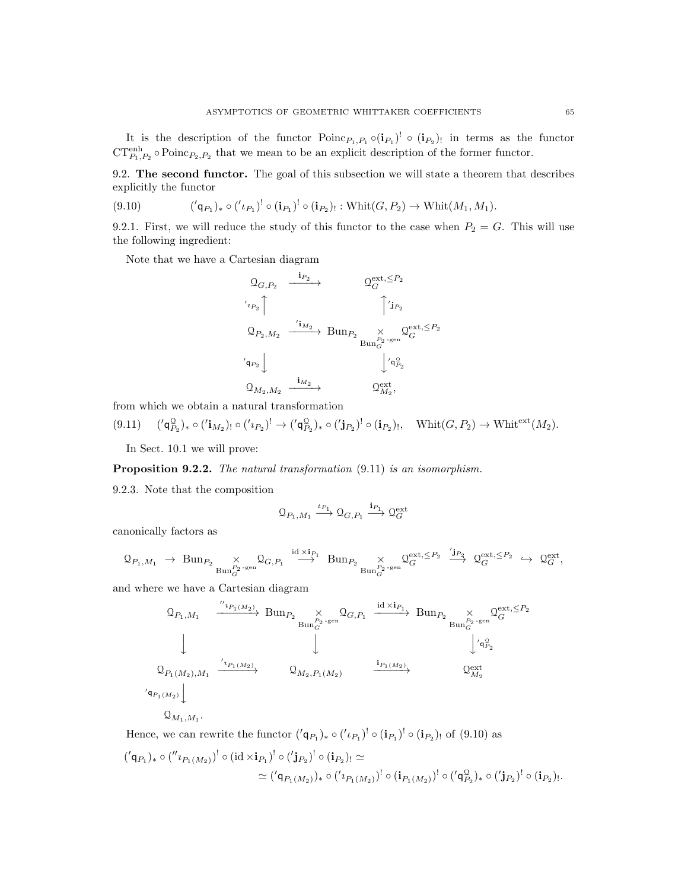It is the description of the functor  $Poinc_{P_1,P_1} \circ (i_{P_1})^! \circ (i_{P_2})$  in terms as the functor  $CT_{P_1,P_2}^{\text{enh}} \circ \text{Poinr}_{P_2,P_2}$  that we mean to be an explicit description of the former functor.

9.2. The second functor. The goal of this subsection we will state a theorem that describes explicitly the functor

$$
(9.10) \qquad \qquad (\mathsf{q}_{P_1})_* \circ (\mathsf{r}_{P_1})' \circ (\mathbf{i}_{P_1})' \circ (\mathbf{i}_{P_2})_! : \text{Whit}(G, P_2) \to \text{Whit}(M_1, M_1).
$$

9.2.1. First, we will reduce the study of this functor to the case when  $P_2 = G$ . This will use the following ingredient:

Note that we have a Cartesian diagram

$$
\begin{array}{ccc}\n\mathbb{Q}_{G,P_2} & \xrightarrow{\mathbf{i}_{P_2}} & \mathbb{Q}_G^{\mathrm{ext},\leq P_2} \\
\hline\n\prime_{^{1_{P_2}}}\uparrow & & \uparrow \mathbf{j}_{^{P_2}} \\
\mathbb{Q}_{P_2,M_2} & \xrightarrow{\prime_{\mathbf{i}_{M_2}}} \mathrm{Bun}_{P_2} & \times & \mathbb{Q}_G^{\mathrm{ext},\leq P_2} \\
\prime_{^{1_{P_2}}}\downarrow & & \downarrow \mathbb{Q}_P^{\mathrm{P_2\text{-}\mathrm{gen}}}_G \\
\mathbb{Q}_{M_2,M_2} & \xrightarrow{\mathbf{i}_{M_2}} & \mathbb{Q}_{M_2}^{\mathrm{ext}},\n\end{array}
$$

from which we obtain a natural transformation

$$
(9.11) \quad (\text{'q}^{\mathcal{Q}}_{P_2})_* \circ (\text{'i}_{M_2})_! \circ (\text{'i}_{P_2})^! \rightarrow (\text{'q}^{\mathcal{Q}}_{P_2})_* \circ (\text{'j}_{P_2})^! \circ (\text{i}_{P_2})_!, \quad \text{Whit}(G, P_2) \rightarrow \text{Whit}^{\text{ext}}(M_2).
$$

In Sect. 10.1 we will prove:

Proposition 9.2.2. The natural transformation  $(9.11)$  is an isomorphism.

9.2.3. Note that the composition

$$
\mathbf{Q}_{P_1,M_1}\xrightarrow{\iota_{P_1}}\mathbf{Q}_{G,P_1}\xrightarrow{\mathbf{i}_{P_1}}\mathbf{Q}_G^{\text{ext}}
$$

canonically factors as

$$
\text{Q}_{P_1,M_1}\ \to\ \text{Bun}_{P_2}\underset{\text{Bun}_G^{P_2\text{-}\mathrm{gen}}} {\times} \text{Q}_{G,P_1}\ \overset{\text{id}\times\mathbf{i}_{P_1}}{\longrightarrow}\ \text{Bun}_{P_2}\underset{\text{Bun}_G^{P_2\text{-}\mathrm{gen}}} {\times} \text{Q}_G^{\text{ext},\leq P_2}\ \overset{\prime\mathbf{j}_{P_2}}{\longrightarrow}\ \text{Q}_G^{\text{ext},\leq P_2}\ \hookrightarrow\ \text{Q}_G^{\text{ext}},
$$

and where we have a Cartesian diagram

Q<sup>P</sup>1,M<sup>1</sup> <sup>00</sup>ıP1(M2) −−−−−−→ Bun<sup>P</sup><sup>2</sup> × BunP<sup>2</sup> -gen G QG,P<sup>1</sup> id <sup>×</sup>iP<sup>1</sup> −−−−−→ Bun<sup>P</sup><sup>2</sup> <sup>×</sup> BunP<sup>2</sup> -gen G Q ext,≤P<sup>2</sup> G y y y 0 q Q P2 Q<sup>P</sup>1(M2),M<sup>1</sup> 0 ıP1(M2) −−−−−→ Q<sup>M</sup>2,P1(M2) iP1(M2) −−−−−→ Q ext M<sup>2</sup> 0 qP1(M2) y

 $\mathcal{Q}_{M_1,M_1}.$ 

Hence, we can rewrite the functor  $({q}_{P_1})_* \circ (l_{P_1})^! \circ (i_{P_1})^! \circ (i_{P_2})_!$  of (9.10) as

$$
({'q_{P_1}})_* \circ ({}''\iota_{P_1(M_2)})^! \circ (\mathrm{id} \times \mathbf{i}_{P_1})^! \circ ({}')\iota_{P_2})^! \circ (\mathbf{i}_{P_2})_! \simeq
$$
  
 
$$
\simeq ({}'q_{P_1(M_2)})_* \circ ({}'\iota_{P_1(M_2)})^! \circ (\mathbf{i}_{P_1(M_2)})^! \circ ({}'\iota_{P_2})_* \circ ({}'\iota_{P_2})^! \circ (\mathbf{i}_{P_2})_!.
$$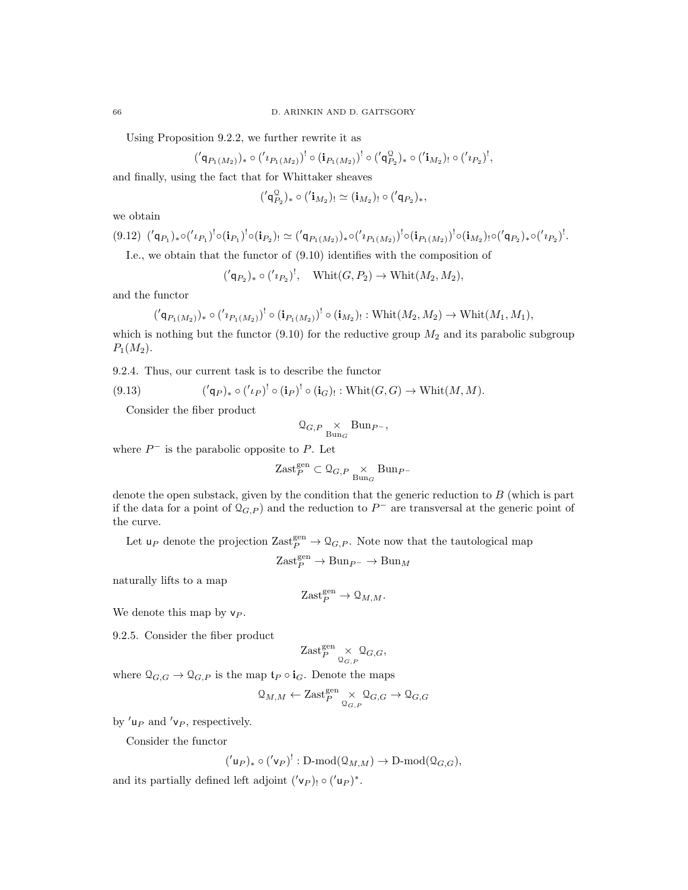Using Proposition 9.2.2, we further rewrite it as

$$
({}'\mathsf{q}_{P_1(M_2)})_* \circ ('{\imath}_{P_1(M_2)})^! \circ (\mathbf{i}_{P_1(M_2)})^! \circ ({}'\mathsf{q}_{P_2}^\mathbb{Q})_* \circ ({}'\mathbf{i}_{M_2})_! \circ ({}'\imath_{P_2})^!,
$$

and finally, using the fact that for Whittaker sheaves

$$
({}'\mathsf{q}_{P_2}^\mathbb{Q})_* \circ ({'}\mathbf{i}_{M_2})_! \simeq (\mathbf{i}_{M_2})_! \circ ({'}\mathsf{q}_{P_2})_*,
$$

we obtain

$$
(9.12) \, ({}^{\prime}\mathsf{q}_{P_1})_* \circ ({}^{\prime}\iota_{P_1})^! \circ (\mathbf{i}_{P_1})^! \circ (\mathbf{i}_{P_2})_! \simeq ({}^{\prime}\mathsf{q}_{P_1(M_2)})_* \circ ({}^{\prime}\iota_{P_1(M_2)})^! \circ (\mathbf{i}_{P_1(M_2)})^! \circ (\mathbf{i}_{M_2})_! \circ ({}^{\prime}\mathsf{q}_{P_2})_* \circ ({}^{\prime}\iota_{P_2})^!.
$$

I.e., we obtain that the functor of (9.10) identifies with the composition of

 $({ $\mathsf{q}_{P_2}\mathsf{)}_* \circ ({\mathsf{z}_{P_2}})^!, \quad \text{Whit}(G, P_2) \to \text{Whit}(M_2, M_2),$$ 

and the functor

$$
({qP1(M2)}). \circ ({'P1(M2)}! \circ (iP1(M2)}! \circ (iM2)].  $\times$   $\text{With}(M_2, M_2) \to \text{Whit}(M_1, M_1),$
$$

which is nothing but the functor  $(9.10)$  for the reductive group  $M_2$  and its parabolic subgroup  $P_1(M_2)$ .

9.2.4. Thus, our current task is to describe the functor

(9.13) 
$$
({q}_{\ell})_* \circ ({l}_{\ell})^! \circ ({i}_{\ell})^! \circ ({i}_{\ell})_! : \text{Whit}(G, G) \to \text{Whit}(M, M).
$$

Consider the fiber product

$$
\mathcal{Q}_{G,P} \underset{\mathrm{Bun}_G}{\times} \mathrm{Bun}_{P^-},
$$

where  $P^-$  is the parabolic opposite to P. Let

$$
\textnormal{Zast}^{\textnormal{gen}}_{P} \subset \mathfrak{Q}_{G, P} \underset{\textnormal{Bun}_G}{\times} \textnormal{Bun}_{P^-}
$$

denote the open substack, given by the condition that the generic reduction to  $B$  (which is part if the data for a point of  $\mathcal{Q}_{G,P}$  and the reduction to  $P^-$  are transversal at the generic point of the curve.

Let  $\mathsf{u}_P$  denote the projection  $\text{Zast}_P^{\text{gen}} \to \mathcal{Q}_{G,P}$ . Note now that the tautological map

$$
\text{Zast}_{P}^{\text{gen}} \to \text{Bun}_{P^{-}} \to \text{Bun}_{M}
$$

naturally lifts to a map

$$
\mathrm{Zast}_P^\mathrm{gen}\to\mathrm{\mathbf{Q}}_{M,M}.
$$

We denote this map by  $v_P$ .

9.2.5. Consider the fiber product

$$
\textup{Zast}^{\textup{gen}}_P \underset{\mathbb{Q}_{G,P}}{\times} \mathbb{Q}_{G,G},
$$

where  $\mathcal{Q}_{G,G} \to \mathcal{Q}_{G,P}$  is the map  $\mathfrak{t}_P \circ \mathfrak{i}_G$ . Denote the maps

$$
\mathbf{Q}_{M,M} \leftarrow \text{Zast}_{P}^{\text{gen}} \underset{\mathbf{Q}_{G,P}}{\times} \mathbf{Q}_{G,G} \rightarrow \mathbf{Q}_{G,G}
$$

by  $'u_P$  and  $'v_P$ , respectively.

Consider the functor

$$
({u_P})_* \circ ({v_P})': D-mod( $\mathfrak{Q}_{M,M}$ )  $\to$  D-mod( $\mathfrak{Q}_{G,G}$ ),
$$

and its partially defined left adjoint  $({\bf v}_P)$ ,  $\circ ({\bf u}_P)^*$ .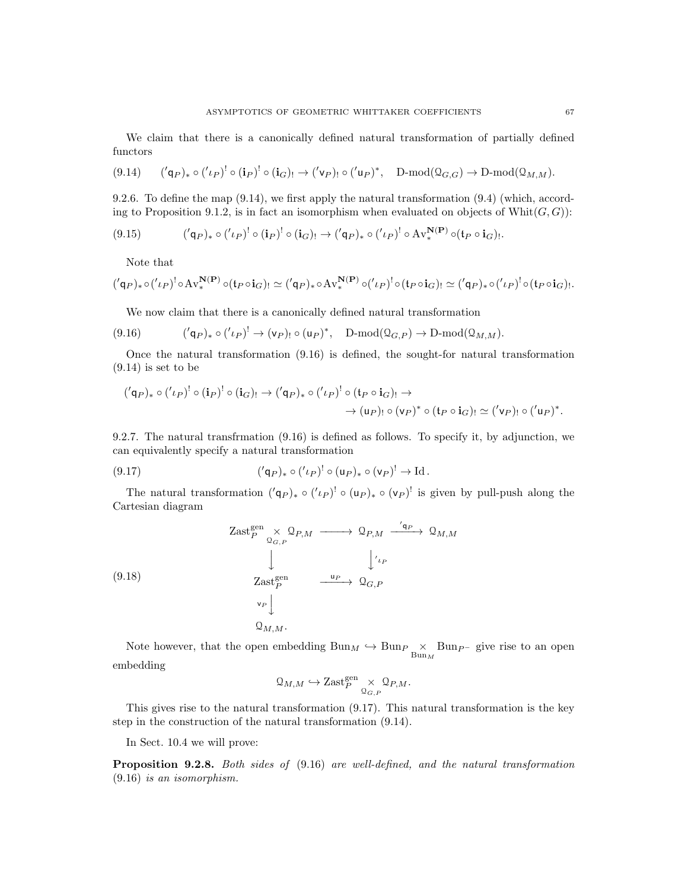We claim that there is a canonically defined natural transformation of partially defined functors

$$
(9.14) \qquad (\mathbf{q}_P)_* \circ (\mathbf{q}_P)^! \circ (\mathbf{i}_P)^! \circ (\mathbf{i}_G)_! \to (\mathbf{q}_P)_! \circ (\mathbf{q}_P)^*, \quad D\text{-mod}(\Omega_{G,G}) \to D\text{-mod}(\Omega_{M,M}).
$$

9.2.6. To define the map (9.14), we first apply the natural transformation (9.4) (which, according to Proposition 9.1.2, is in fact an isomorphism when evaluated on objects of Whit $(G, G)$ :

$$
(9.15) \qquad (\langle \mathbf{q}_P \rangle_* \circ (\langle \iota_P \rangle^! \circ (\mathbf{i}_P)^! \circ (\mathbf{i}_G)_! \rightarrow (\langle \mathbf{q}_P \rangle_* \circ (\langle \iota_P \rangle^! \circ \mathrm{Av}_*^{\mathbf{N}(\mathbf{P})} \circ (\mathbf{t}_P \circ \mathbf{i}_G)_!.
$$

Note that

$$
({'q_P})_* \circ (l_P)^! \circ \mathrm{Av}^{\mathbf{N}(\mathbf{P})}_* \circ (\mathfrak{t}_P \circ \mathbf{i}_G)_! \simeq ({}'q_P)_* \circ \mathrm{Av}^{\mathbf{N}(\mathbf{P})}_* \circ (l_P)^! \circ (\mathfrak{t}_P \circ \mathbf{i}_G)_! \simeq ({}'q_P)_* \circ ({}'l_P)^! \circ (\mathfrak{t}_P \circ \mathbf{i}_G)_!.
$$

We now claim that there is a canonically defined natural transformation

$$
(9.16) \qquad (\langle \mathsf{q}_P \rangle_* \circ (\langle \iota_P \rangle^! \to (\mathsf{v}_P)_! \circ (\mathsf{u}_P)^*, \quad \text{D-mod}(\mathfrak{Q}_{G,P}) \to \text{D-mod}(\mathfrak{Q}_{M,M}).
$$

Once the natural transformation (9.16) is defined, the sought-for natural transformation  $(9.14)$  is set to be

$$
({q_P})_* \circ ({l_P})^! \circ (iP)^! \circ (iG)_! \rightarrow ({q_P})_* \circ ({l_P})^! \circ (tP \circ iG)_! \rightarrow \rightarrow (uP)_! \circ (vP)^* \circ (tP \circ iG)_! \simeq ({vP)} \circ ({vP)}_* \circ ({vP)}_*.
$$

9.2.7. The natural transfrmation (9.16) is defined as follows. To specify it, by adjunction, we can equivalently specify a natural transformation

(9.17) 
$$
({q}_{\ell})_* \circ ({u}_{\ell})^! \circ ({u}_{\ell})_* \circ ({v}_{\ell})^! \to \text{Id}.
$$

The natural transformation  $({q_P})_* \circ ({l_P})^! \circ ({q_P})_* \circ ({q_P})^!$  is given by pull-push along the Cartesian diagram

(9.18)  
\n
$$
\begin{array}{ccc}\n\text{Zast}_{P}^{\text{gen}} & \times \mathcal{Q}_{P,M} \longrightarrow \mathcal{Q}_{P,M} \xrightarrow{\text{'q}_{P}} \mathcal{Q}_{M,M} \\
\downarrow & \downarrow^{\text{'t}_{IP}} \\
\text{Zast}_{P}^{\text{gen}} & \xrightarrow{\text{u}_{P}} \mathcal{Q}_{G,P} \\
\downarrow^{\text{'t}_{P}} \\
\downarrow^{\text{v}_{P}} \\
\downarrow^{\text{v}_{P}} \\
\downarrow^{\text{v}_{M,M}}.\n\end{array}
$$

Note however, that the open embedding  $Bun_M \hookrightarrow Bun_P \underset{Bun_M}{\times} Bun_{P^-}$  give rise to an open embedding

$$
\mathbf{Q}_{M,M} \hookrightarrow \mathrm{Zast}_P^{\mathrm{gen}} \underset{\mathbf{Q}_{G,P}}{\times} \mathbf{Q}_{P,M}.
$$

This gives rise to the natural transformation (9.17). This natural transformation is the key step in the construction of the natural transformation (9.14).

In Sect. 10.4 we will prove:

Proposition 9.2.8. Both sides of  $(9.16)$  are well-defined, and the natural transformation (9.16) is an isomorphism.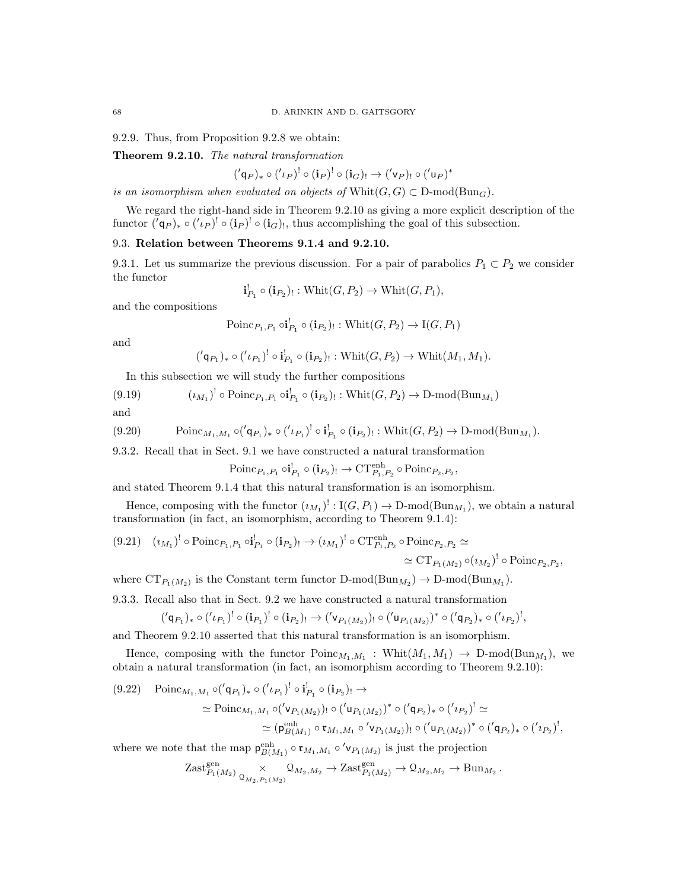68 D. ARINKIN AND D. GAITSGORY

9.2.9. Thus, from Proposition 9.2.8 we obtain:

Theorem 9.2.10. The natural transformation

 $({\langle \mathsf{q}_P \rangle_*} \circ ({\langle \iota_P \rangle}^! \circ ({\bf i}_P)^! \circ ({\bf i}_G)_{!} \rightarrow ({\langle \mathsf{v}_P \rangle_{!}} \circ ({\langle \mathsf{u}_P \rangle^{*}}$ 

is an isomorphism when evaluated on objects of  $Whit(G, G) \subset D\text{-mod}(Bun_G)$ .

We regard the right-hand side in Theorem 9.2.10 as giving a more explicit description of the functor  $({\bf q}_P)_* \circ ({\bf q}_P)^! \circ ({\bf i}_P)^! \circ ({\bf i}_G)$ , thus accomplishing the goal of this subsection.

## 9.3. Relation between Theorems 9.1.4 and 9.2.10.

9.3.1. Let us summarize the previous discussion. For a pair of parabolics  $P_1 \subset P_2$  we consider the functor

 $\mathbf{i}_{P_1}^! \circ (\mathbf{i}_{P_2})_! : \text{Whit}(G, P_2) \to \text{Whit}(G, P_1),$ 

and the compositions

$$
\text{Poinc}_{P_1,P_1} \circ \mathbf{i}_{P_1}^! \circ (\mathbf{i}_{P_2})_! : \text{Whit}(G, P_2) \to \text{I}(G, P_1)
$$

and

$$
('\mathsf{q}_{P_1})_* \circ ('\iota_{P_1})^! \circ \mathbf{i}_{P_1}^! \circ (\mathbf{i}_{P_2})_! : \text{Whit}(G, P_2) \to \text{Whit}(M_1, M_1).
$$

In this subsection we will study the further compositions

(9.19) 
$$
(i_{M_1})^! \circ \text{Poinc}_{P_1, P_1} \circ i_{P_1}^! \circ (i_{P_2})_! : \text{Whit}(G, P_2) \to \text{D-mod}(\text{Bun}_{M_1})
$$

and

$$
(9.20) \qquad \text{Poinc}_{M_1,M_1} \circ (\prime \mathsf{q}_{P_1})_* \circ (\prime \iota_{P_1})^! \circ \mathbf{i}_{P_1}^! \circ (\mathbf{i}_{P_2})_!: \text{Whit}(G,P_2) \to \text{D-mod}(\text{Bun}_{M_1}).
$$

9.3.2. Recall that in Sect. 9.1 we have constructed a natural transformation

 $\text{Poinc}_{P_1,P_1} \circ \mathbf{i}_{P_1}^! \circ (\mathbf{i}_{P_2})_! \to \text{CT}_{P_1,P_2}^{\text{enh}} \circ \text{Poinc}_{P_2,P_2},$ 

and stated Theorem 9.1.4 that this natural transformation is an isomorphism.

Hence, composing with the functor  $(i_{M_1})^!: \text{I}(G, P_1) \to \text{D-mod}(\text{Bun}_{M_1}),$  we obtain a natural transformation (in fact, an isomorphism, according to Theorem 9.1.4):

$$
(9.21) \quad (i_{M_1})^! \circ \text{Poinc}_{P_1, P_1} \circ i_{P_1}^! \circ (i_{P_2})_! \to (i_{M_1})^! \circ \text{CT}_{P_1, P_2}^{\text{enh}} \circ \text{Poinc}_{P_2, P_2} \simeq
$$

$$
\simeq \text{CT}_{P_1(M_2)} \circ (i_{M_2})^! \circ \text{Poinc}_{P_2, P_2},
$$

where  $CT_{P_1(M_2)}$  is the Constant term functor  $D\text{-mod}(Bun_{M_2}) \to D\text{-mod}(Bun_{M_1}).$ 

9.3.3. Recall also that in Sect. 9.2 we have constructed a natural transformation

$$
({'q_{P_1}})_* \circ ({'\iota_{P_1}})^! \circ (i_{P_1})^! \circ (i_{P_2})_! \to ({'\nu_{P_1(M_2)}})_! \circ ({'\mu_{P_1(M_2)}})^* \circ ({'q_{P_2}})_* \circ ({'\iota_{P_2}})^!,
$$

and Theorem 9.2.10 asserted that this natural transformation is an isomorphism.

Hence, composing with the functor  $\text{Poinc}_{M_1,M_1}$ :  $\text{Whit}(M_1,M_1) \rightarrow \text{D-mod}(\text{Bun}_{M_1})$ , we obtain a natural transformation (in fact, an isomorphism according to Theorem 9.2.10):

$$
(9.22) \quad \text{Poinc}_{M_1, M_1} \circ ( {}^{\prime} \mathsf{q}_{P_1})_* \circ ( {}^{\prime} \iota_{P_1})^! \circ \mathbf{i}_{P_1}^! \circ (\mathbf{i}_{P_2})_! \to
$$
\n
$$
\simeq \text{Poinc}_{M_1, M_1} \circ ( {}^{\prime} \mathsf{v}_{P_1(M_2)})_! \circ ( {}^{\prime} \mathsf{u}_{P_1(M_2)})^* \circ ( {}^{\prime} \mathsf{q}_{P_2})_* \circ ( {}^{\prime} \iota_{P_2})^! \simeq
$$
\n
$$
\simeq (\mathsf{p}_{B(M_1)}^{\text{enh}} \circ \mathsf{r}_{M_1, M_1} \circ {}^{\prime} \mathsf{v}_{P_1(M_2)})_! \circ ( {}^{\prime} \mathsf{u}_{P_1(M_2)})^* \circ ( {}^{\prime} \mathsf{q}_{P_2})_* \circ ( {}^{\prime} \iota_{P_2})^!,
$$

where we note that the map  $\mathsf{p}_{B(M_1)}^{\text{enh}} \circ \mathsf{r}_{M_1,M_1} \circ' \mathsf{v}_{P_1(M_2)}$  is just the projection

$$
\text{Zast}_{P_1(M_2)}^{\text{gen}} \underset{\mathbb{Q}_{M_2, P_1(M_2)}}{\times} \mathbb{Q}_{M_2, M_2} \to \text{Zast}_{P_1(M_2)}^{\text{gen}} \to \mathbb{Q}_{M_2, M_2} \to \text{Bun}_{M_2}
$$

.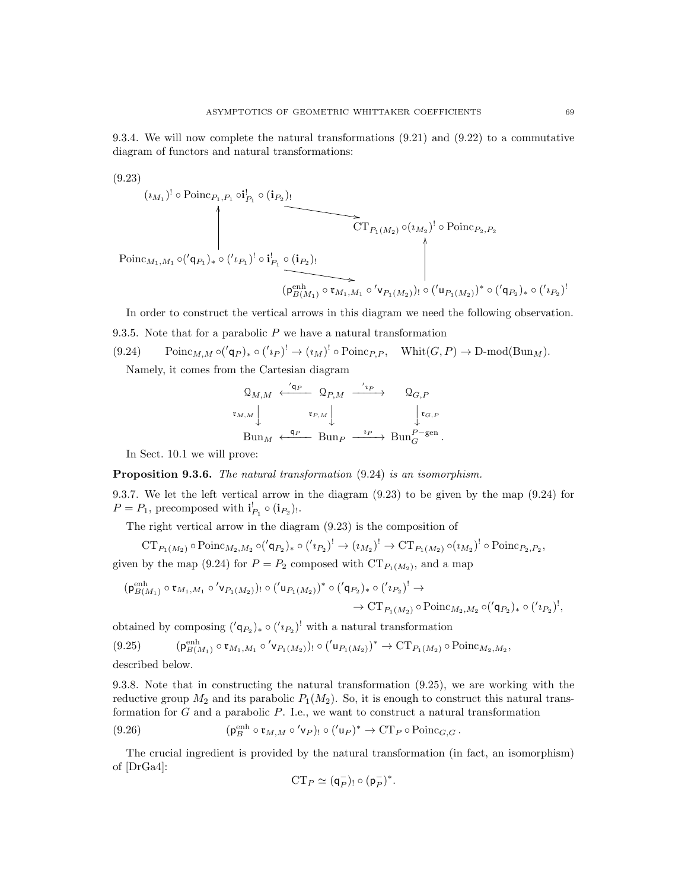9.3.4. We will now complete the natural transformations (9.21) and (9.22) to a commutative diagram of functors and natural transformations:

(9.23)  
\n
$$
(i_{M_1})^!
$$
 o Poinc<sub>P\_1, P\_1</sub> o $\mathbf{i}_{P_1}$  o  $(\mathbf{i}_{P_2})$ !\n $\left\| \begin{array}{c}\n\text{CT}_{P_1(M_2)} \circ (i_{M_2})^! \circ \text{Poinc}_{P_2, P_2} \\
\text{Poinc}_{M_1, M_1} \circ ({}^{\prime}\mathbf{q}_{P_1})_* \circ ({}^{\prime}\iota_{P_1})^! \circ \mathbf{i}_{P_1}^! \circ (\mathbf{i}_{P_2})\n\end{array}\right\|$ \n $(\mathbf{p}_{B(M_1)}^{\text{enh}} \circ \mathbf{r}_{M_1, M_1} \circ \langle \mathbf{v}_{P_1(M_2)})^! \circ ({}^{\prime}\mathbf{u}_{P_1(M_2)})^* \circ ({}^{\prime}\mathbf{q}_{P_2})_* \circ ({}^{\prime}\iota_{P_2})^!$ 

In order to construct the vertical arrows in this diagram we need the following observation.

9.3.5. Note that for a parabolic  $P$  we have a natural transformation

(9.24) 
$$
\text{Poinc}_{M,M} \circ (q_P)_* \circ (q_P)^! \to (i_M)^! \circ \text{Poinc}_{P,P}, \quad \text{Whit}(G,P) \to \text{D-mod}(\text{Bun}_M).
$$
\nNamely, it comes from the Cartesian diagram.

Namely, it comes from the Cartesian diagram

$$
\begin{array}{ccc}\n\mathfrak{Q}_{M,M} & \xleftarrow{\prime_{\mathbf{q}_P}} & \mathfrak{Q}_{P,M} & \xrightarrow{\prime_{\mathbf{i}_P}} & \mathfrak{Q}_{G,P} \\
\mathfrak{r}_{M,M} & & \mathfrak{r}_{P,M} \downarrow & & \downarrow \mathfrak{r}_{G,P} \\
\mathrm{Bun}_M & \xleftarrow{\mathbf{q}_P} & \mathrm{Bun}_P & \xrightarrow{\mathbf{i}_P} & \mathrm{Bun}_G^{P-\mathrm{gen}}.\n\end{array}
$$

In Sect. 10.1 we will prove:

 $(0.93)$ 

#### Proposition 9.3.6. The natural transformation  $(9.24)$  is an isomorphism.

9.3.7. We let the left vertical arrow in the diagram (9.23) to be given by the map (9.24) for  $P = P_1$ , precomposed with  $\mathbf{i}_{P_1}^{\dagger} \circ (\mathbf{i}_{P_2})_!$ .

The right vertical arrow in the diagram (9.23) is the composition of

$$
CT_{P_1(M_2)} \circ Poinc_{M_2,M_2} \circ (q_{P_2})_* \circ (q_{P_2})^! \to (u_{M_2})^! \to CT_{P_1(M_2)} \circ (u_{M_2})^! \circ Poinc_{P_2,P_2},
$$
 given by the map (9.24) for  $P = P_2$  composed with  $CT_{P_1(M_2)}$ , and a map

$$
(\mathsf{p}_{B(M_1)}^{\mathrm{enh}} \circ \mathsf{t}_{M_1, M_1} \circ' \mathsf{v}_{P_1(M_2)})_! \circ ('\mathsf{u}_{P_1(M_2)})^* \circ ('\mathsf{q}_{P_2})_* \circ ('\mathsf{r}_{P_2})^! \to \\
 \to \mathrm{CT}_{P_1(M_2)} \circ \mathrm{Poinc}_{M_2, M_2} \circ ('\mathsf{q}_{P_2})_* \circ ('\mathsf{r}_{P_2})^!,
$$

obtained by composing  $({q_P}_2)_* \circ ({q_P}_2)^!$  with a natural transformation

$$
(9.25) \qquad (\mathsf{p}_{B(M_1)}^{\text{enh}} \circ \mathsf{t}_{M_1, M_1} \circ' \mathsf{v}_{P_1(M_2)})_! \circ ('\mathsf{u}_{P_1(M_2)})^* \to \text{CT}_{P_1(M_2)} \circ \text{Poinc}_{M_2, M_2},
$$

described below.

9.3.8. Note that in constructing the natural transformation (9.25), we are working with the reductive group  $M_2$  and its parabolic  $P_1(M_2)$ . So, it is enough to construct this natural transformation for  $G$  and a parabolic  $P$ . I.e., we want to construct a natural transformation

(9.26) 
$$
(\mathfrak{p}_B^{\text{enh}} \circ \mathfrak{r}_{M,M} \circ' \mathfrak{v}_P)_{!} \circ ('\mathfrak{u}_P)^* \to \mathbf{CT}_P \circ \text{Poinc}_{G,G}.
$$

The crucial ingredient is provided by the natural transformation (in fact, an isomorphism) of [DrGa4]:

$$
\mathbf{CT}_P\simeq (\mathsf{q}_P^-)_!\circ (\mathsf{p}_P^-)^*.
$$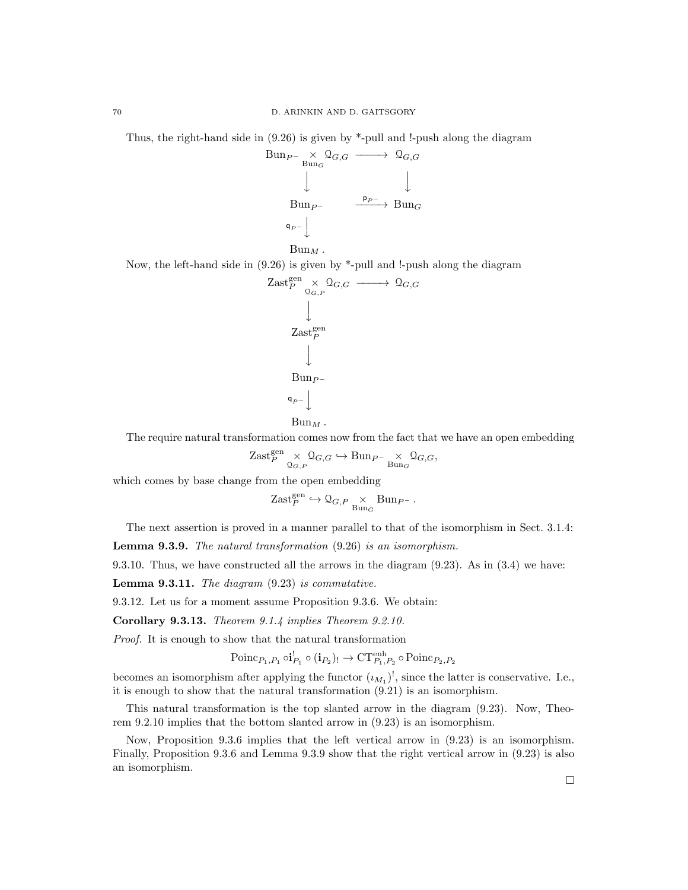Thus, the right-hand side in (9.26) is given by \*-pull and !-push along the diagram



Now, the left-hand side in (9.26) is given by \*-pull and !-push along the diagram

$$
\begin{array}{ccc}\n\text{Zast}_{P}^{\text{gen}} & \times & \mathcal{Q}_{G,G} \longrightarrow & \mathcal{Q}_{G,G} \\
 & & \downarrow & & \\
\text{Zast}_{P}^{\text{gen}} & & \\
 & \downarrow & & \\
\text{Bun}_{P^-} & & \\
 & & \downarrow & \\
 & & \mathcal{q}_{P^-} \downarrow & & \\
\end{array}
$$

$$
\mathrm{Bun}_M\,.
$$

The require natural transformation comes now from the fact that we have an open embedding

$$
\mathrm{Zast}_{P}^{\mathrm{gen}} \underset{\mathbb{Q}_{G,P}}{\times} \mathbb{Q}_{G,G} \hookrightarrow \mathrm{Bun}_{P^-} \underset{\mathrm{Bun}_{G}}{\times} \mathbb{Q}_{G,G},
$$

which comes by base change from the open embedding

$$
\mathrm{Zast}_P^{\mathrm{gen}} \hookrightarrow \mathcal{Q}_{G,P} \underset{\mathrm{Bun}_G}{\times} \mathrm{Bun}_{P^-} \, .
$$

The next assertion is proved in a manner parallel to that of the isomorphism in Sect. 3.1.4:

Lemma 9.3.9. The natural transformation (9.26) is an isomorphism.

9.3.10. Thus, we have constructed all the arrows in the diagram (9.23). As in (3.4) we have:

**Lemma 9.3.11.** The diagram  $(9.23)$  is commutative.

9.3.12. Let us for a moment assume Proposition 9.3.6. We obtain:

Corollary 9.3.13. Theorem 9.1.4 implies Theorem 9.2.10.

Proof. It is enough to show that the natural transformation

$$
\text{Poinc}_{P_1, P_1} \circ \mathbf{i}_{P_1}^! \circ (\mathbf{i}_{P_2})_! \to \text{CT}_{P_1, P_2}^{\text{enh}} \circ \text{Poinc}_{P_2, P_2}
$$

becomes an isomorphism after applying the functor  $(u_{M_1})^!$ , since the latter is conservative. I.e., it is enough to show that the natural transformation (9.21) is an isomorphism.

This natural transformation is the top slanted arrow in the diagram (9.23). Now, Theorem 9.2.10 implies that the bottom slanted arrow in (9.23) is an isomorphism.

Now, Proposition 9.3.6 implies that the left vertical arrow in (9.23) is an isomorphism. Finally, Proposition 9.3.6 and Lemma 9.3.9 show that the right vertical arrow in (9.23) is also an isomorphism.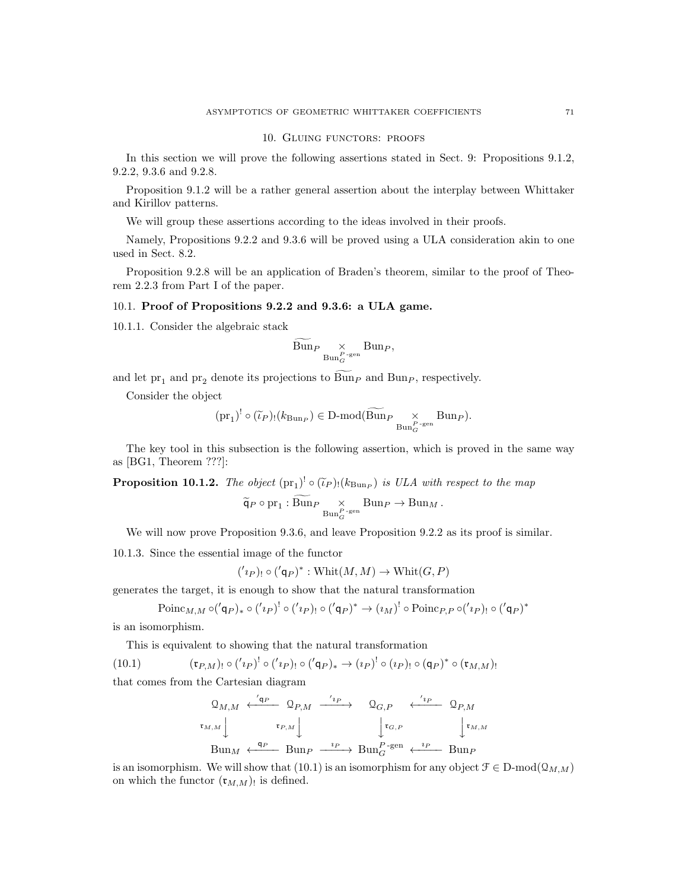#### 10. Gluing functors: proofs

In this section we will prove the following assertions stated in Sect. 9: Propositions 9.1.2, 9.2.2, 9.3.6 and 9.2.8.

Proposition 9.1.2 will be a rather general assertion about the interplay between Whittaker and Kirillov patterns.

We will group these assertions according to the ideas involved in their proofs.

Namely, Propositions 9.2.2 and 9.3.6 will be proved using a ULA consideration akin to one used in Sect. 8.2.

Proposition 9.2.8 will be an application of Braden's theorem, similar to the proof of Theorem 2.2.3 from Part I of the paper.

#### 10.1. Proof of Propositions 9.2.2 and 9.3.6: a ULA game.

10.1.1. Consider the algebraic stack

$$
\widetilde{\mathrm{Bun}}_{P} \underset{\mathrm{Bun}_G^{P-\mathrm{gen}}} \times \mathrm{Bun}_P,
$$

and let  $pr_1$  and  $pr_2$  denote its projections to  $\widetilde{Bun}_P$  and  $Bun_P$ , respectively.

Consider the object

$$
(pr_1)^! \circ (\widetilde{\iota}_P)_!(k_{\text{Bun}_P}) \in \text{D-mod}(\widetilde{\text{Bun}}_P \underset{\text{Bun}_G^{P-\text{gen}}}{\times} \text{Bun}_P).
$$

The key tool in this subsection is the following assertion, which is proved in the same way as [BG1, Theorem ???]:

**Proposition 10.1.2.** The object  $(\text{pr}_1)^! \circ (\tilde{\iota}_P)_! (k_{\text{Bun}_P})$  is ULA with respect to the map

$$
\widetilde{\mathsf{q}}_P \circ \text{pr}_1: \text{Bun}_P \underset{\text{Bun}_G^{P-\text{gen}}} \times \text{Bun}_P \to \text{Bun}_M.
$$

We will now prove Proposition 9.3.6, and leave Proposition 9.2.2 as its proof is similar.

10.1.3. Since the essential image of the functor

$$
('i_P)_! \circ ('q_P)^* : \text{Whit}(M, M) \to \text{Whit}(G, P)
$$

generates the target, it is enough to show that the natural transformation

$$
\text{Poinc}_{M,M} \circ (q_P)_* \circ (q_P)^! \circ (q_P)_! \circ (q_P)^* \to (u_M)^! \circ \text{Poinc}_{P,P} \circ (q_P)_! \circ (q_P)^*
$$

is an isomorphism.

This is equivalent to showing that the natural transformation

(10.1) 
$$
(\mathfrak{r}_{P,M})_! \circ ('i_P)^! \circ ('i_P)_! \circ ('q_P)_* \to (i_P)^! \circ (i_P)_! \circ (q_P)^* \circ (\mathfrak{r}_{M,M})_!
$$

that comes from the Cartesian diagram

$$
\begin{array}{ccc}\n\mathfrak{Q}_{M,M} & \xleftarrow{\langle \mathfrak{q}_P \quad} \mathfrak{Q}_{P,M} & \xrightarrow{\langle \iota_P \rangle} & \mathfrak{Q}_{G,P} & \xleftarrow{\langle \iota_P \quad} \mathfrak{Q}_{P,M} \\
\mathfrak{r}_{M,M} \quad & \mathfrak{r}_{P,M} \quad \downarrow & \qquad \qquad \downarrow \mathfrak{r}_{G,P} & \qquad \qquad \downarrow \mathfrak{r}_{M,M} \\
\text{Bun}_M & \xleftarrow{\mathfrak{q}_P} \text{Bun}_P & \xrightarrow{\iota_P} \text{Bun}_G^{P-\text{gen}} & \xleftarrow{\iota_P} \text{Bun}_P\n\end{array}
$$

is an isomorphism. We will show that (10.1) is an isomorphism for any object  $\mathcal{F} \in \mathcal{D}$ -mod $(\mathcal{Q}_{M,M})$ on which the functor  $(\mathfrak{r}_{M,M})_!$  is defined.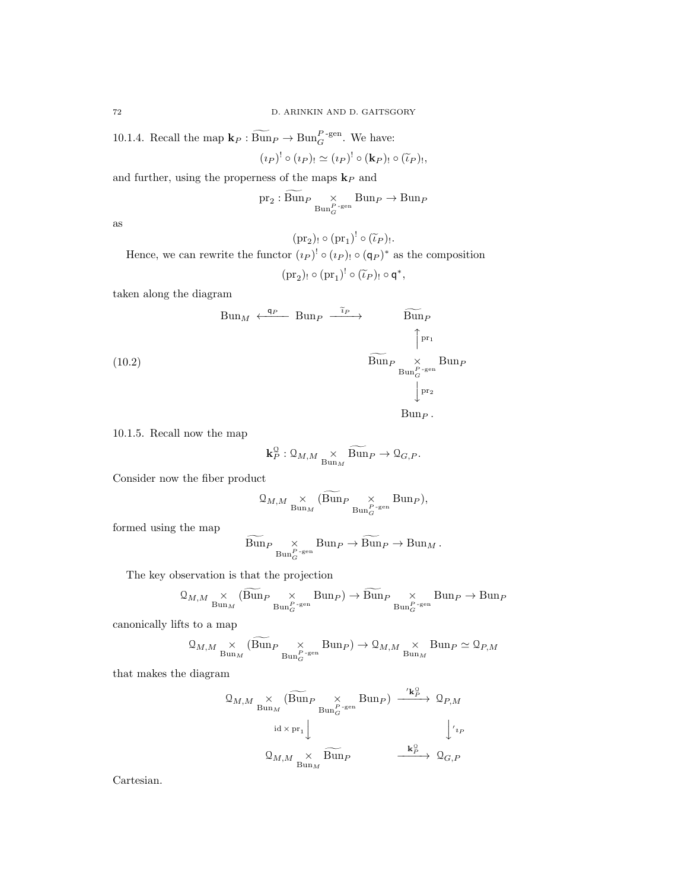10.1.4. Recall the map  $\mathbf{k}_P : \widetilde{Bun}_P \to \text{Bun}_G^{P\text{-gen}}$ . We have:

$$
(\iota_P)^! \circ (\iota_P)_! \simeq (\iota_P)^! \circ (\mathbf{k}_P)_! \circ (\widetilde{\iota}_P)_!,
$$

and further, using the properness of the maps  ${\bf k}_P$  and

$$
\text{pr}_2: \text{Bun}_{P}\underset{\text{Bun}_{G}^{P\text{-gen}}} {\times} \text{Bun}_{P} \rightarrow \text{Bun}_{P}
$$

as

 $(\text{pr}_2)$ !  $\circ (\text{pr}_1)^! \circ (\tilde{\iota}_P)$ !

Hence, we can rewrite the functor  $(\iota_P)^! \circ (\iota_P)_! \circ (\mathsf{q}_P)^*$  as the composition  $(\text{pr}_2)$ !  $\circ (\text{pr}_1)^! \circ (\tilde{\iota}_P)$ !  $\circ \mathsf{q}^*,$ 

taken along the diagram

(10.2)  
\n
$$
\begin{array}{ccc}\n\text{Bun}_M & \xleftarrow{\mathfrak{q}_P} & \text{Bun}_P & \text{Bun}_P \\
& & \uparrow^{\mathfrak{p}_{r_1}} & \uparrow^{\mathfrak{p}_{r_1}} \\
& & \downarrow^{\mathfrak{p}_{r_2}} & \text{Bun}_P \\
& & \downarrow^{\mathfrak{p}_{r_2}} \\
& & \downarrow^{\mathfrak{p}_{r_2}} \\
& & \text{Bun}_P\n\end{array}
$$

10.1.5. Recall now the map

$$
\mathbf{k}_P^{\mathcal{Q}}:\mathcal{Q}_{M,M} \underset{\mathrm{Bun}_M}{\times} \widetilde{\mathrm{Bun}}_P \to \mathcal{Q}_{G,P}.
$$

Consider now the fiber product

$$
\mathcal{Q}_{M,M} \underset{\text{Bun}_M}{\times} (\widetilde{\text{Bun}}_P \underset{\text{Bun}_G^{P-\text{gen}}} \times \text{Bun}_P),
$$

formed using the map

$$
\widetilde{\mathrm{Bun}}_{P} \underset{\mathrm{Bun}_G^{P-\mathrm{gen}}} \times \mathrm{Bun}_P \to \widetilde{\mathrm{Bun}}_P \to \mathrm{Bun}_M.
$$

The key observation is that the projection

$$
\mathcal{Q}_{M,M} \underset{\text{Bun}_M}{\times} (\widetilde{\text{Bun}}_P \underset{\text{Bun}_G^{P-\text{gen}}} \times \text{Bun}_P) \to \widetilde{\text{Bun}}_P \underset{\text{Bun}_G^{P-\text{gen}}} \times \text{Bun}_P \to \text{Bun}_P
$$

canonically lifts to a map

$$
\mathcal{Q}_{M,M} \underset{\text{Bun}_M}{\times} (\widetilde{\text{Bun}}_P \underset{\text{Bun}_G^{P\text{-gen}}} \times \text{Bun}_P) \to \mathcal{Q}_{M,M} \underset{\text{Bun}_M}{\times} \text{Bun}_P \simeq \mathcal{Q}_{P,M}
$$

that makes the diagram

$$
\begin{array}{ccc}\n\mathfrak{Q}_{M,M} & \times & (\widetilde{\operatorname{Bun}}_{P} & \times & \operatorname{Bun}_{P}) \xrightarrow{\quad \ \ \, \cdot \mathbf{k}_{P}^{\mathbb{O}}} \mathfrak{Q}_{P,M} \\
& \operatorname{id} \times \operatorname{pr}_{1} \downarrow & & \downarrow^{\quad \ \ \, \cdot \mathbf{k}_{P}^{\mathbb{O}}} \\
& \mathfrak{Q}_{M,M} & \times & \widetilde{\operatorname{Bun}}_{P} & \xrightarrow{\quad \ \ \, \mathbf{k}_{P}^{\mathbb{O}}} & \mathfrak{Q}_{G,P}\n\end{array}
$$

Cartesian.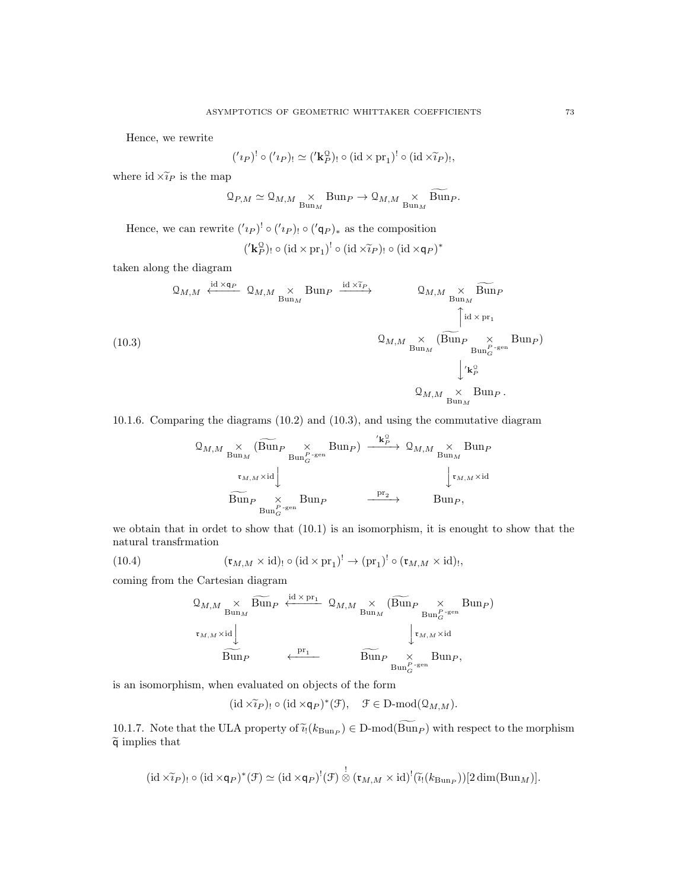Hence, we rewrite

$$
('i_P)^! \circ ('i_P)_! \simeq ('\mathbf{k}_P^{\mathbf{Q}})_! \circ (\mathrm{id} \times \mathrm{pr}_1)^! \circ (\mathrm{id} \times \widetilde{i}_P)_!,
$$

where id  $\times \tilde{i}_P$  is the map

$$
\mathbf{Q}_{P,M} \simeq \mathbf{Q}_{M,M} \underset{\mathrm{Bun}_M}{\times} \mathrm{Bun}_P \to \mathbf{Q}_{M,M} \underset{\mathrm{Bun}_M}{\times} \widetilde{\mathrm{Bun}}_P.
$$

Hence, we can rewrite  $({}^{\prime}{}_{p})$ <sup>!</sup> ◦  $({}^{\prime}{}_{p})$ <sup>!</sup> ◦  $({}^{\prime}{}_{q}{}_{p})$ <sub>\*</sub> as the composition

$$
({' \mathbf{k}_P^{\mathcal{Q}}})_! \circ (\mathrm{id} \times \mathrm{pr}_1)^! \circ (\mathrm{id} \times \widetilde{v}_P)_! \circ (\mathrm{id} \times \mathsf{q}_P)^*
$$

taken along the diagram

(10.3)  
\n
$$
Q_{M,M} \xleftarrow{\text{id} \times \mathbf{q}_P} Q_{M,M} \xrightarrow{\times} \text{Bun}_P \xrightarrow{\text{id} \times \tilde{i}_P} Q_{M,M} \xrightarrow{\times} \text{Bun}_P
$$
\n
$$
Q_{M,M} \xrightarrow{\times} (\text{Bun}_P \xrightarrow{\times} \text{Bun}_P)
$$
\n
$$
Q_{M,M} \xrightarrow{\times} (\text{Bun}_P \xrightarrow{\times} \text{Bun}_P)
$$
\n
$$
Q_{M,M} \xrightarrow{\times} \text{Bun}_P
$$
\n
$$
Q_{M,M} \xrightarrow{\times} \text{Bun}_P
$$
\n
$$
Q_{M,M} \xleftarrow{\times} \text{Bun}_P
$$

10.1.6. Comparing the diagrams (10.2) and (10.3), and using the commutative diagram

$$
Q_{M,M} \underset{\text{Bun}_M}{\times} (\widetilde{\text{Bun}}_P \underset{\text{Bun}_G^{P-\text{gen}}}{\times} \text{Bun}_P) \xrightarrow{\text{'k}_P^{\circ}} Q_{M,M} \underset{\text{Bun}_M}{\times} \text{Bun}_P
$$
  

$$
\xrightarrow{\tau_{M,M} \times \text{id}} \underset{\text{Bun}_P^{P-\text{gen}}}{\times} \text{Bun}_P \xrightarrow{\text{pr}_2} \text{Bun}_P, \qquad \xrightarrow{\text{pr}_2} \text{Bun}_P,
$$

we obtain that in ordet to show that (10.1) is an isomorphism, it is enought to show that the natural transfrmation

(10.4) 
$$
(\mathfrak{r}_{M,M} \times id)_{!} \circ (id \times pr_{1})^{!} \to (pr_{1})^{!} \circ (\mathfrak{r}_{M,M} \times id)_{!},
$$

coming from the Cartesian diagram

$$
\begin{array}{ccc}\n\mathfrak{Q}_{M,M} & \times & \widetilde{\mathrm{Bun}}_{P} & \xleftarrow{\mathrm{id} \times \mathrm{pr}_{1}} & \mathfrak{Q}_{M,M} & \times & (\widetilde{\mathrm{Bun}}_{P} & \times & \mathrm{Bun}_{P}) \\
\downarrow^{\mathrm{tr}_{M,M} \times \mathrm{id}} & & & & \downarrow^{\mathrm{tr}_{M,M} \times \mathrm{id}} \\
& & & & & \downarrow^{\mathrm{tr}_{M,M} \times \mathrm{id}} \\
& & & & & \downarrow^{\mathrm{tr}_{M,M} \times \mathrm{id}} \\
& & & & & \downarrow^{\mathrm{tr}_{M,M} \times \mathrm{id}} \\
& & & & & \downarrow^{\mathrm{tr}_{M,M} \times \mathrm{id}} \\
& & & & & \downarrow^{\mathrm{tr}_{M,M} \times \mathrm{id}} \\
& & & & & \downarrow^{\mathrm{tr}_{M,M} \times \mathrm{id}} \\
& & & & & \downarrow^{\mathrm{tr}_{M,M} \times \mathrm{id}} \\
& & & & & \downarrow^{\mathrm{tr}_{M,M} \times \mathrm{id}} \\
& & & & & \downarrow^{\mathrm{tr}_{M,M} \times \mathrm{id}} \\
& & & & & \downarrow^{\mathrm{tr}_{M,M} \times \mathrm{id}} \\
& & & & & \downarrow^{\mathrm{tr}_{M,M} \times \mathrm{id}} \\
& & & & & \downarrow^{\mathrm{tr}_{M,M} \times \mathrm{id}} \\
& & & & & \downarrow^{\mathrm{tr}_{M,M} \times \mathrm{id}} \\
& & & & & \downarrow^{\mathrm{tr}_{M,M} \times \mathrm{id}} \\
& & & & & \downarrow^{\mathrm{tr}_{M,M} \times \mathrm{id}} \\
& & & & & \downarrow^{\mathrm{tr}_{M,M} \times \mathrm{id}} \\
& & & & & \downarrow^{\mathrm{tr}_{M,M} \times \mathrm{id}} \\
& & & & & & \downarrow^{\mathrm{tr}_{M,M} \times \mathrm{id}} \\
& & & & & & \downarrow^{\mathrm{tr}_{M,M} \times \mathrm{id}} \\
& & & & & & \downarrow^{\mathrm{tr}_{M,M} \times \mathrm{id}} \\
& & & & & & \downarrow^{\mathrm{tr}_{M,M} \times \mathrm{id}} \\
& & & & & & \downarrow^{\mathrm{tr}_{M,M} \times \mathrm{id}} \\
& & & & & & \downarrow^{\mathrm{tr}_{M,M} \times \mathrm{id}} \\
& & & & & & \downarrow^{\mathrm{tr}_{M,M} \times \mathrm{id}} \\
& & & & & & \downarrow^{\mathrm{tr}_{M,M} \times \mathrm{id}} \\
& & & & & & \downarrow^{\mathrm{tr}_{M,M
$$

is an isomorphism, when evaluated on objects of the form

 $(\mathrm{id} \times \widetilde{\imath}_P)_{!} \circ (\mathrm{id} \times \mathsf{q}_P)^*(\mathcal{F}), \quad \mathcal{F} \in \mathbf{D}\text{-mod}(\mathcal{Q}_{M,M}).$ 

10.1.7. Note that the ULA property of  $\tilde{i}_{!}(k_{\text{Bun}_P}) \in D\text{-mod}(Bun_P)$  with respect to the morphism  $\tilde{\epsilon}$  implies that  $\widetilde{q}$  implies that

$$
(\mathrm{id} \times \widetilde{\iota}_P)_! \circ (\mathrm{id} \times \mathsf{q}_P)^*(\mathcal{F}) \simeq (\mathrm{id} \times \mathsf{q}_P)^!(\mathcal{F}) \overset{!}{\otimes} (\mathfrak{r}_{M,M} \times \mathrm{id})^!(\widetilde{\iota}_!(k_{\mathrm{Bun}_P}))[2\dim(\mathrm{Bun}_M)].
$$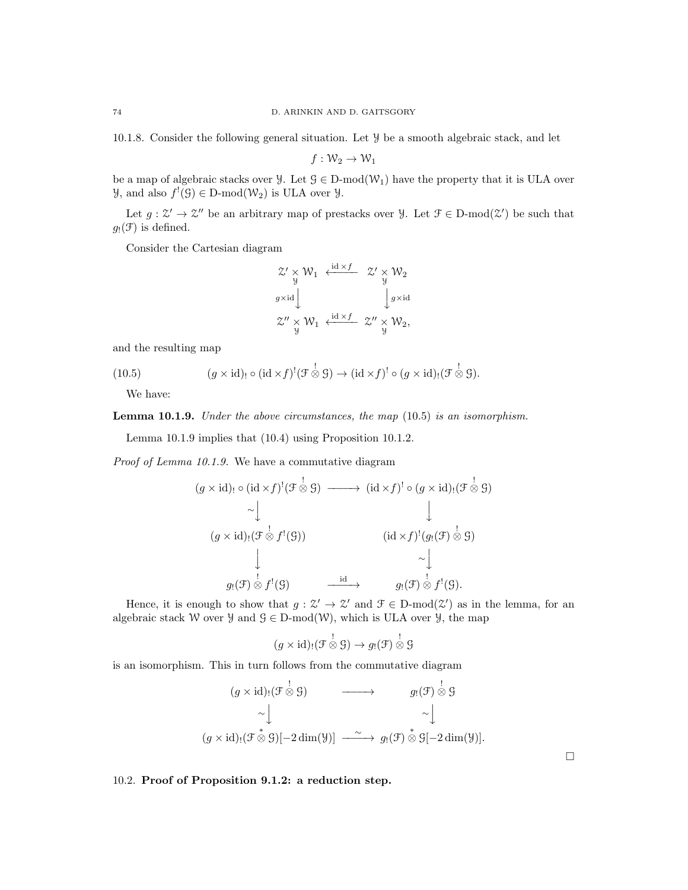10.1.8. Consider the following general situation. Let Y be a smooth algebraic stack, and let

$$
f:\mathcal{W}_2\to\mathcal{W}_1
$$

be a map of algebraic stacks over  $\mathcal{Y}$ . Let  $\mathcal{G} \in D\text{-mod}(\mathcal{W}_1)$  have the property that it is ULA over  $\mathcal{Y}$ , and also  $f'(\mathcal{G}) \in D\text{-mod}(\mathcal{W}_2)$  is ULA over  $\mathcal{Y}$ .

Let  $g: \mathcal{Z}' \to \mathcal{Z}''$  be an arbitrary map of prestacks over  $\mathcal{Y}$ . Let  $\mathcal{F} \in \text{D-mod}(\mathcal{Z}')$  be such that  $g_!(\mathfrak{F})$  is defined.

Consider the Cartesian diagram

$$
\begin{array}{ccc}\n\mathcal{Z}' \times \mathcal{W}_1 & \xleftarrow{\operatorname{id} \times f} & \mathcal{Z}' \times \mathcal{W}_2 \\
\downarrow g \times \operatorname{id} & & \downarrow g \times \operatorname{id} \\
\mathcal{Z}'' \times \mathcal{W}_1 & \xleftarrow{\operatorname{id} \times f} & \mathcal{Z}'' \times \mathcal{W}_2, \\
\end{array}
$$

and the resulting map

(10.5) 
$$
(g \times id)_{!} \circ (id \times f)^{!}(\mathcal{F} \overset{!}{\otimes} \mathcal{G}) \to (id \times f)^{!} \circ (g \times id)_{!}(\mathcal{F} \overset{!}{\otimes} \mathcal{G}).
$$

We have:

Lemma 10.1.9. Under the above circumstances, the map (10.5) is an isomorphism.

Lemma 10.1.9 implies that (10.4) using Proposition 10.1.2.

Proof of Lemma 10.1.9. We have a commutative diagram

$$
(g \times id)_! \circ (id \times f)^! (\mathcal{F} \overset{!}{\otimes} \mathcal{G}) \longrightarrow (id \times f)^! \circ (g \times id)_! (\mathcal{F} \overset{!}{\otimes} \mathcal{G})
$$
  
\n
$$
\sim \downarrow \qquad \qquad \downarrow
$$
  
\n
$$
(g \times id)_! (\mathcal{F} \overset{!}{\otimes} f^! (\mathcal{G})) \qquad (id \times f)^! (g_! (\mathcal{F}) \overset{!}{\otimes} \mathcal{G})
$$
  
\n
$$
\downarrow \qquad \qquad \downarrow
$$
  
\n
$$
g_! (\mathcal{F}) \overset{!}{\otimes} f^! (\mathcal{G}) \qquad \xrightarrow{id} \qquad g_! (\mathcal{F}) \overset{!}{\otimes} f^! (\mathcal{G}).
$$

Hence, it is enough to show that  $g: \mathcal{Z}' \to \mathcal{Z}'$  and  $\mathcal{F} \in D\text{-mod}(\mathcal{Z}')$  as in the lemma, for an algebraic stack W over  $\mathcal{Y}$  and  $\mathcal{G} \in D\text{-mod}(\mathcal{W})$ , which is ULA over  $\mathcal{Y}$ , the map

$$
(g \times id)_! (\mathcal{F} \overset{!}{\otimes} \mathcal{G}) \to g_! (\mathcal{F}) \overset{!}{\otimes} \mathcal{G}
$$

is an isomorphism. This in turn follows from the commutative diagram

$$
(g \times id)_!(\mathcal{F} \overset{!}{\otimes} \mathcal{G}) \longrightarrow g_!(\mathcal{F}) \overset{!}{\otimes} \mathcal{G}
$$
  
\sim
$$
\sim \downarrow \sim
$$
  
\n
$$
(g \times id)_!(\mathcal{F} \overset{*}{\otimes} \mathcal{G})[-2 \dim(\mathcal{Y})] \longrightarrow g_!(\mathcal{F}) \overset{*}{\otimes} \mathcal{G}[-2 \dim(\mathcal{Y})].
$$

10.2. Proof of Proposition 9.1.2: a reduction step.

 $\Box$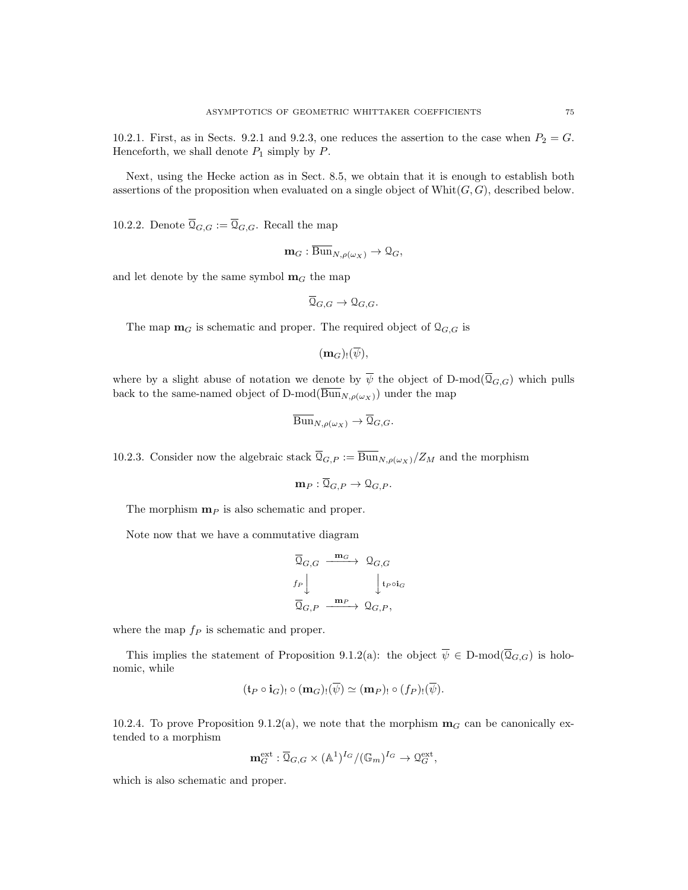10.2.1. First, as in Sects. 9.2.1 and 9.2.3, one reduces the assertion to the case when  $P_2 = G$ . Henceforth, we shall denote  $P_1$  simply by  $P$ .

Next, using the Hecke action as in Sect. 8.5, we obtain that it is enough to establish both assertions of the proposition when evaluated on a single object of  $Whit(G, G)$ , described below.

10.2.2. Denote  $\overline{\mathfrak{Q}}_{G,G} := \overline{\mathfrak{Q}}_{G,G}$ . Recall the map

$$
\mathbf{m}_G : \overline{\mathrm{Bun}}_{N,\rho(\omega_X)} \to \mathcal{Q}_G,
$$

and let denote by the same symbol  $m<sub>G</sub>$  the map

$$
\overline{\mathcal{Q}}_{G,G} \to \mathcal{Q}_{G,G}.
$$

The map  $\mathbf{m}_G$  is schematic and proper. The required object of  $\mathcal{Q}_{G,G}$  is

 $(m_G)_{!}(\overline{\psi}),$ 

where by a slight abuse of notation we denote by  $\overline{\psi}$  the object of D-mod( $\overline{Q}_{G,G}$ ) which pulls back to the same-named object of D-mod( $\overline{\text{Bun}}_{N,\rho(\omega_X)}$ ) under the map

$$
\overline{\mathrm{Bun}}_{N,\rho(\omega_X)} \to \overline{\mathcal{Q}}_{G,G}.
$$

10.2.3. Consider now the algebraic stack  $\overline{Q}_{G,P} := \overline{\mathrm{Bun}}_{N,\rho(\omega_X)}/Z_M$  and the morphism

$$
\mathbf{m}_P: \overline{\mathfrak{Q}}_{G,P} \to \mathfrak{Q}_{G,P}.
$$

The morphism  $\mathbf{m}_P$  is also schematic and proper.

Note now that we have a commutative diagram

$$
\begin{array}{ccc}\n\overline{\mathfrak{Q}}_{G,G} & \xrightarrow{\mathbf{m}_G} & \mathfrak{Q}_{G,G} \\
f_P \Big\downarrow & & \Big\downarrow_{t_P \circ i_G} \\
\overline{\mathfrak{Q}}_{G,P} & \xrightarrow{\mathbf{m}_P} & \mathfrak{Q}_{G,P},\n\end{array}
$$

where the map  $f_P$  is schematic and proper.

This implies the statement of Proposition 9.1.2(a): the object  $\overline{\psi} \in D\text{-mod}(\overline{Q}_{G,G})$  is holonomic, while

$$
(\mathfrak{t}_P \circ \mathbf{i}_G)_! \circ (\mathbf{m}_G)_! (\overline{\psi}) \simeq (\mathbf{m}_P)_! \circ (f_P)_! (\overline{\psi}).
$$

10.2.4. To prove Proposition 9.1.2(a), we note that the morphism  $\mathbf{m}_G$  can be canonically extended to a morphism

$$
\mathbf{m}_G^{\mathrm{ext}}:\overline{\mathfrak{Q}}_{G,G}\times(\mathbb{A}^1)^{I_G}/(\mathbb{G}_m)^{I_G}\to\mathfrak{Q}_G^{\mathrm{ext}},
$$

which is also schematic and proper.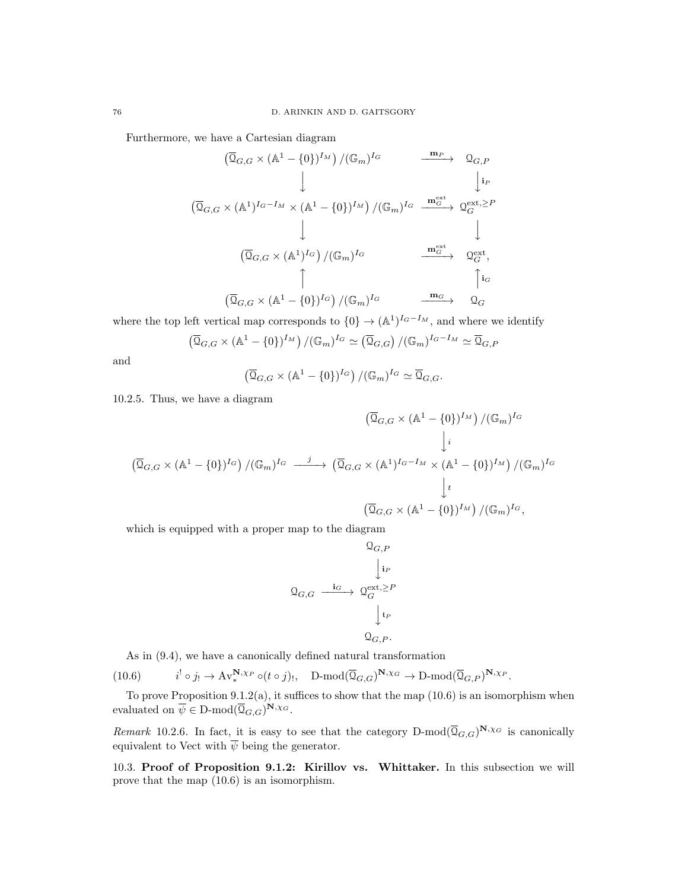Furthermore, we have a Cartesian diagram

$$
(\overline{Q}_{G,G} \times (\mathbb{A}^1 - \{0\})^{I_M}) / (\mathbb{G}_m)^{I_G} \longrightarrow \mathbb{Q}_{G,P}
$$
  
\n
$$
(\overline{Q}_{G,G} \times (\mathbb{A}^1)^{I_G - I_M} \times (\mathbb{A}^1 - \{0\})^{I_M}) / (\mathbb{G}_m)^{I_G} \xrightarrow{\mathbf{m}_G^{\text{ext}}} \mathbb{Q}_G^{\text{ext},\geq P}
$$
  
\n
$$
(\overline{Q}_{G,G} \times (\mathbb{A}^1)^{I_G}) / (\mathbb{G}_m)^{I_G} \longrightarrow \mathbb{Q}_G^{\text{ext}},
$$
  
\n
$$
(\overline{Q}_{G,G} \times (\mathbb{A}^1 - \{0\})^{I_G}) / (\mathbb{G}_m)^{I_G} \longrightarrow \mathbb{Q}_G^{\text{ext}},
$$

where the top left vertical map corresponds to  $\{0\} \rightarrow (A^1)^{I_G-I_M}$ , and where we identify

$$
(\overline{Q}_{G,G} \times (\mathbb{A}^1 - \{0\})^{I_M}) / (\mathbb{G}_m)^{I_G} \simeq (\overline{Q}_{G,G}) / (\mathbb{G}_m)^{I_G - I_M} \simeq \overline{Q}_{G,F}
$$

and

$$
(\overline{Q}_{G,G} \times (\mathbb{A}^1 - \{0\})^{I_G}) / (\mathbb{G}_m)^{I_G} \simeq \overline{Q}_{G,G}.
$$

10.2.5. Thus, we have a diagram

$$
(\overline{Q}_{G,G} \times (\mathbb{A}^1 - \{0\})^{I_M}) / (\mathbb{G}_m)^{I_G}
$$
  

$$
\downarrow i
$$
  

$$
(\overline{Q}_{G,G} \times (\mathbb{A}^1 - \{0\})^{I_G}) / (\mathbb{G}_m)^{I_G} \xrightarrow{j} (\overline{Q}_{G,G} \times (\mathbb{A}^1)^{I_G - I_M} \times (\mathbb{A}^1 - \{0\})^{I_M}) / (\mathbb{G}_m)^{I_G}
$$
  

$$
\downarrow t
$$
  

$$
(\overline{Q}_{G,G} \times (\mathbb{A}^1 - \{0\})^{I_M}) / (\mathbb{G}_m)^{I_G},
$$

which is equipped with a proper map to the diagram

$$
\begin{array}{ccc}\n & & \Omega_{G,P} \\
 & & \downarrow_{i_P} \\
\Omega_{G,G} & \xrightarrow{\mathbf{i}_G} & \Omega_{G}^{\text{ext},\geq P} \\
 & & \downarrow_{t_P} \\
 & & \Omega_{G,P}.\n\end{array}
$$

As in (9.4), we have a canonically defined natural transformation

 $(10.6)$  ${}^{!} \circ j_{!} \to \mathrm{Av}^{\mathbf{N},\chi_{P}}_{*} \circ (t \circ j)_{!}, \quad \mathrm{D-mod}(\overline{\mathfrak{Q}}_{G,G})^{\mathbf{N},\chi_{G}} \to \mathrm{D-mod}(\overline{\mathfrak{Q}}_{G,P})^{\mathbf{N},\chi_{P}}.$ 

To prove Proposition  $9.1.2(a)$ , it suffices to show that the map  $(10.6)$  is an isomorphism when evaluated on  $\overline{\psi} \in D\text{-mod}(\overline{Q}_{G,G})^{\mathbf{N},\chi_G}$ .

Remark 10.2.6. In fact, it is easy to see that the category  $D\text{-mod}(\overline{Q}_{G,G})^{\mathbf{N},\chi_G}$  is canonically equivalent to Vect with  $\overline{\psi}$  being the generator.

10.3. Proof of Proposition 9.1.2: Kirillov vs. Whittaker. In this subsection we will prove that the map (10.6) is an isomorphism.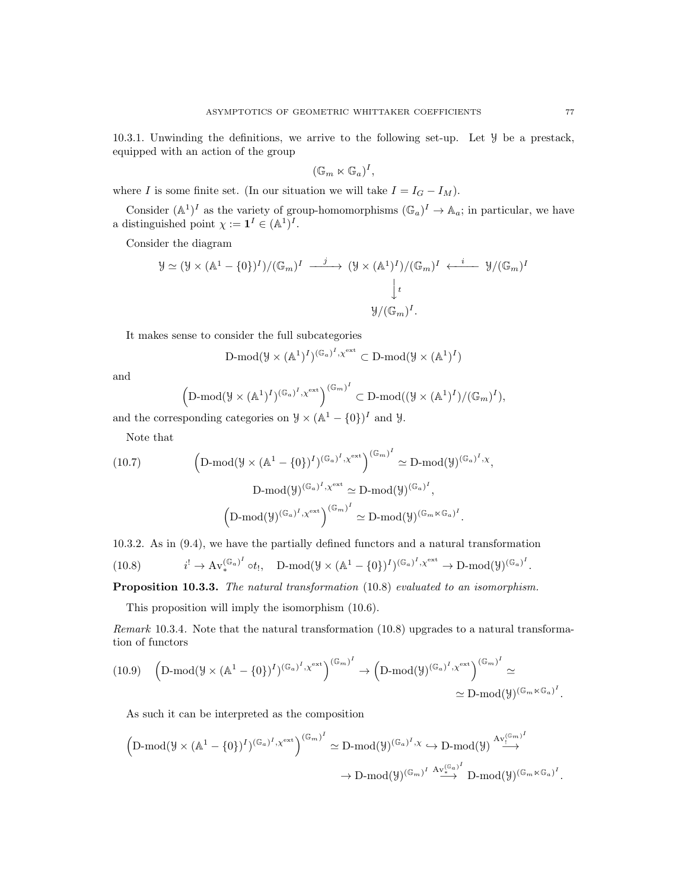10.3.1. Unwinding the definitions, we arrive to the following set-up. Let Y be a prestack, equipped with an action of the group

$$
(\mathbb{G}_m \ltimes \mathbb{G}_a)^I,
$$

where I is some finite set. (In our situation we will take  $I = I_G - I_M$ ).

Consider  $(\mathbb{A}^1)^I$  as the variety of group-homomorphisms  $(\mathbb{G}_a)^I \to \mathbb{A}_a$ ; in particular, we have a distinguished point  $\chi := \mathbf{1}^I \in (A^1)^I$ .

Consider the diagram

$$
\mathcal{Y} \simeq (\mathcal{Y} \times (\mathbb{A}^1 - \{0\})^I) / (\mathbb{G}_m)^I \xrightarrow{j} (\mathcal{Y} \times (\mathbb{A}^1)^I) / (\mathbb{G}_m)^I \xleftarrow{i} \mathcal{Y} / (\mathbb{G}_m)^I
$$
  

$$
\downarrow t
$$
  

$$
\mathcal{Y} / (\mathbb{G}_m)^I.
$$

It makes sense to consider the full subcategories

$$
\mathrm{D\text{-}mod}(\mathcal{Y}\times (\mathbb{A}^1)^I)^{(\mathbb{G}_a)^I,\chi^{\text{ext}}}\subset \mathrm{D\text{-}mod}(\mathcal{Y}\times (\mathbb{A}^1)^I)
$$

and

$$
\left(\mathrm{D\text{-}mod}(\mathcal{Y}\times (\mathbb{A}^1)^I)^{(\mathbb{G}_a)^I,\chi^{\text{ext}}}\right)^{(\mathbb{G}_m)^I}\subset \mathrm{D\text{-}mod}((\mathcal{Y}\times (\mathbb{A}^1)^I)/(\mathbb{G}_m)^I),
$$

and the corresponding categories on  $\mathcal{Y} \times (\mathbb{A}^1 - \{0\})^I$  and  $\mathcal{Y}$ .

Note that

(10.7)  
\n
$$
\left(D\text{-mod}(\mathcal{Y}\times(\mathbb{A}^1-\{0\})^I)^{(\mathbb{G}_a)^I,\chi^{\text{ext}}}\right)^{(\mathbb{G}_m)^I} \simeq D\text{-mod}(\mathcal{Y})^{(\mathbb{G}_a)^I,\chi},
$$
\n
$$
D\text{-mod}(\mathcal{Y})^{(\mathbb{G}_a)^I,\chi^{\text{ext}}} \simeq D\text{-mod}(\mathcal{Y})^{(\mathbb{G}_a)^I},
$$
\n
$$
\left(D\text{-mod}(\mathcal{Y})^{(\mathbb{G}_a)^I,\chi^{\text{ext}}}\right)^{(\mathbb{G}_m)^I} \simeq D\text{-mod}(\mathcal{Y})^{(\mathbb{G}_m\times\mathbb{G}_a)^I}.
$$

10.3.2. As in (9.4), we have the partially defined functors and a natural transformation

(10.8) 
$$
i^{!} \to \mathrm{Av}_{*}^{(\mathbb{G}_{a})^{I}} \circ t_{!}, \quad \mathrm{D}\text{-mod}(\mathcal{Y} \times (\mathbb{A}^{1} - \{0\})^{I})^{(\mathbb{G}_{a})^{I}, \chi^{\mathrm{ext}}} \to \mathrm{D}\text{-mod}(\mathcal{Y})^{(\mathbb{G}_{a})^{I}}
$$

Proposition 10.3.3. The natural transformation  $(10.8)$  evaluated to an isomorphism.

This proposition will imply the isomorphism (10.6).

Remark 10.3.4. Note that the natural transformation (10.8) upgrades to a natural transformation of functors

$$
(10.9) \quad \left(\text{D-mod}(\mathcal{Y}\times(\mathbb{A}^1-\{0\})^I)^{(\mathbb{G}_a)^I,\chi^{ext}}\right)^{(\mathbb{G}_m)^I} \to \left(\text{D-mod}(\mathcal{Y})^{(\mathbb{G}_a)^I,\chi^{ext}}\right)^{(\mathbb{G}_m)^I} \simeq \\ \simeq \text{D-mod}(\mathcal{Y})^{(\mathbb{G}_m\times\mathbb{G}_a)^I}.
$$

As such it can be interpreted as the composition

$$
\begin{aligned}\Big(D\text{-mod}(\mathcal{Y}\times(\mathbb{A}^1-\{0\})^I)^{(\mathbb{G}_a)^I,\chi^\mathrm{ext}}\Big)^{(\mathbb{G}_m)^I}&\simeq D\text{-mod}(\mathcal{Y})^{(\mathbb{G}_a)^I,\chi}\hookrightarrow D\text{-mod}(\mathcal{Y})\stackrel{A\mathbf{v}_!^{(\mathbb{G}_m)^I}}{\longrightarrow}\\ &\to D\text{-mod}(\mathcal{Y})^{(\mathbb{G}_m)^I}\stackrel{A\mathbf{v}_*^{(\mathbb{G}_a)^I}}{\longrightarrow} D\text{-mod}(\mathcal{Y})^{(\mathbb{G}_m\ltimes\mathbb{G}_a)^I}.\end{aligned}
$$

.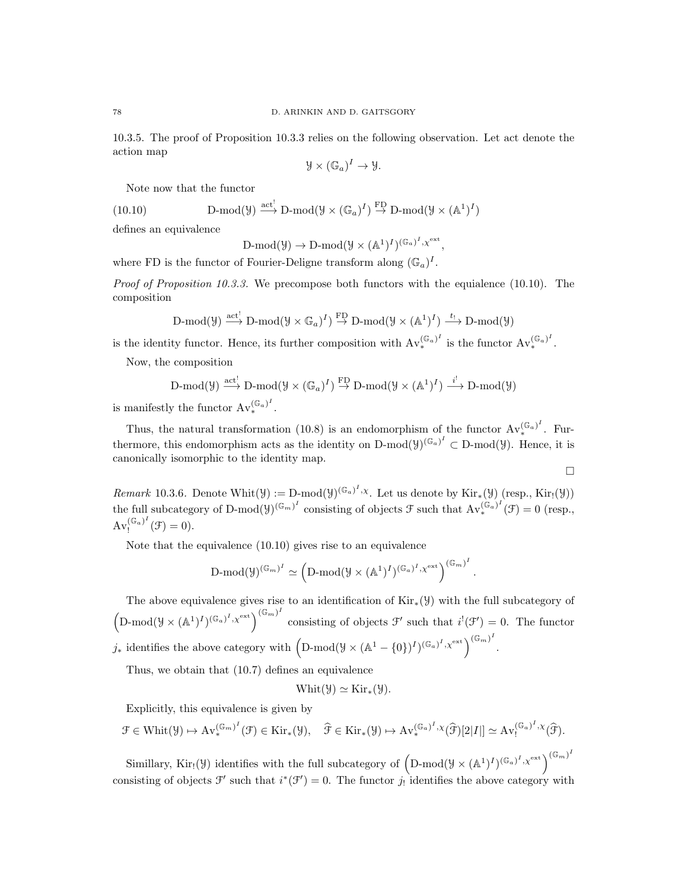10.3.5. The proof of Proposition 10.3.3 relies on the following observation. Let act denote the action map

$$
\mathcal{Y} \times (\mathbb{G}_a)^I \to \mathcal{Y}.
$$

Note now that the functor

(10.10) 
$$
\text{D-mod}(\mathcal{Y}) \stackrel{\text{act}^!}{\longrightarrow} \text{D-mod}(\mathcal{Y} \times (\mathbb{G}_a)^I) \stackrel{\text{FD}}{\rightarrow} \text{D-mod}(\mathcal{Y} \times (\mathbb{A}^1)^I)
$$

defines an equivalence

$$
\text{D-mod}(\mathcal{Y}) \to \text{D-mod}(\mathcal{Y} \times (\mathbb{A}^1)^I)^{(\mathbb{G}_a)^I} \times \mathbb{C}^{\text{ext}},
$$

where FD is the functor of Fourier-Deligne transform along  $(\mathbb{G}_a)^I$ .

*Proof of Proposition 10.3.3.* We precompose both functors with the equialence  $(10.10)$ . The composition

$$
\text{$D$-mod}(\mathcal{Y}) \stackrel{\text{act}^!}{\longrightarrow} D\text{-mod}(\mathcal{Y} \times \mathbb{G}_a)^I) \stackrel{\text{FD}}{\rightarrow} D\text{-mod}(\mathcal{Y} \times (\mathbb{A}^1)^I) \stackrel{t_!}{\longrightarrow} D\text{-mod}(\mathcal{Y})$}
$$

is the identity functor. Hence, its further composition with  $Av_{*}^{(\mathbb{G}_{a})^I}$  $(\mathbb{G}_a)^I$  is the functor  $\text{Av}_*^{(\mathbb{G}_a)^I}$  $(\overline{\mathbb{u}}_a)^*$ .

Now, the composition

$$
\mathbf{D}\text{-mod}(\mathcal{Y})\xrightarrow{\mathrm{act}}\mathbf{D}\text{-mod}(\mathcal{Y}\times(\mathbb{G}_a)^I)\xrightarrow{\mathrm{FD}}\mathbf{D}\text{-mod}(\mathcal{Y}\times(\mathbb{A}^1)^I)\xrightarrow{\cdot i^!}\mathbf{D}\text{-mod}(\mathcal{Y})
$$

is manifestly the functor  $Av_{*}^{(\mathbb{G}_a)}$  $(\mathbb{V}_a)^{\tilde{}}$ .

Thus, the natural transformation (10.8) is an endomorphism of the functor  $Av_{*}^{(\mathbb{G}_{a})^I}$  $(\mathbb{V}_a)^{\cdot}$ . Furthermore, this endomorphism acts as the identity on  $D\text{-mod}(\mathcal{Y})^{(\mathbb{G}_a)^I} \subset D\text{-mod}(\mathcal{Y})$ . Hence, it is canonically isomorphic to the identity map.

$$
\qquad \qquad \Box
$$

.

Remark 10.3.6. Denote Whit $(\mathcal{Y}) := \text{D-mod}(\mathcal{Y})^{(\mathbb{G}_a)^I, \chi}$ . Let us denote by Kir<sub>\*</sub>( $\mathcal{Y}$ ) (resp., Kir<sub>!</sub>( $\mathcal{Y}$ )) the full subcategory of D-mod $(y)^{(\mathbb{G}_m)^I}$  consisting of objects  $\mathcal F$  such that  $\text{Av}^{(\mathbb{G}_a)^I}$  $(\mathbb{G}_a)^{\cdot}(\mathcal{F})=0$  (resp.,  $\operatorname{Av}^{(\mathbb{G}_a)^I}_1$  $\int_{!}^{\left(\mathbb{G}_{a}\right)} (f) = 0.$ 

Note that the equivalence (10.10) gives rise to an equivalence

$$
\operatorname{D-mod}(\mathcal{Y})^{(\mathbb{G}_m)^I}\simeq \left(\operatorname{D-mod}(\mathcal{Y}\times (\mathbb{A}^1)^I)^{(\mathbb{G}_a)^I,\chi^{\text{ext}}}\right)^{(\mathbb{G}_m)^I}
$$

The above equivalence gives rise to an identification of  $\text{Kir}_*(\mathcal{Y})$  with the full subcategory of  $\left(\mathrm{D-mod}(\mathcal{Y}\times(\mathbb{A}^1)^I)^{(\mathbb{G}_a)^I}$ ,  $\chi^{\mathrm{ext}}\right)^{(\mathbb{G}_m)^I}$  consisting of objects  $\mathcal{F}'$  such that  $i^!(\mathcal{F}')=0$ . The functor j<sub>\*</sub> identifies the above category with  $(D\text{-mod}(\mathcal{Y}\times(\mathbb{A}^1-\{0\})^I)^{(\mathbb{G}_a)^I,\chi^{ext}})^{(\mathbb{G}_m)^I}$ .

Thus, we obtain that (10.7) defines an equivalence

$$
\operatorname{Whit}(\mathcal{Y}) \simeq \operatorname{Kir}_*(\mathcal{Y}).
$$

Explicitly, this equivalence is given by

$$
\mathcal{F} \in \text{Whit}(\mathcal{Y}) \mapsto \text{Av}^{(\mathbb{G}_m)^I}_{*}(\mathcal{F}) \in \text{Kir}_*(\mathcal{Y}), \quad \widehat{\mathcal{F}} \in \text{Kir}_*(\mathcal{Y}) \mapsto \text{Av}^{(\mathbb{G}_a)^I,\chi}_{*}(\widehat{\mathcal{F}})[2|I|] \simeq \text{Av}^{(\mathbb{G}_a)^I,\chi}_{!}(\widehat{\mathcal{F}}).
$$

Simillary, Kir! (9) identifies with the full subcategory of  $(D\text{-mod}(\mathcal{Y}\times(\mathbb{A}^1)^I)^{(\mathbb{G}_a)^I}, \chi^{\text{ext}})^{(\mathbb{G}_m)^I}$ consisting of objects  $\mathcal{F}'$  such that  $i^*(\mathcal{F}') = 0$ . The functor  $j_!$  identifies the above category with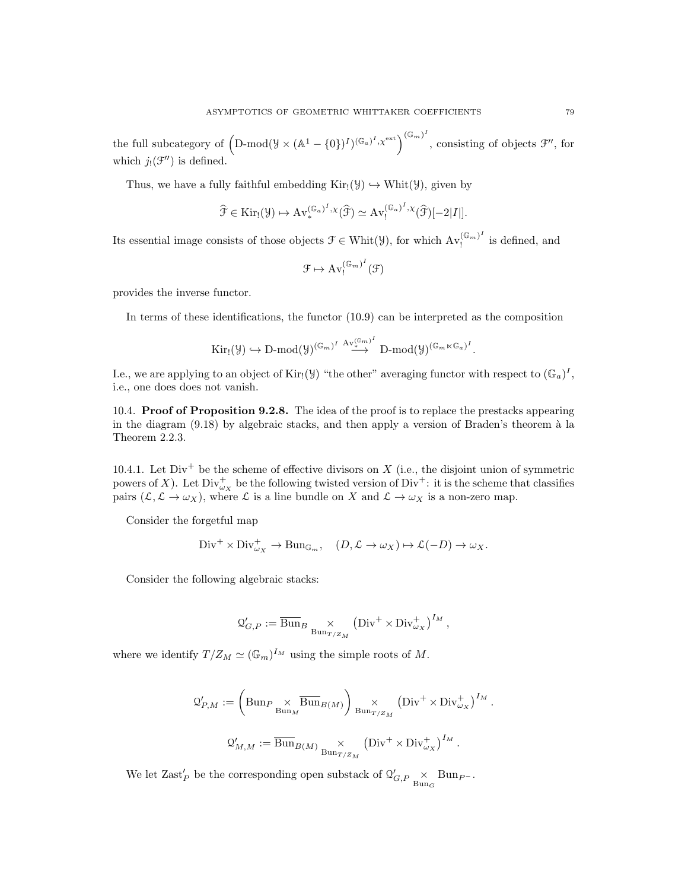the full subcategory of  $(D\text{-mod}(\mathcal{Y}\times(\mathbb{A}^1-\{0\})^I)^{(\mathbb{G}_a)^I},\mathcal{X}^{\text{ext}})^{(\mathbb{G}_m)^I}$ , consisting of objects  $\mathcal{F}''$ , for which  $j_!(\mathcal{F}'')$  is defined.

Thus, we have a fully faithful embedding  $\text{Kir}_{!}(\mathcal{Y}) \hookrightarrow \text{Whit}(\mathcal{Y})$ , given by

$$
\widehat{\mathcal{F}} \in \mathrm{Kir}_{!}(\mathcal{Y}) \mapsto \mathrm{Av}_{*}^{(\mathbb{G}_{a})^{I}, \chi}(\widehat{\mathcal{F}}) \simeq \mathrm{Av}_{!}^{(\mathbb{G}_{a})^{I}, \chi}(\widehat{\mathcal{F}})[-2|I|].
$$

Its essential image consists of those objects  $\mathcal{F} \in \text{Whit}(\mathcal{Y})$ , for which  $\text{Av}^{(\mathbb{G}_m)^I}_{\mathbb{F}}$  $\int_{!}^{\sqrt{m}}$  is defined, and

$$
\mathcal{F}\mapsto \operatorname{Av}^{(\mathbb{G}_m)^I}_!(\mathcal{F})
$$

provides the inverse functor.

In terms of these identifications, the functor (10.9) can be interpreted as the composition

$$
\mathrm{Kir}_{!}(\mathcal{Y})\hookrightarrow \mathrm{D}\text{-mod}(\mathcal{Y})^{(\mathbb{G}_m)^{I}}\stackrel{\mathrm{Av}_{\bullet}^{(\mathbb{G}_m)^{I}}}{\longrightarrow}\mathrm{D}\text{-mod}(\mathcal{Y})^{(\mathbb{G}_m\ltimes\mathbb{G}_a)^{I}}.
$$

I.e., we are applying to an object of Kir!( $\mathcal{Y}$ ) "the other" averaging functor with respect to  $(\mathbb{G}_a)^I$ , i.e., one does does not vanish.

10.4. Proof of Proposition 9.2.8. The idea of the proof is to replace the prestacks appearing in the diagram  $(9.18)$  by algebraic stacks, and then apply a version of Braden's theorem à la Theorem 2.2.3.

10.4.1. Let  $Div<sup>+</sup>$  be the scheme of effective divisors on X (i.e., the disjoint union of symmetric powers of X). Let  $Div^+_{\omega_X}$  be the following twisted version of  $Div^+$ : it is the scheme that classifies pairs  $(\mathcal{L}, \mathcal{L} \to \omega_X)$ , where  $\mathcal{L}$  is a line bundle on X and  $\mathcal{L} \to \omega_X$  is a non-zero map.

Consider the forgetful map

$$
\text{Div}^+ \times \text{Div}_{\omega_X}^+ \to \text{Bun}_{\mathbb{G}_m}, \quad (D, \mathcal{L} \to \omega_X) \mapsto \mathcal{L}(-D) \to \omega_X.
$$

Consider the following algebraic stacks:

$$
Q'_{G,P} := \overline{\mathrm{Bun}}_B \underset{\mathrm{Bun}_{T/Z_M}}{\times} \left( \mathrm{Div}^+ \times \mathrm{Div}_{\omega_X}^+ \right)^{I_M},
$$

where we identify  $T/Z_M \simeq (\mathbb{G}_m)^{I_M}$  using the simple roots of M.

$$
Q'_{P,M} := \left( \text{Bun}_{P} \frac{\times}{\text{Bun}_{M}} \overline{\text{Bun}}_{B(M)} \right) \underset{\text{Bun}_{T/Z_M}}{\times} \left( \text{Div}^{+} \times \text{Div}_{\omega_X}^{+} \right)^{I_M}.
$$
  

$$
Q'_{M,M} := \overline{\text{Bun}}_{B(M)} \underset{\text{Bun}_{T/Z_M}}{\times} \left( \text{Div}^{+} \times \text{Div}_{\omega_X}^{+} \right)^{I_M}.
$$

We let  $\text{Zast}'_P$  be the corresponding open substack of  $\mathcal{Q}'_{G,P} \underset{\text{Bun}_G}{\times} \text{Bun}_{P^-}$ .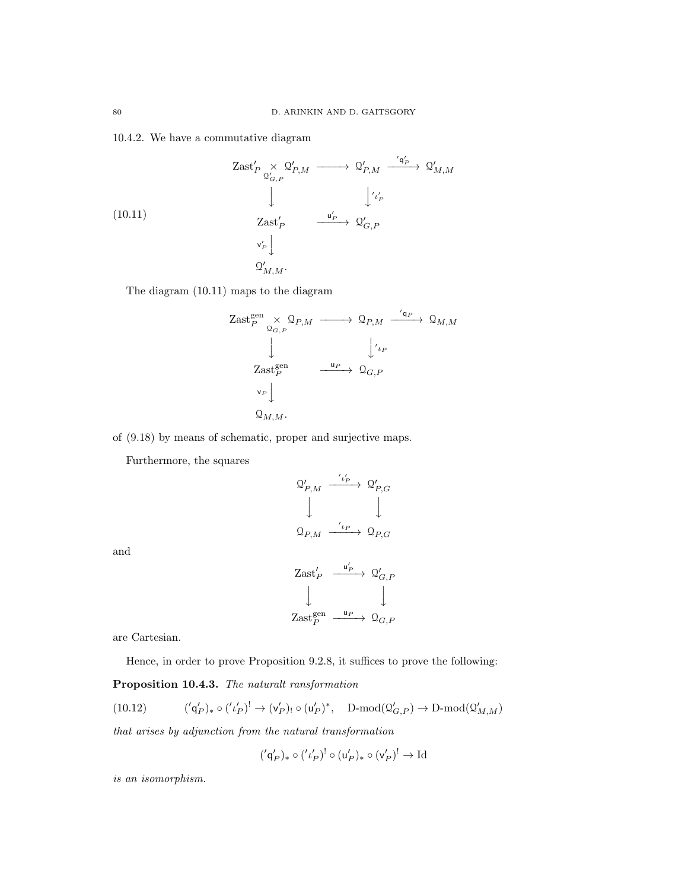## 10.4.2. We have a commutative diagram

(10.11)  $\operatorname{Zast}'_P \underset{{\mathcal{Q}}'_{G,P}}{\times}$  $\Omega'_{P,M} \longrightarrow \Omega'_{P,M}$  $\stackrel{'\mathfrak{q}'_P}{\longrightarrow} \mathfrak{Q}'_{M,M}$  $\downarrow$  $\int' \iota'_P$  $\operatorname{Zast}_P'$  $\stackrel{\mathsf{u}'_P}{\longrightarrow} \mathfrak{Q}'_{G,P}$  $\mathsf{v}'_P\Big\downarrow$  $Q'_{M,M}$ .

The diagram (10.11) maps to the diagram

$$
\begin{array}{ccc}\n\text{Zast}_{P}^{\text{gen}} & \times \mathcal{Q}_{P,M} \longrightarrow \mathcal{Q}_{P,M} \xrightarrow{\text{'q}_{P}} \mathcal{Q}_{M,M} \\
\downarrow & \downarrow^{\text{'\iota_{P}}} \\
\text{Zast}_{P}^{\text{gen}} & \xrightarrow{\text{u}_{P}} \mathcal{Q}_{G,P} \\
\downarrow^{\text{'\iota_{P}}} \\
\downarrow^{\text{v}_{P}} \\
\downarrow^{\text{v}_{P}} \\
\mathcal{Q}_{M,M}.\n\end{array}
$$

of (9.18) by means of schematic, proper and surjective maps.

Furthermore, the squares

$$
\begin{array}{ccc}\n\mathfrak{Q}'_{P,M} & \xrightarrow{\cdot i'_P} & \mathfrak{Q}'_{P,G} \\
\downarrow & & \downarrow \\
\mathfrak{Q}_{P,M} & \xrightarrow{\cdot i_P} & \mathfrak{Q}_{P,G}\n\end{array}
$$

and

$$
\begin{array}{ccc}\n\text{Zast}_{P}' & \xrightarrow{\mathsf{u}_{P}'} & \mathsf{Q}_{G,P}' \\
\downarrow & & \downarrow \\
\text{Zast}_{P}^{\text{gen}} & \xrightarrow{\mathsf{u}_{P}} & \mathsf{Q}_{G,P}\n\end{array}
$$

are Cartesian.

Hence, in order to prove Proposition 9.2.8, it suffices to prove the following:

## Proposition 10.4.3. The naturalt ransformation

 $(10.12)$  $\mathsf{q}'_P)_* \circ ('\iota'_P)^! \to (\mathsf{v}'_P)_! \circ (\mathsf{u}'_P)^*, \quad \text{D-mod}(\mathfrak{Q}'_{G,P}) \to \text{D-mod}(\mathfrak{Q}'_{M,M})$ 

that arises by adjunction from the natural transformation

$$
({}'\mathsf{q}'_P)_* \circ ({'}\iota'_P)^! \circ (\mathsf{u}'_P)_* \circ (\mathsf{v}'_P)^! \to \mathrm{Id}
$$

is an isomorphism.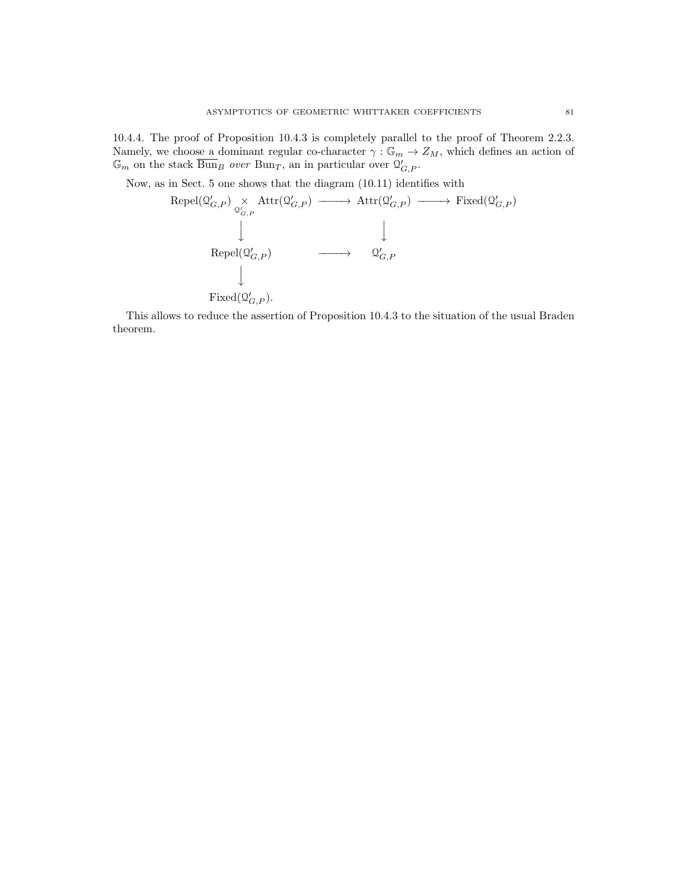10.4.4. The proof of Proposition 10.4.3 is completely parallel to the proof of Theorem 2.2.3. Namely, we choose a dominant regular co-character  $\gamma : \mathbb{G}_m \to Z_M$ , which defines an action of  $\mathbb{G}_m$  on the stack  $\overline{\text{Bun}}_B$  over  $\text{Bun}_T$ , an in particular over  $\mathcal{Q}'_{G,P}$ .

Now, as in Sect. 5 one shows that the diagram (10.11) identifies with

$$
\begin{array}{ccc}\mathrm{Repel}(\mathfrak{Q}_{G,P}')\underset{\mathfrak{Q}_{G,P}'}{\times}\mathrm{Attr}(\mathfrak{Q}_{G,P}')&\longrightarrow \mathrm{Attr}(\mathfrak{Q}_{G,P}')&\longrightarrow\mathrm{Fixed}(\mathfrak{Q}_{G,P}')\\ &&\downarrow&&\\ &&\mathrm{Repel}(\mathfrak{Q}_{G,P}')&\longrightarrow&\mathfrak{Q}_{G,P}'\\ &&\downarrow&&\\ &&\mathrm{Fixed}(\mathfrak{Q}_{G,P}').\\ \end{array}
$$

This allows to reduce the assertion of Proposition 10.4.3 to the situation of the usual Braden theorem.